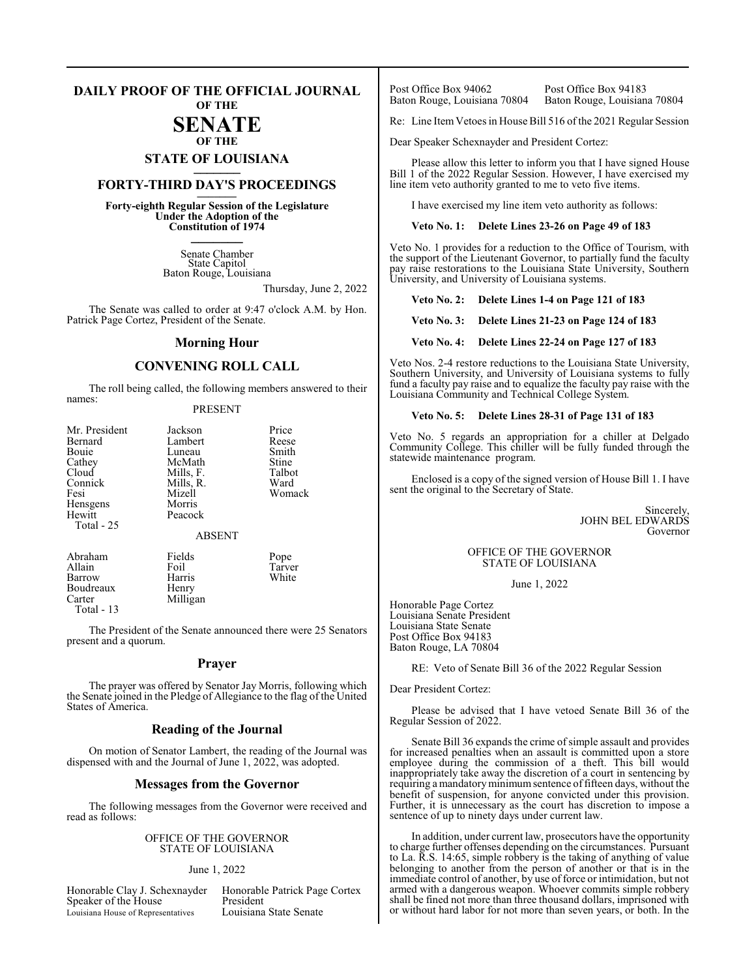#### **DAILY PROOF OF THE OFFICIAL JOURNAL OF THE**

# **SENATE**

## **OF THE**

**STATE OF LOUISIANA \_\_\_\_\_\_\_**

## **FORTY-THIRD DAY'S PROCEEDINGS \_\_\_\_\_\_\_**

**Forty-eighth Regular Session of the Legislature Under the Adoption of the Constitution of 1974 \_\_\_\_\_\_\_**

> Senate Chamber State Capitol Baton Rouge, Louisiana

> > Thursday, June 2, 2022

The Senate was called to order at 9:47 o'clock A.M. by Hon. Patrick Page Cortez, President of the Senate.

#### **Morning Hour**

#### **CONVENING ROLL CALL**

The roll being called, the following members answered to their names:

#### PRESENT

| Mr. President | Jackson       | Price  |
|---------------|---------------|--------|
| Bernard       | Lambert       | Reese  |
| Bouie         | Luneau        | Smith  |
| Cathey        | McMath        | Stine  |
| Cloud         | Mills, F.     | Talbot |
| Connick       | Mills, R.     | Ward   |
| Fesi          | Mizell        | Womack |
| Hensgens      | Morris        |        |
| Hewitt        | Peacock       |        |
| Total - 25    |               |        |
|               | <b>ABSENT</b> |        |
| Abraham       | Fields        | Pope   |
| Allain        | Foil          | Tarver |
| Barrow        | Harris        | White  |

Milligan

The President of the Senate announced there were 25 Senators present and a quorum.

#### **Prayer**

The prayer was offered by Senator Jay Morris, following which the Senate joined in the Pledge of Allegiance to the flag of the United States of America.

#### **Reading of the Journal**

On motion of Senator Lambert, the reading of the Journal was dispensed with and the Journal of June 1, 2022, was adopted.

#### **Messages from the Governor**

The following messages from the Governor were received and read as follows:

#### OFFICE OF THE GOVERNOR STATE OF LOUISIANA

#### June 1, 2022

Speaker of the House President<br>
Louisiana House of Representatives Louisiana State Senate Louisiana House of Representatives

Boudreaux Henry<br>Carter Millig

Total - 13

Honorable Clay J. Schexnayder Honorable Patrick Page Cortex

Post Office Box 94062 Post Office Box 94183<br>Baton Rouge, Louisiana 70804 Baton Rouge, Louisian Baton Rouge, Louisiana 70804

Re: Line ItemVetoes in House Bill 516 of the 2021 Regular Session

Dear Speaker Schexnayder and President Cortez:

Please allow this letter to inform you that I have signed House Bill 1 of the 2022 Regular Session. However, I have exercised my line item veto authority granted to me to veto five items.

I have exercised my line item veto authority as follows:

#### **Veto No. 1: Delete Lines 23-26 on Page 49 of 183**

Veto No. 1 provides for a reduction to the Office of Tourism, with the support of the Lieutenant Governor, to partially fund the faculty pay raise restorations to the Louisiana State University, Southern University, and University of Louisiana systems.

**Veto No. 2: Delete Lines 1-4 on Page 121 of 183**

**Veto No. 3: Delete Lines 21-23 on Page 124 of 183**

**Veto No. 4: Delete Lines 22-24 on Page 127 of 183**

Veto Nos. 2-4 restore reductions to the Louisiana State University, Southern University, and University of Louisiana systems to fully fund a faculty pay raise and to equalize the faculty pay raise with the Louisiana Community and Technical College System.

#### **Veto No. 5: Delete Lines 28-31 of Page 131 of 183**

Veto No. 5 regards an appropriation for a chiller at Delgado Community College. This chiller will be fully funded through the statewide maintenance program.

Enclosed is a copy of the signed version of House Bill 1. I have sent the original to the Secretary of State.

> Sincerely, JOHN BEL EDWARDS Governor

#### OFFICE OF THE GOVERNOR STATE OF LOUISIANA

June 1, 2022

Honorable Page Cortez Louisiana Senate President Louisiana State Senate Post Office Box 94183 Baton Rouge, LA 70804

RE: Veto of Senate Bill 36 of the 2022 Regular Session

Dear President Cortez:

Please be advised that I have vetoed Senate Bill 36 of the Regular Session of 2022.

Senate Bill 36 expands the crime of simple assault and provides for increased penalties when an assault is committed upon a store employee during the commission of a theft. This bill would inappropriately take away the discretion of a court in sentencing by requiring a mandatory minimum sentence of fifteen days, without the benefit of suspension, for anyone convicted under this provision. Further, it is unnecessary as the court has discretion to impose a sentence of up to ninety days under current law.

In addition, under current law, prosecutors have the opportunity to charge further offenses depending on the circumstances. Pursuant to La. R.S. 14:65, simple robbery is the taking of anything of value belonging to another from the person of another or that is in the immediate control of another, by use of force or intimidation, but not armed with a dangerous weapon. Whoever commits simple robbery shall be fined not more than three thousand dollars, imprisoned with or without hard labor for not more than seven years, or both. In the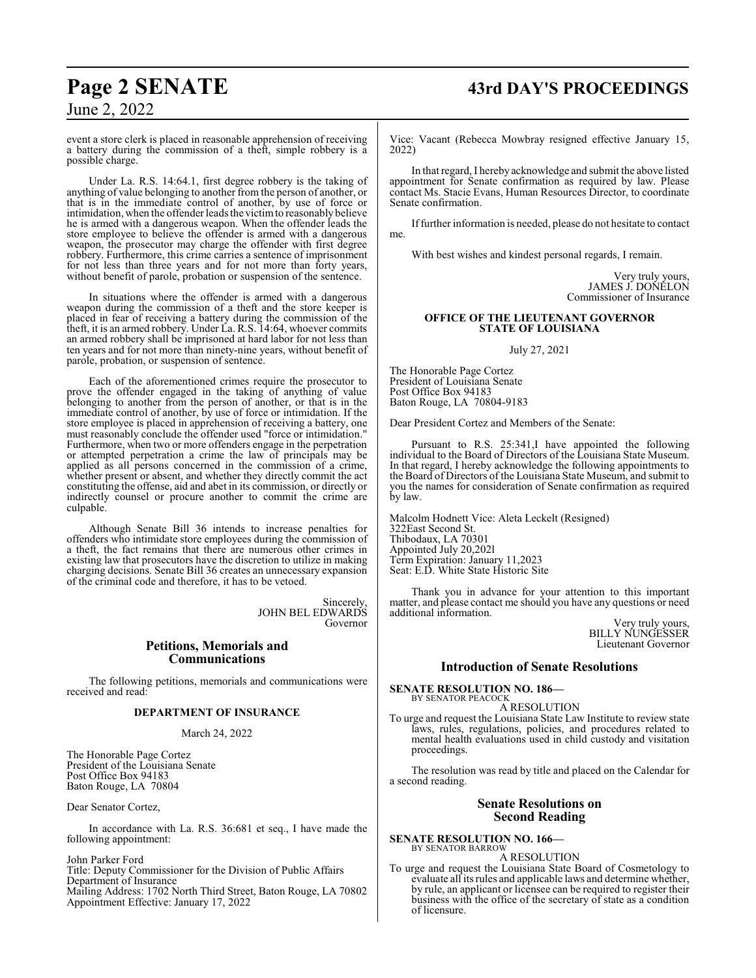# **Page 2 SENATE 43rd DAY'S PROCEEDINGS**

June 2, 2022

event a store clerk is placed in reasonable apprehension of receiving a battery during the commission of a theft, simple robbery is a possible charge.

Under La. R.S. 14:64.1, first degree robbery is the taking of anything of value belonging to another from the person of another, or that is in the immediate control of another, by use of force or intimidation, when the offender leads the victimto reasonably believe he is armed with a dangerous weapon. When the offender leads the store employee to believe the offender is armed with a dangerous weapon, the prosecutor may charge the offender with first degree robbery. Furthermore, this crime carries a sentence of imprisonment for not less than three years and for not more than forty years, without benefit of parole, probation or suspension of the sentence.

In situations where the offender is armed with a dangerous weapon during the commission of a theft and the store keeper is placed in fear of receiving a battery during the commission of the theft, it is an armed robbery. Under La. R.S. 14:64, whoever commits an armed robbery shall be imprisoned at hard labor for not less than ten years and for not more than ninety-nine years, without benefit of parole, probation, or suspension of sentence.

Each of the aforementioned crimes require the prosecutor to prove the offender engaged in the taking of anything of value belonging to another from the person of another, or that is in the immediate control of another, by use of force or intimidation. If the store employee is placed in apprehension of receiving a battery, one must reasonably conclude the offender used "force or intimidation." Furthermore, when two or more offenders engage in the perpetration or attempted perpetration a crime the law of principals may be applied as all persons concerned in the commission of a crime, whether present or absent, and whether they directly commit the act constituting the offense, aid and abet in its commission, or directly or indirectly counsel or procure another to commit the crime are culpable.

Although Senate Bill 36 intends to increase penalties for offenders who intimidate store employees during the commission of a theft, the fact remains that there are numerous other crimes in existing law that prosecutors have the discretion to utilize in making charging decisions. Senate Bill 36 creates an unnecessary expansion of the criminal code and therefore, it has to be vetoed.

> Sincerely, JOHN BEL EDWARDS Governor

#### **Petitions, Memorials and Communications**

The following petitions, memorials and communications were received and read:

#### **DEPARTMENT OF INSURANCE**

#### March 24, 2022

The Honorable Page Cortez President of the Louisiana Senate Post Office Box 94183 Baton Rouge, LA 70804

Dear Senator Cortez,

In accordance with La. R.S. 36:681 et seq., I have made the following appointment:

John Parker Ford

Title: Deputy Commissioner for the Division of Public Affairs Department of Insurance Mailing Address: 1702 North Third Street, Baton Rouge, LA 70802 Appointment Effective: January 17, 2022

Vice: Vacant (Rebecca Mowbray resigned effective January 15, 2022)

In that regard, I hereby acknowledge and submit the above listed appointment for Senate confirmation as required by law. Please contact Ms. Stacie Evans, Human Resources Director, to coordinate Senate confirmation.

Iffurther information is needed, please do not hesitate to contact me.

With best wishes and kindest personal regards, I remain.

Very truly yours, JAMES J. DONELON Commissioner of Insurance

#### **OFFICE OF THE LIEUTENANT GOVERNOR STATE OF LOUISIANA**

July 27, 2021

The Honorable Page Cortez President of Louisiana Senate Post Office Box 94183 Baton Rouge, LA 70804-9183

Dear President Cortez and Members of the Senate:

Pursuant to R.S. 25:341,I have appointed the following individual to the Board of Directors of the Louisiana State Museum. In that regard, I hereby acknowledge the following appointments to the Board of Directors of the Louisiana State Museum, and submit to you the names for consideration of Senate confirmation as required by law.

Malcolm Hodnett Vice: Aleta Leckelt (Resigned) 322East Second St. Thibodaux, LA 70301 Appointed July 20,202l Term Expiration: January 11,2023 Seat: E.D. White State Historic Site

Thank you in advance for your attention to this important matter, and please contact me should you have any questions or need additional information.

Very truly yours, BILLY NUNGESSER Lieutenant Governor

#### **Introduction of Senate Resolutions**

**SENATE RESOLUTION NO. 186—** BY SENATOR PEACOCK A RESOLUTION

To urge and request the Louisiana State Law Institute to review state laws, rules, regulations, policies, and procedures related to mental health evaluations used in child custody and visitation proceedings.

The resolution was read by title and placed on the Calendar for a second reading.

## **Senate Resolutions on Second Reading**

**SENATE RESOLUTION NO. 166—** BY SENATOR BARROW

A RESOLUTION

To urge and request the Louisiana State Board of Cosmetology to evaluate all its rules and applicable laws and determine whether, by rule, an applicant or licensee can be required to register their business with the office of the secretary of state as a condition of licensure.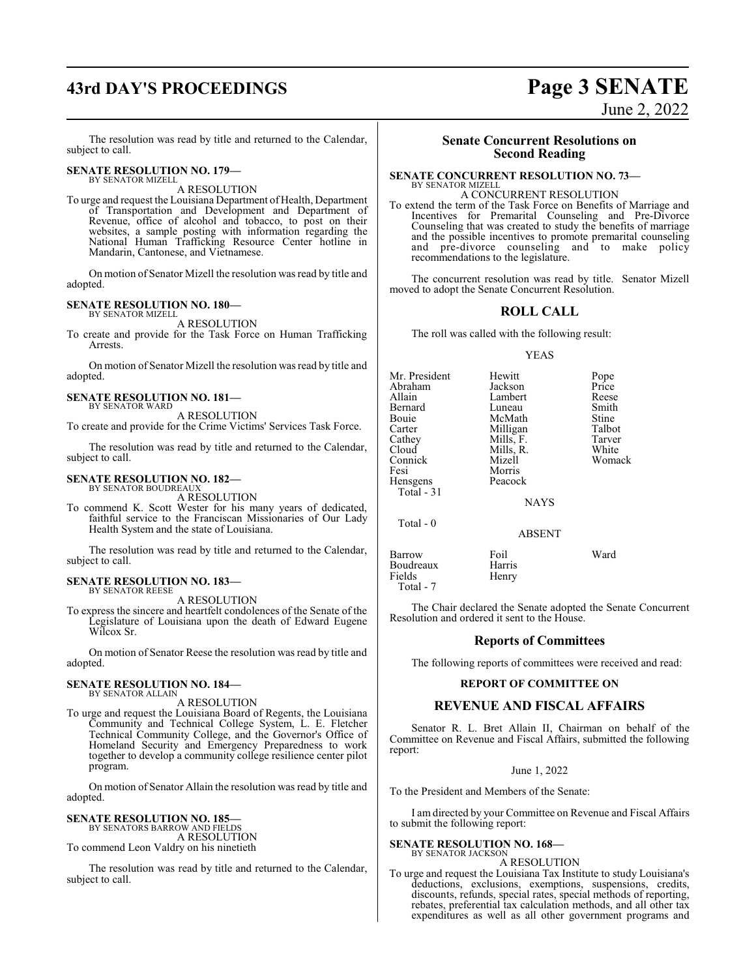# **43rd DAY'S PROCEEDINGS Page 3 SENATE**

The resolution was read by title and returned to the Calendar, subject to call.

#### **SENATE RESOLUTION NO. 179—** BY SENATOR MIZELL

A RESOLUTION

To urge and request the Louisiana Department of Health, Department of Transportation and Development and Department of Revenue, office of alcohol and tobacco, to post on their websites, a sample posting with information regarding the National Human Trafficking Resource Center hotline in Mandarin, Cantonese, and Vietnamese.

On motion of Senator Mizell the resolution was read by title and adopted.

#### **SENATE RESOLUTION NO. 180—**

BY SENATOR MIZELL A RESOLUTION

To create and provide for the Task Force on Human Trafficking Arrests.

On motion of Senator Mizell the resolution was read by title and adopted.

#### **SENATE RESOLUTION NO. 181—** BY SENATOR WARD

A RESOLUTION

To create and provide for the Crime Victims' Services Task Force.

The resolution was read by title and returned to the Calendar, subject to call.

#### **SENATE RESOLUTION NO. 182—** BY SENATOR BOUDREAUX

A RESOLUTION

To commend K. Scott Wester for his many years of dedicated, faithful service to the Franciscan Missionaries of Our Lady Health System and the state of Louisiana.

The resolution was read by title and returned to the Calendar, subject to call.

#### **SENATE RESOLUTION NO. 183—** BY SENATOR REESE

A RESOLUTION

To express the sincere and heartfelt condolences of the Senate of the Legislature of Louisiana upon the death of Edward Eugene Wilcox Sr.

On motion of Senator Reese the resolution was read by title and adopted.

#### **SENATE RESOLUTION NO. 184—** BY SENATOR ALLAIN

A RESOLUTION

To urge and request the Louisiana Board of Regents, the Louisiana Community and Technical College System, L. E. Fletcher Technical Community College, and the Governor's Office of Homeland Security and Emergency Preparedness to work together to develop a community college resilience center pilot program.

On motion of Senator Allain the resolution was read by title and adopted.

**SENATE RESOLUTION NO. 185—** BY SENATORS BARROW AND FIELDS A RESOLUTION To commend Leon Valdry on his ninetieth

The resolution was read by title and returned to the Calendar, subject to call.

# **Senate Concurrent Resolutions on**

# **Second Reading**

#### **SENATE CONCURRENT RESOLUTION NO. 73—** BY SENATOR MIZELL

A CONCURRENT RESOLUTION To extend the term of the Task Force on Benefits of Marriage and Incentives for Premarital Counseling and Pre-Divorce Counseling that was created to study the benefits of marriage and the possible incentives to promote premarital counseling and pre-divorce counseling and to make policy

The concurrent resolution was read by title. Senator Mizell moved to adopt the Senate Concurrent Resolution.

#### **ROLL CALL**

The roll was called with the following result:

recommendations to the legislature.

#### YEAS

| Mr. President<br>Abraham<br>Allain<br>Bernard<br>Bouie<br>Carter<br>Cathey<br>Cloud<br>Connick<br>Fesi<br>Hensgens<br>Total - 31 | Hewitt<br>Jackson<br>Lambert<br>Luneau<br>McMath<br>Milligan<br>Mills, F.<br>Mills, R.<br>Mizell<br>Morris<br>Peacock | Pope<br>Price<br>Reese<br>Smith<br>Stine<br>Talbot<br>Tarver<br>White<br>Womack |
|----------------------------------------------------------------------------------------------------------------------------------|-----------------------------------------------------------------------------------------------------------------------|---------------------------------------------------------------------------------|
| Total $-0$                                                                                                                       | <b>NAYS</b><br><b>ABSENT</b>                                                                                          |                                                                                 |
| Barrow                                                                                                                           | Foil                                                                                                                  | Ward                                                                            |

Boudreaux Harris<br>Fields Henry Fields Total - 7

The Chair declared the Senate adopted the Senate Concurrent Resolution and ordered it sent to the House.

#### **Reports of Committees**

The following reports of committees were received and read:

#### **REPORT OF COMMITTEE ON**

#### **REVENUE AND FISCAL AFFAIRS**

Senator R. L. Bret Allain II, Chairman on behalf of the Committee on Revenue and Fiscal Affairs, submitted the following report:

June 1, 2022

To the President and Members of the Senate:

I am directed by your Committee on Revenue and Fiscal Affairs to submit the following report:

#### **SENATE RESOLUTION NO. 168—** BY SENATOR JACKSON

A RESOLUTION

To urge and request the Louisiana Tax Institute to study Louisiana's deductions, exclusions, exemptions, suspensions, credits, discounts, refunds, special rates, special methods of reporting, rebates, preferential tax calculation methods, and all other tax expenditures as well as all other government programs and

June 2, 2022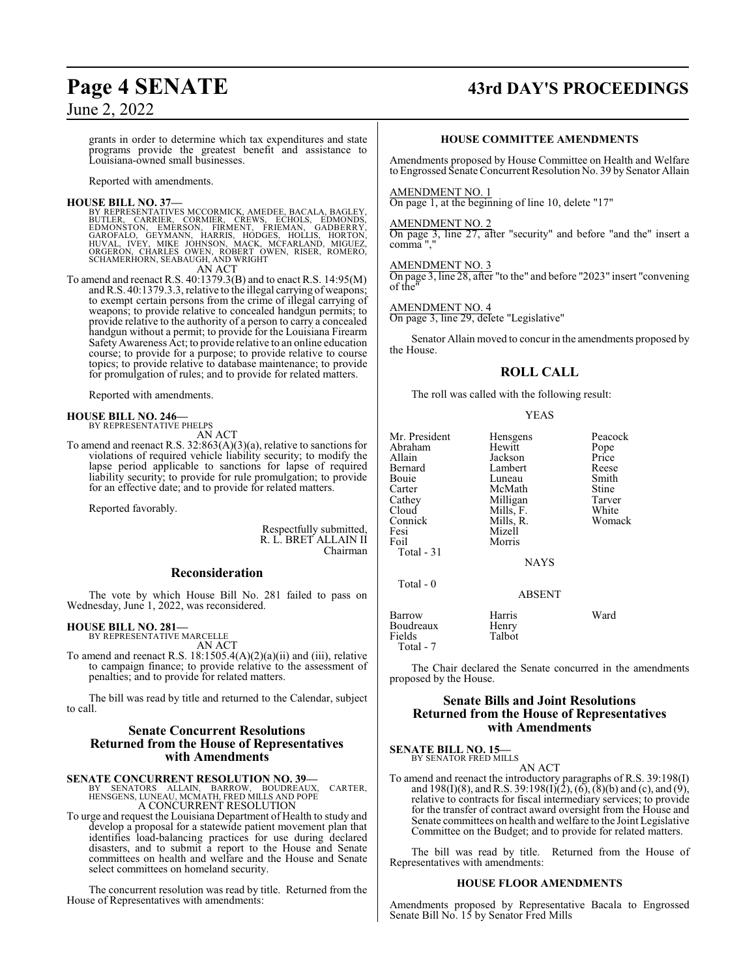# **Page 4 SENATE 43rd DAY'S PROCEEDINGS**

grants in order to determine which tax expenditures and state programs provide the greatest benefit and assistance to Louisiana-owned small businesses.

Reported with amendments.

#### **HOUSE BILL NO. 37—**

BY REPRESENTATIVES MCCORMICK, AMEDEE, BACALA, BAGLEY, CARRIER, CORMIER, CREVILER, CARRIER, EDMONIDS, EDMONIDS, EDMONIDS, EDMONIDS, EDMONIDS, GAROFALO, GEYMANN, HARRIS, HÓDGES, HOLLIS, HORTON, GAROFALO, GEYMANN, HARRIS, HÓD

To amend and reenact R.S. 40:1379.3(B) and to enact R.S. 14:95(M) and R.S. 40:1379.3.3, relative to the illegal carrying of weapons; to exempt certain persons from the crime of illegal carrying of weapons; to provide relative to concealed handgun permits; to provide relative to the authority of a person to carry a concealed handgun without a permit; to provide for the Louisiana Firearm Safety Awareness Act; to provide relative to an online education course; to provide for a purpose; to provide relative to course topics; to provide relative to database maintenance; to provide for promulgation of rules; and to provide for related matters.

Reported with amendments.

# **HOUSE BILL NO. 246—** BY REPRESENTATIVE PHELPS AN ACT

To amend and reenact R.S. 32:863(A)(3)(a), relative to sanctions for violations of required vehicle liability security; to modify the lapse period applicable to sanctions for lapse of required liability security; to provide for rule promulgation; to provide for an effective date; and to provide for related matters.

Reported favorably.

Respectfully submitted, R. L. BRET ALLAIN II Chairman

#### **Reconsideration**

The vote by which House Bill No. 281 failed to pass on Wednesday, June 1, 2022, was reconsidered.

#### **HOUSE BILL NO. 281—**

BY REPRESENTATIVE MARCELLE AN ACT

To amend and reenact R.S. 18:1505.4(A)(2)(a)(ii) and (iii), relative to campaign finance; to provide relative to the assessment of penalties; and to provide for related matters.

The bill was read by title and returned to the Calendar, subject to call.

#### **Senate Concurrent Resolutions Returned from the House of Representatives with Amendments**

#### **SENATE CONCURRENT RESOLUTION NO. 39—**

BY SENATORS ALLAIN, BARROW, BOUDREAUX, CARTER, HENSGENS, LUNEAU, MCMATH, FRED MILLS AND POPE A CONCURRENT RESOLUTION

To urge and request the Louisiana Department of Health to study and develop a proposal for a statewide patient movement plan that identifies load-balancing practices for use during declared disasters, and to submit a report to the House and Senate committees on health and welfare and the House and Senate select committees on homeland security.

The concurrent resolution was read by title. Returned from the House of Representatives with amendments:

#### **HOUSE COMMITTEE AMENDMENTS**

Amendments proposed by House Committee on Health and Welfare to Engrossed Senate Concurrent Resolution No. 39 by Senator Allain

#### AMENDMENT NO. 1

On page 1, at the beginning of line 10, delete "17"

#### AMENDMENT NO. 2

On page 3, line 27, after "security" and before "and the" insert a comma ","

#### AMENDMENT NO. 3

On page 3, line 28, after "to the" and before "2023" insert "convening of the"

#### AMENDMENT NO. 4

On page 3, line 29, delete "Legislative"

Senator Allain moved to concur in the amendments proposed by the House.

#### **ROLL CALL**

The roll was called with the following result:

#### YEAS

| Mr. President<br>Abraham<br>Allain<br>Bernard<br>Bouie<br>Carter<br>Cathey<br>Cloud<br>Connick<br>Fesi<br>Foil<br>Total - 31<br>Total - 0 | Hensgens<br>Hewitt<br>Jackson<br>Lambert<br>Luneau<br>McMath<br>Milligan<br>Mills, F.<br>Mills, R.<br>Mizell<br>Morris<br><b>NAYS</b> | Peacock<br>Pope<br>Price<br>Reese<br>Smith<br>Stine<br>Tarver<br>White<br>Womack |
|-------------------------------------------------------------------------------------------------------------------------------------------|---------------------------------------------------------------------------------------------------------------------------------------|----------------------------------------------------------------------------------|
|                                                                                                                                           | <b>ABSENT</b>                                                                                                                         |                                                                                  |
| Barrow<br>Boudreaux<br>Fields<br>Total - 7                                                                                                | Harris<br>Henry<br>Talbot                                                                                                             | Ward                                                                             |

The Chair declared the Senate concurred in the amendments proposed by the House.

#### **Senate Bills and Joint Resolutions Returned from the House of Representatives with Amendments**

#### **SENATE BILL NO. 15—** BY SENATOR FRED MILLS

AN ACT

To amend and reenact the introductory paragraphs of R.S. 39:198(I) and 198(I)(8), and R.S. 39:198(I)(2), (6), (8)(b) and (c), and (9), relative to contracts for fiscal intermediary services; to provide for the transfer of contract award oversight from the House and Senate committees on health and welfare to the Joint Legislative Committee on the Budget; and to provide for related matters.

The bill was read by title. Returned from the House of Representatives with amendments:

#### **HOUSE FLOOR AMENDMENTS**

Amendments proposed by Representative Bacala to Engrossed Senate Bill No. 15 by Senator Fred Mills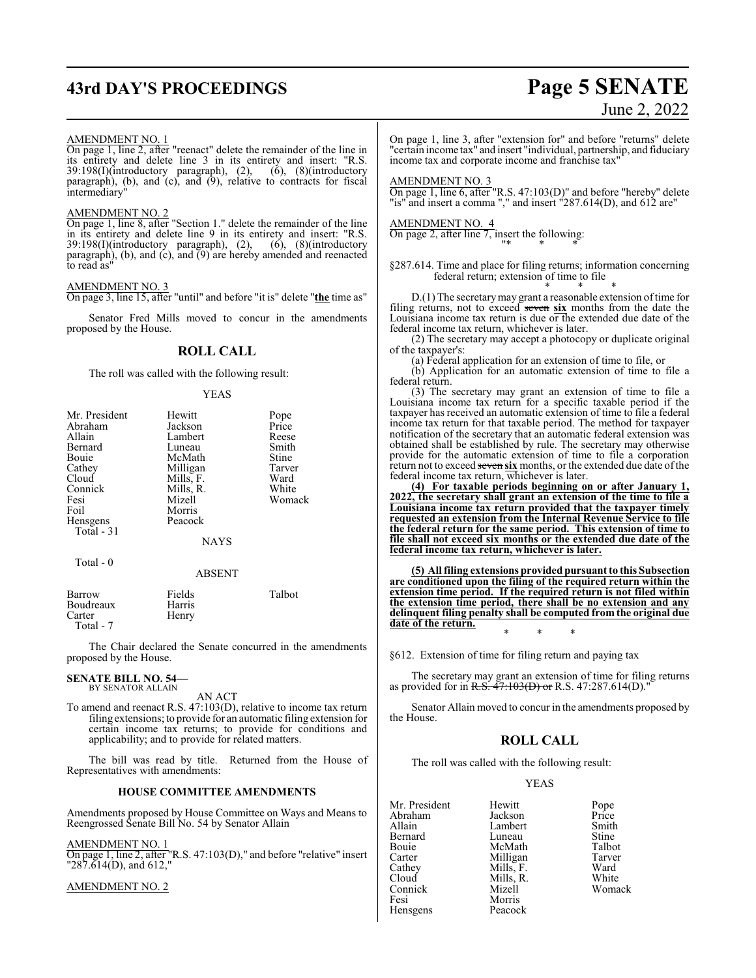# **43rd DAY'S PROCEEDINGS Page 5 SENATE**

# June 2, 2022

#### AMENDMENT NO. 1

On page 1, line 2, after "reenact" delete the remainder of the line in its entirety and delete line 3 in its entirety and insert: "R.S. 39:198(I)(introductory paragraph), (2), (6), (8)(introductory paragraph), (b), and  $(c)$ , and  $(9)$ , relative to contracts for fiscal intermediary"

#### AMENDMENT NO. 2

On page 1, line 8, after "Section 1." delete the remainder of the line in its entirety and delete line 9 in its entirety and insert: "R.S. 39:198(I)(introductory paragraph), (2), (6), (8)(introductory paragraph), (b), and (c), and (9) are hereby amended and reenacted to read as"

#### AMENDMENT NO. 3

On page 3, line 15, after "until" and before "it is" delete "**the** time as"

Senator Fred Mills moved to concur in the amendments proposed by the House.

#### **ROLL CALL**

The roll was called with the following result:

#### YEAS

| Mr. President | Hewitt        | Pope   |
|---------------|---------------|--------|
| Abraham       | Jackson       | Price  |
| Allain        | Lambert       | Reese  |
| Bernard       | Luneau        | Smith  |
| Bouie         | McMath        | Stine  |
| Cathey        | Milligan      | Tarver |
| Cloud         | Mills, F.     | Ward   |
| Connick       | Mills, R.     | White  |
| Fesi          | Mizell        | Womack |
| Foil          | Morris        |        |
| Hensgens      | Peacock       |        |
| Total - 31    |               |        |
|               | <b>NAYS</b>   |        |
| Total $-0$    |               |        |
|               | <b>ABSENT</b> |        |
| Barrow        | Fields        | Talbot |

Boudreaux Harris<br>Carter Henry Henry Total - 7

The Chair declared the Senate concurred in the amendments proposed by the House.

#### **SENATE BILL NO. 54—** BY SENATOR ALLAIN

AN ACT

To amend and reenact R.S. 47:103(D), relative to income tax return filing extensions; to provide for an automatic filing extension for certain income tax returns; to provide for conditions and applicability; and to provide for related matters.

The bill was read by title. Returned from the House of Representatives with amendments:

#### **HOUSE COMMITTEE AMENDMENTS**

Amendments proposed by House Committee on Ways and Means to Reengrossed Senate Bill No. 54 by Senator Allain

#### AMENDMENT NO. 1

On page 1, line 2, after "R.S. 47:103(D)," and before "relative" insert "287.614(D), and 612,"

#### AMENDMENT NO. 2

On page 1, line 3, after "extension for" and before "returns" delete "certain income tax" and insert "individual, partnership, and fiduciary income tax and corporate income and franchise tax"

AMENDMENT NO. 3

On page 1, line 6, after "R.S. 47:103(D)" and before "hereby" delete "is" and insert a comma "," and insert "287.614(D), and 612 are"

AMENDMENT NO. 4

On page 2, after line 7, insert the following: "\* \* \*

§287.614. Time and place for filing returns; information concerning federal return; extension of time to file \* \* \*

D.(1) The secretarymay grant a reasonable extension oftime for filing returns, not to exceed seven **six** months from the date the Louisiana income tax return is due or the extended due date of the federal income tax return, whichever is later.

(2) The secretary may accept a photocopy or duplicate original of the taxpayer's:

(a) Federal application for an extension of time to file, or

(b) Application for an automatic extension of time to file a federal return.

(3) The secretary may grant an extension of time to file a Louisiana income tax return for a specific taxable period if the taxpayer has received an automatic extension of time to file a federal income tax return for that taxable period. The method for taxpayer notification of the secretary that an automatic federal extension was obtained shall be established by rule. The secretary may otherwise provide for the automatic extension of time to file a corporation return not to exceed seven six months, or the extended due date of the federal income tax return, whichever is later.

**(4) For taxable periods beginning on or after January 1, 2022, the secretary shall grant an extension of the time to file a Louisiana income tax return provided that the taxpayer timely requested an extension from the Internal Revenue Service to file the federal return for the same period. This extension of time to file shall not exceed six months or the extended due date of the federal income tax return, whichever is later.**

**(5) All filing extensions provided pursuant to this Subsection are conditioned upon the filing of the required return within the extension time period. If the required return is not filed within the extension time period, there shall be no extension and any delinquent filing penalty shall be computed from the original due date of the return.** \* \* \*

§612. Extension of time for filing return and paying tax

The secretary may grant an extension of time for filing returns as provided for in R.S. 47:103(D) or R.S. 47:287.614(D)."

Senator Allain moved to concur in the amendments proposed by the House.

## **ROLL CALL**

The roll was called with the following result:

#### YEAS

| Mr. President<br>Abraham | Hewitt<br>Jackson | Pope<br>Price |
|--------------------------|-------------------|---------------|
| Allain                   | Lambert           | Smith         |
| Bernard                  | Luneau            | Stine         |
| Bouie                    | McMath            | Talbot        |
| Carter                   | Milligan          | Tarver        |
| Cathey                   | Mills, F.         | Ward          |
| Cloud                    | Mills, R.         | White         |
| Connick                  | Mizell            | Woma          |
| Fesi                     | Morris            |               |
| Hensgens                 | Peacock           |               |

Tarver<br>Ward Womack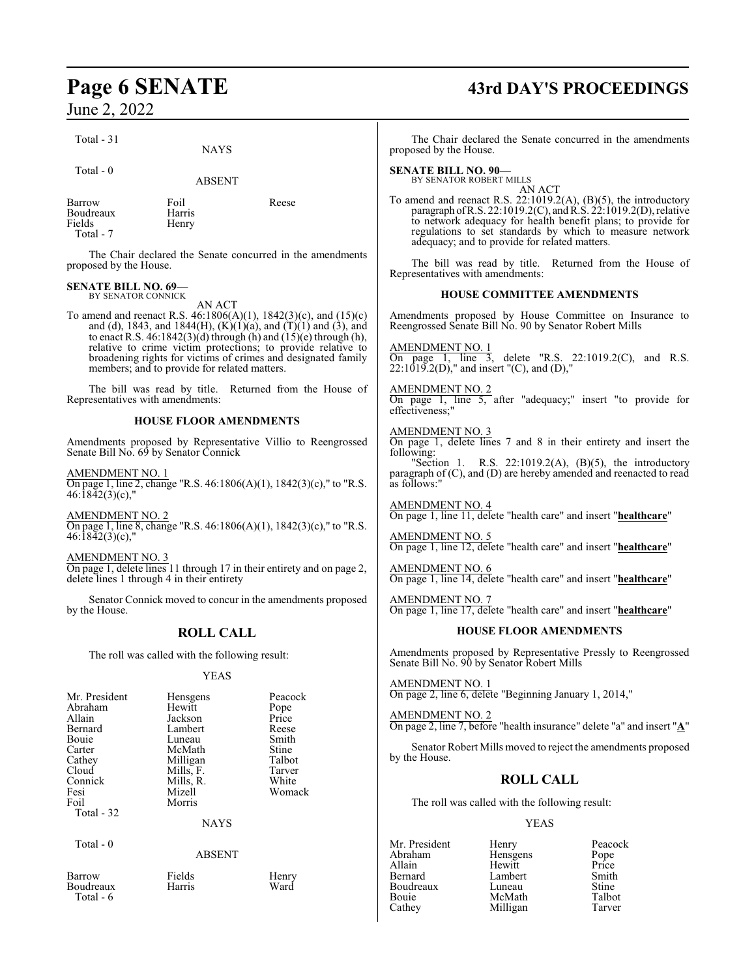Total - 31

Total - 0

ABSENT

NAYS

Barrow Foil Reese Boudreaux Harris<br>Fields Henry Total - 7

Henry

The Chair declared the Senate concurred in the amendments proposed by the House.

#### **SENATE BILL NO. 69—** BY SENATOR CONNICK

AN ACT

To amend and reenact R.S. 46:1806(A)(1), 1842(3)(c), and (15)(c) and (d), 1843, and 1844(H),  $(K)(1)(a)$ , and  $(T)(1)$  and  $(3)$ , and to enact R.S. 46:1842(3)(d) through (h) and (15)(e) through (h), relative to crime victim protections; to provide relative to broadening rights for victims of crimes and designated family members; and to provide for related matters.

The bill was read by title. Returned from the House of Representatives with amendments:

#### **HOUSE FLOOR AMENDMENTS**

Amendments proposed by Representative Villio to Reengrossed Senate Bill No. 69 by Senator Connick

AMENDMENT NO. 1

On page 1, line 2, change "R.S. 46:1806(A)(1), 1842(3)(c)," to "R.S.  $46:18\overline{4}2(3)(c)$ ,

AMENDMENT NO. 2

On page 1, line 8, change "R.S. 46:1806(A)(1), 1842(3)(c)," to "R.S. 46:1842(3)(c),"

AMENDMENT NO. 3

On page 1, delete lines 11 through 17 in their entirety and on page 2, delete lines 1 through 4 in their entirety

Senator Connick moved to concur in the amendments proposed by the House.

## **ROLL CALL**

The roll was called with the following result:

#### YEAS

| Mr. President | Hensgens    | Peacock |
|---------------|-------------|---------|
| Abraham       | Hewitt      | Pope    |
| Allain        | Jackson     | Price   |
| Bernard       | Lambert     | Reese   |
| Bouie         | Luneau      | Smith   |
| Carter        | McMath      | Stine   |
| Cathey        | Milligan    | Talbot  |
| Cloud         | Mills, F.   | Tarver  |
| Connick       | Mills, R.   | White   |
| Fesi          | Mizell      | Womack  |
| Foil          | Morris      |         |
| Total - 32    |             |         |
|               | <b>NAYS</b> |         |

Total - 0

#### ABSENT

Boudreaux Total - 6

Barrow Fields Henry

# **Page 6 SENATE 43rd DAY'S PROCEEDINGS**

The Chair declared the Senate concurred in the amendments proposed by the House.

**SENATE BILL NO. 90—**

BY SENATOR ROBERT MILLS AN ACT

To amend and reenact R.S. 22:1019.2(A), (B)(5), the introductory paragraph of R.S. 22:1019.2(C), and R.S. 22:1019.2(D), relative to network adequacy for health benefit plans; to provide for regulations to set standards by which to measure network adequacy; and to provide for related matters.

The bill was read by title. Returned from the House of Representatives with amendments:

#### **HOUSE COMMITTEE AMENDMENTS**

Amendments proposed by House Committee on Insurance to Reengrossed Senate Bill No. 90 by Senator Robert Mills

AMENDMENT NO. 1

On page 1, line 3, delete "R.S. 22:1019.2(C), and R.S.  $22:1019.2(D)$ ," and insert "(C), and (D),"

#### AMENDMENT NO. 2

On page 1, line 5, after "adequacy;" insert "to provide for effectiveness;

#### AMENDMENT NO. 3

On page 1, delete lines 7 and 8 in their entirety and insert the following:

"Section 1. R.S.  $22:1019.2(A)$ ,  $(B)(5)$ , the introductory paragraph of (C), and (D) are hereby amended and reenacted to read as follows:"

AMENDMENT NO. 4 On page 1, line 11, delete "health care" and insert "**healthcare**"

AMENDMENT NO. 5 On page 1, line 12, delete "health care" and insert "**healthcare**"

AMENDMENT NO. 6 On page 1, line 14, delete "health care" and insert "**healthcare**"

AMENDMENT NO. 7 On page 1, line 17, delete "health care" and insert "**healthcare**"

#### **HOUSE FLOOR AMENDMENTS**

Amendments proposed by Representative Pressly to Reengrossed Senate Bill No. 90 by Senator Robert Mills

AMENDMENT NO. 1 On page 2, line 6, delete "Beginning January 1, 2014,"

AMENDMENT NO. 2

On page 2, line 7, before "health insurance" delete "a" and insert "**A**"

Senator Robert Mills moved to reject the amendments proposed by the House.

## **ROLL CALL**

The roll was called with the following result:

#### YEAS

Mr. President Henry Peacock<br>Abraham Hensgens Pope Abraham Hensgens<br>Allain Hewitt Allain Hewitt Price Bernard Lambert Smith Boudreaux Luneau Stine<br>
Bouie McMath Talbot Bouie McMath Talbot<br>Cathey Milligan Tarver Milligan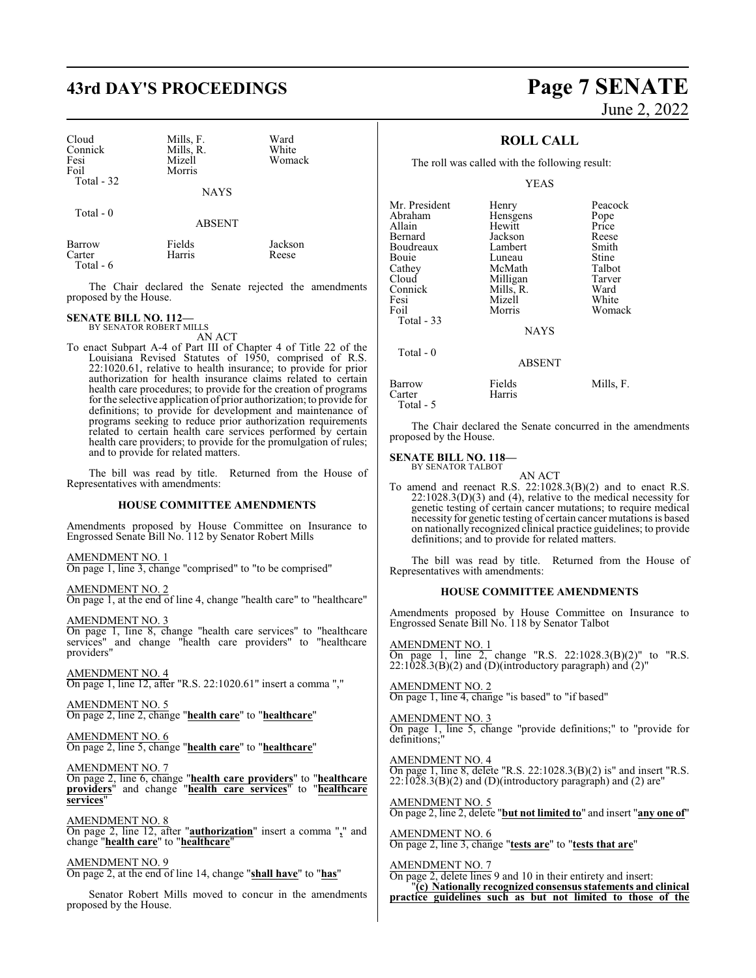# **43rd DAY'S PROCEEDINGS Page 7 SENATE**

| Cloud<br>Connick<br>Fesi<br>Foil<br>Total $-32$ | Mills, F.<br>Mills, R.<br>Mizell<br>Morris | Ward<br>White<br>Womack |
|-------------------------------------------------|--------------------------------------------|-------------------------|
|                                                 | <b>NAYS</b>                                |                         |

Total - 0

**ABSENT** 

| Barrow     | Fields | Jackson |
|------------|--------|---------|
| Carter     | Harris | Reese   |
| Total $-6$ |        |         |

The Chair declared the Senate rejected the amendments proposed by the House.

## **SENATE BILL NO. 112—** BY SENATOR ROBERT MILLS

AN ACT

To enact Subpart A-4 of Part III of Chapter 4 of Title 22 of the Louisiana Revised Statutes of 1950, comprised of R.S. 22:1020.61, relative to health insurance; to provide for prior authorization for health insurance claims related to certain health care procedures; to provide for the creation of programs for the selective application of prior authorization; to provide for definitions; to provide for development and maintenance of programs seeking to reduce prior authorization requirements related to certain health care services performed by certain health care providers; to provide for the promulgation of rules; and to provide for related matters.

The bill was read by title. Returned from the House of Representatives with amendments:

#### **HOUSE COMMITTEE AMENDMENTS**

Amendments proposed by House Committee on Insurance to Engrossed Senate Bill No. 112 by Senator Robert Mills

AMENDMENT NO. 1

On page 1, line 3, change "comprised" to "to be comprised"

AMENDMENT NO. 2

On page 1, at the end of line 4, change "health care" to "healthcare"

AMENDMENT NO. 3 On page 1, line 8, change "health care services" to "healthcare

services" and change "health care providers" to "healthcare providers"

AMENDMENT NO. 4

On page 1, line 12, after "R.S. 22:1020.61" insert a comma ","

AMENDMENT NO. 5 On page 2, line 2, change "**health care**" to "**healthcare**"

AMENDMENT NO. 6 On page 2, line 5, change "**health care**" to "**healthcare**"

AMENDMENT NO. 7

On page 2, line 6, change "**health care providers**" to "**healthcare providers**" and change "**health care services**" to "**healthcare services**"

AMENDMENT NO. 8 On page 2, line 12, after "**authorization**" insert a comma "**,**" and change "**health care**" to "**healthcare**"

AMENDMENT NO. 9

On page 2, at the end of line 14, change "**shall have**" to "**has**"

Senator Robert Mills moved to concur in the amendments proposed by the House.

# June 2, 2022

#### **ROLL CALL**

The roll was called with the following result:

YEAS

| Mr. President<br>Abraham<br>Allain<br>Bernard<br>Boudreaux<br>Bouie<br>Cathey<br>Cloud<br>Connick<br>Fesi<br>Foil | Henry<br>Hensgens<br>Hewitt<br>Jackson<br>Lambert<br>Luneau<br>McMath<br>Milligan<br>Mills, R.<br>Mizell<br>Morris | Peacock<br>Pope<br>Price<br>Reese<br>Smith<br>Stine<br>Talbot<br>Tarver<br>Ward<br>White<br>Womack |
|-------------------------------------------------------------------------------------------------------------------|--------------------------------------------------------------------------------------------------------------------|----------------------------------------------------------------------------------------------------|
| Total $-33$                                                                                                       | <b>NAYS</b>                                                                                                        |                                                                                                    |
| Total - 0                                                                                                         | <b>ABSENT</b>                                                                                                      |                                                                                                    |
| Barrow<br>Carter                                                                                                  | Fields<br>Harris                                                                                                   | Mills, F.                                                                                          |

Total - 5

The Chair declared the Senate concurred in the amendments proposed by the House.

# **SENATE BILL NO. 118—**<br>BY SENATOR TALBOT

AN ACT

To amend and reenact R.S. 22:1028.3(B)(2) and to enact R.S.  $22:1028.3(D)(3)$  and (4), relative to the medical necessity for genetic testing of certain cancer mutations; to require medical necessity for genetic testing of certain cancer mutations is based on nationally recognized clinical practice guidelines; to provide definitions; and to provide for related matters.

The bill was read by title. Returned from the House of Representatives with amendments:

#### **HOUSE COMMITTEE AMENDMENTS**

Amendments proposed by House Committee on Insurance to Engrossed Senate Bill No. 118 by Senator Talbot

AMENDMENT NO. 1 On page 1, line 2, change "R.S. 22:1028.3(B)(2)" to "R.S.  $22:1028.3(B)(2)$  and (D)(introductory paragraph) and  $(2)$ "

AMENDMENT NO. 2 On page 1, line 4, change "is based" to "if based"

AMENDMENT NO. 3 On page 1, line 5, change "provide definitions;" to "provide for definitions;"

AMENDMENT NO. 4 On page 1, line 8, delete "R.S. 22:1028.3(B)(2) is" and insert "R.S.  $22:1028.3(B)(2)$  and (D)(introductory paragraph) and (2) are"

AMENDMENT NO. 5 On page 2, line 2, delete "**but not limited to**" and insert "**any one of**"

AMENDMENT NO. 6 On page 2, line 3, change "**tests are**" to "**tests that are**"

AMENDMENT NO. 7

On page 2, delete lines 9 and 10 in their entirety and insert: "**(c) Nationally recognized consensusstatements and clinical practice guidelines such as but not limited to those of the**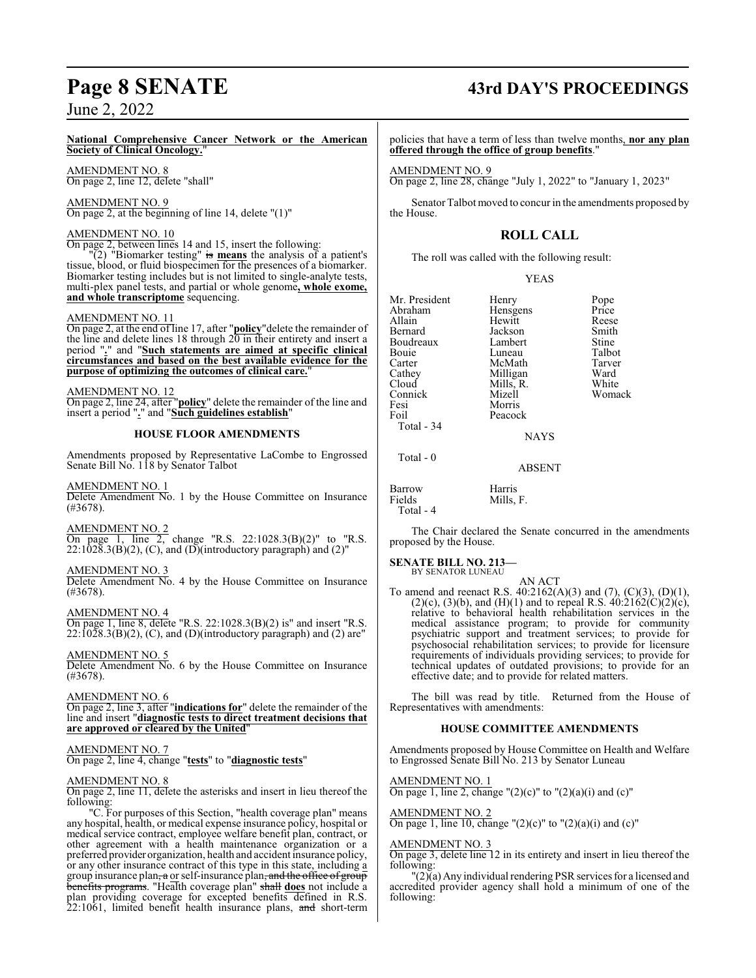#### **National Comprehensive Cancer Network or the American Society of Clinical Oncology.**"

AMENDMENT NO. 8 On page 2, line 12, delete "shall"

AMENDMENT NO. 9 On page 2, at the beginning of line 14, delete "(1)"

AMENDMENT NO. 10 On page 2, between lines 14 and 15, insert the following:

"(2) "Biomarker testing" is **means** the analysis of a patient's tissue, blood, or fluid biospecimen for the presences of a biomarker. Biomarker testing includes but is not limited to single-analyte tests, multi-plex panel tests, and partial or whole genome**, whole exome, and whole transcriptome** sequencing.

#### AMENDMENT NO. 11

On page 2, at the end of line 17, after "**policy**"delete the remainder of the line and delete lines  $18$  through  $20$  in their entirety and insert a period "**.**" and "**Such statements are aimed at specific clinical circumstances and based on the best available evidence for the purpose of optimizing the outcomes of clinical care.**"

#### AMENDMENT NO. 12

On page 2, line 24, after "**policy**" delete the remainder of the line and insert a period "**.**" and "**Such guidelines establish**"

#### **HOUSE FLOOR AMENDMENTS**

Amendments proposed by Representative LaCombe to Engrossed Senate Bill No. 118 by Senator Talbot

#### AMENDMENT NO. 1

Delete Amendment No. 1 by the House Committee on Insurance (#3678).

#### AMENDMENT NO. 2

On page 1, line 2, change "R.S. 22:1028.3(B)(2)" to "R.S.  $22:1\overline{0}2\overline{8}.3(B)(2)$ , (C), and (D)(introductory paragraph) and (2)"

#### AMENDMENT NO. 3

Delete Amendment No. 4 by the House Committee on Insurance (#3678).

AMENDMENT NO. 4

On page 1, line 8, delete "R.S. 22:1028.3(B)(2) is" and insert "R.S.  $22:1028.3(B)(2)$ , (C), and (D)(introductory paragraph) and (2) are"

#### AMENDMENT NO. 5

Delete Amendment No. 6 by the House Committee on Insurance (#3678).

#### AMENDMENT NO. 6

On page 2, line 3, after "**indications for**" delete the remainder of the line and insert "**diagnostic tests to direct treatment decisions that are approved or cleared by the United**"

#### AMENDMENT NO. 7

On page 2, line 4, change "**tests**" to "**diagnostic tests**"

#### AMENDMENT NO. 8

On page 2, line 11, delete the asterisks and insert in lieu thereof the following:

"C. For purposes of this Section, "health coverage plan" means any hospital, health, or medical expense insurance policy, hospital or medical service contract, employee welfare benefit plan, contract, or other agreement with a health maintenance organization or a preferred provider organization, health and accident insurance policy, or any other insurance contract of this type in this state, including a group insurance plan, a or self-insurance plan, and the office of group benefits programs. "Health coverage plan" shall **does** not include a plan providing coverage for excepted benefits defined in R.S.  $22:1061$ , limited benefit health insurance plans, and short-term

# **Page 8 SENATE 43rd DAY'S PROCEEDINGS**

policies that have a term of less than twelve months, **nor any plan offered through the office of group benefits**."

AMENDMENT NO. 9

On page 2, line 28, change "July 1, 2022" to "January 1, 2023"

Senator Talbot moved to concur in the amendments proposed by the House.

## **ROLL CALL**

The roll was called with the following result:

|--|--|

| Mr. President | Henry     | Pope   |
|---------------|-----------|--------|
| Abraham       | Hensgens  | Price  |
| Allain        | Hewitt    | Reese  |
| Bernard       | Jackson   | Smith  |
| Boudreaux     | Lambert   | Stine  |
| Bouie         | Luneau    | Talbot |
| Carter        | McMath    | Tarver |
| Cathey        | Milligan  | Ward   |
| Cloud         | Mills, R. | White  |
| Connick       | Mizell    | Womack |
| Fesi          | Morris    |        |
| Foil          | Peacock   |        |
| Total - 34    |           |        |
|               | NAYS      |        |

Total - 0

Barrow Harris<br>Fields Mills, Total - 4

The Chair declared the Senate concurred in the amendments proposed by the House.

ABSENT

Mills, F.

### **SENATE BILL NO. 213—**

BY SENATOR LUNEAU

AN ACT To amend and reenact R.S.  $40:2162(A)(3)$  and  $(7)$ ,  $(C)(3)$ ,  $(D)(1)$ , (2)(c), (3)(b), and (H)(1) and to repeal R.S.  $40:2162(C)(2)(c)$ , relative to behavioral health rehabilitation services in the medical assistance program; to provide for community psychiatric support and treatment services; to provide for psychosocial rehabilitation services; to provide for licensure requirements of individuals providing services; to provide for technical updates of outdated provisions; to provide for an effective date; and to provide for related matters.

The bill was read by title. Returned from the House of Representatives with amendments:

#### **HOUSE COMMITTEE AMENDMENTS**

Amendments proposed by House Committee on Health and Welfare to Engrossed Senate Bill No. 213 by Senator Luneau

AMENDMENT NO. 1

On page 1, line 2, change " $(2)(c)$ " to " $(2)(a)(i)$  and  $(c)$ "

## AMENDMENT NO. 2

On page 1, line 10, change " $(2)(c)$ " to " $(2)(a)(i)$  and  $(c)$ "

#### AMENDMENT NO. 3

On page 3, delete line 12 in its entirety and insert in lieu thereof the following:

 $\Gamma(2)$ (a) Any individual rendering PSR services for a licensed and accredited provider agency shall hold a minimum of one of the following: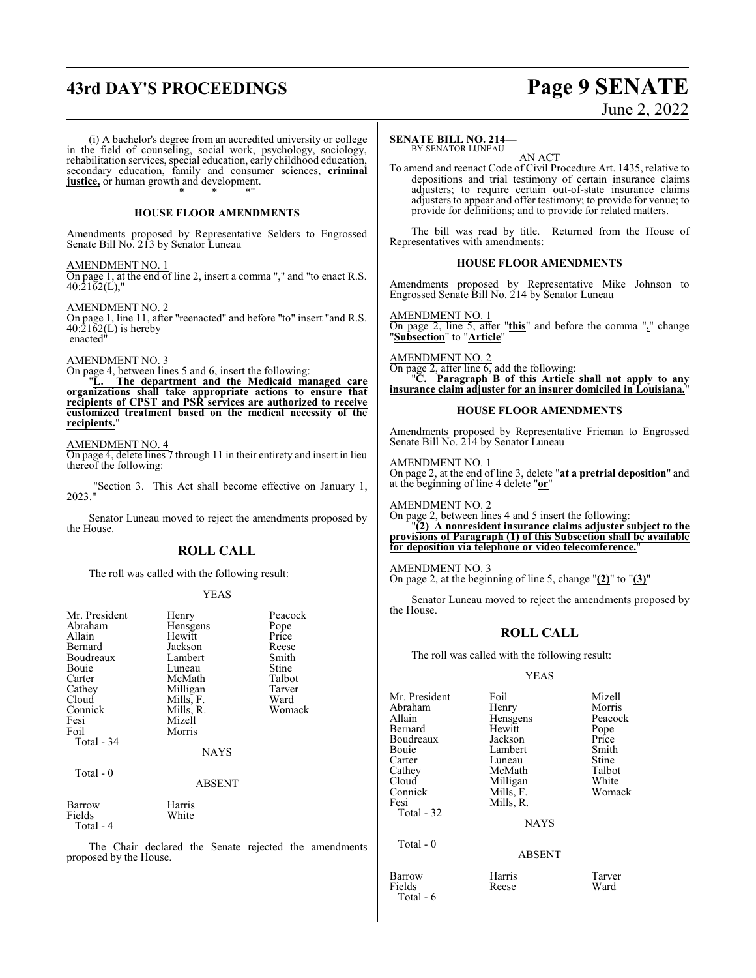# **43rd DAY'S PROCEEDINGS Page 9 SENATE**

# June 2, 2022

(i) A bachelor's degree from an accredited university or college in the field of counseling, social work, psychology, sociology, rehabilitation services, special education, early childhood education, secondary education, family and consumer sciences, **criminal justice,** or human growth and development. \* \* \*"

#### **HOUSE FLOOR AMENDMENTS**

Amendments proposed by Representative Selders to Engrossed Senate Bill No. 213 by Senator Luneau

AMENDMENT NO. 1

On page 1, at the end of line 2, insert a comma "," and "to enact R.S. 40:2162(L),"

AMENDMENT NO. 2

On page 1, line 11, after "reenacted" and before "to" insert "and R.S.  $40:21\overline{6}2(L)$  is hereby enacted"

#### AMENDMENT NO. 3

On page 4, between lines 5 and 6, insert the following: "**L. The department and the Medicaid managed care organizations shall take appropriate actions to ensure that recipients of CPST and PSR services are authorized to receive customized treatment based on the medical necessity of the recipients.**"

#### AMENDMENT NO. 4

On page 4, delete lines 7 through 11 in their entirety and insert in lieu thereof the following:

"Section 3. This Act shall become effective on January 1, 2023."

Senator Luneau moved to reject the amendments proposed by the House.

#### **ROLL CALL**

The roll was called with the following result:

#### YEAS

| Mr. President<br>Abraham<br>Allain<br>Bernard<br>Boudreaux<br>Bouie<br>Carter<br>Cathey<br>Cloud<br>Connick<br>Fesi<br>Foil<br>Total - 34<br>Total - 0 | Henry<br>Hensgens<br>Hewitt<br>Jackson<br>Lambert<br>Luneau<br>McMath<br>Milligan<br>Mills, F.<br>Mills, R.<br>Mizell<br>Morris<br><b>NAYS</b><br><b>ABSENT</b> | Peacock<br>Pope<br>Price<br>Reese<br>Smith<br>Stine<br>Talbot<br>Tarver<br>Ward<br>Womack |
|--------------------------------------------------------------------------------------------------------------------------------------------------------|-----------------------------------------------------------------------------------------------------------------------------------------------------------------|-------------------------------------------------------------------------------------------|
|                                                                                                                                                        |                                                                                                                                                                 |                                                                                           |
| Barrow<br>Fields                                                                                                                                       | Harris<br>White                                                                                                                                                 |                                                                                           |

Total - 4

The Chair declared the Senate rejected the amendments proposed by the House.

#### **SENATE BILL NO. 214—**

BY SENATOR LUNEAU AN ACT

To amend and reenact Code of Civil Procedure Art. 1435, relative to depositions and trial testimony of certain insurance claims adjusters; to require certain out-of-state insurance claims adjusters to appear and offer testimony; to provide for venue; to provide for definitions; and to provide for related matters.

The bill was read by title. Returned from the House of Representatives with amendments:

#### **HOUSE FLOOR AMENDMENTS**

Amendments proposed by Representative Mike Johnson to Engrossed Senate Bill No. 214 by Senator Luneau

AMENDMENT NO. 1 On page 2, line 5, after "**this**" and before the comma "**,**" change "**Subsection**" to "**Article**"

AMENDMENT NO. 2 On page 2, after line 6, add the following: "**C. Paragraph B of this Article shall not apply to any insurance claim adjuster for an insurer domiciled in Louisiana.**"

#### **HOUSE FLOOR AMENDMENTS**

Amendments proposed by Representative Frieman to Engrossed Senate Bill No. 214 by Senator Luneau

AMENDMENT NO. 1 On page 2, at the end of line 3, delete "**at a pretrial deposition**" and at the beginning of line 4 delete "**or**"

AMENDMENT NO. 2 On page 2, between lines 4 and 5 insert the following: "**(2) A nonresident insurance claims adjuster subject to the provisions of Paragraph (1) of this Subsection shall be available for deposition via telephone or video telecomference.**"

AMENDMENT NO. 3 On page 2, at the beginning of line 5, change "**(2)**" to "**(3)**"

Senator Luneau moved to reject the amendments proposed by the House.

### **ROLL CALL**

The roll was called with the following result:

#### YEAS

| Mr. President | Foil          | Mizell  |
|---------------|---------------|---------|
| Abraham       | Henry         | Morris  |
| Allain        | Hensgens      | Peacock |
| Bernard       | Hewitt        | Pope    |
| Boudreaux     | Jackson       | Price   |
| Bouie         | Lambert       | Smith   |
| Carter        | Luneau        | Stine   |
| Cathey        | McMath        | Talbot  |
| Cloud         | Milligan      | White   |
| Connick       | Mills, F.     | Womack  |
| Fesi          | Mills, R.     |         |
| Total - 32    |               |         |
|               | <b>NAYS</b>   |         |
| Total - 0     |               |         |
|               | <b>ABSENT</b> |         |
|               |               |         |

Barrow Harris Tarver Fields Reese Ward Total - 6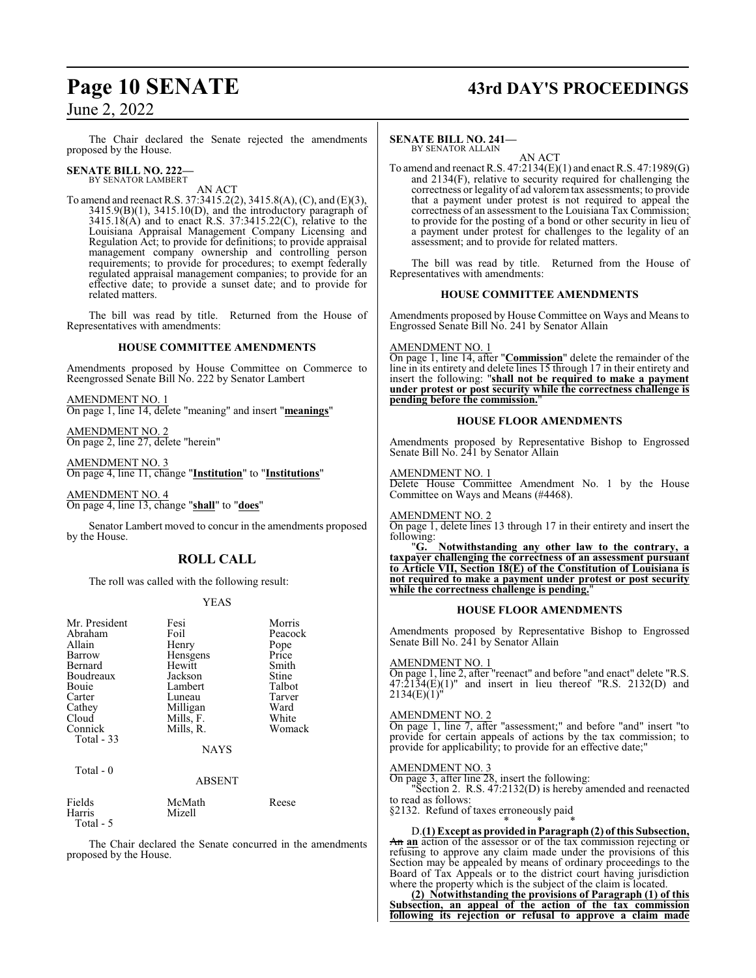The Chair declared the Senate rejected the amendments proposed by the House.

### **SENATE BILL NO. 222—**

BY SENATOR LAMBERT AN ACT

To amend and reenact R.S. 37:3415.2(2), 3415.8(A), (C), and (E)(3),  $3415.9(B)(1)$ ,  $3415.10(D)$ , and the introductory paragraph of 3415.18(A) and to enact R.S. 37:3415.22(C), relative to the Louisiana Appraisal Management Company Licensing and Regulation Act; to provide for definitions; to provide appraisal management company ownership and controlling person requirements; to provide for procedures; to exempt federally regulated appraisal management companies; to provide for an effective date; to provide a sunset date; and to provide for related matters.

The bill was read by title. Returned from the House of Representatives with amendments:

## **HOUSE COMMITTEE AMENDMENTS**

Amendments proposed by House Committee on Commerce to Reengrossed Senate Bill No. 222 by Senator Lambert

AMENDMENT NO. 1 On page 1, line 14, delete "meaning" and insert "**meanings**"

AMENDMENT NO. 2 On page 2, line 27, delete "herein"

AMENDMENT NO. 3 On page 4, line 11, change "**Institution**" to "**Institutions**"

AMENDMENT NO. 4 On page 4, line 13, change "**shall**" to "**does**"

Senator Lambert moved to concur in the amendments proposed by the House.

## **ROLL CALL**

The roll was called with the following result:

#### YEAS

| Mr. President | Fesi        | Morris        |
|---------------|-------------|---------------|
| Abraham       | Foil        | Peacock       |
| Allain        | Henry       |               |
| Barrow        | Hensgens    | Pope<br>Price |
| Bernard       | Hewitt      | Smith         |
| Boudreaux     | Jackson     | Stine         |
| Bouie         | Lambert     | Talbot        |
| Carter        | Luneau      | Tarver        |
| Cathey        | Milligan    | Ward          |
| Cloud         | Mills, F.   | White         |
| Connick       | Mills, R.   | Womack        |
| Total $-33$   |             |               |
|               | <b>NAYS</b> |               |

Total - 0

#### ABSENT

| Fields    | McMath | Reese |
|-----------|--------|-------|
| Harris    | Mizell |       |
| Total - 5 |        |       |

The Chair declared the Senate concurred in the amendments proposed by the House.

# **Page 10 SENATE 43rd DAY'S PROCEEDINGS**

#### **SENATE BILL NO. 241—** BY SENATOR ALLAIN

AN ACT

To amend and reenact R.S. 47:2134(E)(1) and enact R.S. 47:1989(G) and 2134(F), relative to security required for challenging the correctness or legality of ad valoremtax assessments; to provide that a payment under protest is not required to appeal the correctness of an assessment to the Louisiana Tax Commission; to provide for the posting of a bond or other security in lieu of a payment under protest for challenges to the legality of an assessment; and to provide for related matters.

The bill was read by title. Returned from the House of Representatives with amendments:

#### **HOUSE COMMITTEE AMENDMENTS**

Amendments proposed by House Committee on Ways and Means to Engrossed Senate Bill No. 241 by Senator Allain

#### AMENDMENT NO. 1

On page 1, line 14, after "**Commission**" delete the remainder of the line in its entirety and delete lines 15 through 17 in their entirety and insert the following: "**shall not be required to make a payment under protest or post security while the correctness challenge is pending before the commission.**"

#### **HOUSE FLOOR AMENDMENTS**

Amendments proposed by Representative Bishop to Engrossed Senate Bill No. 241 by Senator Allain

#### AMENDMENT NO. 1

Delete House Committee Amendment No. 1 by the House Committee on Ways and Means (#4468).

AMENDMENT NO. 2

On page 1, delete lines 13 through 17 in their entirety and insert the following:<br>"G.

"**G. Notwithstanding any other law to the contrary, a taxpayer challenging the correctness of an assessment pursuant to Article VII, Section 18(E) of the Constitution of Louisiana is not required to make a payment under protest or post security while the correctness challenge is pending.**"

#### **HOUSE FLOOR AMENDMENTS**

Amendments proposed by Representative Bishop to Engrossed Senate Bill No. 241 by Senator Allain

#### AMENDMENT NO. 1

On page 1, line 2, after "reenact" and before "and enact" delete "R.S.  $47:\overline{2}1\overline{3}4(E)(1)$ " and insert in lieu thereof "R.S. 2132(D) and  $2134(E)(1)^{n}$ 

#### AMENDMENT NO. 2

On page 1, line 7, after "assessment;" and before "and" insert "to provide for certain appeals of actions by the tax commission; to provide for applicability; to provide for an effective date;"

#### AMENDMENT NO. 3

On page 3, after line 28, insert the following: Section 2. R.S. 47:2132(D) is hereby amended and reenacted to read as follows:

§2132. Refund of taxes erroneously paid \* \* \*

D.**(1) Except as provided inParagraph (2) of this Subsection,** An **an** action of the assessor or of the tax commission rejecting or refusing to approve any claim made under the provisions of this Section may be appealed by means of ordinary proceedings to the Board of Tax Appeals or to the district court having jurisdiction where the property which is the subject of the claim is located.

**(2) Notwithstanding the provisions of Paragraph (1) of this Subsection, an appeal of the action of the tax commission following its rejection or refusal to approve a claim made**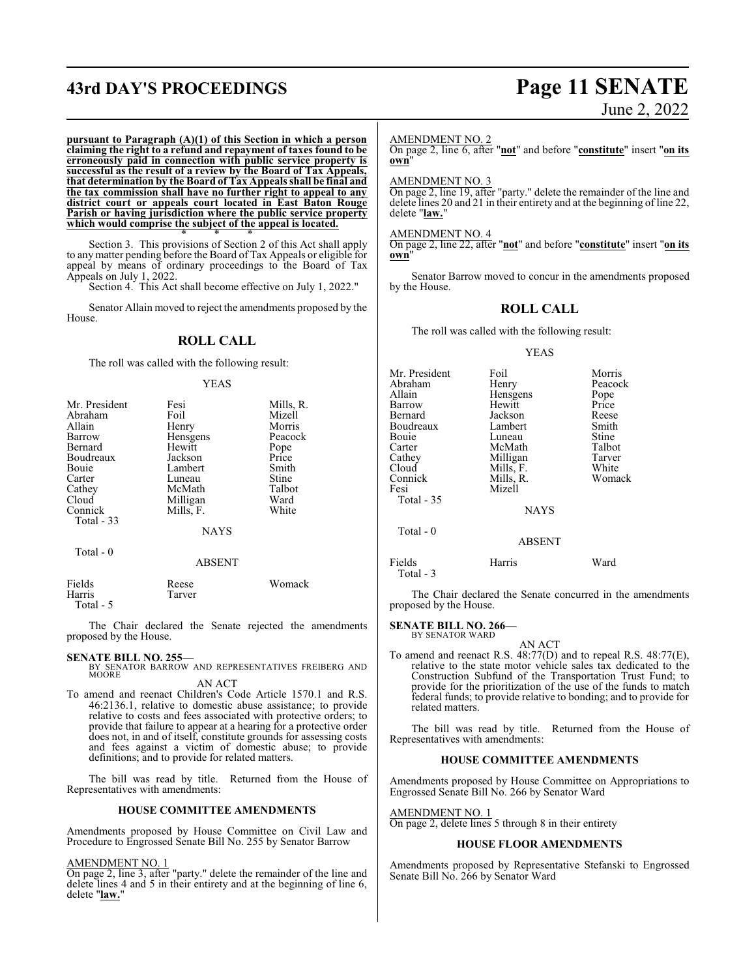# **43rd DAY'S PROCEEDINGS Page 11 SENATE**

# June 2, 2022

**pursuant to Paragraph (A)(1) of this Section in which a person claiming the right to a refund and repayment of taxes found to be erroneously paid in connection with public service property is successful as the result of a review by the Board of Tax Appeals, that determination by the Board of Tax Appeals shall be final and the tax commission shall have no further right to appeal to any district court or appeals court located in East Baton Rouge Parish or having jurisdiction where the public service property which would comprise the subject of the appeal is located.**

\* \* \* Section 3. This provisions of Section 2 of this Act shall apply to any matter pending before the Board of Tax Appeals or eligible for appeal by means of ordinary proceedings to the Board of Tax Appeals on July 1, 2022.

Section 4. This Act shall become effective on July 1, 2022."

Senator Allain moved to reject the amendments proposed by the House.

### **ROLL CALL**

The roll was called with the following result:

#### YEAS

| Mr. President<br>Abraham | Fesi<br>Foil  | Mills, R.<br>Mizell |
|--------------------------|---------------|---------------------|
| Allain                   | Henry         | Morris              |
| Barrow                   | Hensgens      | Peacock             |
| Bernard                  | Hewitt        | Pope                |
| Boudreaux                | Jackson       | Price               |
| Bouie                    | Lambert       | Smith               |
| Carter                   | Luneau        | Stine               |
| Cathey                   | McMath        | Talbot              |
| Cloud                    | Milligan      | Ward                |
| Connick                  | Mills, F.     | White               |
| Total $-33$              |               |                     |
|                          | <b>NAYS</b>   |                     |
| Total - 0                |               |                     |
|                          | <b>ABSENT</b> |                     |
| Fields                   | Reese         | Womack              |

The Chair declared the Senate rejected the amendments proposed by the House.

Harris Tarver

Total - 5

**SENATE BILL NO. 255—**<br>BY SENATOR BARROW AND REPRESENTATIVES FREIBERG AND MOORE AN ACT

To amend and reenact Children's Code Article 1570.1 and R.S. 46:2136.1, relative to domestic abuse assistance; to provide relative to costs and fees associated with protective orders; to provide that failure to appear at a hearing for a protective order does not, in and of itself, constitute grounds for assessing costs and fees against a victim of domestic abuse; to provide definitions; and to provide for related matters.

The bill was read by title. Returned from the House of Representatives with amendments:

#### **HOUSE COMMITTEE AMENDMENTS**

Amendments proposed by House Committee on Civil Law and Procedure to Engrossed Senate Bill No. 255 by Senator Barrow

#### AMENDMENT NO. 1

On page 2, line 3, after "party." delete the remainder of the line and delete lines 4 and 5 in their entirety and at the beginning of line 6, delete "**law.**"

#### AMENDMENT NO. 2

On page 2, line 6, after "**not**" and before "**constitute**" insert "**on its own**"

#### AMENDMENT NO. 3

On page 2, line 19, after "party." delete the remainder of the line and delete lines 20 and 21 in their entirety and at the beginning of line 22, delete "**law.**"

#### AMENDMENT NO. 4

On page 2, line 22, after "**not**" and before "**constitute**" insert "**on its own**"

Senator Barrow moved to concur in the amendments proposed by the House.

#### **ROLL CALL**

The roll was called with the following result:

#### YEAS

| Mr. President       | Foil          | Morris  |
|---------------------|---------------|---------|
| Abraham             | Henry         | Peacock |
| Allain              | Hensgens      | Pope    |
| Barrow              | Hewitt        | Price   |
| Bernard             | Jackson       | Reese   |
| Boudreaux           | Lambert       | Smith   |
| Bouie               | Luneau        | Stine   |
| Carter              | McMath        | Talbot  |
| Cathey              | Milligan      | Tarver  |
| Cloud               | Mills, F.     | White   |
| Connick             | Mills, R.     | Womack  |
| Fesi                | Mizell        |         |
| Total - 35          |               |         |
|                     | <b>NAYS</b>   |         |
| Total - 0           |               |         |
|                     | <b>ABSENT</b> |         |
| Fields<br>Total - 3 | Harris        | Ward    |

The Chair declared the Senate concurred in the amendments proposed by the House.

#### **SENATE BILL NO. 266—** BY SENATOR WARD

AN ACT To amend and reenact R.S. 48:77(D) and to repeal R.S. 48:77(E), relative to the state motor vehicle sales tax dedicated to the Construction Subfund of the Transportation Trust Fund; to provide for the prioritization of the use of the funds to match federal funds; to provide relative to bonding; and to provide for related matters.

The bill was read by title. Returned from the House of Representatives with amendments:

#### **HOUSE COMMITTEE AMENDMENTS**

Amendments proposed by House Committee on Appropriations to Engrossed Senate Bill No. 266 by Senator Ward

#### AMENDMENT NO. 1

On page 2, delete lines 5 through 8 in their entirety

#### **HOUSE FLOOR AMENDMENTS**

Amendments proposed by Representative Stefanski to Engrossed Senate Bill No. 266 by Senator Ward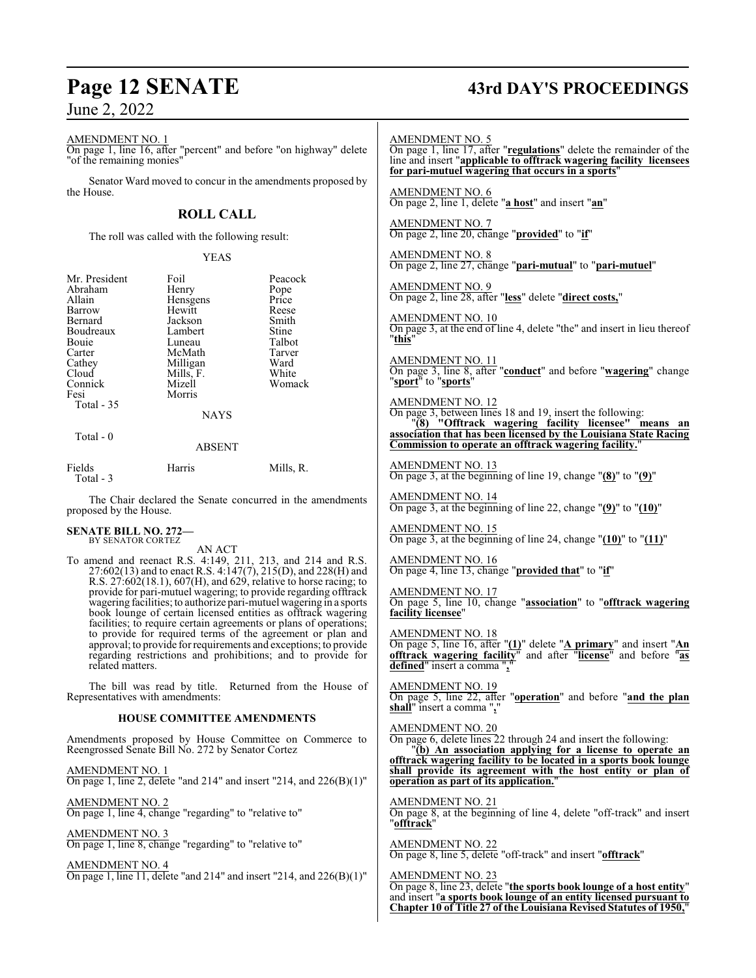# **Page 12 SENATE 43rd DAY'S PROCEEDINGS**

AMENDMENT NO. 1 On page 1, line 16, after "percent" and before "on highway" delete "of the remaining monies" Senator Ward moved to concur in the amendments proposed by the House. **ROLL CALL** The roll was called with the following result: YEAS Mr. President Foil Peacock<br>Abraham Henry Pope Abraham Henry Pope<br>Allain Hensgens Price Allain **Hensgens** Price<br>
Hewitt Reese Hewitt Reese<br>Iackson Smith Bernard Jackson Smith Boudreaux Lambert Stine<br>
Bouie Luneau Talbot Bouie Luneau Talbot<br>Carter McMath Tarver Carter McMath Tarver<br>Cathey Milligan Ward Cathey Milligan Ward<br>Cloud Mills. F. White Mills, F. White<br>Mizell Womack Connick<br>Fesi Morris Total - 35 NAYS Total - 0 ABSENT Fields Harris Mills, R. Total - 3 The Chair declared the Senate concurred in the amendments proposed by the House. **SENATE BILL NO. 272—** BY SENATOR CORTEZ AN ACT To amend and reenact R.S. 4:149, 211, 213, and 214 and R.S. 27:602(13) and to enact R.S. 4:147(7), 215(D), and 228(H) and R.S. 27:602(18.1), 607(H), and 629, relative to horse racing; to provide for pari-mutuel wagering; to provide regarding offtrack wagering facilities; to authorize pari-mutuel wagering in a sports book lounge of certain licensed entities as offtrack wagering facilities; to require certain agreements or plans of operations; to provide for required terms of the agreement or plan and approval; to provide for requirements and exceptions; to provide regarding restrictions and prohibitions; and to provide for related matters. The bill was read by title. Returned from the House of Representatives with amendments: **HOUSE COMMITTEE AMENDMENTS** Amendments proposed by House Committee on Commerce to Reengrossed Senate Bill No. 272 by Senator Cortez AMENDMENT NO. 1 On page 1, line 2, delete "and 214" and insert "214, and 226(B)(1)" AMENDMENT NO. 2 On page 1, line 4, change "regarding" to "relative to" AMENDMENT NO. 3 On page 1, line 8, change "regarding" to "relative to" AMENDMENT NO. 4 On page 1, line 11, delete "and 214" and insert "214, and 226(B)(1)" AMENDMENT NO. 5 On page 1, line 17, after "**regulations**" delete the remainder of the line and insert "**applicable to offtrack wagering facility licensees for pari-mutuel wagering that occurs in a sports**" AMENDMENT NO. 6 On page 2, line 1, delete "**a host**" and insert "**an**" AMENDMENT NO. 7 On page 2, line 20, change "**provided**" to "**if**" AMENDMENT NO. 8 On page 2, line 27, change "**pari-mutual**" to "**pari-mutuel**" AMENDMENT NO. 9 On page 2, line 28, after "**less**" delete "**direct costs,**" AMENDMENT NO. 10 On page 3, at the end of line 4, delete "the" and insert in lieu thereof "**this**" AMENDMENT NO. 11 On page 3, line 8, after "**conduct**" and before "**wagering**" change "**sport**" to "**sports**" AMENDMENT NO. 12 On page 3, between lines 18 and 19, insert the following: "**(8) "Offtrack wagering facility licensee" means an association that has been licensed by the Louisiana State Racing Commission to operate an offtrack wagering facility.**" AMENDMENT NO. 13 On page 3, at the beginning of line 19, change "**(8)**" to "**(9)**" AMENDMENT NO. 14 On page 3, at the beginning of line 22, change "**(9)**" to "**(10)**" AMENDMENT NO. 15 On page 3, at the beginning of line 24, change "**(10)**" to "**(11)**" AMENDMENT NO. 16 On page 4, line 13, change "**provided that**" to "**if**" AMENDMENT NO. 17 On page 5, line 10, change "**association**" to "**offtrack wagering facility licensee**" AMENDMENT NO. 18 On page 5, line 16, after "**(1)**" delete "**A primary**" and insert "**An offtrack wagering facility**" and after "**license**" and before "**as defined**" insert a comma "**,**" AMENDMENT NO. 19 On page 5, line 22, after "**operation**" and before "**and the plan shall**" insert a comma "**,**" AMENDMENT NO. 20 On page 6, delete lines 22 through 24 and insert the following: "**(b) An association applying for a license to operate an offtrack wagering facility to be located in a sports book lounge shall provide its agreement with the host entity or plan of operation as part of its application.**" AMENDMENT NO. 21 On page 8, at the beginning of line 4, delete "off-track" and insert "**offtrack**" AMENDMENT NO. 22 On page 8, line 5, delete "off-track" and insert "**offtrack**" AMENDMENT NO. 23 On page 8, line 23, delete "**the sports book lounge of a host entity**" and insert "**a sports book lounge of an entity licensed pursuant to Chapter 10 of Title 27 of the Louisiana Revised Statutes of 1950,**"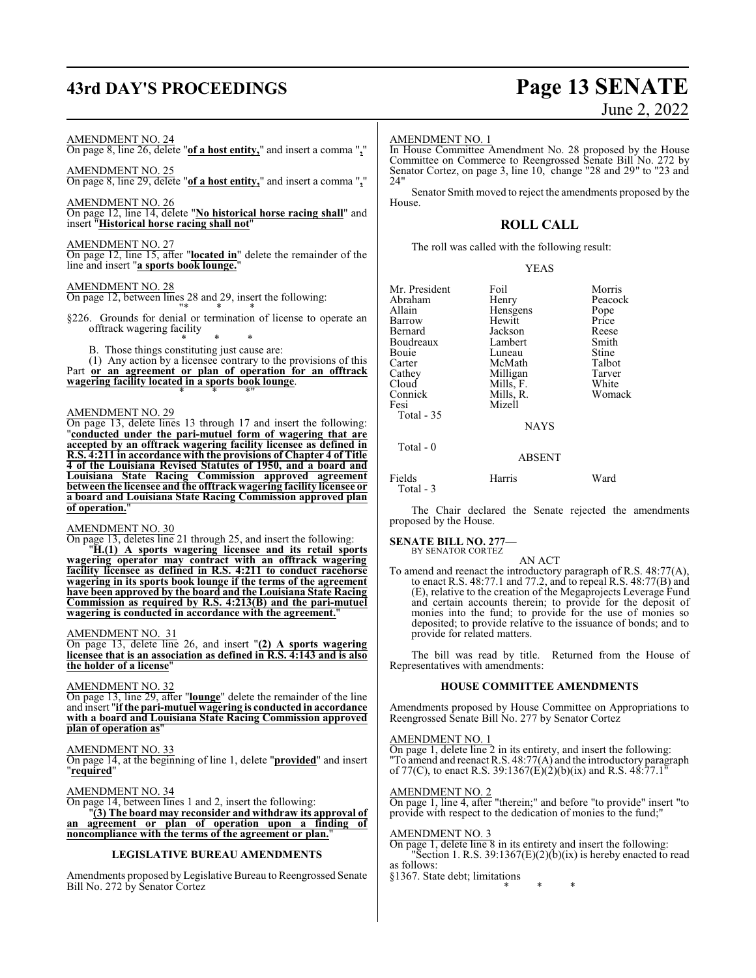# **43rd DAY'S PROCEEDINGS Page 13 SENATE**

#### AMENDMENT NO. 24

On page 8, line 26, delete "**of a host entity,**" and insert a comma "**,**"

#### AMENDMENT NO. 25

On page 8, line 29, delete "**of a host entity,**" and insert a comma "**,**"

AMENDMENT NO. 26

On page 12, line 14, delete "**No historical horse racing shall**" and insert "**Historical horse racing shall not**"

#### AMENDMENT NO. 27

On page 12, line 15, after "**located in**" delete the remainder of the line and insert "**a sports book lounge.**"

#### AMENDMENT NO. 28

On page 12, between lines 28 and 29, insert the following: "\* \* \*

- §226. Grounds for denial or termination of license to operate an offtrack wagering facility \* \* \*
	- B. Those things constituting just cause are:

(1) Any action by a licensee contrary to the provisions of this Part **or an agreement or plan of operation for an offtrack wagering facility located in a sports book lounge**. \* \* \*"

#### AMENDMENT NO. 29

On page 13, delete lines 13 through 17 and insert the following: "**conducted under the pari-mutuel form of wagering that are accepted by an offtrack wagering facility licensee as defined in R.S. 4:211 in accordance with the provisions of Chapter 4 of Title 4 of the Louisiana Revised Statutes of 1950, and a board and Louisiana State Racing Commission approved agreement between the licensee and the offtrack wagering facility licensee or a board and Louisiana State Racing Commission approved plan of operation.**"

#### AMENDMENT NO. 30

On page 13, deletes line 21 through 25, and insert the following:

"**H.(1) A sports wagering licensee and its retail sports wagering operator may contract with an offtrack wagering facility licensee as defined in R.S. 4:211 to conduct racehorse wagering in its sports book lounge if the terms of the agreement have been approved by the board and the Louisiana State Racing Commission as required by R.S. 4:213(B) and the pari-mutuel wagering is conducted in accordance with the agreement.**"

#### AMENDMENT NO. 31

On page 13, delete line 26, and insert "**(2) A sports wagering licensee that is an association as defined in R.S. 4:143 and is also the holder of a license**"

#### AMENDMENT NO. 32

On page 13, line 29, after "**lounge**" delete the remainder of the line and insert "**if the pari-mutuel wagering is conducted in accordance with a board and Louisiana State Racing Commission approved plan of operation as**"

#### AMENDMENT NO. 33

On page 14, at the beginning of line 1, delete "**provided**" and insert "**required**"

#### AMENDMENT NO. 34

On page 14, between lines 1 and 2, insert the following:

"**(3) The board may reconsider and withdraw its approval of an agreement or plan of operation upon a finding of noncompliance with the terms of the agreement or plan.**"

#### **LEGISLATIVE BUREAU AMENDMENTS**

Amendments proposed by Legislative Bureau to Reengrossed Senate Bill No. 272 by Senator Cortez

#### AMENDMENT NO. 1

In House Committee Amendment No. 28 proposed by the House Committee on Commerce to Reengrossed Senate Bill No. 272 by Senator Cortez, on page 3, line 10, change "28 and 29" to "23 and 24"

Senator Smith moved to reject the amendments proposed by the House.

### **ROLL CALL**

The roll was called with the following result:

#### YEAS

| Mr. President | Foil        | Morris  |
|---------------|-------------|---------|
| Abraham       | Henry       | Peacock |
| Allain        | Hensgens    | Pope    |
| Barrow        | Hewitt      | Price   |
| Bernard       | Jackson     | Reese   |
| Boudreaux     | Lambert     | Smith   |
| Bouie         | Luneau      | Stine   |
| Carter        | McMath      | Talbot  |
| Cathey        | Milligan    | Tarver  |
| Cloud         | Mills, F.   | White   |
| Connick       | Mills, R.   | Womack  |
| Fesi          | Mizell      |         |
| Total $-35$   |             |         |
|               | <b>NAYS</b> |         |
| $Total - 0$   |             |         |
|               | ABSENT      |         |

Fields Harris Ward Total - 3

The Chair declared the Senate rejected the amendments proposed by the House.

# **SENATE BILL NO. 277—** BY SENATOR CORTEZ

AN ACT

To amend and reenact the introductory paragraph of R.S. 48:77(A), to enact R.S. 48:77.1 and 77.2, and to repeal R.S. 48:77(B) and (E), relative to the creation of the Megaprojects Leverage Fund and certain accounts therein; to provide for the deposit of monies into the fund; to provide for the use of monies so deposited; to provide relative to the issuance of bonds; and to provide for related matters.

The bill was read by title. Returned from the House of Representatives with amendments:

#### **HOUSE COMMITTEE AMENDMENTS**

Amendments proposed by House Committee on Appropriations to Reengrossed Senate Bill No. 277 by Senator Cortez

#### AMENDMENT NO. 1

On page 1, delete line 2 in its entirety, and insert the following: "To amend and reenact R.S. 48:77(A) and the introductory paragraph of 77(C), to enact R.S. 39:1367(E)(2)(b)(ix) and R.S. 48:77.1<sup>"</sup>

#### AMENDMENT NO. 2

On page 1, line 4, after "therein;" and before "to provide" insert "to provide with respect to the dedication of monies to the fund;"

#### AMENDMENT NO. 3

On page 1, delete line 8 in its entirety and insert the following: "Section 1. R.S.  $39:1367(E)(2)(b)(ix)$  is hereby enacted to read as follows:

§1367. State debt; limitations

\* \* \*

# June 2, 2022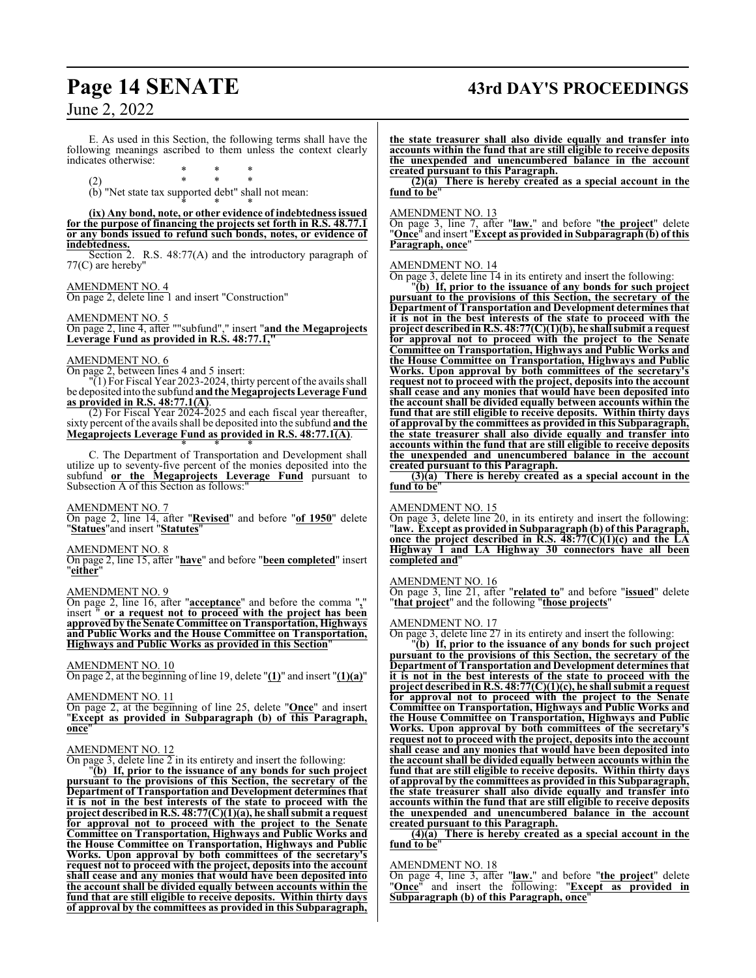# **Page 14 SENATE 43rd DAY'S PROCEEDINGS**

## June 2, 2022

E. As used in this Section, the following terms shall have the following meanings ascribed to them unless the context clearly indicates otherwise:

\* \* \* (2) \* \* \*

(b) "Net state tax supported debt" shall not mean: \* \* \*

#### **(ix) Any bond, note, or other evidence of indebtedness issued for the purpose of financing the projects set forth in R.S. 48.77.1 or any bonds issued to refund such bonds, notes, or evidence of indebtedness.**

Section 2. R.S. 48:77(A) and the introductory paragraph of 77(C) are hereby"

#### AMENDMENT NO. 4

On page 2, delete line 1 and insert "Construction"

#### AMENDMENT NO. 5

On page 2, line 4, after ""subfund"," insert "**and the Megaprojects Leverage Fund as provided in R.S. 48:77.1,"**

#### AMENDMENT NO. 6

On page 2, between lines 4 and 5 insert:

"(1) For Fiscal Year 2023-2024, thirty percent of the avails shall be deposited into the subfund **andthe Megaprojects Leverage Fund as provided in R.S. 48:77.1(A)**.

(2) For Fiscal Year 2024-2025 and each fiscal year thereafter, sixty percent of the avails shall be deposited into the subfund **and the Megaprojects Leverage Fund as provided in R.S. 48:77.1(A)**. \* \* \*

C. The Department of Transportation and Development shall utilize up to seventy-five percent of the monies deposited into the subfund **or the Megaprojects Leverage Fund** pursuant to Subsection A of this Section as follows:"

#### AMENDMENT NO. 7

On page 2, line 14, after "**Revised**" and before "**of 1950**" delete "**Statues**"and insert "**Statutes**"

#### AMENDMENT NO. 8

On page 2, line 15, after "**have**" and before "**been completed**" insert "**either**"

#### AMENDMENT NO. 9

On page 2, line 16, after "**acceptance**" and before the comma "**,**" or a request not to proceed with the project has been **approved by the Senate Committee onTransportation, Highways and Public Works and the House Committee on Transportation, Highways and Public Works as provided in this Section**"

#### AMENDMENT NO. 10

On page 2, at the beginning of line 19, delete "**(1)**" and insert "**(1)(a)**"

#### AMENDMENT NO. 11

On page 2, at the beginning of line 25, delete "**Once**" and insert "**Except as provided in Subparagraph (b) of this Paragraph, once**"

#### AMENDMENT NO. 12

On page 3, delete line  $\overline{2}$  in its entirety and insert the following:

"**(b) If, prior to the issuance of any bonds for such project pursuant to the provisions of this Section, the secretary of the Department of Transportation and Development determines that it is not in the best interests of the state to proceed with the project described in R.S. 48:77(C)(1)(a), he shall submit a request for approval not to proceed with the project to the Senate Committee on Transportation, Highways and Public Works and the House Committee on Transportation, Highways and Public Works. Upon approval by both committees of the secretary's request not to proceed with the project, deposits into the account shall cease and any monies that would have been deposited into the account shall be divided equally between accounts within the fund that are still eligible to receive deposits. Within thirty days of approval by the committees as provided in this Subparagraph,**

**the state treasurer shall also divide equally and transfer into accounts within the fund that are still eligible to receive deposits the unexpended and unencumbered balance in the account created pursuant to this Paragraph.**

**(2)(a) There is hereby created as a special account in the fund to be**"

#### AMENDMENT NO. 13

On page 3, line 7, after "**law.**" and before "**the project**" delete "**Once**" and insert "**Except as provided in Subparagraph (b) of this Paragraph, once**"

#### AMENDMENT NO. 14

On page 3, delete line 14 in its entirety and insert the following:

"**(b) If, prior to the issuance of any bonds for such project pursuant to the provisions of this Section, the secretary of the Department of Transportation and Development determines that it is not in the best interests of the state to proceed with the project described in R.S. 48:77(C)(1)(b), he shall submit a request for approval not to proceed with the project to the Senate Committee on Transportation, Highways and Public Works and the House Committee on Transportation, Highways and Public Works. Upon approval by both committees of the secretary's request not to proceed with the project, deposits into the account shall cease and any monies that would have been deposited into the account shall be divided equally between accounts within the fund that are still eligible to receive deposits. Within thirty days of approval by the committees as provided in this Subparagraph, the state treasurer shall also divide equally and transfer into accounts within the fund that are still eligible to receive deposits the unexpended and unencumbered balance in the account created pursuant to this Paragraph.**

**(3)(a) There is hereby created as a special account in the fund to be**"

#### AMENDMENT NO. 15

On page 3, delete line 20, in its entirety and insert the following: "**law. Except as provided in Subparagraph (b) of this Paragraph, once the project described in R.S. 48:77(C)(1)(c) and the LA Highway 1 and LA Highway 30 connectors have all been completed and**"

#### AMENDMENT NO. 16

On page 3, line 21, after "**related to**" and before "**issued**" delete "**that project**" and the following "**those projects**"

#### AMENDMENT NO. 17

On page 3, delete line 27 in its entirety and insert the following:

"**(b) If, prior to the issuance of any bonds for such project pursuant to the provisions of this Section, the secretary of the Department of Transportation and Development determines that it is not in the best interests of the state to proceed with the project described in R.S. 48:77(C)(1)(c), he shall submit a request for approval not to proceed with the project to the Senate Committee on Transportation, Highways and Public Works and the House Committee on Transportation, Highways and Public Works. Upon approval by both committees of the secretary's request not to proceed with the project, deposits into the account shall cease and any monies that would have been deposited into the account shall be divided equally between accounts within the fund that are still eligible to receive deposits. Within thirty days of approval by the committees as provided in this Subparagraph, the state treasurer shall also divide equally and transfer into accounts within the fund that are still eligible to receive deposits the unexpended and unencumbered balance in the account created pursuant to this Paragraph.**

**(4)(a) There is hereby created as a special account in the fund to be**"

#### AMENDMENT NO. 18

On page 4, line 3, after "**law.**" and before "**the project**" delete "**Once**" and insert the following: "**Except as provided in Subparagraph (b) of this Paragraph, once**"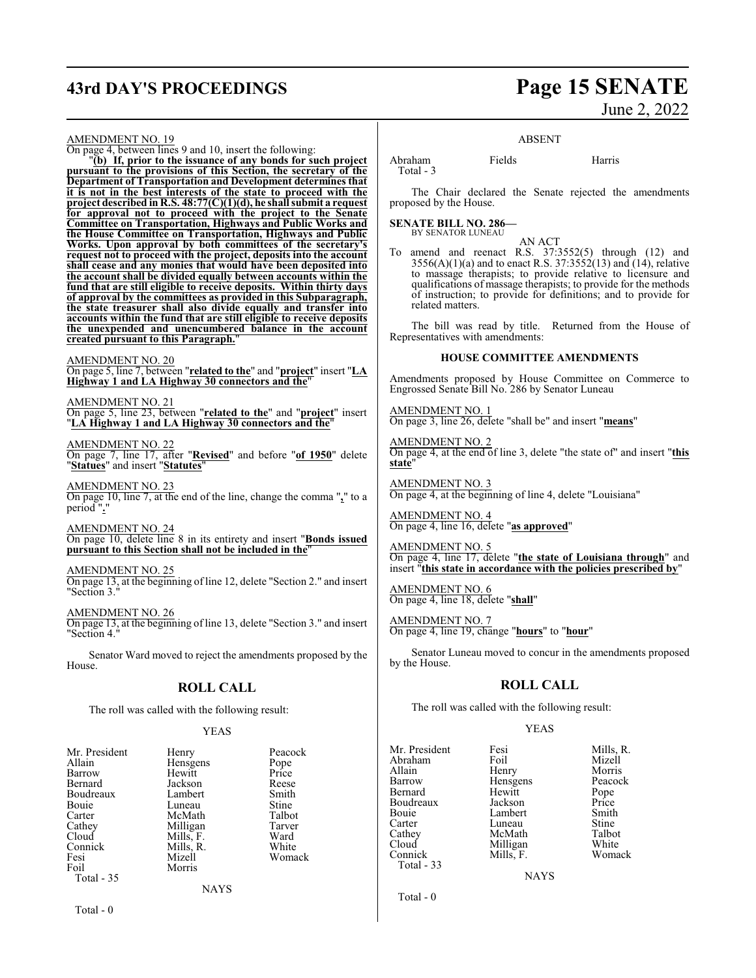# **43rd DAY'S PROCEEDINGS Page 15 SENATE**

# June 2, 2022

AMENDMENT NO. 19

On page 4, between lines 9 and 10, insert the following:

"**(b) If, prior to the issuance of any bonds for such project pursuant to the provisions of this Section, the secretary of the Department of Transportation and Development determines that it is not in the best interests of the state to proceed with the project described in R.S. 48:77(C)(1)(d), he shall submit a request for approval not to proceed with the project to the Senate Committee on Transportation, Highways and Public Works and the House Committee on Transportation, Highways and Public Works. Upon approval by both committees of the secretary's request not to proceed with the project, deposits into the account shall cease and any monies that would have been deposited into the account shall be divided equally between accounts within the fund that are still eligible to receive deposits. Within thirty days of approval by the committees as provided in this Subparagraph, the state treasurer shall also divide equally and transfer into accounts within the fund that are still eligible to receive deposits the unexpended and unencumbered balance in the account created pursuant to this Paragraph.**"

AMENDMENT NO. 20

On page 5, line 7, between "**related to the**" and "**project**" insert "**LA Highway 1 and LA Highway 30 connectors and the**"

AMENDMENT NO. 21 On page 5, line 23, between "**related to the**" and "**project**" insert "**LA Highway 1 and LA Highway 30 connectors and the**"

AMENDMENT NO. 22 On page 7, line 17, after "**Revised**" and before "**of 1950**" delete "**Statues**" and insert "**Statutes**"

AMENDMENT NO. 23

On page 10, line 7, at the end of the line, change the comma "**,**" to a period "**.**"

AMENDMENT NO. 24 On page 10, delete line 8 in its entirety and insert "**Bonds issued pursuant to this Section shall not be included in the**"

#### AMENDMENT NO. 25

On page 13, at the beginning of line 12, delete "Section 2." and insert "Section 3."

AMENDMENT NO. 26

On page 13, at the beginning of line 13, delete "Section 3." and insert "Section 4.

Senator Ward moved to reject the amendments proposed by the House.

## **ROLL CALL**

The roll was called with the following result:

#### YEAS

| Mr. President | Henry       | Peacock |
|---------------|-------------|---------|
| Allain        | Hensgens    | Pope    |
| Barrow        | Hewitt      | Price   |
| Bernard       | Jackson     | Reese   |
| Boudreaux     | Lambert     | Smith   |
| Bouie         | Luneau      | Stine   |
| Carter        | McMath      | Talbot  |
| Cathey        | Milligan    | Tarver  |
| Cloud         | Mills, F.   | Ward    |
| Connick       | Mills, R.   | White   |
| Fesi          | Mizell      | Womack  |
| Foil          | Morris      |         |
| Total - 35    |             |         |
|               | <b>NAYS</b> |         |

Total - 0

ABSENT Abraham Fields Harris

The Chair declared the Senate rejected the amendments proposed by the House.

**SENATE BILL NO. 286—** BY SENATOR LUNEAU

Total - 3

AN ACT

To amend and reenact R.S. 37:3552(5) through (12) and  $3556(A)(1)(a)$  and to enact R.S.  $37:3552(13)$  and  $(14)$ , relative to massage therapists; to provide relative to licensure and qualifications of massage therapists; to provide for the methods of instruction; to provide for definitions; and to provide for related matters.

The bill was read by title. Returned from the House of Representatives with amendments:

#### **HOUSE COMMITTEE AMENDMENTS**

Amendments proposed by House Committee on Commerce to Engrossed Senate Bill No. 286 by Senator Luneau

AMENDMENT NO. 1 On page 3, line 26, delete "shall be" and insert "**means**"

AMENDMENT NO. 2 On page 4, at the end of line 3, delete "the state of" and insert "**this state**"

AMENDMENT NO. 3 On page 4, at the beginning of line 4, delete "Louisiana"

AMENDMENT NO. 4 On page 4, line 16, delete "**as approved**"

AMENDMENT NO. 5 On page 4, line 17, delete "**the state of Louisiana through**" and insert "**this state in accordance with the policies prescribed by**"

AMENDMENT NO. 6 On page 4, line 18, delete "**shall**"

AMENDMENT NO. 7 On page 4, line 19, change "**hours**" to "**hour**"

Senator Luneau moved to concur in the amendments proposed by the House.

## **ROLL CALL**

The roll was called with the following result:

#### YEAS

| Mr. President | Fesi          | Mills, R. |
|---------------|---------------|-----------|
| Abraham       | Foil          | Mizell    |
| Allain        | Henry         | Morris    |
| Barrow        | Hensgens      | Peacock   |
| Bernard       | Hewitt        | Pope      |
| Boudreaux     | Jackson       | Price     |
| Bouie         | Lambert       | Smith     |
| Carter        | Luneau        | Stine     |
| Cathey        | McMath        | Talbot    |
| Cloud         | Milligan      | White     |
| Connick       | Mills, F.     | Womack    |
| Total - 33    |               |           |
|               | <b>BTATTO</b> |           |

NAYS

Total - 0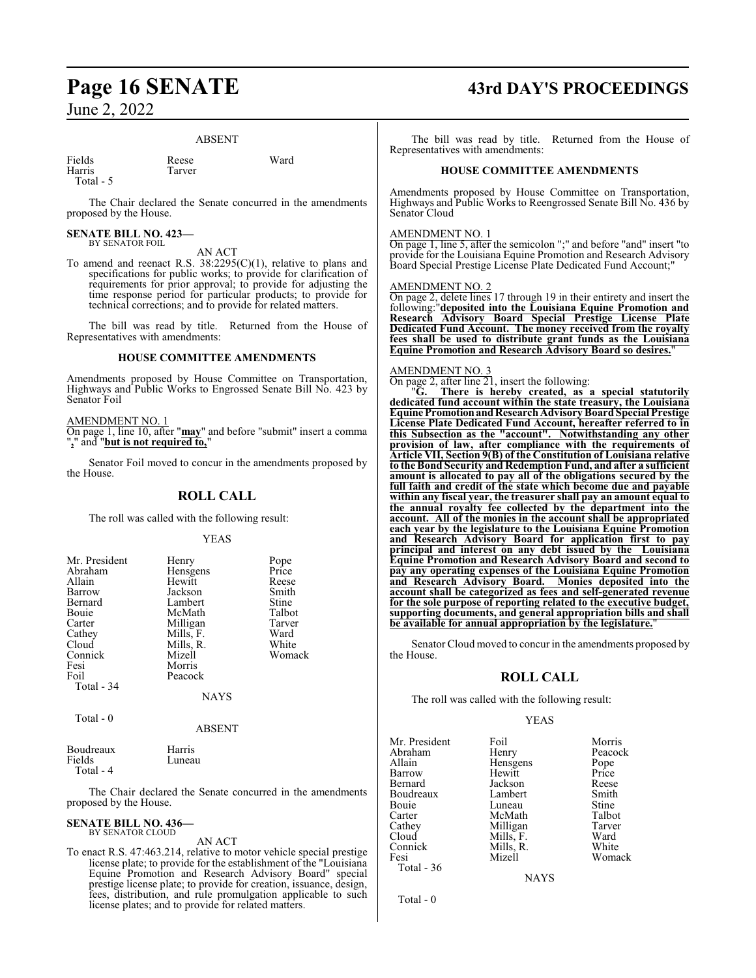#### ABSENT

Fields Reese Ward Harris Tarver

Total - 5

The Chair declared the Senate concurred in the amendments proposed by the House.

#### **SENATE BILL NO. 423—** BY SENATOR FOIL

AN ACT

To amend and reenact R.S. 38:2295(C)(1), relative to plans and specifications for public works; to provide for clarification of requirements for prior approval; to provide for adjusting the time response period for particular products; to provide for technical corrections; and to provide for related matters.

The bill was read by title. Returned from the House of Representatives with amendments:

#### **HOUSE COMMITTEE AMENDMENTS**

Amendments proposed by House Committee on Transportation, Highways and Public Works to Engrossed Senate Bill No. 423 by Senator Foil

AMENDMENT NO. 1

On page 1, line 10, after "**may**" and before "submit" insert a comma "**,**" and "**but is not required to,**"

Senator Foil moved to concur in the amendments proposed by the House.

#### **ROLL CALL**

The roll was called with the following result:

#### YEAS

| Mr. President             | Henry       | Pope   |
|---------------------------|-------------|--------|
| Abraham                   | Hensgens    | Price  |
| Allain                    | Hewitt      | Reese  |
| Barrow                    | Jackson     | Smith  |
| Bernard                   | Lambert     | Stine  |
| Bouie                     | McMath      | Talbot |
| Carter                    | Milligan    | Tarver |
| Cathey                    | Mills, F.   | Ward   |
| Cloud                     | Mills, R.   | White  |
| Connick                   | Mizell      | Womack |
| Fesi                      | Morris      |        |
| Foil                      | Peacock     |        |
| Total - 34                |             |        |
|                           | <b>NAYS</b> |        |
| $T_{\alpha \text{tal}}$ 0 |             |        |

Total - 0

ABSENT

| Boudreaux | Harris |
|-----------|--------|
| Fields    | Luneau |
| Total - 4 |        |

The Chair declared the Senate concurred in the amendments proposed by the House.

#### **SENATE BILL NO. 436—** BY SENATOR CLOUD

AN ACT

To enact R.S. 47:463.214, relative to motor vehicle special prestige license plate; to provide for the establishment of the "Louisiana Equine Promotion and Research Advisory Board" special prestige license plate; to provide for creation, issuance, design, fees, distribution, and rule promulgation applicable to such license plates; and to provide for related matters.

# **Page 16 SENATE 43rd DAY'S PROCEEDINGS**

The bill was read by title. Returned from the House of Representatives with amendments:

#### **HOUSE COMMITTEE AMENDMENTS**

Amendments proposed by House Committee on Transportation, Highways and Public Works to Reengrossed Senate Bill No. 436 by Senator Cloud

#### AMENDMENT NO. 1

On page 1, line 5, after the semicolon ";" and before "and" insert "to provide for the Louisiana Equine Promotion and Research Advisory Board Special Prestige License Plate Dedicated Fund Account;"

#### AMENDMENT NO. 2

On page 2, delete lines 17 through 19 in their entirety and insert the following:"**deposited into the Louisiana Equine Promotion and Research Advisory Board Special Prestige License Plate Dedicated Fund Account. The money received from the royalty fees shall be used to distribute grant funds as the Louisiana Equine Promotion and Research Advisory Board so desires.**"

#### AMENDMENT NO. 3

On page 2, after line 21, insert the following:

"**G. There is hereby created, as a special statutorily dedicated fund account within the state treasury, the Louisiana Equine PromotionandResearchAdvisoryBoardSpecial Prestige License Plate Dedicated Fund Account, hereafter referred to in this Subsection as the "account". Notwithstanding any other provision of law, after compliance with the requirements of Article VII, Section 9(B) of the Constitution of Louisiana relative to the Bond Security and Redemption Fund, and after a sufficient amount is allocated to pay all of the obligations secured by the full faith and credit of the state which become due and payable within any fiscal year, the treasurer shall pay an amount equal to the annual royalty fee collected by the department into the account. All of the monies in the account shall be appropriated each year by the legislature to the Louisiana Equine Promotion and Research Advisory Board for application first to pay principal and interest on any debt issued by the Louisiana Equine Promotion and Research Advisory Board and second to pay any operating expenses of the Louisiana Equine Promotion and Research Advisory Board. Monies deposited into the account shall be categorized as fees and self-generated revenue for the sole purpose of reporting related to the executive budget, supporting documents, and general appropriation bills and shall be available for annual appropriation by the legislature.**"

Senator Cloud moved to concur in the amendments proposed by the House.

#### **ROLL CALL**

The roll was called with the following result:

#### YEAS

| Mr. President | Foil      | Morris  |
|---------------|-----------|---------|
| Abraham       | Henry     | Peacock |
| Allain        | Hensgens  | Pope    |
| Barrow        | Hewitt    | Price   |
| Bernard       | Jackson   | Reese   |
| Boudreaux     | Lambert   | Smith   |
| Bouie         | Luneau    | Stine   |
| Carter        | McMath    | Talbot  |
| Cathey        | Milligan  | Tarver  |
| Cloud         | Mills, F. | Ward    |
| Connick       | Mills, R. | White   |
| Fesi          | Mizell    | Womack  |
| Total - 36    |           |         |
|               |           |         |

Total - 0

NAYS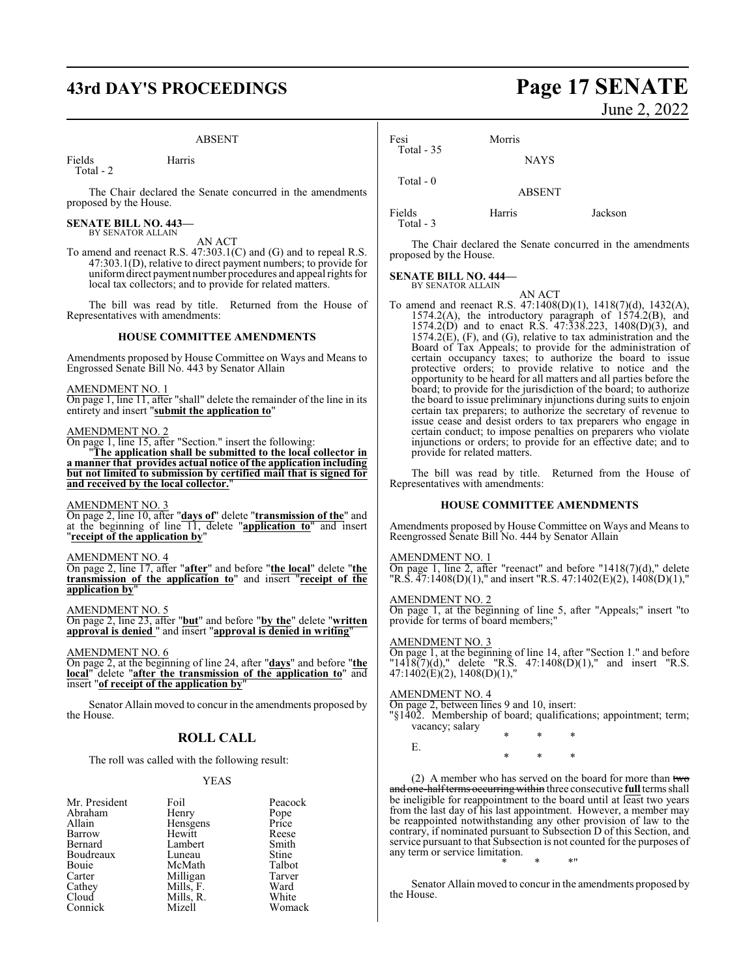# **43rd DAY'S PROCEEDINGS Page 17 SENATE**

#### ABSENT

Fields Harris Total - 2

The Chair declared the Senate concurred in the amendments proposed by the House.

# **SENATE BILL NO. 443—** BY SENATOR ALLAIN

#### AN ACT

To amend and reenact R.S. 47:303.1(C) and (G) and to repeal R.S. 47:303.1(D), relative to direct payment numbers; to provide for uniformdirect payment number procedures and appeal rights for local tax collectors; and to provide for related matters.

The bill was read by title. Returned from the House of Representatives with amendments:

#### **HOUSE COMMITTEE AMENDMENTS**

Amendments proposed by House Committee on Ways and Means to Engrossed Senate Bill No. 443 by Senator Allain

#### AMENDMENT NO. 1

On page 1, line 11, after "shall" delete the remainder of the line in its entirety and insert "**submit the application to**"

#### AMENDMENT NO. 2

On page 1, line 15, after "Section." insert the following:

"**The application shall be submitted to the local collector in a manner that provides actual notice of the application including but not limited to submission by certified mail that is signed for and received by the local collector.**"

#### AMENDMENT NO. 3

On page 2, line 10, after "**days of**" delete "**transmission of the**" and at the beginning of line 11, delete "**application to**" and insert "**receipt of the application by**"

#### AMENDMENT NO. 4

On page 2, line 17, after "**after**" and before "**the local**" delete "**the transmission of the application to**" and insert "**receipt of the application by**"

#### AMENDMENT NO. 5

On page 2, line 23, after "**but**" and before "**by the**" delete "**written approval is denied** " and insert "**approval is denied in writing**"

AMENDMENT NO. 6

On page 2, at the beginning of line 24, after "**days**" and before "**the local**" delete "**after the transmission of the application to**" and insert "**of receipt of the application by**"

Senator Allain moved to concur in the amendments proposed by the House.

### **ROLL CALL**

The roll was called with the following result:

#### YEAS

| Mr. President | Foil      | Peacock       |
|---------------|-----------|---------------|
| Abraham       | Henry     | Pope<br>Price |
| Allain        | Hensgens  |               |
| Barrow        | Hewitt    | Reese         |
| Bernard       | Lambert   | Smith         |
| Boudreaux     | Luneau    | <b>Stine</b>  |
| Bouie         | McMath    | Talbot        |
| Carter        | Milligan  | Tarver        |
| Cathey        | Mills, F. | Ward          |
| Cloud         | Mills, R. | White         |
| Connick       | Mizell    | Womack        |

June 2, 2022

| Fesi        | Morris        |         |
|-------------|---------------|---------|
| Total $-35$ | <b>NAYS</b>   |         |
| Total $-0$  | <b>ABSENT</b> |         |
| Fields      | Harris        | Jackson |

Total - 3

The Chair declared the Senate concurred in the amendments proposed by the House.

#### **SENATE BILL NO. 444—** BY SENATOR ALLAIN

AN ACT To amend and reenact R.S. 47:1408(D)(1), 1418(7)(d), 1432(A), 1574.2(A), the introductory paragraph of 1574.2(B), and 1574.2(D) and to enact R.S. 47:338.223, 1408(D)(3), and 1574.2(E), (F), and (G), relative to tax administration and the Board of Tax Appeals; to provide for the administration of certain occupancy taxes; to authorize the board to issue protective orders; to provide relative to notice and the opportunity to be heard for all matters and all parties before the board; to provide for the jurisdiction of the board; to authorize the board to issue preliminary injunctions during suits to enjoin certain tax preparers; to authorize the secretary of revenue to issue cease and desist orders to tax preparers who engage in certain conduct; to impose penalties on preparers who violate injunctions or orders; to provide for an effective date; and to provide for related matters.

The bill was read by title. Returned from the House of Representatives with amendments:

#### **HOUSE COMMITTEE AMENDMENTS**

Amendments proposed by House Committee on Ways and Means to Reengrossed Senate Bill No. 444 by Senator Allain

#### AMENDMENT NO. 1

On page 1, line 2, after "reenact" and before "1418(7)(d)," delete "R.S. 47:1408(D)(1)," and insert "R.S. 47:1402(E)(2), 1408(D)(1),"

#### AMENDMENT NO. 2

On page 1, at the beginning of line 5, after "Appeals;" insert "to provide for terms of board members;

#### AMENDMENT NO. 3

On page 1, at the beginning of line 14, after "Section 1." and before "1418(7)(d)," delete "R.S. 47:1408(D)(1)," and insert "R.S. 47:1402(E)(2), 1408(D)(1),"

#### AMENDMENT NO. 4

- On page 2, between lines 9 and 10, insert:
- "§1402. Membership of board; qualifications; appointment; term; vacancy; salary \* \* \*

E.

\* \* \*

(2) A member who has served on the board for more than  $two$ and one-halfterms occurringwithin three consecutive **full** terms shall be ineligible for reappointment to the board until at least two years from the last day of his last appointment. However, a member may be reappointed notwithstanding any other provision of law to the contrary, if nominated pursuant to Subsection D of this Section, and service pursuant to that Subsection is not counted for the purposes of any term or service limitation.

\* \* \*"

Senator Allain moved to concur in the amendments proposed by the House.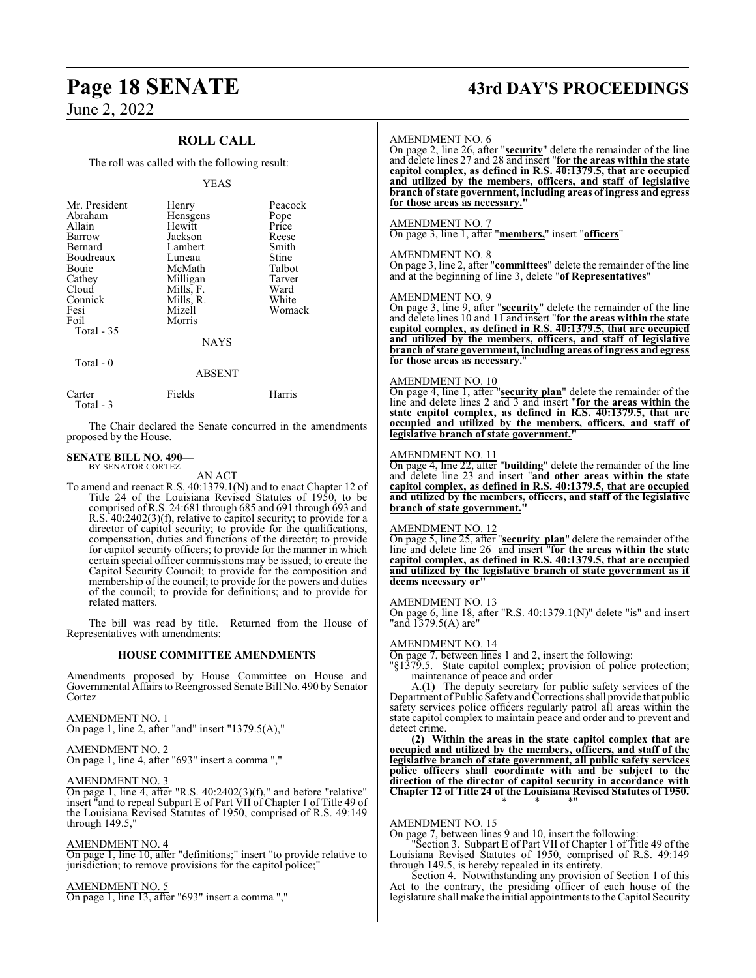## **ROLL CALL**

#### The roll was called with the following result:

#### YEAS

| Mr. President<br>Abraham<br>Allain<br>Barrow<br>Bernard<br>Boudreaux<br>Bouie<br>Cathey<br>Cloud<br>Connick<br>Fesi | Henry<br>Hensgens<br>Hewitt<br>Jackson<br>Lambert<br>Luneau<br>McMath<br>Milligan<br>Mills, F.<br>Mills, R.<br>Mizell | Peacock<br>Pope<br>Price<br>Reese<br>Smith<br>Stine<br>Talbot<br>Tarver<br>Ward<br>White<br>Womack |
|---------------------------------------------------------------------------------------------------------------------|-----------------------------------------------------------------------------------------------------------------------|----------------------------------------------------------------------------------------------------|
| Foil<br>Total - 35                                                                                                  | Morris<br><b>NAYS</b>                                                                                                 |                                                                                                    |
| Total - 0                                                                                                           | <b>A D CENT</b>                                                                                                       |                                                                                                    |

|                     | 111111 |        |
|---------------------|--------|--------|
| Carter<br>Total - 3 | Fields | Harris |

The Chair declared the Senate concurred in the amendments proposed by the House.

#### **SENATE BILL NO. 490—** BY SENATOR CORTEZ

AN ACT

To amend and reenact R.S. 40:1379.1(N) and to enact Chapter 12 of Title 24 of the Louisiana Revised Statutes of 1950, to be comprised ofR.S. 24:681 through 685 and 691 through 693 and R.S. 40:2402(3)(f), relative to capitol security; to provide for a director of capitol security; to provide for the qualifications, compensation, duties and functions of the director; to provide for capitol security officers; to provide for the manner in which certain special officer commissions may be issued; to create the Capitol Security Council; to provide for the composition and membership of the council; to provide for the powers and duties of the council; to provide for definitions; and to provide for related matters.

The bill was read by title. Returned from the House of Representatives with amendments:

#### **HOUSE COMMITTEE AMENDMENTS**

Amendments proposed by House Committee on House and Governmental Affairs to Reengrossed Senate Bill No. 490 by Senator Cortez

AMENDMENT NO. 1

On page 1, line 2, after "and" insert "1379.5(A),"

#### AMENDMENT NO. 2 On page 1, line 4, after "693" insert a comma ","

#### AMENDMENT NO. 3

On page 1, line 4, after "R.S.  $40:2402(3)(f)$ ," and before "relative" insert "and to repeal Subpart E of Part VII of Chapter 1 of Title 49 of the Louisiana Revised Statutes of 1950, comprised of R.S. 49:149 through 149.5,"

#### AMENDMENT NO. 4

On page 1, line 10, after "definitions;" insert "to provide relative to jurisdiction; to remove provisions for the capitol police;"

#### AMENDMENT NO. 5

On page 1, line 13, after "693" insert a comma ","

# **Page 18 SENATE 43rd DAY'S PROCEEDINGS**

#### AMENDMENT NO. 6

On page 2, line 26, after "**security**" delete the remainder of the line and delete lines 27 and 28 and insert "**for the areas within the state capitol complex, as defined in R.S. 40:1379.5, that are occupied and utilized by the members, officers, and staff of legislative branch of state government, including areas of ingress and egress** for those areas as necessary.

#### AMENDMENT NO. 7

On page 3, line 1, after "**members,**" insert "**officers**"

#### AMENDMENT NO. 8

On page 3, line 2, after "**committees**" delete the remainder of the line and at the beginning of line 3, delete "**of Representatives**"

#### AMENDMENT NO. 9

On page 3, line 9, after "**security**" delete the remainder of the line and delete lines 10 and 11 and insert "**for the areas within the state capitol complex, as defined in R.S. 40:1379.5, that are occupied and utilized by the members, officers, and staff of legislative branch of state government, including areas of ingress and egress for those areas as necessary.**"

#### AMENDMENT NO. 10

On page 4, line 1, after "**security plan**" delete the remainder of the line and delete lines 2 and 3 and insert "**for the areas within the state capitol complex, as defined in R.S. 40:1379.5, that are occupied and utilized by the members, officers, and staff of legislative branch of state government."**

#### AMENDMENT NO. 11

On page 4, line 22, after "**building**" delete the remainder of the line and delete line 23 and insert "**and other areas within the state capitol complex, as defined in R.S. 40:1379.5, that are occupied and utilized by the members, officers, and staff of the legislative branch of state government."**

#### AMENDMENT NO. 12

On page 5, line 25, after "**security plan**" delete the remainder of the line and delete line 26 and insert "**for the areas within the state capitol complex, as defined in R.S. 40:1379.5, that are occupied and utilized by the legislative branch of state government as it deems necessary or"**

#### AMENDMENT NO. 13

On page 6, line 18, after "R.S. 40:1379.1(N)" delete "is" and insert "and 1379.5(A) are"

#### AMENDMENT NO. 14

On page 7, between lines 1 and 2, insert the following:

"§1379.5. State capitol complex; provision of police protection; maintenance of peace and order

A.**(1)** The deputy secretary for public safety services of the Department of Public Safety and Corrections shall provide that public safety services police officers regularly patrol all areas within the state capitol complex to maintain peace and order and to prevent and detect crime.

**(2) Within the areas in the state capitol complex that are occupied and utilized by the members, officers, and staff of the legislative branch of state government, all public safety services police officers shall coordinate with and be subject to the direction of the director of capitol security in accordance with Chapter 12 of Title 24 of the Louisiana Revised Statutes of 1950.** \* \* \*"

#### AMENDMENT NO. 15

On page 7, between lines 9 and 10, insert the following:

"Section 3. Subpart E of Part VII of Chapter 1 of Title 49 of the Louisiana Revised Statutes of 1950, comprised of R.S. 49:149 through 149.5, is hereby repealed in its entirety.

Section 4. Notwithstanding any provision of Section 1 of this Act to the contrary, the presiding officer of each house of the legislature shall make the initial appointments to the Capitol Security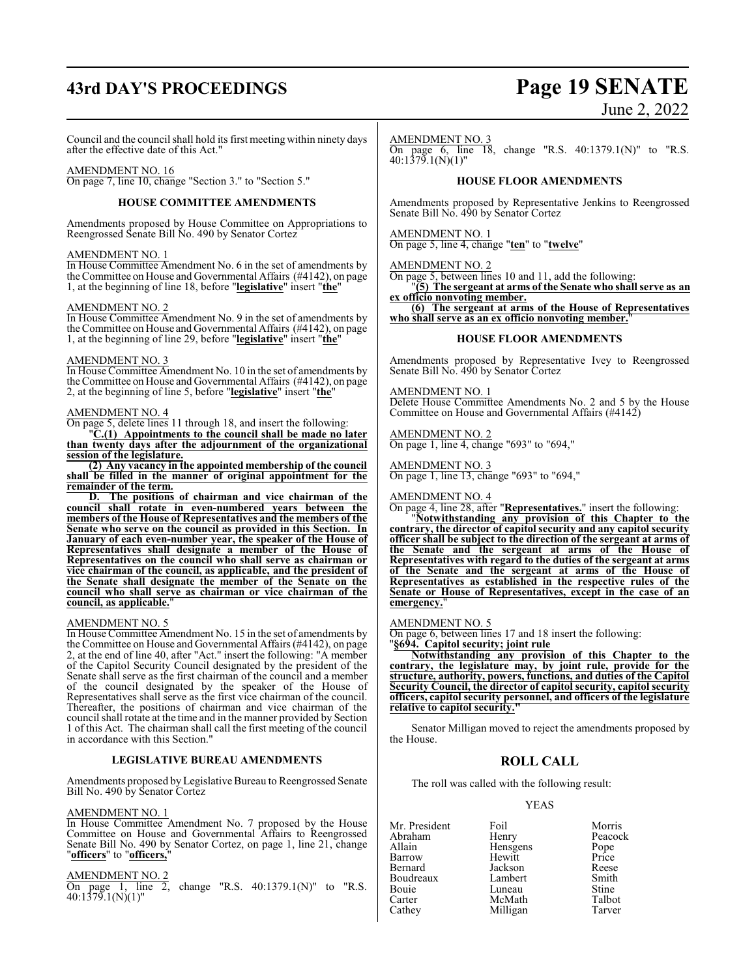# **43rd DAY'S PROCEEDINGS Page 19 SENATE**

# June 2, 2022

Council and the council shall hold its first meeting within ninety days after the effective date of this Act."

#### AMENDMENT NO. 16

On page 7, line 10, change "Section 3." to "Section 5."

#### **HOUSE COMMITTEE AMENDMENTS**

Amendments proposed by House Committee on Appropriations to Reengrossed Senate Bill No. 490 by Senator Cortez

#### AMENDMENT NO. 1

In House Committee Amendment No. 6 in the set of amendments by the Committee on House and Governmental Affairs (#4142), on page 1, at the beginning of line 18, before "**legislative**" insert "**the**"

#### AMENDMENT NO. 2

In House Committee Amendment No. 9 in the set of amendments by the Committee on House and Governmental Affairs (#4142), on page 1, at the beginning of line 29, before "**legislative**" insert "**the**"

#### AMENDMENT NO. 3

In House Committee Amendment No. 10 in the set of amendments by the Committee on House and Governmental Affairs (#4142), on page 2, at the beginning of line 5, before "**legislative**" insert "**the**"

#### AMENDMENT NO. 4

On page 5, delete lines 11 through 18, and insert the following:

"**C.(1) Appointments to the council shall be made no later than twenty days after the adjournment of the organizational session of the legislature.**

**(2) Any vacancy in the appointed membership of the council shall be filled in the manner of original appointment for the remainder of the term.**

**D. The positions of chairman and vice chairman of the council shall rotate in even-numbered years between the members of the House of Representatives and the members of the Senate who serve on the council as provided in this Section. In January of each even-number year, the speaker of the House of Representatives shall designate a member of the House of Representatives on the council who shall serve as chairman or vice chairman of the council, as applicable, and the president of the Senate shall designate the member of the Senate on the council who shall serve as chairman or vice chairman of the council, as applicable.**"

#### AMENDMENT NO. 5

In House Committee Amendment No. 15 in the set of amendments by the Committee on House and Governmental Affairs (#4142), on page 2, at the end of line 40, after "Act." insert the following: "A member of the Capitol Security Council designated by the president of the Senate shall serve as the first chairman of the council and a member of the council designated by the speaker of the House of Representatives shall serve as the first vice chairman of the council. Thereafter, the positions of chairman and vice chairman of the council shall rotate at the time and in the manner provided by Section 1 of this Act. The chairman shall call the first meeting of the council in accordance with this Section."

#### **LEGISLATIVE BUREAU AMENDMENTS**

Amendments proposed by Legislative Bureau to Reengrossed Senate Bill No. 490 by Senator Cortez

#### AMENDMENT NO. 1

In House Committee Amendment No. 7 proposed by the House Committee on House and Governmental Affairs to Reengrossed Senate Bill No. 490 by Senator Cortez, on page 1, line 21, change "**officers**" to "**officers,**"

AMENDMENT NO. 2

change "R.S.  $40:1379.1(N)$ " to "R.S. On page 1, line 2, 40:1379.1(N)(1)"

#### AMENDMENT NO. 3

On page 6, line  $18$ , change "R.S.  $40:1379.1(N)$ " to "R.S. 40:1379.1(N)(1)"

#### **HOUSE FLOOR AMENDMENTS**

Amendments proposed by Representative Jenkins to Reengrossed Senate Bill No. 490 by Senator Cortez

#### AMENDMENT NO. 1

On page 5, line 4, change "**ten**" to "**twelve**"

#### AMENDMENT NO. 2

On page 5, between lines 10 and 11, add the following:

"**(5) The sergeant at arms of the Senate who shall serve as an ex officio nonvoting member.**

**(6) The sergeant at arms of the House of Representatives who shall serve as an ex officio nonvoting member.**"

#### **HOUSE FLOOR AMENDMENTS**

Amendments proposed by Representative Ivey to Reengrossed Senate Bill No. 490 by Senator Cortez

#### AMENDMENT NO. 1

Delete House Committee Amendments No. 2 and 5 by the House Committee on House and Governmental Affairs (#4142)

AMENDMENT NO. 2 On page 1, line 4, change "693" to "694,"

#### AMENDMENT NO. 3 On page 1, line 13, change "693" to "694,"

#### AMENDMENT NO. 4

On page 4, line 28, after "**Representatives.**" insert the following:

"**Notwithstanding any provision of this Chapter to the contrary, the director of capitol security and any capitol security officer shall be subject to the direction of the sergeant at arms of the Senate and the sergeant at arms of the House of Representatives with regard to the duties of the sergeant at arms of the Senate and the sergeant at arms of the House of Representatives as established in the respective rules of the Senate or House of Representatives, except in the case of an emergency.** 

#### AMENDMENT NO. 5

On page 6, between lines 17 and 18 insert the following:

"**§694. Capitol security; joint rule** 

**Notwithstanding any provision of this Chapter to the contrary, the legislature may, by joint rule, provide for the structure, authority, powers, functions, and duties of the Capitol Security Council, the director of capitol security, capitol security officers, capitol security personnel, and officers of the legislature relative to capitol security."**

Senator Milligan moved to reject the amendments proposed by the House.

## **ROLL CALL**

The roll was called with the following result:

#### YEAS

Mr. President Foil Morris<br>Abraham Henry Peacoc Abraham Henry Peacock<br>Allain Hensgens Pope Allain **Hensgens** Pope<br>
Barrow Hewitt Price Barrow Hewitt Price **Jackson** Reese<br>Lambert Smith Boudreaux Lambert Smith<br>Bouie Luneau Stine Bouie Luneau Stine<br>Carter McMath Talbot Carter McMath Talbot<br>Cathey Milligan Tarver Milligan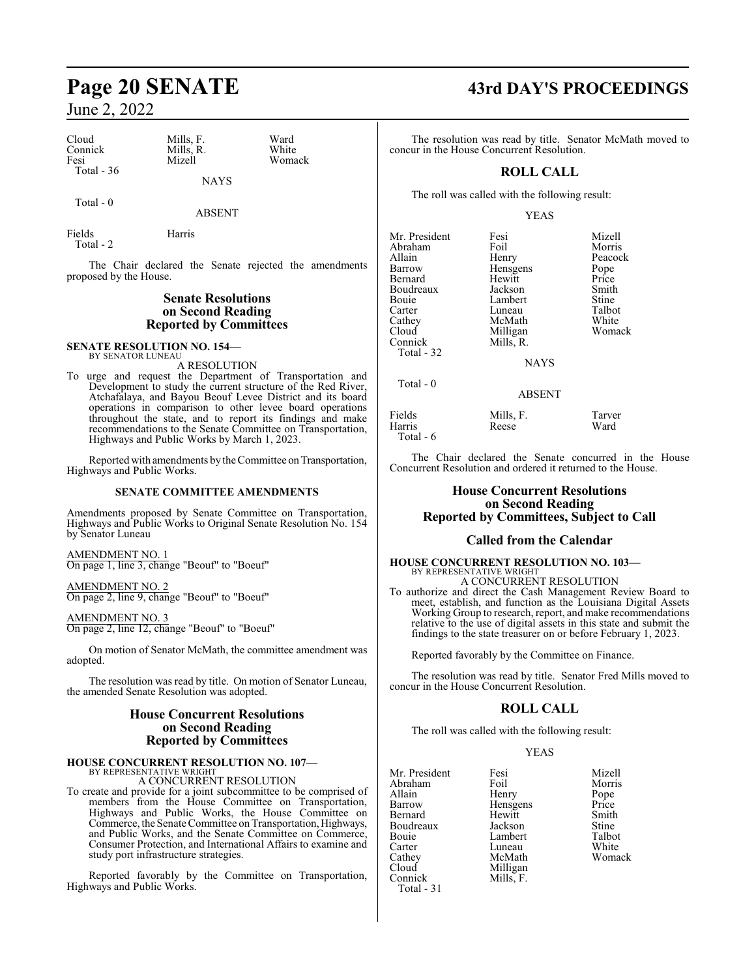| Cloud       | Mills. F. | Ward   |
|-------------|-----------|--------|
| Connick     | Mills. R. | White  |
| Fesi        | Mizell    | Womack |
| Total $-36$ |           |        |
|             | NAYS      |        |

Total - 0

ABSENT

Fields Harris Total - 2

The Chair declared the Senate rejected the amendments proposed by the House.

#### **Senate Resolutions on Second Reading Reported by Committees**

#### **SENATE RESOLUTION NO. 154—** BY SENATOR LUNEAU

A RESOLUTION

To urge and request the Department of Transportation and Development to study the current structure of the Red River, Atchafalaya, and Bayou Beouf Levee District and its board operations in comparison to other levee board operations throughout the state, and to report its findings and make recommendations to the Senate Committee on Transportation, Highways and Public Works by March 1, 2023.

Reported with amendments by the Committee on Transportation, Highways and Public Works.

#### **SENATE COMMITTEE AMENDMENTS**

Amendments proposed by Senate Committee on Transportation, Highways and Public Works to Original Senate Resolution No. 154 by Senator Luneau

AMENDMENT NO. 1 On page 1, line 3, change "Beouf" to "Boeuf"

AMENDMENT NO. 2 On page 2, line 9, change "Beouf" to "Boeuf"

AMENDMENT NO. 3 On page 2, line 12, change "Beouf" to "Boeuf"

On motion of Senator McMath, the committee amendment was adopted.

The resolution was read by title. On motion of Senator Luneau, the amended Senate Resolution was adopted.

#### **House Concurrent Resolutions on Second Reading Reported by Committees**

#### **HOUSE CONCURRENT RESOLUTION NO. 107—** BY REPRESENTATIVE WRIGHT

A CONCURRENT RESOLUTION

To create and provide for a joint subcommittee to be comprised of members from the House Committee on Transportation, Highways and Public Works, the House Committee on Commerce, the Senate Committee on Transportation, Highways, and Public Works, and the Senate Committee on Commerce, Consumer Protection, and International Affairs to examine and study port infrastructure strategies.

Reported favorably by the Committee on Transportation, Highways and Public Works.

# **Page 20 SENATE 43rd DAY'S PROCEEDINGS**

The resolution was read by title. Senator McMath moved to concur in the House Concurrent Resolution.

## **ROLL CALL**

The roll was called with the following result:

#### YEAS

| Mr. President | Fesi          | Mizell  |
|---------------|---------------|---------|
| Abraham       | Foil          | Morris  |
| Allain        | Henry         | Peacock |
| Barrow        | Hensgens      | Pope    |
| Bernard       | Hewitt        | Price   |
| Boudreaux     | Jackson       | Smith   |
| Bouie         | Lambert       | Stine   |
| Carter        | Luneau        | Talbot  |
| Cathey        | McMath        | White   |
| Cloud         | Milligan      | Womack  |
| Connick       | Mills, R.     |         |
| Total - 32    |               |         |
|               | <b>BTATTO</b> |         |

Total - 0

NAYS

ABSENT

| Fields    | Mills, F. | Tarver |
|-----------|-----------|--------|
| Harris    | Reese     | Ward   |
| Total - 6 |           |        |

The Chair declared the Senate concurred in the House Concurrent Resolution and ordered it returned to the House.

#### **House Concurrent Resolutions on Second Reading Reported by Committees, Subject to Call**

#### **Called from the Calendar**

# **HOUSE CONCURRENT RESOLUTION NO. 103—** BY REPRESENTATIVE WRIGHT

A CONCURRENT RESOLUTION To authorize and direct the Cash Management Review Board to meet, establish, and function as the Louisiana Digital Assets Working Group to research, report, and make recommendations relative to the use of digital assets in this state and submit the findings to the state treasurer on or before February 1, 2023.

Reported favorably by the Committee on Finance.

The resolution was read by title. Senator Fred Mills moved to concur in the House Concurrent Resolution.

### **ROLL CALL**

The roll was called with the following result:

YEAS

|           | Mizell           |
|-----------|------------------|
| Foil      | Morris           |
| Henry     | Pope             |
|           | Price            |
| Hewitt    | Smith            |
| Jackson   | Stine            |
| Lambert   | Talbot           |
| Luneau    | White            |
| McMath    | Womack           |
| Milligan  |                  |
| Mills, F. |                  |
|           |                  |
|           | Fesi<br>Hensgens |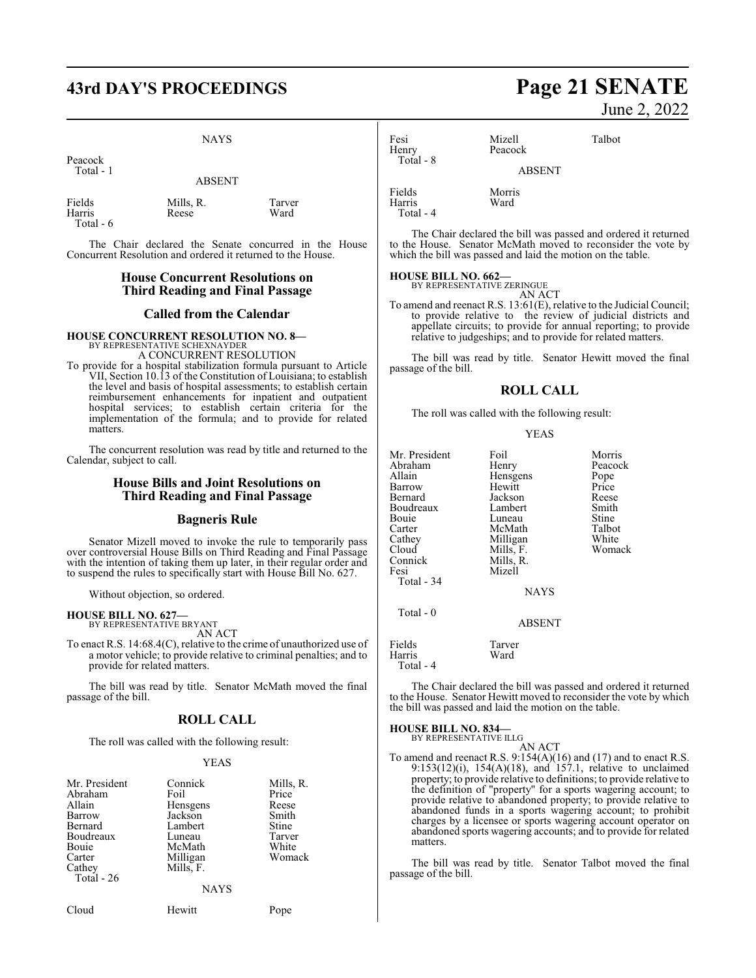# **43rd DAY'S PROCEEDINGS Page 21 SENATE**

#### NAYS

Peacock Total - 1

ABSENT

| Fields    | Mills, R. | Tarver |
|-----------|-----------|--------|
| Harris    | Reese     | Ward   |
| Total - 6 |           |        |

The Chair declared the Senate concurred in the House Concurrent Resolution and ordered it returned to the House.

#### **House Concurrent Resolutions on Third Reading and Final Passage**

#### **Called from the Calendar**

#### **HOUSE CONCURRENT RESOLUTION NO. 8—** BY REPRESENTATIVE SCHEXNAYDEI

A CONCURRENT RESOLUTION

To provide for a hospital stabilization formula pursuant to Article VII, Section 10.13 of the Constitution of Louisiana; to establish the level and basis of hospital assessments; to establish certain reimbursement enhancements for inpatient and outpatient hospital services; to establish certain criteria for the implementation of the formula; and to provide for related matters.

The concurrent resolution was read by title and returned to the Calendar, subject to call.

#### **House Bills and Joint Resolutions on Third Reading and Final Passage**

#### **Bagneris Rule**

Senator Mizell moved to invoke the rule to temporarily pass over controversial House Bills on Third Reading and Final Passage with the intention of taking them up later, in their regular order and to suspend the rules to specifically start with House Bill No. 627.

Without objection, so ordered.

#### **HOUSE BILL NO. 627—** BY REPRESENTATIVE BRYANT

AN ACT

To enact R.S. 14:68.4(C), relative to the crime of unauthorized use of a motor vehicle; to provide relative to criminal penalties; and to provide for related matters.

The bill was read by title. Senator McMath moved the final passage of the bill.

#### **ROLL CALL**

The roll was called with the following result:

#### YEAS

| Mr. President<br>Abraham<br>Allain<br>Barrow<br>Bernard<br>Boudreaux<br><b>Bouje</b><br>Carter<br>Cathey<br>Total $-26$ | Connick<br>Foil<br>Hensgens<br>Jackson<br>Lambert<br>Luneau<br>McMath<br>Milligan<br>Mills, F. | Mills, R.<br>Price<br>Reese<br>Smith<br>Stine<br>Tarver<br>White<br>Womack |
|-------------------------------------------------------------------------------------------------------------------------|------------------------------------------------------------------------------------------------|----------------------------------------------------------------------------|
|                                                                                                                         | <b>NAYS</b>                                                                                    |                                                                            |

Cloud Hewitt Pope

June 2, 2022

| Fesi<br>Henry<br>Total - 8    | Mizell<br>Peacock | Talbot |
|-------------------------------|-------------------|--------|
|                               | <b>ABSENT</b>     |        |
| Fields<br>Harris<br>Total - 4 | Morris<br>Ward    |        |

The Chair declared the bill was passed and ordered it returned to the House. Senator McMath moved to reconsider the vote by which the bill was passed and laid the motion on the table.

#### **HOUSE BILL NO. 662—** BY REPRESENTATIVE ZERINGUE

AN ACT

To amend and reenact R.S. 13:61(E), relative to the Judicial Council; to provide relative to the review of judicial districts and appellate circuits; to provide for annual reporting; to provide relative to judgeships; and to provide for related matters.

The bill was read by title. Senator Hewitt moved the final passage of the bill.

#### **ROLL CALL**

The roll was called with the following result:

|--|

| Mr. President<br>Abraham<br>Allain<br>Barrow<br>Bernard<br>Boudreaux<br>Bouie<br>Carter<br>Cathey<br>Cloud<br>Connick<br>Fesi | Foil<br>Henry<br>Hensgens<br>Hewitt<br>Jackson<br>Lambert<br>Luneau<br>McMath<br>Milligan<br>Mills, F.<br>Mills, R.<br>Mizell | Morris<br>Peacock<br>Pope<br>Price<br>Reese<br>Smith<br>Stine<br>Talbot<br>White<br>Womack |
|-------------------------------------------------------------------------------------------------------------------------------|-------------------------------------------------------------------------------------------------------------------------------|--------------------------------------------------------------------------------------------|
| Total - 34                                                                                                                    | <b>NAYS</b>                                                                                                                   |                                                                                            |
| Total - 0                                                                                                                     | <b>ABSENT</b>                                                                                                                 |                                                                                            |
| Fields<br>Harris<br>Total - 4                                                                                                 | Tarver<br>Ward                                                                                                                |                                                                                            |

The Chair declared the bill was passed and ordered it returned to the House. Senator Hewitt moved to reconsider the vote by which the bill was passed and laid the motion on the table.

#### **HOUSE BILL NO. 834—**

BY REPRESENTATIVE ILLG

AN ACT To amend and reenact R.S.  $9:154(A)(16)$  and  $(17)$  and to enact R.S. 9:153(12)(i), 154(A)(18), and 157.1, relative to unclaimed property; to provide relative to definitions; to provide relative to the definition of "property" for a sports wagering account; to provide relative to abandoned property; to provide relative to abandoned funds in a sports wagering account; to prohibit charges by a licensee or sports wagering account operator on abandoned sports wagering accounts; and to provide for related matters.

The bill was read by title. Senator Talbot moved the final passage of the bill.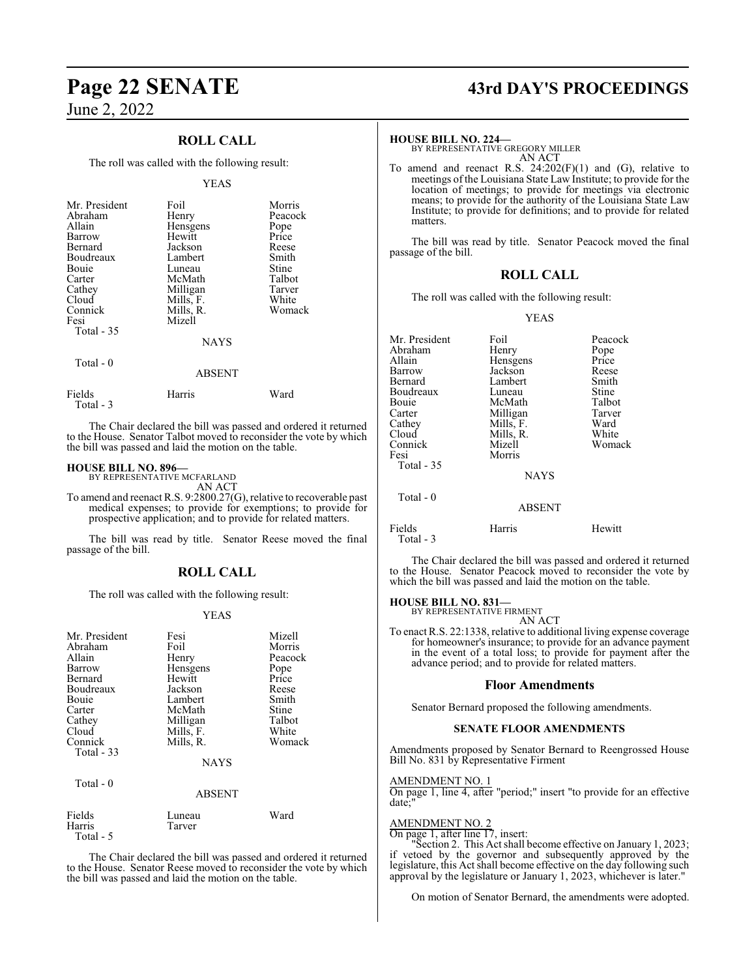## **ROLL CALL**

The roll was called with the following result:

#### YEAS

| Mr. President<br>Abraham<br>Allain<br>Barrow<br>Bernard<br>Boudreaux<br>Bouie<br>Carter<br>Cathey<br>Cloud<br>Connick<br>Fesi<br>Total - 35 | Foil<br>Henry<br>Hensgens<br>Hewitt<br>Jackson<br>Lambert<br>Luneau<br>McMath<br>Milligan<br>Mills, F.<br>Mills, R.<br>Mizell | Morris<br>Peacock<br>Pope<br>Price<br>Reese<br>Smith<br>Stine<br>Talbot<br>Tarver<br>White<br>Womack |
|---------------------------------------------------------------------------------------------------------------------------------------------|-------------------------------------------------------------------------------------------------------------------------------|------------------------------------------------------------------------------------------------------|
|                                                                                                                                             | <b>NAYS</b>                                                                                                                   |                                                                                                      |
| Total $-0$                                                                                                                                  | ABSENT                                                                                                                        |                                                                                                      |

| Fields    | Harris | Ward |
|-----------|--------|------|
| Total - 3 |        |      |

The Chair declared the bill was passed and ordered it returned to the House. Senator Talbot moved to reconsider the vote by which the bill was passed and laid the motion on the table.

#### **HOUSE BILL NO. 896—**

BY REPRESENTATIVE MCFARLAND AN ACT

To amend and reenact R.S. 9:2800.27(G), relative to recoverable past medical expenses; to provide for exemptions; to provide for prospective application; and to provide for related matters.

The bill was read by title. Senator Reese moved the final passage of the bill.

#### **ROLL CALL**

The roll was called with the following result:

#### YEAS

| Mr. President<br>Abraham<br>Allain<br>Barrow<br>Bernard<br>Boudreaux<br><b>Bouje</b><br>Carter<br>Cathey<br>Cloud<br>Connick<br>Total $-33$<br>Total $-0$ | Fesi<br>Foil<br>Henry<br>Hensgens<br>Hewitt<br>Jackson<br>Lambert<br>McMath<br>Milligan<br>Mills, F.<br>Mills, R.<br><b>NAYS</b> | Mizell<br>Morris<br>Peacock<br>Pope<br>Price<br>Reese<br>Smith<br>Stine<br>Talbot<br>White<br>Womack |
|-----------------------------------------------------------------------------------------------------------------------------------------------------------|----------------------------------------------------------------------------------------------------------------------------------|------------------------------------------------------------------------------------------------------|
|                                                                                                                                                           | <b>ABSENT</b>                                                                                                                    |                                                                                                      |
| Fields<br>Harris                                                                                                                                          | Luneau<br>Tarver                                                                                                                 | Ward                                                                                                 |

Total - 5

The Chair declared the bill was passed and ordered it returned to the House. Senator Reese moved to reconsider the vote by which the bill was passed and laid the motion on the table.

# **Page 22 SENATE 43rd DAY'S PROCEEDINGS**

#### **HOUSE BILL NO. 224—**

BY REPRESENTATIVE GREGORY MILLER AN ACT

To amend and reenact R.S.  $24:202(F)(1)$  and (G), relative to meetings of the Louisiana State Law Institute; to provide for the location of meetings; to provide for meetings via electronic means; to provide for the authority of the Louisiana State Law Institute; to provide for definitions; and to provide for related matters.

The bill was read by title. Senator Peacock moved the final passage of the bill.

#### **ROLL CALL**

The roll was called with the following result:

#### YEAS

| Mr. President<br>Abraham<br>Allain<br>Barrow<br>Bernard<br>Boudreaux<br>Bouie<br>Carter<br>Cathey<br>Cloud<br>Connick<br>Fesi<br>Total - 35<br>Total $-0$ | Foil<br>Henry<br>Hensgens<br>Jackson<br>Lambert<br>Luneau<br>McMath<br>Milligan<br>Mills, F.<br>Mills, R.<br>Mizell<br>Morris<br><b>NAYS</b><br><b>ABSENT</b> | Peacock<br>Pope<br>Price<br>Reese<br>Smith<br>Stine<br>Talbot<br>Tarver<br>Ward<br>White<br>Womack |
|-----------------------------------------------------------------------------------------------------------------------------------------------------------|---------------------------------------------------------------------------------------------------------------------------------------------------------------|----------------------------------------------------------------------------------------------------|
|                                                                                                                                                           |                                                                                                                                                               |                                                                                                    |
| Fields<br>Total - 3                                                                                                                                       | Harris                                                                                                                                                        | Hewitt                                                                                             |

The Chair declared the bill was passed and ordered it returned to the House. Senator Peacock moved to reconsider the vote by which the bill was passed and laid the motion on the table.

#### **HOUSE BILL NO. 831—**

BY REPRESENTATIVE FIRMENT AN ACT

To enact R.S. 22:1338, relative to additional living expense coverage for homeowner's insurance; to provide for an advance payment in the event of a total loss; to provide for payment after the advance period; and to provide for related matters.

#### **Floor Amendments**

Senator Bernard proposed the following amendments.

#### **SENATE FLOOR AMENDMENTS**

Amendments proposed by Senator Bernard to Reengrossed House Bill No. 831 by Representative Firment

#### AMENDMENT NO. 1

On page 1, line 4, after "period;" insert "to provide for an effective date;

#### AMENDMENT NO. 2

On page 1, after line 17, insert:

"Section 2. This Act shall become effective on January 1, 2023; if vetoed by the governor and subsequently approved by the legislature, this Act shall become effective on the day following such approval by the legislature or January 1, 2023, whichever is later."

On motion of Senator Bernard, the amendments were adopted.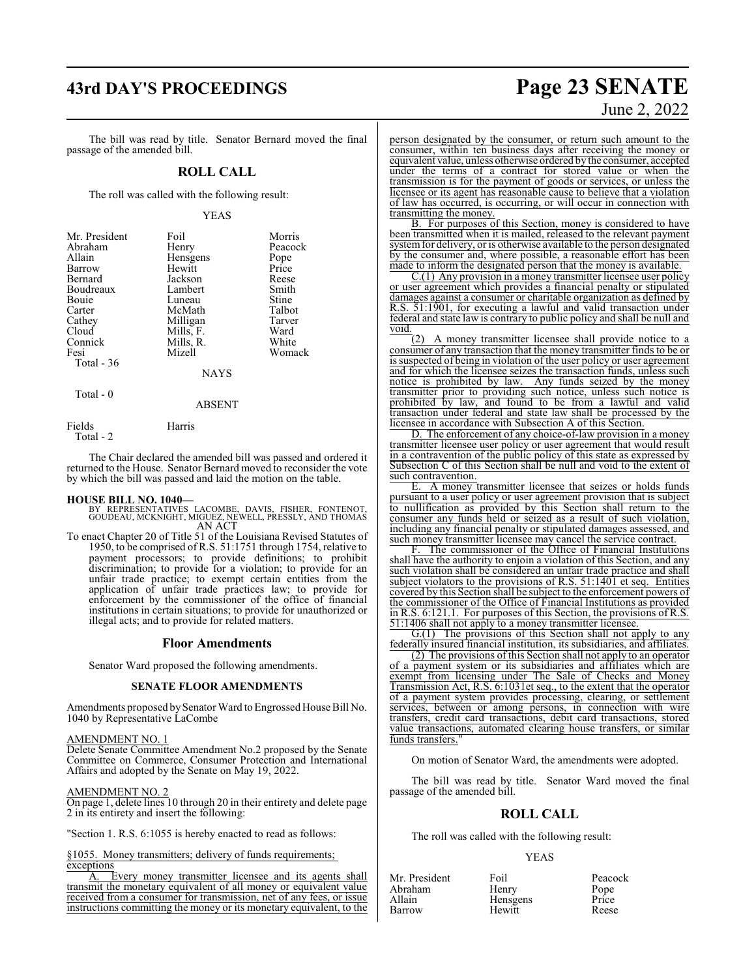# **43rd DAY'S PROCEEDINGS Page 23 SENATE**

The bill was read by title. Senator Bernard moved the final passage of the amended bill.

#### **ROLL CALL**

The roll was called with the following result:

#### YEAS

| Mr. President<br>Abraham<br>Allain<br>Barrow<br>Bernard<br>Boudreaux<br><b>Bouje</b><br>Carter<br>Cathey | Foil<br>Henry<br>Hensgens<br>Hewitt<br>Jackson<br>Lambert<br>Luneau<br>McMath<br>Milligan | Morris<br>Peacock<br>Pope<br>Price<br>Reese<br>Smith<br>Stine<br>Talbot<br>Tarver |
|----------------------------------------------------------------------------------------------------------|-------------------------------------------------------------------------------------------|-----------------------------------------------------------------------------------|
|                                                                                                          |                                                                                           |                                                                                   |
|                                                                                                          |                                                                                           |                                                                                   |
| Cloud                                                                                                    | Mills, F.                                                                                 | Ward                                                                              |
| Connick                                                                                                  | Mills, R.                                                                                 | White                                                                             |
| Fesi                                                                                                     | Mizell                                                                                    | Womack                                                                            |
| Total $-36$                                                                                              | <b>NAYS</b>                                                                               |                                                                                   |

Total - 0

ABSENT

Fields Harris Total - 2

The Chair declared the amended bill was passed and ordered it returned to the House. Senator Bernard moved to reconsider the vote by which the bill was passed and laid the motion on the table.

#### **HOUSE BILL NO. 1040—**

- BY REPRESENTATIVES LACOMBE, DAVIS, FISHER, FONTENOT, GOUDEAU, MCKNIGHT, MIGUEZ, NEWELL, PRESSLY, AND THOMAS AN ACT
- To enact Chapter 20 of Title 51 of the Louisiana Revised Statutes of 1950, to be comprised of R.S. 51:1751 through 1754, relative to payment processors; to provide definitions; to prohibit discrimination; to provide for a violation; to provide for an unfair trade practice; to exempt certain entities from the application of unfair trade practices law; to provide for enforcement by the commissioner of the office of financial institutions in certain situations; to provide for unauthorized or illegal acts; and to provide for related matters.

#### **Floor Amendments**

Senator Ward proposed the following amendments.

#### **SENATE FLOOR AMENDMENTS**

Amendments proposed bySenator Ward to Engrossed House Bill No. 1040 by Representative LaCombe

#### AMENDMENT NO. 1

Delete Senate Committee Amendment No.2 proposed by the Senate Committee on Commerce, Consumer Protection and International Affairs and adopted by the Senate on May 19, 2022.

#### AMENDMENT NO. 2

On page 1, delete lines 10 through 20 in their entirety and delete page 2 in its entirety and insert the following:

"Section 1. R.S. 6:1055 is hereby enacted to read as follows:

§1055. Money transmitters; delivery of funds requirements;  $\frac{\text{exceptions}}{\text{A.}}$  E

Every money transmitter licensee and its agents shall transmit the monetary equivalent of all money or equivalent value received from a consumer for transmission, net of any fees, or issue instructions committing the money or its monetary equivalent, to the

# June 2, 2022

person designated by the consumer, or return such amount to the consumer, within ten business days after receiving the money or equivalent value, unless otherwise ordered by the consumer, accepted under the terms of a contract for stored value or when the transmission is for the payment of goods or services, or unless the licensee or its agent has reasonable cause to believe that a violation of law has occurred, is occurring, or will occur in connection with transmitting the money.

B. For purposes of this Section, money is considered to have been transmitted when it is mailed, released to the relevant payment system for delivery, or is otherwise available to the person designated by the consumer and, where possible, a reasonable effort has been made to inform the designated person that the money is available.

C.(1) Any provision in a money transmitter licensee user policy or user agreement which provides a financial penalty or stipulated damages against a consumer or charitable organization as defined by R.S. 51:1901, for executing a lawful and valid transaction under federal and state law is contrary to public policy and shall be null and void.

(2) A money transmitter licensee shall provide notice to a consumer of any transaction that the money transmitter finds to be or is suspected of being in violation of the user policy or user agreement and for which the licensee seizes the transaction funds, unless such notice is prohibited by law. Any funds seized by the money transmitter prior to providing such notice, unless such notice is prohibited by law, and found to be from a lawful and valid transaction under federal and state law shall be processed by the licensee in accordance with Subsection A of this Section.

D. The enforcement of any choice-of-law provision in a money transmitter licensee user policy or user agreement that would result in a contravention of the public policy of this state as expressed by Subsection C of this Section shall be null and void to the extent of such contravention.

E. A money transmitter licensee that seizes or holds funds pursuant to a user policy or user agreement provision that is subject to nullification as provided by this Section shall return to the consumer any funds held or seized as a result of such violation, including any financial penalty or stipulated damages assessed, and such money transmitter licensee may cancel the service contract.

The commissioner of the Office of Financial Institutions shall have the authority to enjoin a violation of this Section, and any such violation shall be considered an unfair trade practice and shall subject violators to the provisions of R.S. 51:1401 et seq. Entities covered by this Section shall be subject to the enforcement powers of the commissioner of the Office of Financial Institutions as provided in R.S. 6:121.1. For purposes of this Section, the provisions of R.S. 51:1406 shall not apply to a money transmitter licensee.

G.(1) The provisions of this Section shall not apply to any federally insured financial institution, its subsidiaries, and affiliates.

(2) The provisions of this Section shall not apply to an operator of a payment system or its subsidiaries and affiliates which are exempt from licensing under The Sale of Checks and Money Transmission Act, R.S. 6:1031et seq., to the extent that the operator of a payment system provides processing, clearing, or settlement services, between or among persons, in connection with wire transfers, credit card transactions, debit card transactions, stored value transactions, automated clearing house transfers, or similar funds transfers."

On motion of Senator Ward, the amendments were adopted.

The bill was read by title. Senator Ward moved the final passage of the amended bill.

#### **ROLL CALL**

The roll was called with the following result:

#### YEAS

| Mr. President | Foil     | Peacock       |
|---------------|----------|---------------|
| Abraham       | Henry    | Pope<br>Price |
| Allain        | Hensgens |               |
| Barrow        | Hewitt   | Reese         |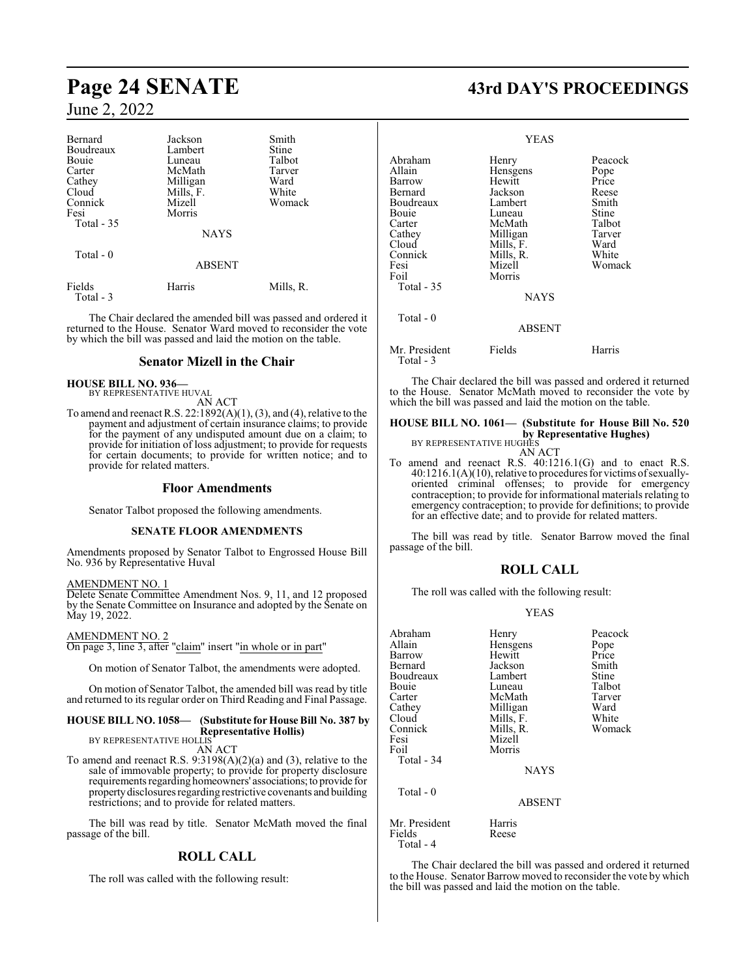| Bernard               | Jackson       | Smith     |
|-----------------------|---------------|-----------|
| Boudreaux             | Lambert       | Stine     |
| <b>Bouje</b>          | Luneau        | Talbot    |
| Carter                | McMath        | Tarver    |
| Cathey                | Milligan      | Ward      |
| Cloud                 | Mills, F.     | White     |
| Connick               | Mizell        | Womack    |
| Fesi                  | Morris        |           |
| Total - 35            |               |           |
|                       | <b>NAYS</b>   |           |
| Total - 0             |               |           |
|                       | <b>ABSENT</b> |           |
| Fields<br>$Total - 3$ | Harris        | Mills, R. |

The Chair declared the amended bill was passed and ordered it returned to the House. Senator Ward moved to reconsider the vote by which the bill was passed and laid the motion on the table.

#### **Senator Mizell in the Chair**

#### **HOUSE BILL NO. 936—**

BY REPRESENTATIVE HUVAL AN ACT

To amend and reenact R.S. 22:1892(A)(1), (3), and (4), relative to the payment and adjustment of certain insurance claims; to provide for the payment of any undisputed amount due on a claim; to provide for initiation of loss adjustment; to provide for requests for certain documents; to provide for written notice; and to provide for related matters.

#### **Floor Amendments**

Senator Talbot proposed the following amendments.

#### **SENATE FLOOR AMENDMENTS**

Amendments proposed by Senator Talbot to Engrossed House Bill No. 936 by Representative Huval

#### AMENDMENT NO. 1

Delete Senate Committee Amendment Nos. 9, 11, and 12 proposed by the Senate Committee on Insurance and adopted by the Senate on May 19, 2022.

AMENDMENT NO. 2

On page 3, line 3, after "claim" insert "in whole or in part"

On motion of Senator Talbot, the amendments were adopted.

On motion of Senator Talbot, the amended bill was read by title and returned to its regular order on Third Reading and Final Passage.

#### **HOUSE BILL NO. 1058— (Substitute for House Bill No. 387 by Representative Hollis)**

BY REPRESENTATIVE HOLLIS AN ACT

To amend and reenact R.S. 9:3198(A)(2)(a) and (3), relative to the sale of immovable property; to provide for property disclosure requirements regarding homeowners' associations;to provide for propertydisclosures regarding restrictive covenants and building restrictions; and to provide for related matters.

The bill was read by title. Senator McMath moved the final passage of the bill.

### **ROLL CALL**

The roll was called with the following result:

# **Page 24 SENATE 43rd DAY'S PROCEEDINGS**

|                                                                                                                                     | <b>YEAS</b>                                                                                                                                    |                                                                                                    |
|-------------------------------------------------------------------------------------------------------------------------------------|------------------------------------------------------------------------------------------------------------------------------------------------|----------------------------------------------------------------------------------------------------|
| Abraham<br>Allain<br>Barrow<br>Bernard<br>Boudreaux<br>Bouie<br>Carter<br>Cathey<br>Cloud<br>Connick<br>Fesi<br>Foil<br>Total $-35$ | Henry<br>Hensgens<br>Hewitt<br>Jackson<br>Lambert<br>Luneau<br>McMath<br>Milligan<br>Mills, F.<br>Mills, R.<br>Mizell<br>Morris<br><b>NAYS</b> | Peacock<br>Pope<br>Price<br>Reese<br>Smith<br>Stine<br>Talbot<br>Tarver<br>Ward<br>White<br>Womack |
| Total - 0                                                                                                                           | <b>ABSENT</b>                                                                                                                                  |                                                                                                    |
| Mr. President<br>Total - 3                                                                                                          | Fields                                                                                                                                         | Harris                                                                                             |

The Chair declared the bill was passed and ordered it returned to the House. Senator McMath moved to reconsider the vote by which the bill was passed and laid the motion on the table.

**HOUSE BILL NO. 1061— (Substitute for House Bill No. 520 by Representative Hughes)** BY REPRESENTATIVE HUGHES

AN ACT

To amend and reenact R.S. 40:1216.1(G) and to enact R.S. 40:1216.1(A)(10), relative to procedures for victims ofsexuallyoriented criminal offenses; to provide for emergency contraception; to provide for informational materials relating to emergency contraception; to provide for definitions; to provide for an effective date; and to provide for related matters.

The bill was read by title. Senator Barrow moved the final passage of the bill.

#### **ROLL CALL**

The roll was called with the following result:

#### YEAS

| Abraham<br>Allain<br>Barrow<br>Bernard<br>Boudreaux<br>Bouie<br>Carter | Henry<br>Hensgens<br>Hewitt<br>Jackson<br>Lambert<br>Luneau<br>McMath | Peacock<br>Pope<br>Price<br>Smith<br>Stine<br>Talbot<br>Tarver |
|------------------------------------------------------------------------|-----------------------------------------------------------------------|----------------------------------------------------------------|
| Cathey<br>Cloud<br>Connick<br>Fesi<br>Foil<br>Total - 34               | Milligan<br>Mills, F.<br>Mills, R.<br>Mizell<br>Morris<br><b>NAYS</b> | Ward<br>White<br>Womack                                        |
| Total - 0                                                              | ABSENT                                                                |                                                                |
| Mr. President<br>Fields<br>Total - 4                                   | Harris<br>Reese                                                       |                                                                |

The Chair declared the bill was passed and ordered it returned to the House. Senator Barrow moved to reconsider the vote by which the bill was passed and laid the motion on the table.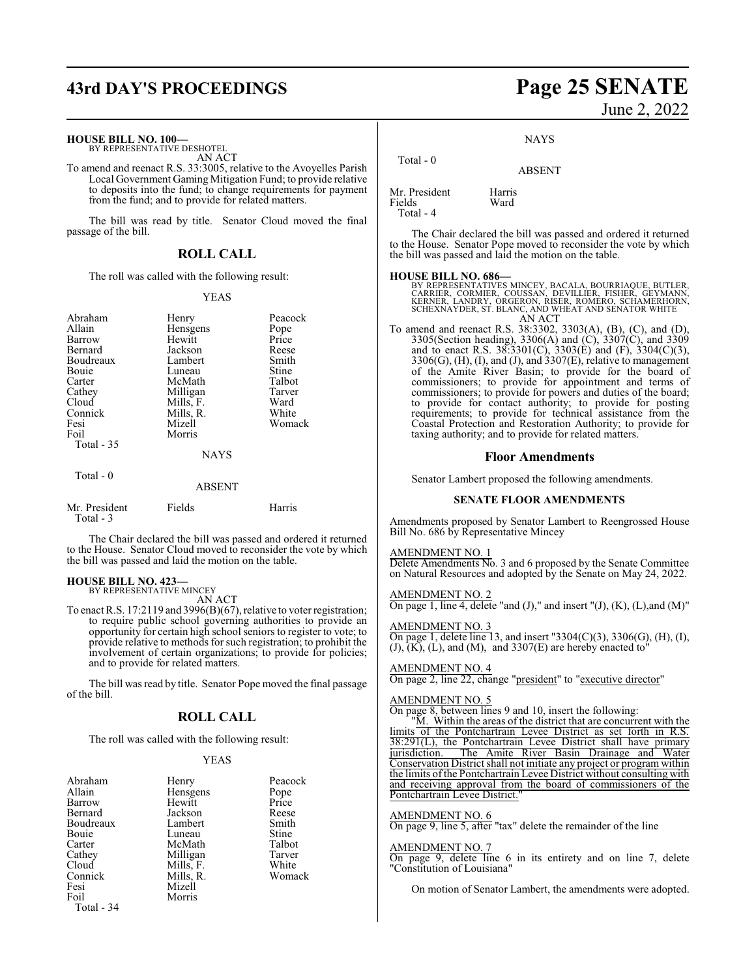# **43rd DAY'S PROCEEDINGS Page 25 SENATE**

#### **HOUSE BILL NO. 100—**

BY REPRESENTATIVE DESHOTEL AN ACT

To amend and reenact R.S. 33:3005, relative to the Avoyelles Parish Local Government Gaming Mitigation Fund; to provide relative to deposits into the fund; to change requirements for payment from the fund; and to provide for related matters.

The bill was read by title. Senator Cloud moved the final passage of the bill.

#### **ROLL CALL**

The roll was called with the following result:

#### YEAS

| Abraham<br>Allain<br>Barrow<br>Bernard<br>Boudreaux<br>Bouie<br>Carter<br>Cathey<br>Cloud<br>Connick<br>Fesi<br>Foil<br><b>Total - 35</b><br>Total $-0$ | Henry<br>Hensgens<br>Hewitt<br>Jackson<br>Lambert<br>Luneau<br>McMath<br>Milligan<br>Mills, F.<br>Mills, R.<br>Mizell<br>Morris<br><b>NAYS</b><br><b>ABSENT</b> | Peacock<br>Pope<br>Price<br>Reese<br>Smith<br>Stine<br>Talbot<br>Tarver<br>Ward<br>White<br>Womack |
|---------------------------------------------------------------------------------------------------------------------------------------------------------|-----------------------------------------------------------------------------------------------------------------------------------------------------------------|----------------------------------------------------------------------------------------------------|
|                                                                                                                                                         |                                                                                                                                                                 |                                                                                                    |
| Mr. President<br>Total - 3                                                                                                                              | Fields                                                                                                                                                          | Harris                                                                                             |

The Chair declared the bill was passed and ordered it returned to the House. Senator Cloud moved to reconsider the vote by which the bill was passed and laid the motion on the table.

## **HOUSE BILL NO. 423—** BY REPRESENTATIVE MINCEY

AN ACT

To enact R.S. 17:2119 and 3996(B)(67), relative to voter registration; to require public school governing authorities to provide an opportunity for certain high school seniors to register to vote; to provide relative to methods forsuch registration; to prohibit the involvement of certain organizations; to provide for policies; and to provide for related matters.

The bill was read by title. Senator Pope moved the final passage of the bill.

#### **ROLL CALL**

The roll was called with the following result:

#### YEAS

| Abraham    | Henry     | Peacock       |
|------------|-----------|---------------|
| Allain     | Hensgens  |               |
| Barrow     | Hewitt    | Pope<br>Price |
| Bernard    | Jackson   | Reese         |
| Boudreaux  | Lambert   | Smith         |
| Bouie      | Luneau    | Stine         |
| Carter     | McMath    | Talbot        |
| Cathey     | Milligan  | Tarver        |
| Cloud      | Mills, F. | White         |
| Connick    | Mills, R. | Womack        |
| Fesi       | Mizell    |               |
| Foil       | Morris    |               |
| Total - 34 |           |               |

# June 2, 2022

**NAYS** 

ABSENT

| TOtal - V                            |                |
|--------------------------------------|----------------|
| Mr. President<br>Fields<br>Total - 4 | Harris<br>Ward |

 $T - 1 - 0$ 

The Chair declared the bill was passed and ordered it returned to the House. Senator Pope moved to reconsider the vote by which the bill was passed and laid the motion on the table.

**HOUSE BILL NO. 686—**<br>BY REPRESENTATIVES MINCEY, BACALA, BOURRIAQUE, BUTLER,<br>CARRIER, CORMIER, COUSSAN, DEVILLIER, FISHER, GEYMANN,<br>KERNER, LANDRY, ORGERON, RISER, ROMERO, SCHAMERHORN,<br>SCHEXNAYDER, ST. BLANC, AND WHEAT AND AN ACT

To amend and reenact R.S. 38:3302, 3303(A), (B), (C), and (D), 3305(Section heading), 3306(A) and (C), 3307(C), and 3309 and to enact R.S. 38:3301(C), 3303(E) and (F), 3304(C)(3), 3306(G), (H), (I), and (J), and 3307(E), relative to management of the Amite River Basin; to provide for the board of commissioners; to provide for appointment and terms of commissioners; to provide for powers and duties of the board; to provide for contact authority; to provide for posting requirements; to provide for technical assistance from the Coastal Protection and Restoration Authority; to provide for taxing authority; and to provide for related matters.

#### **Floor Amendments**

Senator Lambert proposed the following amendments.

#### **SENATE FLOOR AMENDMENTS**

Amendments proposed by Senator Lambert to Reengrossed House Bill No. 686 by Representative Mincey

#### AMENDMENT NO. 1

Delete Amendments No. 3 and 6 proposed by the Senate Committee on Natural Resources and adopted by the Senate on May 24, 2022.

AMENDMENT NO. 2

On page 1, line 4, delete "and  $(J)$ ," and insert " $(J)$ ,  $(K)$ ,  $(L)$ , and  $(M)$ "

#### AMENDMENT NO. 3

On page 1, delete line 13, and insert "3304(C)(3), 3306(G), (H), (I),  $(J)$ ,  $(K)$ ,  $(L)$ , and  $(M)$ , and  $3307(E)$  are hereby enacted to

#### AMENDMENT NO. 4

On page 2, line 22, change "president" to "executive director"

#### AMENDMENT NO. 5

On page 8, between lines 9 and 10, insert the following:

"M. Within the areas of the district that are concurrent with the limits of the Pontchartrain Levee District as set forth in R.S. 38:291(L), the Pontchartrain Levee District shall have primary jurisdiction. The Amite River Basin Drainage and Water The Amite River Basin Drainage and Water Conservation District shall not initiate any project or program within the limits ofthe Pontchartrain Levee District without consulting with and receiving approval from the board of commissioners of the Pontchartrain Levee District."

## AMENDMENT NO. 6 On page 9, line 5, after "tax" delete the remainder of the line

AMENDMENT NO. 7 On page 9, delete line 6 in its entirety and on line 7, delete "Constitution of Louisiana"

On motion of Senator Lambert, the amendments were adopted.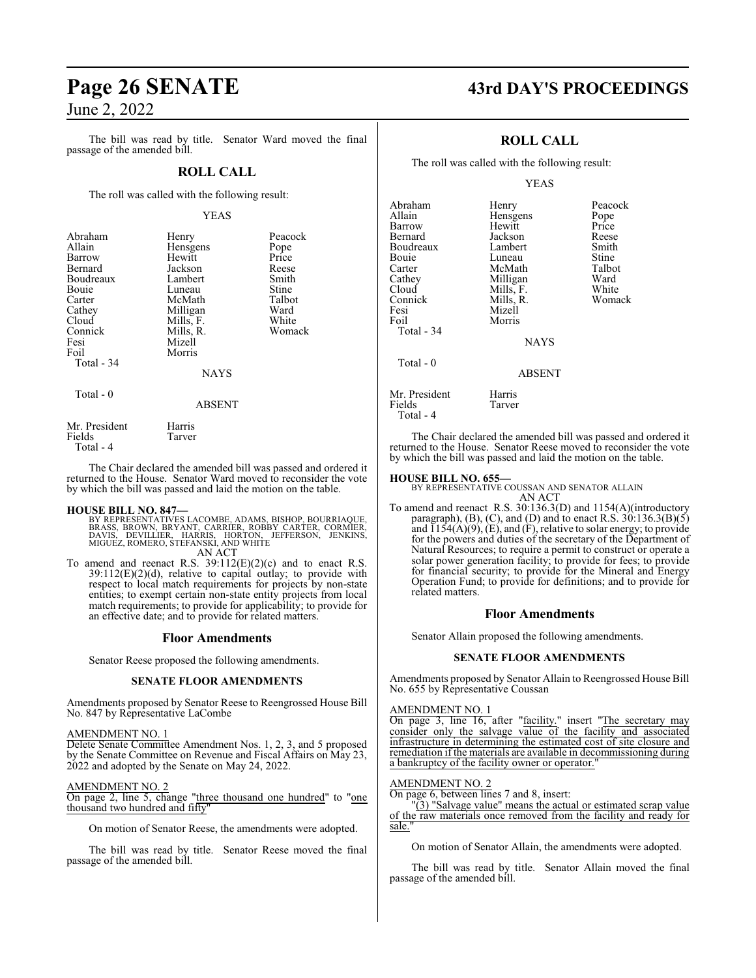The bill was read by title. Senator Ward moved the final passage of the amended bill.

#### **ROLL CALL**

The roll was called with the following result:

#### YEAS

| Abraham<br>Allain<br>Barrow<br>Bernard<br>Boudreaux<br><b>Bouje</b><br>Carter<br>Cathey<br>Cloud<br>Connick<br>Fesi<br>Foil | Henry<br>Hensgens<br>Hewitt<br>Jackson<br>Lambert<br>Luneau<br>McMath<br>Milligan<br>Mills, F.<br>Mills, R.<br>Mizell<br>Morris | Peacock<br>Pope<br>Price<br>Reese<br>Smith<br>Stine<br>Talbot<br>Ward<br>White<br>Womack |
|-----------------------------------------------------------------------------------------------------------------------------|---------------------------------------------------------------------------------------------------------------------------------|------------------------------------------------------------------------------------------|
| Total - 34                                                                                                                  | <b>NAYS</b>                                                                                                                     |                                                                                          |
| $Total - 0$                                                                                                                 |                                                                                                                                 |                                                                                          |

Total - 0

ABSENT

| Mr. President | Harris |
|---------------|--------|
| Fields        | Tarver |
| Total - 4     |        |

The Chair declared the amended bill was passed and ordered it returned to the House. Senator Ward moved to reconsider the vote by which the bill was passed and laid the motion on the table.

**HOUSE BILL NO. 847—**<br>BY REPRESENTATIVES LACOMBE, ADAMS, BISHOP, BOURRIAQUE,<br>BRASS, BROWN, BRYANT, CARRIER, ROBBY CARTER, CORMIER,<br>DAVIS, DEVILLIER, HARRIS, HORTON, JEFFERSON, JENKINS,<br>MIGUEZ, ROMERO, STEFANSKI, AND WHITE AN ACT

To amend and reenact R.S. 39:112(E)(2)(c) and to enact R.S. 39:112(E)(2)(d), relative to capital outlay; to provide with respect to local match requirements for projects by non-state entities; to exempt certain non-state entity projects from local match requirements; to provide for applicability; to provide for an effective date; and to provide for related matters.

#### **Floor Amendments**

Senator Reese proposed the following amendments.

#### **SENATE FLOOR AMENDMENTS**

Amendments proposed by Senator Reese to Reengrossed House Bill No. 847 by Representative LaCombe

#### AMENDMENT NO. 1

Delete Senate Committee Amendment Nos. 1, 2, 3, and 5 proposed by the Senate Committee on Revenue and Fiscal Affairs on May 23, 2022 and adopted by the Senate on May 24, 2022.

#### AMENDMENT NO. 2

On page 2, line 5, change "three thousand one hundred" to "one thousand two hundred and fifty"

On motion of Senator Reese, the amendments were adopted.

The bill was read by title. Senator Reese moved the final passage of the amended bill.

# **Page 26 SENATE 43rd DAY'S PROCEEDINGS**

## **ROLL CALL**

The roll was called with the following result:

#### YEAS

| Abraham<br>Allain<br>Barrow<br>Bernard<br>Boudreaux<br>Bouie<br>Carter<br>Cathey<br>Cloud<br>Connick | Henry<br>Hensgens<br>Hewitt<br>Jackson<br>Lambert<br>Luneau<br>McMath<br>Milligan<br>Mills, F.<br>Mills, R. | Peacock<br>Pope<br>Price<br>Reese<br>Smith<br>Stine<br>Talbot<br>Ward<br>White<br>Womack |
|------------------------------------------------------------------------------------------------------|-------------------------------------------------------------------------------------------------------------|------------------------------------------------------------------------------------------|
| Fesi<br>Foil<br>Total - 34                                                                           | Mizell<br>Morris<br><b>NAYS</b>                                                                             |                                                                                          |
| Total - 0                                                                                            | <b>ABSENT</b>                                                                                               |                                                                                          |
| Mr. President<br>Fields<br>Total - 4                                                                 | Harris<br>Tarver                                                                                            |                                                                                          |

The Chair declared the amended bill was passed and ordered it returned to the House. Senator Reese moved to reconsider the vote by which the bill was passed and laid the motion on the table.

#### **HOUSE BILL NO. 655—**

BY REPRESENTATIVE COUSSAN AND SENATOR ALLAIN AN ACT

To amend and reenact R.S. 30:136.3(D) and 1154(A)(introductory paragraph),  $(B)$ ,  $(C)$ , and  $(D)$  and to enact R.S. 30:136.3 $(B)(5)$ and  $\overline{1154(A)(9)}$ , (E), and (F), relative to solar energy; to provide for the powers and duties of the secretary of the Department of Natural Resources; to require a permit to construct or operate a solar power generation facility; to provide for fees; to provide for financial security; to provide for the Mineral and Energy Operation Fund; to provide for definitions; and to provide for related matters.

#### **Floor Amendments**

Senator Allain proposed the following amendments.

#### **SENATE FLOOR AMENDMENTS**

Amendments proposed by Senator Allain to Reengrossed House Bill No. 655 by Representative Coussan

#### AMENDMENT NO. 1

On page 3, line 16, after "facility." insert "The secretary may consider only the salvage value of the facility and associated infrastructure in determining the estimated cost of site closure and remediation if the materials are available in decommissioning during a bankruptcy of the facility owner or operator.

#### AMENDMENT NO. 2

On page 6, between lines 7 and 8, insert:

"(3) "Salvage value" means the actual or estimated scrap value of the raw materials once removed from the facility and ready for sale.

On motion of Senator Allain, the amendments were adopted.

The bill was read by title. Senator Allain moved the final passage of the amended bill.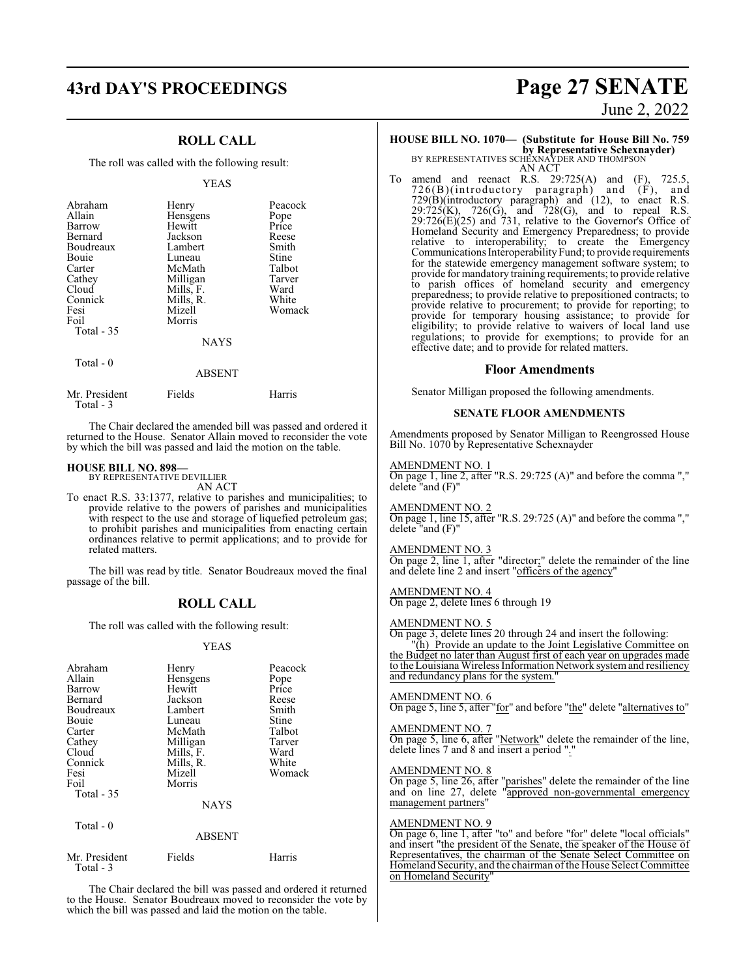# **43rd DAY'S PROCEEDINGS Page 27 SENATE**

## **ROLL CALL**

The roll was called with the following result:

#### YEAS

| Abraham     | Henry       | Peacock |
|-------------|-------------|---------|
| Allain      | Hensgens    | Pope    |
| Barrow      | Hewitt      | Price   |
| Bernard     | Jackson     | Reese   |
| Boudreaux   | Lambert     | Smith   |
| Bouie       | Luneau      | Stine   |
| Carter      | McMath      | Talbot  |
| Cathey      | Milligan    | Tarver  |
| Cloud       | Mills, F.   | Ward    |
| Connick     | Mills, R.   | White   |
| Fesi        | Mizell      | Womack  |
| Foil        | Morris      |         |
| Total $-35$ |             |         |
|             | <b>NAYS</b> |         |
| Total $-0$  |             |         |
|             | ABSENT      |         |

| Harris |
|--------|
| Fields |

The Chair declared the amended bill was passed and ordered it returned to the House. Senator Allain moved to reconsider the vote by which the bill was passed and laid the motion on the table.

#### **HOUSE BILL NO. 898—**

BY REPRESENTATIVE DEVILLIER AN ACT

To enact R.S. 33:1377, relative to parishes and municipalities; to provide relative to the powers of parishes and municipalities with respect to the use and storage of liquefied petroleum gas; to prohibit parishes and municipalities from enacting certain ordinances relative to permit applications; and to provide for related matters.

The bill was read by title. Senator Boudreaux moved the final passage of the bill.

#### **ROLL CALL**

The roll was called with the following result:

#### YEAS

| Abraham<br>Allain<br>Barrow<br>Bernard<br>Boudreaux<br>Bouie<br>Carter<br>Cathey<br>Cloud<br>Connick<br>Fesi<br>Foil | Henry<br>Hensgens<br>Hewitt<br>Jackson<br>Lambert<br>Luneau<br>McMath<br>Milligan<br>Mills, F.<br>Mills, R.<br>Mizell<br>Morris | Peacock<br>Pope<br>Price<br>Reese<br>Smith<br>Stine<br>Talbot<br>Tarver<br>Ward<br>White<br>Womack |
|----------------------------------------------------------------------------------------------------------------------|---------------------------------------------------------------------------------------------------------------------------------|----------------------------------------------------------------------------------------------------|
| Total $-35$                                                                                                          | <b>NAYS</b>                                                                                                                     |                                                                                                    |
| Total $-0$                                                                                                           | <b>ABSENT</b>                                                                                                                   |                                                                                                    |
| Mr. President                                                                                                        | Fields                                                                                                                          | Harris                                                                                             |

Total - 3

The Chair declared the bill was passed and ordered it returned to the House. Senator Boudreaux moved to reconsider the vote by which the bill was passed and laid the motion on the table.

## June 2, 2022

## **HOUSE BILL NO. 1070— (Substitute for House Bill No. 759**

**by Representative Schexnayder)**<br>BY REPRESENTATIVES SCHEXNAYDER AND THOMPSON

AN ACT

To amend and reenact R.S. 29:725(A) and (F), 725.5, 726(B)(introductory paragraph) and (F), and 729(B)(introductory paragraph) and (12), to enact R.S.  $29:725(K)$ ,  $726(G)$ , and  $728(G)$ , and to repeal R.S.  $29:726(E)(25)$  and 731, relative to the Governor's Office of Homeland Security and Emergency Preparedness; to provide relative to interoperability; to create the Emergency Communications Interoperability Fund; to provide requirements for the statewide emergency management software system; to provide for mandatory training requirements; to provide relative to parish offices of homeland security and emergency preparedness; to provide relative to prepositioned contracts; to provide relative to procurement; to provide for reporting; to provide for temporary housing assistance; to provide for eligibility; to provide relative to waivers of local land use regulations; to provide for exemptions; to provide for an effective date; and to provide for related matters.

#### **Floor Amendments**

Senator Milligan proposed the following amendments.

#### **SENATE FLOOR AMENDMENTS**

Amendments proposed by Senator Milligan to Reengrossed House Bill No. 1070 by Representative Schexnayder

#### AMENDMENT NO. 1

On page 1, line 2, after "R.S. 29:725 (A)" and before the comma "," delete "and (F)"

#### AMENDMENT NO. 2

On page 1, line 15, after "R.S. 29:725 (A)" and before the comma "," delete "and (F)"

#### AMENDMENT NO. 3

On page 2, line 1, after "director;" delete the remainder of the line and delete line 2 and insert "officers of the agency"

#### AMENDMENT NO. 4

On page 2, delete lines 6 through 19

#### AMENDMENT NO. 5

On page 3, delete lines 20 through 24 and insert the following: "(h) Provide an update to the Joint Legislative Committee on the Budget no later than August first of each year on upgrades made to the Louisiana Wireless Information Network systemand resiliency and redundancy plans for the system.

#### AMENDMENT NO. 6

On page 5, line 5, after "for" and before "the" delete "alternatives to"

AMENDMENT NO. 7 On page 5, line 6, after "Network" delete the remainder of the line, delete lines 7 and 8 and insert a period "."

#### AMENDMENT NO. 8

On page 5, line 26, after "parishes" delete the remainder of the line and on line 27, delete "approved non-governmental emergency management partners"

#### AMENDMENT NO. 9

On page 6, line 1, after "to" and before "for" delete "local officials" and insert "the president of the Senate, the speaker of the House of Representatives, the chairman of the Senate Select Committee on Homeland Security, and the chairman ofthe House Select Committee on Homeland Security"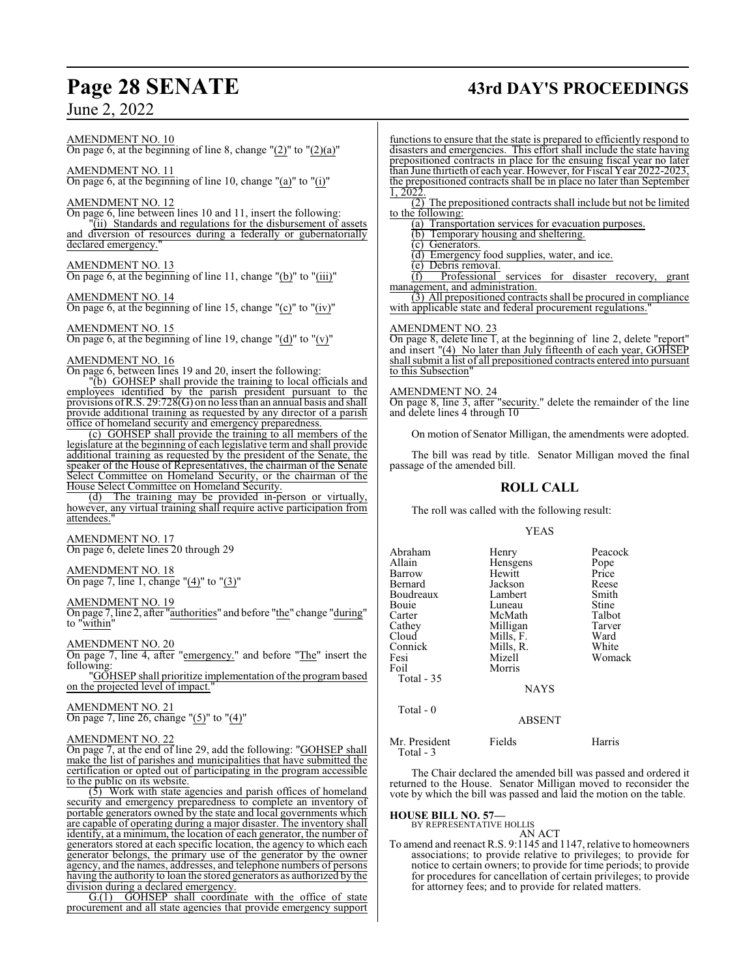#### AMENDMENT NO. 10 On page 6, at the beginning of line 8, change  $"(2)"$  to  $"(2)(a)"$

AMENDMENT NO. 11 On page 6, at the beginning of line 10, change "(a)" to "(i)"

#### AMENDMENT NO. 12

On page 6, line between lines 10 and 11, insert the following: (ii) Standards and regulations for the disbursement of assets and diversion of resources during a federally or gubernatorially declared emergency.

#### AMENDMENT NO. 13

On page 6, at the beginning of line 11, change "(b)" to "(iii)"

#### AMENDMENT NO. 14

On page 6, at the beginning of line 15, change "(c)" to "(iv)"

#### AMENDMENT NO. 15

On page 6, at the beginning of line 19, change " $(d)$ " to " $(v)$ "

#### AMENDMENT NO. 16

On page 6, between lines 19 and 20, insert the following:

"(b) GOHSEP shall provide the training to local officials and employees identified by the parish president pursuant to the provisions ofR.S. 29:728(G) on no less than an annual basis and shall provide additional training as requested by any director of a parish office of homeland security and emergency preparedness.

(c) GOHSEP shall provide the training to all members of the legislature at the beginning of each legislative term and shall provide additional training as requested by the president of the Senate, the speaker of the House of Representatives, the chairman of the Senate Select Committee on Homeland Security, or the chairman of the House Select Committee on Homeland Security.

(d) The training may be provided in-person or virtually, however, any virtual training shall require active participation from attendees."

## AMENDMENT NO. 17

On page 6, delete lines 20 through 29

#### AMENDMENT NO. 18

On page 7, line 1, change " $(4)$ " to " $(3)$ "

#### AMENDMENT NO. 19

On page 7, line 2, after "authorities" and before "the" change "during" to "within"

#### AMENDMENT NO. 20

On page 7, line 4, after "emergency." and before "The" insert the following:

"GOHSEP shall prioritize implementation of the program based on the projected level of impact."

#### AMENDMENT NO. 21

On page 7, line 26, change "(5)" to "(4)"

#### AMENDMENT NO. 22

On page 7, at the end of line 29, add the following: "GOHSEP shall make the list of parishes and municipalities that have submitted the certification or opted out of participating in the program accessible to the public on its website.

(5) Work with state agencies and parish offices of homeland security and emergency preparedness to complete an inventory of portable generators owned by the state and local governments which are capable of operating during a major disaster. The inventory shall identify, at a minimum, the location of each generator, the number of generators stored at each specific location, the agency to which each generator belongs, the primary use of the generator by the owner agency, and the names, addresses, and telephone numbers of persons having the authority to loan the stored generators as authorized by the division during a declared emergency.

G.(1) GOHSEP shall coordinate with the office of state procurement and all state agencies that provide emergency support functions to ensure that the state is prepared to efficiently respond to disasters and emergencies. This effort shall include the state having prepositioned contracts in place for the ensuing fiscal year no later than June thirtieth of each year. However, for Fiscal Year 2022-2023, the prepositioned contracts shall be in place no later than September 1, 2022.

(2) The prepositioned contracts shall include but not be limited to the following:

(a) Transportation services for evacuation purposes.

(b) Temporary housing and sheltering.

(c) Generators.

(d) Emergency food supplies, water, and ice.

(e) Debris removal.<br>(f) Professional

Professional services for disaster recovery, grant management, and administration.

(3) All prepositioned contracts shall be procured in compliance with applicable state and federal procurement regulations.

#### AMENDMENT NO. 23

On page 8, delete line 1, at the beginning of line 2, delete "report" and insert "(4) No later than July fifteenth of each year, GOHSEP shall submit a list of all prepositioned contracts entered into pursuant to this Subsection

#### AMENDMENT NO. 24

On page 8, line 3, after "security." delete the remainder of the line and delete lines 4 through 10

On motion of Senator Milligan, the amendments were adopted.

The bill was read by title. Senator Milligan moved the final passage of the amended bill.

## **ROLL CALL**

The roll was called with the following result:

#### YEAS

| Abraham    | Henry       | Peacock |
|------------|-------------|---------|
| Allain     | Hensgens    | Pope    |
| Barrow     | Hewitt      | Price   |
| Bernard    | Jackson     | Reese   |
| Boudreaux  | Lambert     | Smith   |
| Bouie      | Luneau      | Stine   |
| Carter     | McMath      | Talbot  |
| Cathey     | Milligan    | Tarver  |
| Cloud      | Mills, F.   | Ward    |
| Connick    | Mills, R.   | White   |
| Fesi       | Mizell      | Womack  |
| Foil       | Morris      |         |
| Total - 35 |             |         |
|            | <b>NAYS</b> |         |
|            |             |         |

#### ABSENT

Mr. President Fields Harris Total - 3

Total - 0

The Chair declared the amended bill was passed and ordered it returned to the House. Senator Milligan moved to reconsider the vote by which the bill was passed and laid the motion on the table.

# **HOUSE BILL NO. 57—** BY REPRESENTATIVE HOLLIS

AN ACT

To amend and reenact R.S. 9:1145 and 1147, relative to homeowners associations; to provide relative to privileges; to provide for notice to certain owners; to provide for time periods; to provide for procedures for cancellation of certain privileges; to provide for attorney fees; and to provide for related matters.

# **Page 28 SENATE 43rd DAY'S PROCEEDINGS**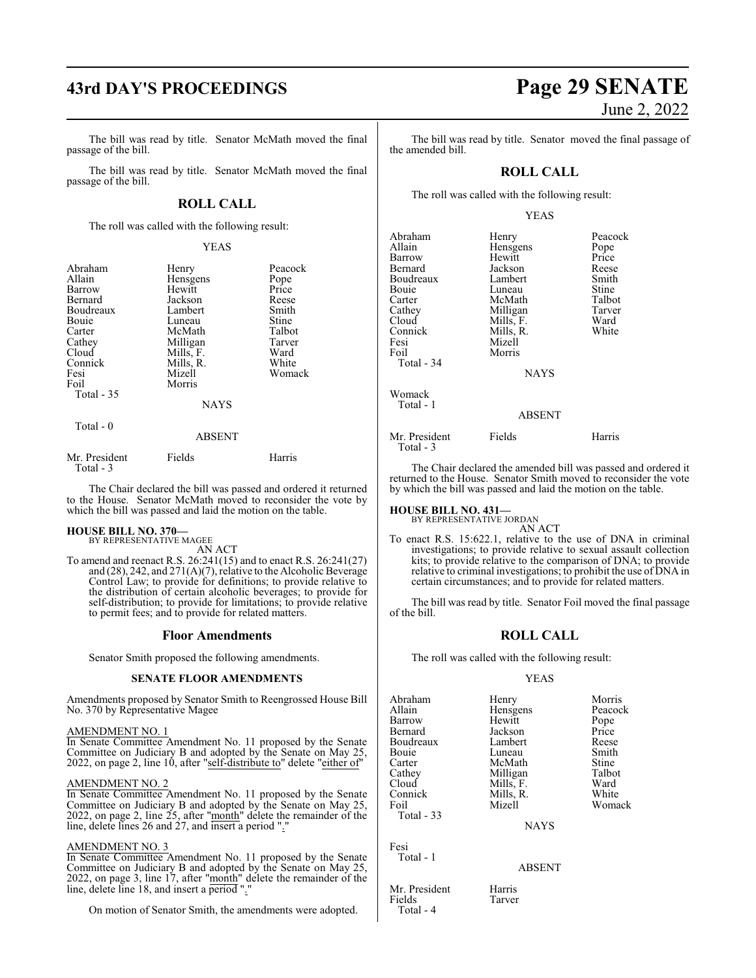# **43rd DAY'S PROCEEDINGS Page 29 SENATE**

The bill was read by title. Senator McMath moved the final passage of the bill.

The bill was read by title. Senator McMath moved the final passage of the bill.

### **ROLL CALL**

The roll was called with the following result:

#### YEAS

| Abraham<br>Allain<br>Barrow<br>Bernard<br>Boudreaux<br>Bouie<br>Carter<br>Cathey<br>Cloud<br>Connick | Henry<br>Hensgens<br>Hewitt<br>Jackson<br>Lambert<br>Luneau<br>McMath<br>Milligan<br>Mills, F.<br>Mills, R. | Peacock<br>Pope<br>Price<br>Reese<br>Smith<br>Stine<br>Talbot<br>Tarver<br>Ward<br>White |
|------------------------------------------------------------------------------------------------------|-------------------------------------------------------------------------------------------------------------|------------------------------------------------------------------------------------------|
| Fesi<br>Foil                                                                                         | Mizell<br>Morris                                                                                            | Womack                                                                                   |
| Total $-35$                                                                                          | <b>NAYS</b>                                                                                                 |                                                                                          |
| Total - 0                                                                                            | <b>ABSENT</b>                                                                                               |                                                                                          |
| Mr. President<br>Total - 3                                                                           | Fields                                                                                                      | Harris                                                                                   |

The Chair declared the bill was passed and ordered it returned to the House. Senator McMath moved to reconsider the vote by which the bill was passed and laid the motion on the table.

#### **HOUSE BILL NO. 370—** BY REPRESENTATIVE MAGEE

AN ACT

To amend and reenact R.S. 26:241(15) and to enact R.S. 26:241(27) and (28), 242, and 271(A)(7), relative to the Alcoholic Beverage Control Law; to provide for definitions; to provide relative to the distribution of certain alcoholic beverages; to provide for self-distribution; to provide for limitations; to provide relative to permit fees; and to provide for related matters.

#### **Floor Amendments**

Senator Smith proposed the following amendments.

#### **SENATE FLOOR AMENDMENTS**

Amendments proposed by Senator Smith to Reengrossed House Bill No. 370 by Representative Magee

#### AMENDMENT NO. 1

In Senate Committee Amendment No. 11 proposed by the Senate Committee on Judiciary B and adopted by the Senate on May 25, 2022, on page 2, line 10, after "self-distribute to" delete "either of"

#### AMENDMENT NO. 2

In Senate Committee Amendment No. 11 proposed by the Senate Committee on Judiciary B and adopted by the Senate on May 25, 2022, on page 2, line 25, after "month" delete the remainder of the line, delete lines 26 and 27, and insert a period "."

#### AMENDMENT NO. 3

In Senate Committee Amendment No. 11 proposed by the Senate Committee on Judiciary B and adopted by the Senate on May 25, 2022, on page 3, line 17, after "month" delete the remainder of the line, delete line 18, and insert a period "."

On motion of Senator Smith, the amendments were adopted.

# June 2, 2022

The bill was read by title. Senator moved the final passage of the amended bill.

#### **ROLL CALL**

The roll was called with the following result:

#### YEAS

| Abraham<br>Allain<br>Barrow<br>Bernard<br>Boudreaux<br>Bouie<br>Carter<br>Cathey<br>Cloud<br>Connick<br>Fesi<br>Foil<br>Total - 34 | Henry<br>Hensgens<br>Hewitt<br>Jackson<br>Lambert<br>Luneau<br>McMath<br>Milligan<br>Mills, F.<br>Mills, R.<br>Mizell<br>Morris<br><b>NAYS</b> | Peacock<br>Pope<br>Price<br>Reese<br>Smith<br>Stine<br>Talbot<br>Tarver<br>Ward<br>White |
|------------------------------------------------------------------------------------------------------------------------------------|------------------------------------------------------------------------------------------------------------------------------------------------|------------------------------------------------------------------------------------------|
| Womack<br>Total - 1                                                                                                                | <b>ABSENT</b>                                                                                                                                  |                                                                                          |
| Mr. President<br>Total - 3                                                                                                         | Fields                                                                                                                                         | Harris                                                                                   |

The Chair declared the amended bill was passed and ordered it returned to the House. Senator Smith moved to reconsider the vote by which the bill was passed and laid the motion on the table.

# **HOUSE BILL NO. 431—** BY REPRESENTATIVE JORDAN

AN ACT

To enact R.S. 15:622.1, relative to the use of DNA in criminal investigations; to provide relative to sexual assault collection kits; to provide relative to the comparison of DNA; to provide relative to criminal investigations; to prohibit the use of DNA in certain circumstances; and to provide for related matters.

The bill was read by title. Senator Foil moved the final passage of the bill.

#### **ROLL CALL**

The roll was called with the following result:

#### YEAS

| Abraham    | Henry       | Morris  |
|------------|-------------|---------|
| Allain     | Hensgens    | Peacock |
| Barrow     | Hewitt      | Pope    |
| Bernard    | Jackson     | Price   |
| Boudreaux  | Lambert     | Reese   |
| Bouie      | Luneau      | Smith   |
| Carter     | McMath      | Stine   |
| Cathey     | Milligan    | Talbot  |
| Cloud      | Mills, F.   | Ward    |
| Connick    | Mills, R.   | White   |
| Foil       | Mizell      | Womack  |
| Total - 33 |             |         |
|            | <b>NAYS</b> |         |
|            |             |         |

Fesi Total - 1

Total - 4

#### ABSENT

Mr. President Harris<br>Fields Tarver Tarver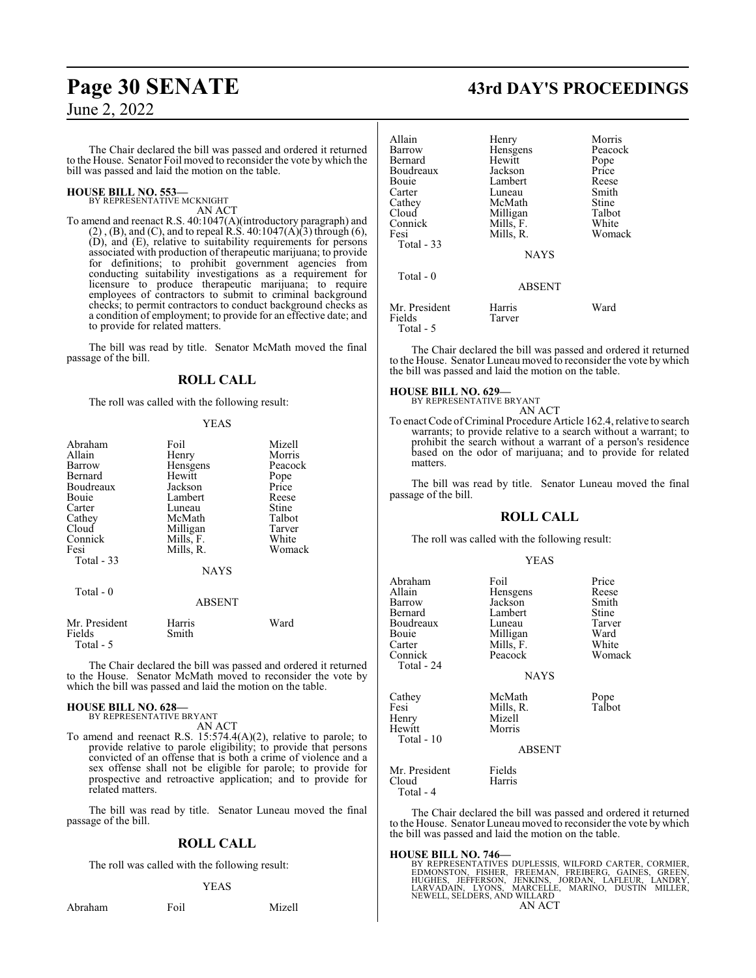The Chair declared the bill was passed and ordered it returned to the House. Senator Foil moved to reconsider the vote by which the bill was passed and laid the motion on the table.

#### **HOUSE BILL NO. 553—** BY REPRESENTATIVE MCKNIGHT

AN ACT

To amend and reenact R.S. 40:1047(A)(introductory paragraph) and  $(2)$ ,  $(B)$ , and  $(C)$ , and to repeal R.S. 40:1047 $(A)$  $(3)$  through  $(6)$ , (D), and (E), relative to suitability requirements for persons associated with production of therapeutic marijuana; to provide for definitions; to prohibit government agencies from conducting suitability investigations as a requirement for licensure to produce therapeutic marijuana; to require employees of contractors to submit to criminal background checks; to permit contractors to conduct background checks as a condition of employment; to provide for an effective date; and to provide for related matters.

The bill was read by title. Senator McMath moved the final passage of the bill.

### **ROLL CALL**

The roll was called with the following result:

#### YEAS

| Abraham<br>Allain<br>Barrow<br>Bernard<br>Boudreaux<br>Bouie<br>Carter<br>Cathey<br>Cloud<br>Connick<br>Fesi<br>Total $-33$ | Foil<br>Henry<br>Hensgens<br>Hewitt<br>Jackson<br>Lambert<br>Luneau<br>McMath<br>Milligan<br>Mills, F.<br>Mills, R.<br><b>NAYS</b> | Mizell<br>Morris<br>Peacock<br>Pope<br>Price<br>Reese<br>Stine<br>Talbot<br>Tarver<br>White<br>Womack |
|-----------------------------------------------------------------------------------------------------------------------------|------------------------------------------------------------------------------------------------------------------------------------|-------------------------------------------------------------------------------------------------------|
| Total $-0$                                                                                                                  | <b>ABSENT</b>                                                                                                                      |                                                                                                       |
| Mr. President<br>Fields<br>Total - 5                                                                                        | Harris<br>Smith                                                                                                                    | Ward                                                                                                  |

The Chair declared the bill was passed and ordered it returned to the House. Senator McMath moved to reconsider the vote by which the bill was passed and laid the motion on the table.

#### **HOUSE BILL NO. 628—** BY REPRESENTATIVE BRYANT

AN ACT

To amend and reenact R.S. 15:574.4(A)(2), relative to parole; to provide relative to parole eligibility; to provide that persons convicted of an offense that is both a crime of violence and a sex offense shall not be eligible for parole; to provide for prospective and retroactive application; and to provide for related matters.

The bill was read by title. Senator Luneau moved the final passage of the bill.

## **ROLL CALL**

The roll was called with the following result:

#### YEAS

Abraham Foil Mizell

## **Page 30 SENATE 43rd DAY'S PROCEEDINGS**

| Allain            | Henry         | Morris  |
|-------------------|---------------|---------|
| Barrow            | Hensgens      | Peacock |
| Bernard           | Hewitt        | Pope    |
| Boudreaux         | Jackson       | Price   |
|                   |               |         |
| Bouie             | Lambert       | Reese   |
| Carter            | Luneau        | Smith   |
| Cathey            | McMath        | Stine   |
| Cloud             | Milligan      | Talbot  |
| Connick           | Mills, F.     | White   |
| Fesi              | Mills, R.     | Womack  |
| <b>Total - 33</b> |               |         |
|                   | <b>NAYS</b>   |         |
| Total $-0$        |               |         |
|                   | <b>ABSENT</b> |         |
| Mr. President     | Harris        | Ward    |
| Fields            | Tarver        |         |
| Total - 5         |               |         |

The Chair declared the bill was passed and ordered it returned to the House. Senator Luneau moved to reconsider the vote bywhich the bill was passed and laid the motion on the table.

#### **HOUSE BILL NO. 629—**

BY REPRESENTATIVE BRYANT AN ACT

To enact Code of Criminal Procedure Article 162.4, relative to search warrants; to provide relative to a search without a warrant; to prohibit the search without a warrant of a person's residence based on the odor of marijuana; and to provide for related matters.

The bill was read by title. Senator Luneau moved the final passage of the bill.

### **ROLL CALL**

The roll was called with the following result:

#### YEAS

| Abraham<br>Allain<br>Barrow<br>Bernard<br>Boudreaux<br>Bouie<br>Carter<br>Connick<br>Total - 24 | Foil<br>Hensgens<br>Jackson<br>Lambert<br>Luneau<br>Milligan<br>Mills, F.<br>Peacock<br><b>NAYS</b> | Price<br>Reese<br>Smith<br>Stine<br>Tarver<br>Ward<br>White<br>Womack |
|-------------------------------------------------------------------------------------------------|-----------------------------------------------------------------------------------------------------|-----------------------------------------------------------------------|
| Cathey<br>Fesi<br>Henry<br>Hewitt<br>Total - 10                                                 | McMath<br>Mills, R.<br>Mizell<br>Morris<br><b>ABSENT</b>                                            | Pope<br>Talbot                                                        |
| Mr. President<br>Cloud                                                                          | Fields<br>Harris                                                                                    |                                                                       |

Total - 4

The Chair declared the bill was passed and ordered it returned to the House. Senator Luneau moved to reconsider the vote by which the bill was passed and laid the motion on the table.

**HOUSE BILL NO. 746—** BY REPRESENTATIVES DUPLESSIS, WILFORD CARTER, CORMIER, EDMONSTON, FISHER, FREEMAN, FREIBERG, GAINES, GREEN,<br>HUGHES, JEFFERSON, JENKINS, JORDAN, LAFLEUR, LANDRY,<br>LARVADAIN, LYONS, MARCELLE, MARINO, DUSTIN MILLER,<br>NEWELL,SELDERS,ANDWILLARD AN ACT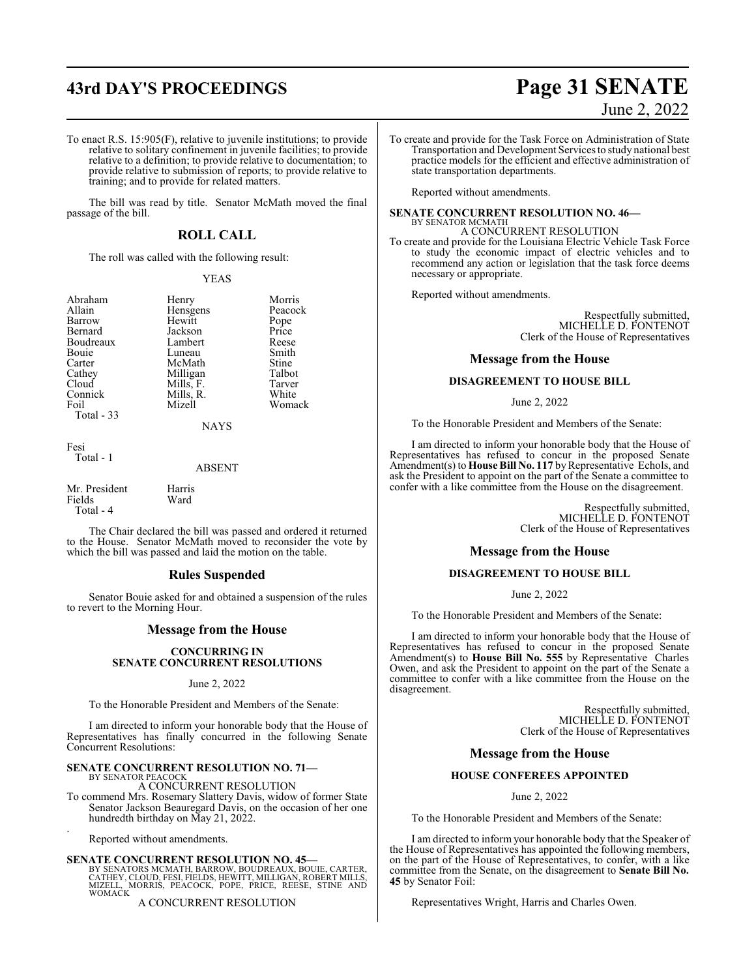To enact R.S. 15:905(F), relative to juvenile institutions; to provide relative to solitary confinement in juvenile facilities; to provide relative to a definition; to provide relative to documentation; to provide relative to submission of reports; to provide relative to training; and to provide for related matters.

The bill was read by title. Senator McMath moved the final passage of the bill.

## **ROLL CALL**

The roll was called with the following result:

#### YEAS

| Abraham    | Henry     | Morris        |
|------------|-----------|---------------|
| Allain     | Hensgens  | Peacock       |
| Barrow     | Hewitt    |               |
| Bernard    | Jackson   | Pope<br>Price |
| Boudreaux  | Lambert   | Reese         |
| Bouie      | Luneau    | Smith         |
| Carter     | McMath    | Stine         |
| Cathey     | Milligan  | Talbot        |
| Cloud      | Mills, F. | Tarver        |
| Connick    | Mills, R. | White         |
| Foil       | Mizell    | Womack        |
| Total - 33 |           |               |
|            | NAYS      |               |

Fesi Total - 1

#### ABSENT

Mr. President Harris<br>Fields Ward Fields Total - 4

The Chair declared the bill was passed and ordered it returned to the House. Senator McMath moved to reconsider the vote by which the bill was passed and laid the motion on the table.

#### **Rules Suspended**

Senator Bouie asked for and obtained a suspension of the rules to revert to the Morning Hour.

#### **Message from the House**

#### **CONCURRING IN SENATE CONCURRENT RESOLUTIONS**

#### June 2, 2022

To the Honorable President and Members of the Senate:

I am directed to inform your honorable body that the House of Representatives has finally concurred in the following Senate Concurrent Resolutions:

#### **SENATE CONCURRENT RESOLUTION NO. 71—**

BY SENATOR PEACOCK A CONCURRENT RESOLUTION

To commend Mrs. Rosemary Slattery Davis, widow of former State Senator Jackson Beauregard Davis, on the occasion of her one hundredth birthday on May 21, 2022. .

Reported without amendments.

#### **SENATE CONCURRENT RESOLUTION NO. 45—**

BY SENATORS MCMATH, BARROW, BOUDREAUX, BOUIE, CARTER,<br>CATHEY, CLOUD, FESI, FIELDS, HEWITT, MILLIGAN, ROBERT MILLS,<br>MIZELL, MORRIS, PEACOCK, POPE, PRICE, REESE, STINE AND **WOMACK** 

#### A CONCURRENT RESOLUTION

# **43rd DAY'S PROCEEDINGS Page 31 SENATE** June 2, 2022

To create and provide for the Task Force on Administration of State Transportation and Development Services to study national best practice models for the efficient and effective administration of state transportation departments.

Reported without amendments.

## **SENATE CONCURRENT RESOLUTION NO. 46—** BY SENATOR MCMATH A CONCURRENT RESOLUTION

To create and provide for the Louisiana Electric Vehicle Task Force to study the economic impact of electric vehicles and to recommend any action or legislation that the task force deems necessary or appropriate.

Reported without amendments.

Respectfully submitted, MICHELLE D. FONTENOT Clerk of the House of Representatives

#### **Message from the House**

#### **DISAGREEMENT TO HOUSE BILL**

June 2, 2022

To the Honorable President and Members of the Senate:

I am directed to inform your honorable body that the House of Representatives has refused to concur in the proposed Senate Amendment(s) to **House Bill No. 117** by Representative Echols, and ask the President to appoint on the part of the Senate a committee to confer with a like committee from the House on the disagreement.

> Respectfully submitted, MICHELLE D. FONTENOT Clerk of the House of Representatives

#### **Message from the House**

#### **DISAGREEMENT TO HOUSE BILL**

June 2, 2022

To the Honorable President and Members of the Senate:

I am directed to inform your honorable body that the House of Representatives has refused to concur in the proposed Senate Amendment(s) to **House Bill No. 555** by Representative Charles Owen, and ask the President to appoint on the part of the Senate a committee to confer with a like committee from the House on the disagreement.

> Respectfully submitted, MICHELLE D. FONTENOT Clerk of the House of Representatives

#### **Message from the House**

#### **HOUSE CONFEREES APPOINTED**

June 2, 2022

To the Honorable President and Members of the Senate:

I am directed to inform your honorable body that the Speaker of the House of Representatives has appointed the following members, on the part of the House of Representatives, to confer, with a like committee from the Senate, on the disagreement to **Senate Bill No. 45** by Senator Foil:

Representatives Wright, Harris and Charles Owen.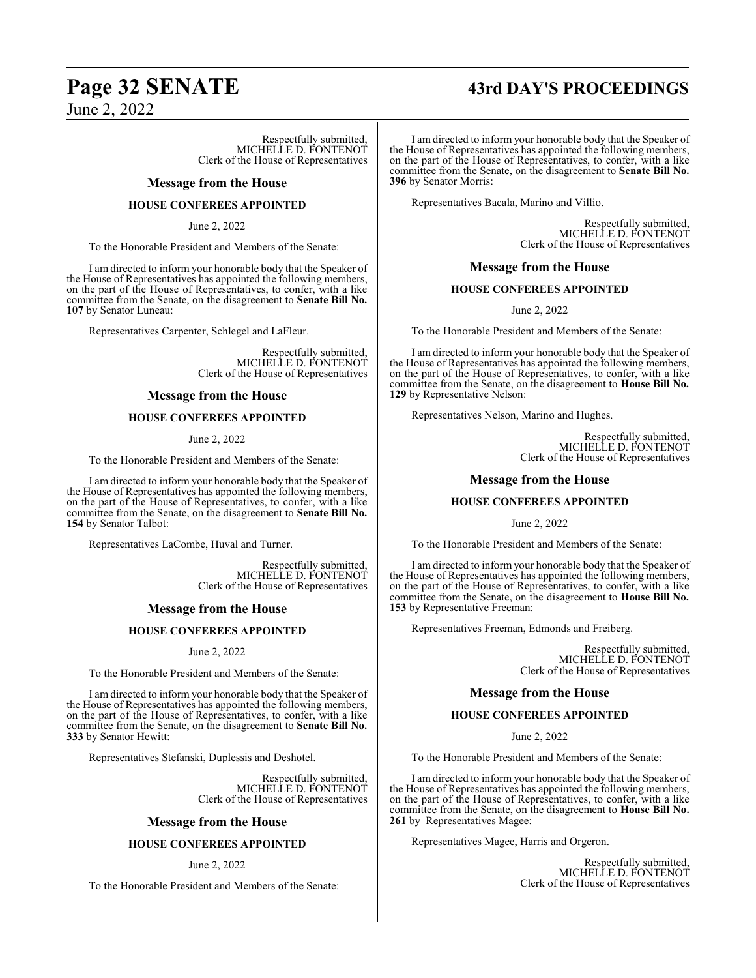# **Page 32 SENATE 43rd DAY'S PROCEEDINGS**

June 2, 2022

Respectfully submitted, MICHELLE D. FONTENOT Clerk of the House of Representatives

#### **Message from the House**

#### **HOUSE CONFEREES APPOINTED**

June 2, 2022

To the Honorable President and Members of the Senate:

I am directed to inform your honorable body that the Speaker of the House of Representatives has appointed the following members, on the part of the House of Representatives, to confer, with a like committee from the Senate, on the disagreement to **Senate Bill No. 107** by Senator Luneau:

Representatives Carpenter, Schlegel and LaFleur.

Respectfully submitted, MICHELLE D. FONTENOT Clerk of the House of Representatives

#### **Message from the House**

#### **HOUSE CONFEREES APPOINTED**

June 2, 2022

To the Honorable President and Members of the Senate:

I am directed to inform your honorable body that the Speaker of the House of Representatives has appointed the following members, on the part of the House of Representatives, to confer, with a like committee from the Senate, on the disagreement to **Senate Bill No. 154** by Senator Talbot:

Representatives LaCombe, Huval and Turner.

Respectfully submitted, MICHELLE D. FONTENOT Clerk of the House of Representatives

#### **Message from the House**

#### **HOUSE CONFEREES APPOINTED**

June 2, 2022

To the Honorable President and Members of the Senate:

I am directed to inform your honorable body that the Speaker of the House of Representatives has appointed the following members, on the part of the House of Representatives, to confer, with a like committee from the Senate, on the disagreement to **Senate Bill No. 333** by Senator Hewitt:

Representatives Stefanski, Duplessis and Deshotel.

Respectfully submitted, MICHELLE D. FONTENOT Clerk of the House of Representatives

#### **Message from the House**

#### **HOUSE CONFEREES APPOINTED**

June 2, 2022

To the Honorable President and Members of the Senate:

I am directed to inform your honorable body that the Speaker of the House of Representatives has appointed the following members, on the part of the House of Representatives, to confer, with a like committee from the Senate, on the disagreement to **Senate Bill No. 396** by Senator Morris:

Representatives Bacala, Marino and Villio.

Respectfully submitted, MICHELLE D. FONTENOT Clerk of the House of Representatives

#### **Message from the House**

#### **HOUSE CONFEREES APPOINTED**

June 2, 2022

To the Honorable President and Members of the Senate:

I am directed to inform your honorable body that the Speaker of the House of Representatives has appointed the following members, on the part of the House of Representatives, to confer, with a like committee from the Senate, on the disagreement to **House Bill No. 129** by Representative Nelson:

Representatives Nelson, Marino and Hughes.

Respectfully submitted, MICHELLE D. FONTENOT Clerk of the House of Representatives

#### **Message from the House**

#### **HOUSE CONFEREES APPOINTED**

June 2, 2022

To the Honorable President and Members of the Senate:

I am directed to inform your honorable body that the Speaker of the House of Representatives has appointed the following members, on the part of the House of Representatives, to confer, with a like committee from the Senate, on the disagreement to **House Bill No. 153** by Representative Freeman:

Representatives Freeman, Edmonds and Freiberg.

Respectfully submitted, MICHELLE D. FONTENOT Clerk of the House of Representatives

#### **Message from the House**

#### **HOUSE CONFEREES APPOINTED**

June 2, 2022

To the Honorable President and Members of the Senate:

I am directed to inform your honorable body that the Speaker of the House of Representatives has appointed the following members, on the part of the House of Representatives, to confer, with a like committee from the Senate, on the disagreement to **House Bill No. 261** by Representatives Magee:

Representatives Magee, Harris and Orgeron.

Respectfully submitted, MICHELLE D. FONTENOT Clerk of the House of Representatives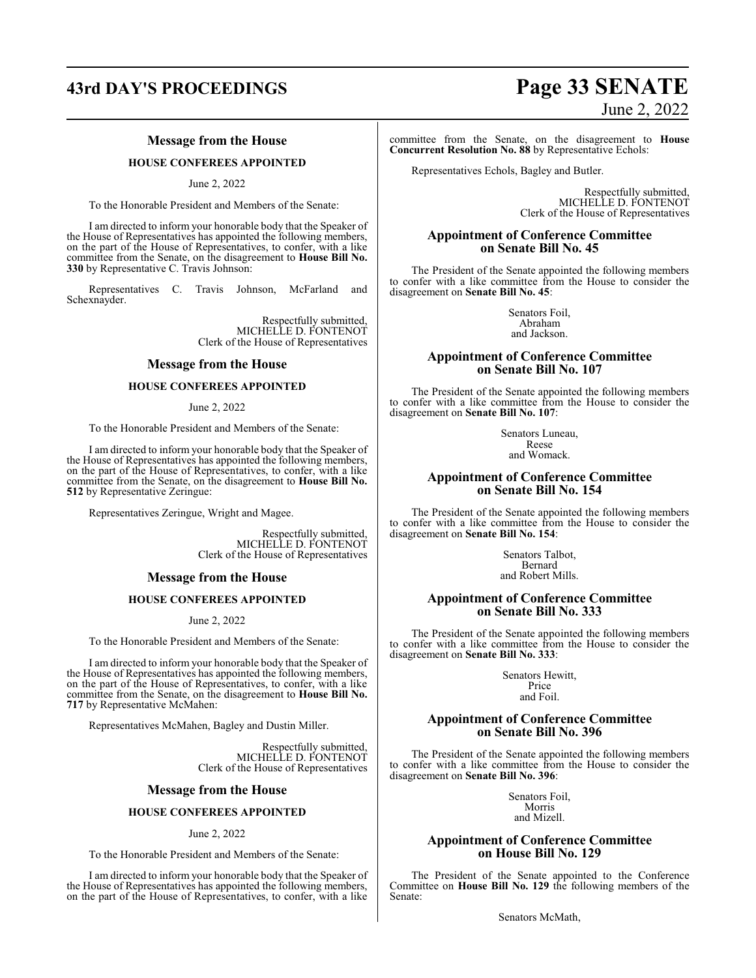# **43rd DAY'S PROCEEDINGS Page 33 SENATE**

#### **Message from the House**

#### **HOUSE CONFEREES APPOINTED**

#### June 2, 2022

To the Honorable President and Members of the Senate:

I am directed to inform your honorable body that the Speaker of the House of Representatives has appointed the following members, on the part of the House of Representatives, to confer, with a like committee from the Senate, on the disagreement to **House Bill No. 330** by Representative C. Travis Johnson:

Representatives C. Travis Johnson, McFarland and Schexnayder.

> Respectfully submitted, MICHELLE D. FONTENOT Clerk of the House of Representatives

#### **Message from the House**

#### **HOUSE CONFEREES APPOINTED**

June 2, 2022

To the Honorable President and Members of the Senate:

I am directed to inform your honorable body that the Speaker of the House of Representatives has appointed the following members, on the part of the House of Representatives, to confer, with a like committee from the Senate, on the disagreement to **House Bill No. 512** by Representative Zeringue:

Representatives Zeringue, Wright and Magee.

Respectfully submitted, MICHELLE D. FONTENOT Clerk of the House of Representatives

#### **Message from the House**

#### **HOUSE CONFEREES APPOINTED**

June 2, 2022

To the Honorable President and Members of the Senate:

I am directed to inform your honorable body that the Speaker of the House of Representatives has appointed the following members, on the part of the House of Representatives, to confer, with a like committee from the Senate, on the disagreement to **House Bill No. 717** by Representative McMahen:

Representatives McMahen, Bagley and Dustin Miller.

Respectfully submitted, MICHELLE D. FONTENOT Clerk of the House of Representatives

#### **Message from the House**

#### **HOUSE CONFEREES APPOINTED**

June 2, 2022

To the Honorable President and Members of the Senate:

I am directed to inform your honorable body that the Speaker of the House of Representatives has appointed the following members, on the part of the House of Representatives, to confer, with a like

# June 2, 2022

committee from the Senate, on the disagreement to **House Concurrent Resolution No. 88** by Representative Echols:

Representatives Echols, Bagley and Butler.

Respectfully submitted, MICHELLE D. FONTENOT Clerk of the House of Representatives

#### **Appointment of Conference Committee on Senate Bill No. 45**

The President of the Senate appointed the following members to confer with a like committee from the House to consider the disagreement on **Senate Bill No. 45**:

> Senators Foil, Abraham and Jackson.

#### **Appointment of Conference Committee on Senate Bill No. 107**

The President of the Senate appointed the following members to confer with a like committee from the House to consider the disagreement on **Senate Bill No. 107**:

> Senators Luneau, Reese and Womack.

#### **Appointment of Conference Committee on Senate Bill No. 154**

The President of the Senate appointed the following members to confer with a like committee from the House to consider the disagreement on **Senate Bill No. 154**:

> Senators Talbot, Bernard and Robert Mills.

#### **Appointment of Conference Committee on Senate Bill No. 333**

The President of the Senate appointed the following members to confer with a like committee from the House to consider the disagreement on **Senate Bill No. 333**:

> Senators Hewitt, Price and Foil.

#### **Appointment of Conference Committee on Senate Bill No. 396**

The President of the Senate appointed the following members to confer with a like committee from the House to consider the disagreement on **Senate Bill No. 396**:

> Senators Foil, Morris and Mizell.

#### **Appointment of Conference Committee on House Bill No. 129**

The President of the Senate appointed to the Conference Committee on **House Bill No. 129** the following members of the Senate:

Senators McMath,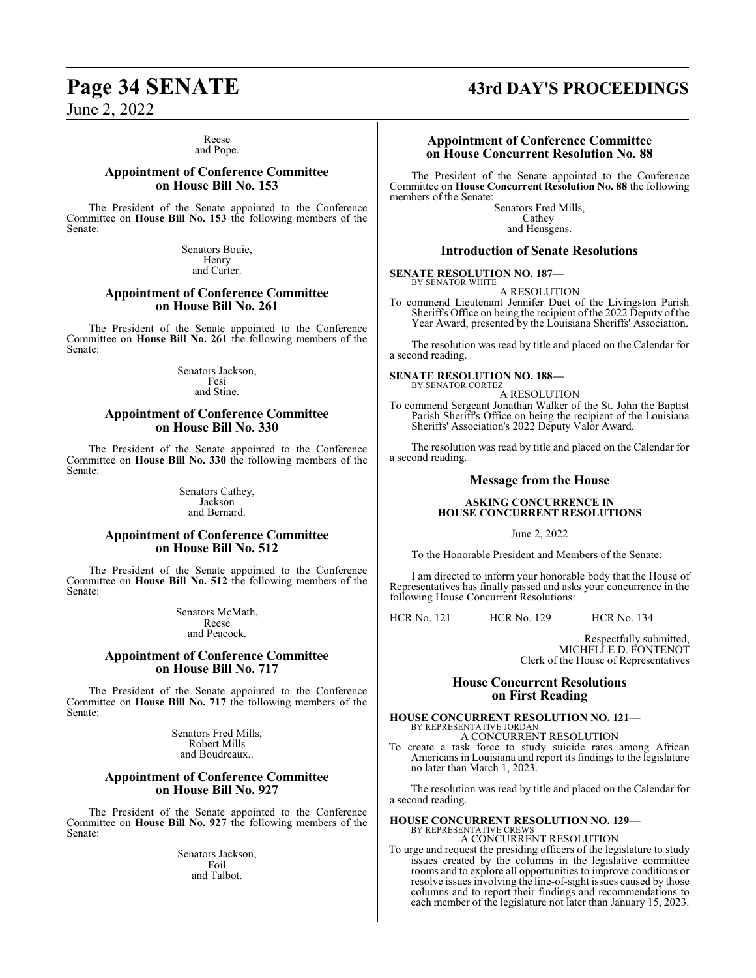#### Reese and Pope.

#### **Appointment of Conference Committee on House Bill No. 153**

The President of the Senate appointed to the Conference Committee on **House Bill No. 153** the following members of the Senate:

> Senators Bouie, Henry and Carter.

#### **Appointment of Conference Committee on House Bill No. 261**

The President of the Senate appointed to the Conference Committee on **House Bill No. 261** the following members of the Senate:

> Senators Jackson, Fesi and Stine.

#### **Appointment of Conference Committee on House Bill No. 330**

The President of the Senate appointed to the Conference Committee on **House Bill No. 330** the following members of the Senate:

> Senators Cathey, Jackson and Bernard.

#### **Appointment of Conference Committee on House Bill No. 512**

The President of the Senate appointed to the Conference Committee on **House Bill No. 512** the following members of the Senate:

> Senators McMath, Reese and Peacock.

#### **Appointment of Conference Committee on House Bill No. 717**

The President of the Senate appointed to the Conference Committee on **House Bill No. 717** the following members of the Senate:

> Senators Fred Mills, Robert Mills and Boudreaux..

#### **Appointment of Conference Committee on House Bill No. 927**

The President of the Senate appointed to the Conference Committee on **House Bill No. 927** the following members of the Senate:

> Senators Jackson, Foil and Talbot.

# **Page 34 SENATE 43rd DAY'S PROCEEDINGS**

#### **Appointment of Conference Committee on House Concurrent Resolution No. 88**

The President of the Senate appointed to the Conference Committee on **House Concurrent Resolution No. 88** the following members of the Senate:

Senators Fred Mills, Cathey and Hensgens.

### **Introduction of Senate Resolutions**

#### **SENATE RESOLUTION NO. 187—** BY SENATOR WHITE

A RESOLUTION

To commend Lieutenant Jennifer Duet of the Livingston Parish Sheriff's Office on being the recipient of the 2022 Deputy of the Year Award, presented by the Louisiana Sheriffs' Association.

The resolution was read by title and placed on the Calendar for a second reading.

# **SENATE RESOLUTION NO. 188—** BY SENATOR CORTEZ

A RESOLUTION

To commend Sergeant Jonathan Walker of the St. John the Baptist Parish Sheriff's Office on being the recipient of the Louisiana Sheriffs' Association's 2022 Deputy Valor Award.

The resolution was read by title and placed on the Calendar for a second reading.

#### **Message from the House**

#### **ASKING CONCURRENCE IN HOUSE CONCURRENT RESOLUTIONS**

June 2, 2022

To the Honorable President and Members of the Senate:

I am directed to inform your honorable body that the House of Representatives has finally passed and asks your concurrence in the following House Concurrent Resolutions:

HCR No. 121 HCR No. 129 HCR No. 134

Respectfully submitted, MICHELLE D. FONTENOT Clerk of the House of Representatives

### **House Concurrent Resolutions on First Reading**

## **HOUSE CONCURRENT RESOLUTION NO. 121—** BY REPRESENTATIVE JORDAN A CONCURRENT RESOLUTION

To create a task force to study suicide rates among African Americans in Louisiana and report its findings to the legislature no later than March 1, 2023.

The resolution was read by title and placed on the Calendar for a second reading.

#### **HOUSE CONCURRENT RESOLUTION NO. 129—** BY REPRESENTATIVE CREWS A CONCURRENT RESOLUTION

To urge and request the presiding officers of the legislature to study issues created by the columns in the legislative committee rooms and to explore all opportunities to improve conditions or resolve issues involving the line-of-sight issues caused by those columns and to report their findings and recommendations to each member of the legislature not later than January 15, 2023.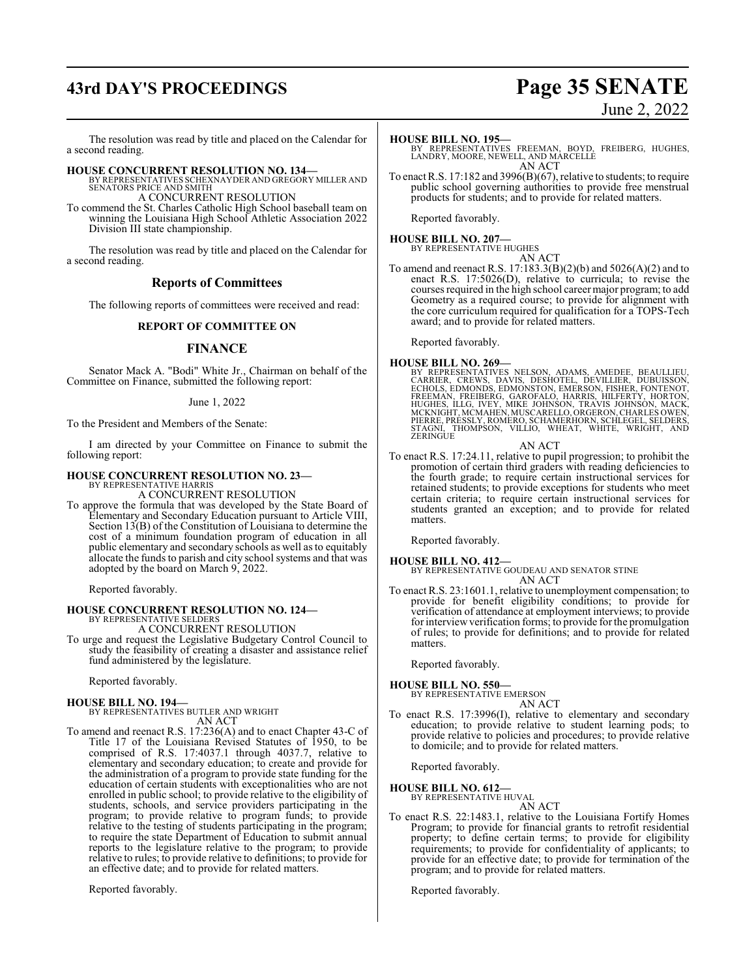# **43rd DAY'S PROCEEDINGS Page 35 SENATE**

# June 2, 2022

The resolution was read by title and placed on the Calendar for a second reading.

**HOUSE CONCURRENT RESOLUTION NO. 134—** BY REPRESENTATIVES SCHEXNAYDER AND GREGORY MILLER AND SENATORS PRICE AND SMITH A CONCURRENT RESOLUTION

To commend the St. Charles Catholic High School baseball team on winning the Louisiana High School Athletic Association 2022 Division III state championship.

The resolution was read by title and placed on the Calendar for a second reading.

#### **Reports of Committees**

The following reports of committees were received and read:

### **REPORT OF COMMITTEE ON**

#### **FINANCE**

Senator Mack A. "Bodi" White Jr., Chairman on behalf of the Committee on Finance, submitted the following report:

#### June 1, 2022

To the President and Members of the Senate:

I am directed by your Committee on Finance to submit the following report:

#### **HOUSE CONCURRENT RESOLUTION NO. 23—** BY REPRESENTATIVE HARRIS

A CONCURRENT RESOLUTION

To approve the formula that was developed by the State Board of Elementary and Secondary Education pursuant to Article VIII, Section 13(B) of the Constitution of Louisiana to determine the cost of a minimum foundation program of education in all public elementary and secondary schools as well as to equitably allocate the funds to parish and city school systems and that was adopted by the board on March 9, 2022.

Reported favorably.

# **HOUSE CONCURRENT RESOLUTION NO. 124—** BY REPRESENTATIVE SELDERS

A CONCURRENT RESOLUTION

To urge and request the Legislative Budgetary Control Council to study the feasibility of creating a disaster and assistance relief fund administered by the legislature.

Reported favorably.

#### **HOUSE BILL NO. 194—**

BY REPRESENTATIVES BUTLER AND WRIGHT AN ACT

To amend and reenact R.S. 17:236(A) and to enact Chapter 43-C of Title 17 of the Louisiana Revised Statutes of 1950, to be comprised of R.S. 17:4037.1 through 4037.7, relative to elementary and secondary education; to create and provide for the administration of a program to provide state funding for the education of certain students with exceptionalities who are not enrolled in public school; to provide relative to the eligibility of students, schools, and service providers participating in the program; to provide relative to program funds; to provide relative to the testing of students participating in the program; to require the state Department of Education to submit annual reports to the legislature relative to the program; to provide relative to rules; to provide relative to definitions; to provide for an effective date; and to provide for related matters.

Reported favorably.

#### **HOUSE BILL NO. 195—**

BY REPRESENTATIVES FREEMAN, BOYD, FREIBERG, HUGHES, LANDRY, MOORE, NEWELL, AND MARCELLE AN ACT

To enact R.S. 17:182 and 3996(B)(67), relative to students; to require public school governing authorities to provide free menstrual products for students; and to provide for related matters.

Reported favorably.

#### **HOUSE BILL NO. 207—** BY REPRESENTATIVE HUGHES

AN ACT To amend and reenact R.S. 17:183.3(B)(2)(b) and 5026(A)(2) and to enact R.S. 17:5026(D), relative to curricula; to revise the courses required in the high school career major program; to add Geometry as a required course; to provide for alignment with the core curriculum required for qualification for a TOPS-Tech award; and to provide for related matters.

Reported favorably.

**HOUSE BILL NO. 269—**<br>BY REPRESENTATIVES NELSON, ADAMS, AMEDEE, BEAULLIEU,<br>CARRIER, CREWS, DAVIS, DESHOTEL, DEVILLIER, DUBUISSON,<br>ECHOLS, EDMONDS, EDMONSTON, EMERSON, FISHER, FONTENOT,<br>FREEMAN, FREIBERG, GAROFALO, HARRIS, STAGNI, THOMPSON, VILLIO, WHEAT, WHITE, WRIGHT, AND ZERINGUE

AN ACT

To enact R.S. 17:24.11, relative to pupil progression; to prohibit the promotion of certain third graders with reading deficiencies to the fourth grade; to require certain instructional services for retained students; to provide exceptions for students who meet certain criteria; to require certain instructional services for students granted an exception; and to provide for related matters.

Reported favorably.

#### **HOUSE BILL NO. 412—** BY REPRESENTATIVE GOUDEAU AND SENATOR STINE

- AN ACT
- To enact R.S. 23:1601.1, relative to unemployment compensation; to provide for benefit eligibility conditions; to provide for verification of attendance at employment interviews; to provide for interviewverification forms; to provide for the promulgation of rules; to provide for definitions; and to provide for related matters.

Reported favorably.

## **HOUSE BILL NO. 550—** BY REPRESENTATIVE EMERSON

AN ACT

To enact R.S. 17:3996(I), relative to elementary and secondary education; to provide relative to student learning pods; to provide relative to policies and procedures; to provide relative to domicile; and to provide for related matters.

Reported favorably.

#### **HOUSE BILL NO. 612—**

BY REPRESENTATIVE HUVAL AN ACT

To enact R.S. 22:1483.1, relative to the Louisiana Fortify Homes Program; to provide for financial grants to retrofit residential property; to define certain terms; to provide for eligibility requirements; to provide for confidentiality of applicants; to provide for an effective date; to provide for termination of the program; and to provide for related matters.

Reported favorably.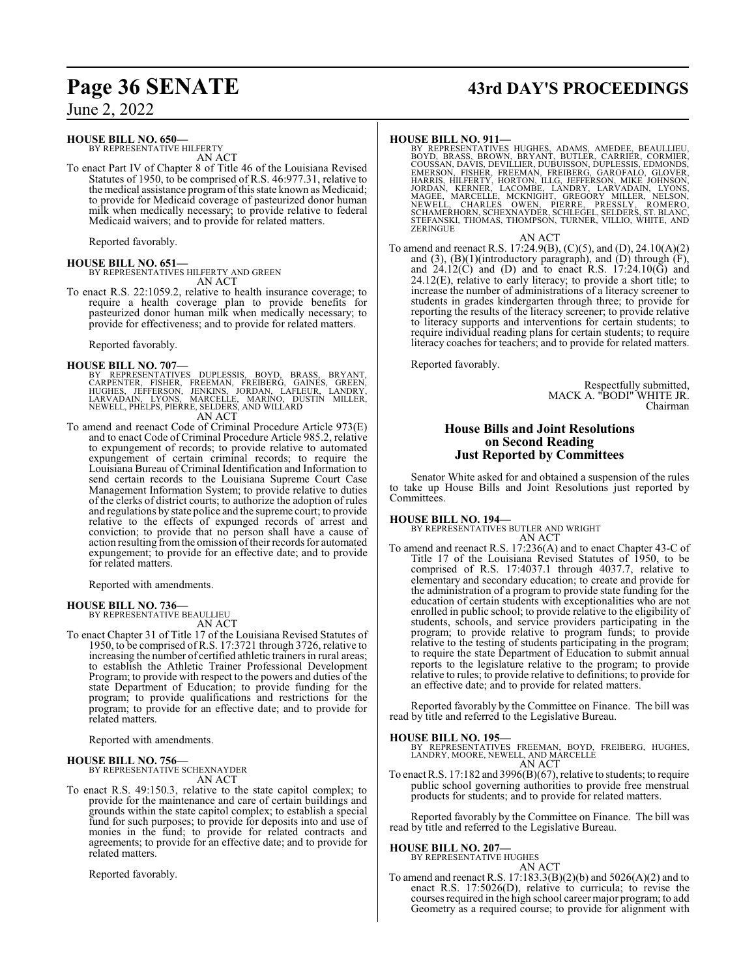#### **HOUSE BILL NO. 650—**

BY REPRESENTATIVE HILFERTY AN ACT

To enact Part IV of Chapter 8 of Title 46 of the Louisiana Revised Statutes of 1950, to be comprised of R.S. 46:977.31, relative to the medical assistance program ofthis state known as Medicaid; to provide for Medicaid coverage of pasteurized donor human milk when medically necessary; to provide relative to federal Medicaid waivers; and to provide for related matters.

Reported favorably.

**HOUSE BILL NO. 651—** BY REPRESENTATIVES HILFERTY AND GREEN AN ACT

To enact R.S. 22:1059.2, relative to health insurance coverage; to require a health coverage plan to provide benefits for pasteurized donor human milk when medically necessary; to provide for effectiveness; and to provide for related matters.

Reported favorably.

- **HOUSE BILL NO. 707—**<br>BY REPRESENTATIVES DUPLESSIS, BOYD, BRASS, BRYANT,<br>CARPENTER, FISHER, FREEMAN, FREIBERG, GAINES, GREEN,<br>HUGHES, JEFFERSON, JENKINS, JORDAN, LAFLEUR, LANDRY,<br>LARVADAIN, LYONS, MARCELLE, MARINO, DUSTIN AN ACT
- To amend and reenact Code of Criminal Procedure Article 973(E) and to enact Code of Criminal Procedure Article 985.2, relative to expungement of records; to provide relative to automated expungement of certain criminal records; to require the Louisiana Bureau of Criminal Identification and Information to send certain records to the Louisiana Supreme Court Case Management Information System; to provide relative to duties of the clerks of district courts; to authorize the adoption of rules and regulations by state police and the supreme court; to provide relative to the effects of expunged records of arrest and conviction; to provide that no person shall have a cause of action resulting fromthe omission oftheir records for automated expungement; to provide for an effective date; and to provide for related matters.

Reported with amendments.

# **HOUSE BILL NO. 736—** BY REPRESENTATIVE BEAULLIEU

AN ACT

To enact Chapter 31 of Title 17 of the Louisiana Revised Statutes of 1950, to be comprised of R.S. 17:3721 through 3726, relative to increasing the number of certified athletic trainers in rural areas; to establish the Athletic Trainer Professional Development Program; to provide with respect to the powers and duties of the state Department of Education; to provide funding for the program; to provide qualifications and restrictions for the program; to provide for an effective date; and to provide for related matters.

Reported with amendments.

# **HOUSE BILL NO. 756—** BY REPRESENTATIVE SCHEXNAYDER

AN ACT

To enact R.S. 49:150.3, relative to the state capitol complex; to provide for the maintenance and care of certain buildings and grounds within the state capitol complex; to establish a special fund for such purposes; to provide for deposits into and use of monies in the fund; to provide for related contracts and agreements; to provide for an effective date; and to provide for related matters.

Reported favorably.

# **Page 36 SENATE 43rd DAY'S PROCEEDINGS**

#### **HOUSE BILL NO. 911—**

BY REPRESENTATIVES HUGHES, ADAMS, AMEDEE, BEAULLIEU,<br>BOYD, BRASS, BROWN, BRYANT, BUTLER, CARRIER, CORMIER,<br>COUSSAN, DAVIS, DEVILLIER, DUBUISSON, DUPLESSIS, EDMONDS,<br>EMERSON, FISHER, FREEMAN, FREIBERG, GAROFALO, GLOVER,<br>HAR ZERINGUE

AN ACT

To amend and reenact R.S. 17:24.9(B), (C)(5), and (D), 24.10(A)(2) and  $(3)$ ,  $(B)(1)$ (introductory paragraph), and  $(D)$  through  $(F)$ , and  $24.12(\overrightarrow{C})$  and (D) and to enact R.S.  $17:24.10(\overrightarrow{G})$  and  $24.12(E)$ , relative to early literacy; to provide a short title; to increase the number of administrations of a literacy screener to students in grades kindergarten through three; to provide for reporting the results of the literacy screener; to provide relative to literacy supports and interventions for certain students; to require individual reading plans for certain students; to require literacy coaches for teachers; and to provide for related matters.

Reported favorably.

Respectfully submitted, MACK A. "BODI" WHITE JR. Chairman

#### **House Bills and Joint Resolutions on Second Reading Just Reported by Committees**

Senator White asked for and obtained a suspension of the rules to take up House Bills and Joint Resolutions just reported by Committees.

**HOUSE BILL NO. 194—** BY REPRESENTATIVES BUTLER AND WRIGHT AN ACT

To amend and reenact R.S. 17:236(A) and to enact Chapter 43-C of Title 17 of the Louisiana Revised Statutes of 1950, to be comprised of R.S. 17:4037.1 through 4037.7, relative to elementary and secondary education; to create and provide for the administration of a program to provide state funding for the education of certain students with exceptionalities who are not enrolled in public school; to provide relative to the eligibility of students, schools, and service providers participating in the program; to provide relative to program funds; to provide relative to the testing of students participating in the program; to require the state Department of Education to submit annual reports to the legislature relative to the program; to provide relative to rules; to provide relative to definitions; to provide for an effective date; and to provide for related matters.

Reported favorably by the Committee on Finance. The bill was read by title and referred to the Legislative Bureau.

#### **HOUSE BILL NO. 195—**

BY REPRESENTATIVES FREEMAN, BOYD, FREIBERG, HUGHES, LANDRY, MOORE, NEWELL, AND MARCELLE AN ACT

To enact R.S. 17:182 and 3996(B)(67), relative to students; to require public school governing authorities to provide free menstrual products for students; and to provide for related matters.

Reported favorably by the Committee on Finance. The bill was read by title and referred to the Legislative Bureau.

#### **HOUSE BILL NO. 207—**

BY REPRESENTATIVE HUGHES AN ACT

To amend and reenact R.S. 17:183.3(B)(2)(b) and 5026(A)(2) and to enact R.S. 17:5026(D), relative to curricula; to revise the courses required in the high school career major program; to add Geometry as a required course; to provide for alignment with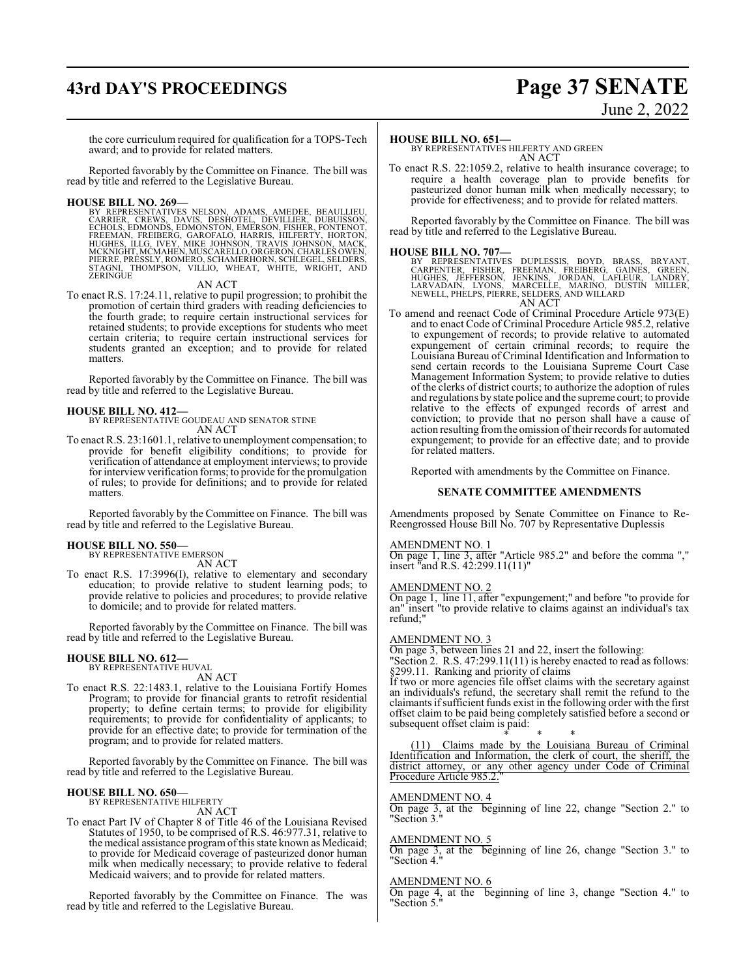# **43rd DAY'S PROCEEDINGS Page 37 SENATE**

# June 2, 2022

the core curriculum required for qualification for a TOPS-Tech award; and to provide for related matters.

Reported favorably by the Committee on Finance. The bill was read by title and referred to the Legislative Bureau.

**HOUSE BILL NO. 269—** BY REPRESENTATIVES NELSON, ADAMS, AMEDEE, BEAULLIEU, CARRIER, CREWS, DAVIS, DESHOTEL, DEVILLIER, DUBUISSON, ECHOLS, EDMONDS, EDMONSTON, EMERSON, FISHER, FONTENOT,<br>FREEMAN, FREIBERG, GAROFALO, HARRIS, HILFERTY, HORTON,<br>HUGHES, ILLG, IVEY, MIKE JOHNSON, TRAVIS JOHNSON, MACK,<br>MCKNIGHT,MCMAHEN,MUSCARELLO,ORGERON,CHARLES OWEN,<br>PIERRE

AN ACT

To enact R.S. 17:24.11, relative to pupil progression; to prohibit the promotion of certain third graders with reading deficiencies to the fourth grade; to require certain instructional services for retained students; to provide exceptions for students who meet certain criteria; to require certain instructional services for students granted an exception; and to provide for related matters.

Reported favorably by the Committee on Finance. The bill was read by title and referred to the Legislative Bureau.

#### **HOUSE BILL NO. 412—**

BY REPRESENTATIVE GOUDEAU AND SENATOR STINE AN ACT

To enact R.S. 23:1601.1, relative to unemployment compensation; to provide for benefit eligibility conditions; to provide for verification of attendance at employment interviews; to provide for interview verification forms; to provide for the promulgation of rules; to provide for definitions; and to provide for related matters.

Reported favorably by the Committee on Finance. The bill was read by title and referred to the Legislative Bureau.

#### **HOUSE BILL NO. 550—**

BY REPRESENTATIVE EMERSON AN ACT

To enact R.S. 17:3996(I), relative to elementary and secondary education; to provide relative to student learning pods; to provide relative to policies and procedures; to provide relative to domicile; and to provide for related matters.

Reported favorably by the Committee on Finance. The bill was read by title and referred to the Legislative Bureau.

#### **HOUSE BILL NO. 612—** BY REPRESENTATIVE HUVAL

AN ACT

To enact R.S. 22:1483.1, relative to the Louisiana Fortify Homes Program; to provide for financial grants to retrofit residential property; to define certain terms; to provide for eligibility requirements; to provide for confidentiality of applicants; to provide for an effective date; to provide for termination of the program; and to provide for related matters.

Reported favorably by the Committee on Finance. The bill was read by title and referred to the Legislative Bureau.

## **HOUSE BILL NO. 650—**

BY REPRESENTATIVE HILFERTY AN ACT

To enact Part IV of Chapter 8 of Title 46 of the Louisiana Revised Statutes of 1950, to be comprised of R.S. 46:977.31, relative to the medical assistance program of this state known as Medicaid; to provide for Medicaid coverage of pasteurized donor human milk when medically necessary; to provide relative to federal Medicaid waivers; and to provide for related matters.

Reported favorably by the Committee on Finance. The was read by title and referred to the Legislative Bureau.

#### **HOUSE BILL NO. 651—**

BY REPRESENTATIVES HILFERTY AND GREEN AN ACT

To enact R.S. 22:1059.2, relative to health insurance coverage; to require a health coverage plan to provide benefits for pasteurized donor human milk when medically necessary; to provide for effectiveness; and to provide for related matters.

Reported favorably by the Committee on Finance. The bill was read by title and referred to the Legislative Bureau.

**HOUSE BILL NO. 707—**<br>BY REPRESENTATIVES DUPLESSIS, BOYD, BRASS, BRYANT,<br>CARPENTER, FISHER, FREEMAN, FREIBERG, GAINES, GREEN,<br>HUGHES, JEFFERSON, JENKINS, JORDAN, LAFLEUR, LANDRY,<br>LARVADAIN, LYONS, MARCELLE, MARINO, DUSTIN

- 
- To amend and reenact Code of Criminal Procedure Article 973(E) To amend and reenact Code of Criminal Procedure Article 973(E) and to enact Code of Criminal Procedure Article 985.2, relative to expungement of records; to provide relative to automated expungement of certain criminal records; to require the Louisiana Bureau of Criminal Identification and Information to send certain records to the Louisiana Supreme Court Case Management Information System; to provide relative to duties of the clerks of district courts; to authorize the adoption of rules and regulations by state police and the supreme court; to provide relative to the effects of expunged records of arrest and conviction; to provide that no person shall have a cause of action resulting fromthe omission oftheir records for automated expungement; to provide for an effective date; and to provide for related matters.

Reported with amendments by the Committee on Finance.

#### **SENATE COMMITTEE AMENDMENTS**

Amendments proposed by Senate Committee on Finance to Re-Reengrossed House Bill No. 707 by Representative Duplessis

#### AMENDMENT NO. 1

On page 1, line 3, after "Article 985.2" and before the comma "," insert "and R.S. 42:299.11(11)"

#### AMENDMENT NO. 2

On page 1, line 11, after "expungement;" and before "to provide for an" insert "to provide relative to claims against an individual's tax refund;"

#### AMENDMENT NO. 3

On page 3, between lines 21 and 22, insert the following: "Section 2. R.S. 47:299.11(11) is hereby enacted to read as follows: §299.11. Ranking and priority of claims

If two or more agencies file offset claims with the secretary against an individuals's refund, the secretary shall remit the refund to the claimants ifsufficient funds exist in the following order with the first offset claim to be paid being completely satisfied before a second or subsequent offset claim is paid:

\* \* \* (11) Claims made by the Louisiana Bureau of Criminal Identification and Information, the clerk of court, the sheriff, the district attorney, or any other agency under Code of Criminal Procedure Article 985.2.

#### AMENDMENT NO. 4

On page 3, at the beginning of line 22, change "Section 2." to "Section 3."

#### AMENDMENT NO. 5

On page 3, at the beginning of line 26, change "Section 3." to "Section 4."

#### AMENDMENT NO. 6

On page 4, at the beginning of line 3, change "Section 4." to "Section 5."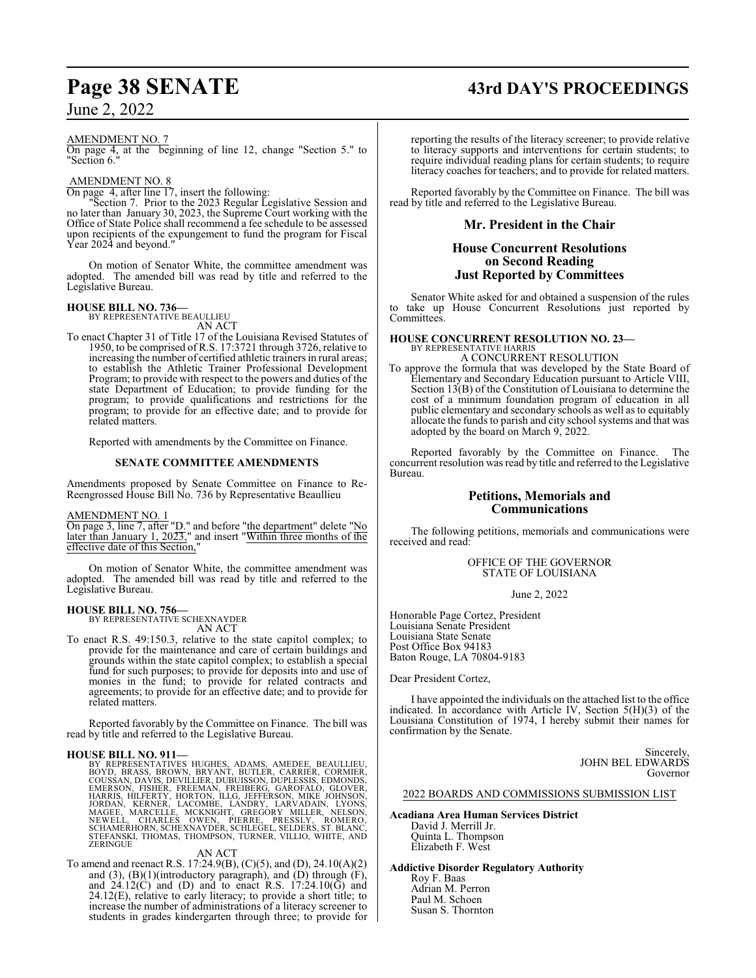# **Page 38 SENATE 43rd DAY'S PROCEEDINGS**

June 2, 2022

#### AMENDMENT NO. 7

On page 4, at the beginning of line 12, change "Section 5." to "Section 6."

#### AMENDMENT NO. 8

On page 4, after line 17, insert the following:

"Section 7. Prior to the 2023 Regular Legislative Session and no later than January 30, 2023, the Supreme Court working with the Office of State Police shall recommend a fee schedule to be assessed upon recipients of the expungement to fund the program for Fiscal Year 2024 and beyond."

On motion of Senator White, the committee amendment was adopted. The amended bill was read by title and referred to the Legislative Bureau.

**HOUSE BILL NO. 736—** BY REPRESENTATIVE BEAULLIEU

AN ACT

To enact Chapter 31 of Title 17 of the Louisiana Revised Statutes of 1950, to be comprised of R.S. 17:3721 through 3726, relative to increasing the number of certified athletic trainers in rural areas; to establish the Athletic Trainer Professional Development Program; to provide with respect to the powers and duties of the state Department of Education; to provide funding for the program; to provide qualifications and restrictions for the program; to provide for an effective date; and to provide for related matters.

Reported with amendments by the Committee on Finance.

#### **SENATE COMMITTEE AMENDMENTS**

Amendments proposed by Senate Committee on Finance to Re-Reengrossed House Bill No. 736 by Representative Beaullieu

#### AMENDMENT NO. 1

On page 3, line 7, after "D." and before "the department" delete "No later than January 1, 2023," and insert "Within three months of the effective date of this Section,"

On motion of Senator White, the committee amendment was adopted. The amended bill was read by title and referred to the Legislative Bureau.

## **HOUSE BILL NO. 756—** BY REPRESENTATIVE SCHEXNAYDER

AN ACT

To enact R.S. 49:150.3, relative to the state capitol complex; to provide for the maintenance and care of certain buildings and grounds within the state capitol complex; to establish a special fund for such purposes; to provide for deposits into and use of monies in the fund; to provide for related contracts and agreements; to provide for an effective date; and to provide for related matters.

Reported favorably by the Committee on Finance. The bill was read by title and referred to the Legislative Bureau.

HOUSE BILL NO. 911—<br>BY REPRESENTATIVES HUGHES, ADAMS, AMEDEE, BEAULLIEU,<br>BOYD, BRASS, BROWN, BRYANT, BUTLER, CARRIER, CORMIER,<br>COUSSAN, DAVIS, DEVILLIER, DUBUISSON, DUPLESSIS, EDMONDS,<br>EMERSON, FISHER, FREEMAN, FREIBERG, G

#### AN ACT

To amend and reenact R.S. 17:24.9(B), (C)(5), and (D), 24.10(A)(2) and  $(3)$ ,  $(B)(1)$ (introductory paragraph), and  $(D)$  through  $(F)$ , and  $24.12(C)$  and (D) and to enact R.S.  $17:24.10(G)$  and 24.12(E), relative to early literacy; to provide a short title; to increase the number of administrations of a literacy screener to students in grades kindergarten through three; to provide for

reporting the results of the literacy screener; to provide relative to literacy supports and interventions for certain students; to require individual reading plans for certain students; to require literacy coaches for teachers; and to provide for related matters.

Reported favorably by the Committee on Finance. The bill was read by title and referred to the Legislative Bureau.

#### **Mr. President in the Chair**

#### **House Concurrent Resolutions on Second Reading Just Reported by Committees**

Senator White asked for and obtained a suspension of the rules to take up House Concurrent Resolutions just reported by Committees.

#### **HOUSE CONCURRENT RESOLUTION NO. 23—**

BY REPRESENTATIVE HARRIS A CONCURRENT RESOLUTION

To approve the formula that was developed by the State Board of Elementary and Secondary Education pursuant to Article VIII, Section 13(B) of the Constitution of Louisiana to determine the cost of a minimum foundation program of education in all public elementary and secondary schools as well as to equitably allocate the funds to parish and city school systems and that was adopted by the board on March 9, 2022.

Reported favorably by the Committee on Finance. The concurrent resolution was read by title and referred to the Legislative Bureau.

#### **Petitions, Memorials and Communications**

The following petitions, memorials and communications were received and read:

> OFFICE OF THE GOVERNOR STATE OF LOUISIANA

> > June 2, 2022

Honorable Page Cortez, President Louisiana Senate President Louisiana State Senate Post Office Box 94183 Baton Rouge, LA 70804-9183

Dear President Cortez,

I have appointed the individuals on the attached list to the office indicated. In accordance with Article IV, Section 5(H)(3) of the Louisiana Constitution of 1974, I hereby submit their names for confirmation by the Senate.

> Sincerely, JOHN BEL EDWARDS Governor

2022 BOARDS AND COMMISSIONS SUBMISSION LIST

#### **Acadiana Area Human Services District**

David J. Merrill Jr. Quinta L. Thompson Elizabeth F. West

**Addictive Disorder Regulatory Authority**

Roy F. Baas Adrian M. Perron Paul M. Schoen Susan S. Thornton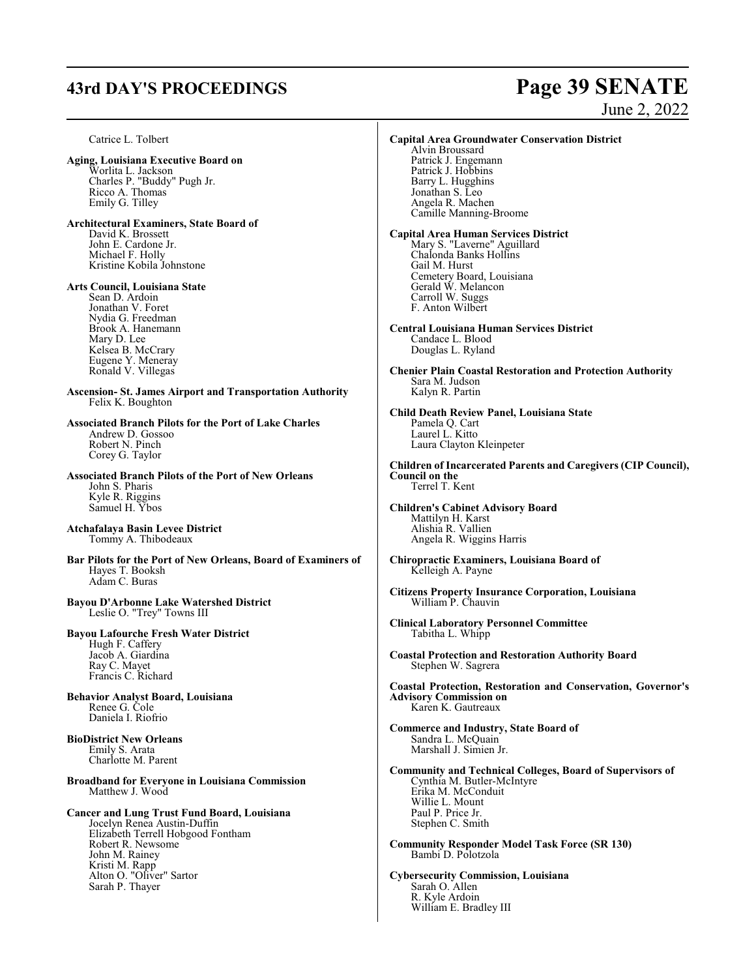# **43rd DAY'S PROCEEDINGS Page 39 SENATE**

# June 2, 2022

Catrice L. Tolbert **Aging, Louisiana Executive Board on** Worlita L. Jackson Charles P. "Buddy" Pugh Jr. Ricco A. Thomas Emily G. Tilley **Architectural Examiners, State Board of** David K. Brossett John E. Cardone Jr. Michael F. Holly Kristine Kobila Johnstone **Arts Council, Louisiana State** Sean D. Ardoin Jonathan V. Foret Nydia G. Freedman Brook A. Hanemann Mary D. Lee Kelsea B. McCrary Eugene Y. Meneray Ronald V. Villegas **Ascension- St. James Airport and Transportation Authority** Felix K. Boughton **Associated Branch Pilots for the Port of Lake Charles** Andrew D. Gossoo Robert N. Pinch Corey G. Taylor **Associated Branch Pilots of the Port of New Orleans** John S. Pharis Kyle R. Riggins Samuel H. Ybos **Atchafalaya Basin Levee District** Tommy A. Thibodeaux **Bar Pilots for the Port of New Orleans, Board of Examiners of** Hayes T. Booksh Adam C. Buras **Bayou D'Arbonne Lake Watershed District** Leslie O. "Trey" Towns III **Bayou Lafourche Fresh Water District** Hugh F. Caffery Jacob A. Giardina Ray C. Mayet Francis C. Richard **Behavior Analyst Board, Louisiana** Renee G. Cole Daniela I. Riofrio **BioDistrict New Orleans** Emily S. Arata Charlotte M. Parent **Broadband for Everyone in Louisiana Commission** Matthew J. Wood **Cancer and Lung Trust Fund Board, Louisiana** Jocelyn Renea Austin-Duffin Elizabeth Terrell Hobgood Fontham Robert R. Newsome John M. Rainey Kristi M. Rapp Alton O. "Oliver" Sartor Sarah P. Thayer **Capital Area Groundwater Conservation District** Alvin Broussard Patrick J. Engemann Patrick J. Hobbins Barry L. Hugghins Jonathan S. Leo Angela R. Machen Camille Manning-Broome **Capital Area Human Services District** Mary S. "Laverne" Aguillard Chalonda Banks Hollins Gail M. Hurst Cemetery Board, Louisiana Gerald W. Melancon Carroll W. Suggs F. Anton Wilbert **Central Louisiana Human Services District** Candace L. Blood Douglas L. Ryland **Chenier Plain Coastal Restoration and Protection Authority** Sara M. Judson Kalyn R. Partin **Child Death Review Panel, Louisiana State** Pamela Q. Cart Laurel L. Kitto Laura Clayton Kleinpeter **Children of Incarcerated Parents and Caregivers (CIP Council), Council on the** Terrel T. Kent **Children's Cabinet Advisory Board** Mattilyn H. Karst Alishia R. Vallien Angela R. Wiggins Harris **Chiropractic Examiners, Louisiana Board of** Kelleigh A. Payne **Citizens Property Insurance Corporation, Louisiana** William P. Chauvin **Clinical Laboratory Personnel Committee** Tabitha L. Whipp **Coastal Protection and Restoration Authority Board** Stephen W. Sagrera **Coastal Protection, Restoration and Conservation, Governor's Advisory Commission on** Karen K. Gautreaux **Commerce and Industry, State Board of** Sandra L. McQuain Marshall J. Simien Jr. **Community and Technical Colleges, Board of Supervisors of** Cynthia M. Butler-McIntyre Erika M. McConduit Willie L. Mount Paul P. Price Jr. Stephen C. Smith **Community Responder Model Task Force (SR 130)** Bambi D. Polotzola **Cybersecurity Commission, Louisiana** Sarah O. Allen R. Kyle Ardoin William E. Bradley III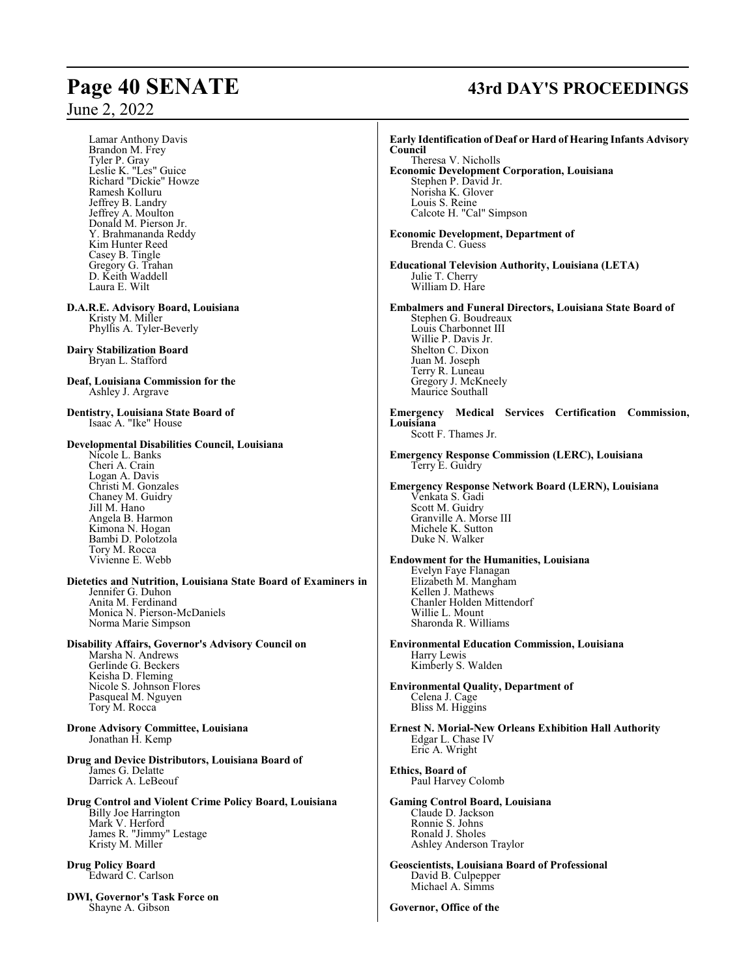Lamar Anthony Davis Brandon M. Frey Tyler P. Gray Leslie K. "Les" Guice Richard "Dickie" Howze Ramesh Kolluru Jeffrey B. Landry Jeffrey A. Moulton Donald M. Pierson Jr. Y. Brahmananda Reddy Kim Hunter Reed Casey B. Tingle Gregory G. Trahan D. Keith Waddell Laura E. Wilt

**D.A.R.E. Advisory Board, Louisiana** Kristy M. Miller Phyllis A. Tyler-Beverly

**Dairy Stabilization Board** Bryan L. Stafford

**Deaf, Louisiana Commission for the** Ashley J. Argrave

**Dentistry, Louisiana State Board of** Isaac A. "Ike" House

#### **Developmental Disabilities Council, Louisiana**

Nicole L. Banks Cheri A. Crain Logan A. Davis Christi M. Gonzales Chaney M. Guidry Jill M. Hano Angela B. Harmon Kimona N. Hogan Bambi D. Polotzola Tory M. Rocca Vivienne E. Webb

**Dietetics and Nutrition, Louisiana State Board of Examiners in** Jennifer G. Duhon Anita M. Ferdinand Monica N. Pierson-McDaniels Norma Marie Simpson

**Disability Affairs, Governor's Advisory Council on** Marsha N. Andrews Gerlinde G. Beckers Keisha D. Fleming Nicole S. Johnson Flores

Pasqueal M. Nguyen Tory M. Rocca

**Drone Advisory Committee, Louisiana** Jonathan H. Kemp

**Drug and Device Distributors, Louisiana Board of** James G. Delatte Darrick A. LeBeouf

**Drug Control and Violent Crime Policy Board, Louisiana** Billy Joe Harrington Mark V. Herford James R. "Jimmy" Lestage Kristy M. Miller

**Drug Policy Board** Edward C. Carlson

**DWI, Governor's Task Force on** Shayne A. Gibson

# **Page 40 SENATE 43rd DAY'S PROCEEDINGS**

**Early Identification of Deaf or Hard of Hearing Infants Advisory Council** Theresa V. Nicholls **Economic Development Corporation, Louisiana** Stephen P. David Jr. Norisha K. Glover Louis S. Reine Calcote H. "Cal" Simpson **Economic Development, Department of** Brenda C. Guess **Educational Television Authority, Louisiana (LETA)** Julie T. Cherry William D. Hare **Embalmers and Funeral Directors, Louisiana State Board of** Stephen G. Boudreaux Louis Charbonnet III Willie P. Davis Jr. Shelton C. Dixon Juan M. Joseph Terry R. Luneau Gregory J. McKneely Maurice Southall **Emergency Medical Services Certification Commission, Louisiana** Scott F. Thames Jr. **Emergency Response Commission (LERC), Louisiana** Terry E. Guidry **Emergency Response Network Board (LERN), Louisiana** Venkata S. Gadi Scott M. Guidry Granville A. Morse III Michele K. Sutton Duke N. Walker **Endowment for the Humanities, Louisiana** Evelyn Faye Flanagan Elizabeth M. Mangham Kellen J. Mathews Chanler Holden Mittendorf Willie L. Mount Sharonda R. Williams **Environmental Education Commission, Louisiana** Harry Lewis Kimberly S. Walden **Environmental Quality, Department of** Celena J. Cage Bliss M. Higgins **Ernest N. Morial-New Orleans Exhibition Hall Authority** Edgar L. Chase IV Eric A. Wright **Ethics, Board of** Paul Harvey Colomb **Gaming Control Board, Louisiana** Claude D. Jackson Ronnie S. Johns Ronald J. Sholes Ashley Anderson Traylor **Geoscientists, Louisiana Board of Professional** David B. Culpepper Michael A. Simms **Governor, Office of the**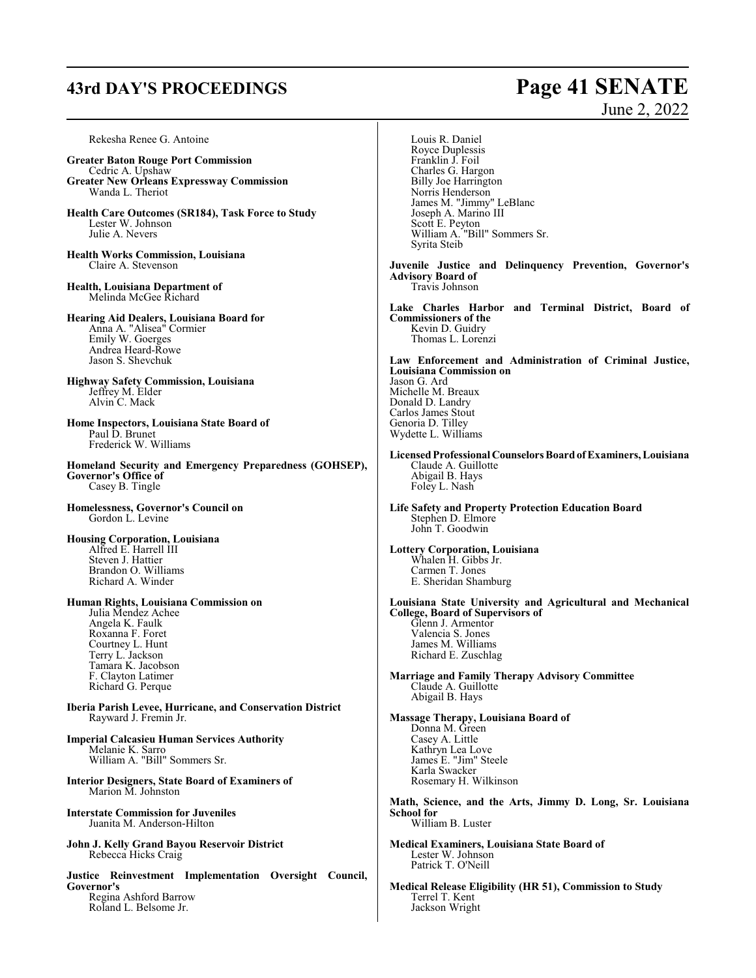# **43rd DAY'S PROCEEDINGS Page 41 SENATE**

June 2, 2022

| Rekesha Renee G. Antoine<br><b>Greater Baton Rouge Port Commission</b><br>Cedric A. Upshaw<br><b>Greater New Orleans Expressway Commission</b><br>Wanda L. Theriot<br>Health Care Outcomes (SR184), Task Force to Study<br>Lester W. Johnson<br>Julie A. Nevers<br><b>Health Works Commission, Louisiana</b> | Louis R. Daniel<br>Royce Duplessis<br>Franklin J. Foil<br>Charles G. Hargon<br><b>Billy Joe Harrington</b><br>Norris Henderson<br>James M. "Jimmy" LeBlanc<br>Joseph A. Marino III<br>Scott E. Peyton<br>William A. "Bill" Sommers Sr.<br>Syrita Steib               |
|--------------------------------------------------------------------------------------------------------------------------------------------------------------------------------------------------------------------------------------------------------------------------------------------------------------|----------------------------------------------------------------------------------------------------------------------------------------------------------------------------------------------------------------------------------------------------------------------|
| Claire A. Stevenson<br>Health, Louisiana Department of<br>Melinda McGee Richard                                                                                                                                                                                                                              | Juvenile Justice and Delinquency Prevention, Governor's<br><b>Advisory Board of</b><br>Travis Johnson                                                                                                                                                                |
| <b>Hearing Aid Dealers, Louisiana Board for</b><br>Anna A. "Alisea" Cormier<br>Emily W. Goerges<br>Andrea Heard-Rowe<br>Jason S. Shevchuk                                                                                                                                                                    | Lake Charles Harbor and Terminal District, Board of<br><b>Commissioners of the</b><br>Kevin D. Guidry<br>Thomas L. Lorenzi<br>Law Enforcement and Administration of Criminal Justice,                                                                                |
| <b>Highway Safety Commission, Louisiana</b><br>Jeffrey M. Elder<br>Alvin C. Mack<br>Home Inspectors, Louisiana State Board of<br>Paul D. Brunet                                                                                                                                                              | <b>Louisiana Commission on</b><br>Jason G. Ard<br>Michelle M. Breaux<br>Donald D. Landry<br>Carlos James Stout<br>Genoria D. Tilley<br>Wydette L. Williams                                                                                                           |
| Frederick W. Williams<br>Homeland Security and Emergency Preparedness (GOHSEP),<br>Governor's Office of<br>Casey B. Tingle                                                                                                                                                                                   | Licensed Professional Counselors Board of Examiners, Louisiana<br>Claude A. Guillotte<br>Abigail B. Hays<br>Foley L. Nash                                                                                                                                            |
| Homelessness, Governor's Council on<br>Gordon L. Levine                                                                                                                                                                                                                                                      | <b>Life Safety and Property Protection Education Board</b><br>Stephen D. Elmore<br>John T. Goodwin                                                                                                                                                                   |
| <b>Housing Corporation, Louisiana</b><br>Alfred E. Harrell III<br>Steven J. Hattier<br>Brandon O. Williams<br>Richard A. Winder                                                                                                                                                                              | Lottery Corporation, Louisiana<br>Whalen H. Gibbs Jr.<br>Carmen T. Jones<br>E. Sheridan Shamburg                                                                                                                                                                     |
| Human Rights, Louisiana Commission on<br>Julia Mendez Achee<br>Angela K. Faulk<br>Roxanna F. Foret<br>Courtney L. Hunt<br>Terry L. Jackson<br>Tamara K. Jacobson<br>F. Clayton Latimer<br>Richard G. Perque                                                                                                  | Louisiana State University and Agricultural and Mechanical<br><b>College, Board of Supervisors of</b><br>Glenn J. Armentor<br>Valencia S. Jones<br>James M. Williams<br>Richard E. Zuschlag<br>Marriage and Family Therapy Advisory Committee<br>Claude A. Guillotte |
| Iberia Parish Levee, Hurricane, and Conservation District<br>Rayward J. Fremin Jr.                                                                                                                                                                                                                           | Abigail B. Hays<br>Massage Therapy, Louisiana Board of<br>Donna M. Green                                                                                                                                                                                             |
| <b>Imperial Calcasieu Human Services Authority</b><br>Melanie K. Sarro<br>William A. "Bill" Sommers Sr.                                                                                                                                                                                                      | Casey A. Little<br>Kathryn Lea Love<br>James E. "Jim" Steele<br>Karla Swacker                                                                                                                                                                                        |
| <b>Interior Designers, State Board of Examiners of</b><br>Marion M. Johnston                                                                                                                                                                                                                                 | Rosemary H. Wilkinson                                                                                                                                                                                                                                                |
| <b>Interstate Commission for Juveniles</b><br>Juanita M. Anderson-Hilton                                                                                                                                                                                                                                     | Math, Science, and the Arts, Jimmy D. Long, Sr. Louisiana<br><b>School for</b><br>William B. Luster                                                                                                                                                                  |
| John J. Kelly Grand Bayou Reservoir District<br>Rebecca Hicks Craig                                                                                                                                                                                                                                          | <b>Medical Examiners, Louisiana State Board of</b><br>Lester W. Johnson<br>Patrick T. O'Neill                                                                                                                                                                        |
| Justice Reinvestment Implementation Oversight Council,<br>Governor's<br>Regina Ashford Barrow<br>Roland L. Belsome Jr.                                                                                                                                                                                       | Medical Release Eligibility (HR 51), Commission to Study<br>Terrel T. Kent<br>Jackson Wright                                                                                                                                                                         |
|                                                                                                                                                                                                                                                                                                              |                                                                                                                                                                                                                                                                      |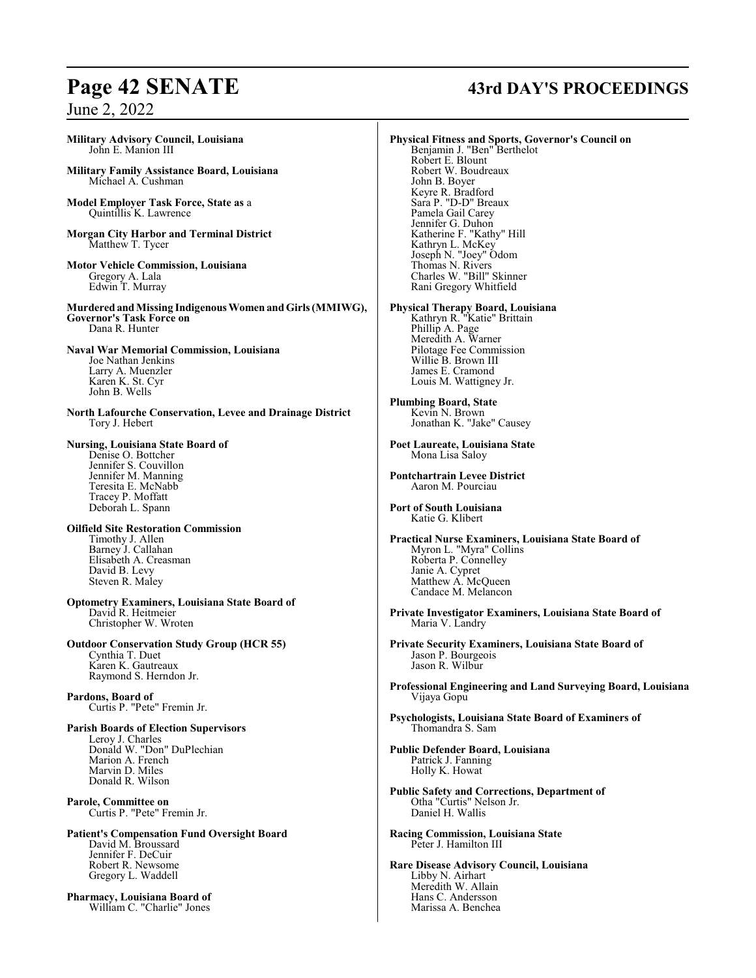## **Military Advisory Council, Louisiana** John E. Manion III

**Military Family Assistance Board, Louisiana** Michael A. Cushman

**Model Employer Task Force, State as** a Quintillis K. Lawrence

- **Morgan City Harbor and Terminal District** Matthew T. Tycer
- **Motor Vehicle Commission, Louisiana** Gregory A. Lala Edwin T. Murray

**MurderedandMissing Indigenous Women andGirls (MMIWG), Governor's Task Force on** Dana R. Hunter

**Naval War Memorial Commission, Louisiana** Joe Nathan Jenkins Larry A. Muenzler Karen K. St. Cyr John B. Wells

**North Lafourche Conservation, Levee and Drainage District** Tory J. Hebert

**Nursing, Louisiana State Board of** Denise O. Bottcher Jennifer S. Couvillon Jennifer M. Manning Teresita E. McNabb Tracey P. Moffatt Deborah L. Spann

**Oilfield Site Restoration Commission** Timothy J. Allen Barney J. Callahan Elisabeth A. Creasman David B. Levy Steven R. Maley

**Optometry Examiners, Louisiana State Board of** David R. Heitmeier Christopher W. Wroten

**Outdoor Conservation Study Group (HCR 55)** Cynthia T. Duet Karen K. Gautreaux Raymond S. Herndon Jr.

**Pardons, Board of** Curtis P. "Pete" Fremin Jr.

**Parish Boards of Election Supervisors** Leroy J. Charles Donald W. "Don" DuPlechian Marion A. French Marvin D. Miles Donald R. Wilson

**Parole, Committee on** Curtis P. "Pete" Fremin Jr.

**Patient's Compensation Fund Oversight Board** David M. Broussard Jennifer F. DeCuir Robert R. Newsome Gregory L. Waddell

**Pharmacy, Louisiana Board of** William C. "Charlie" Jones

# **Page 42 SENATE 43rd DAY'S PROCEEDINGS**

**Physical Fitness and Sports, Governor's Council on** Benjamin J. "Ben" Berthelot Robert E. Blount Robert W. Boudreaux John B. Boyer Keyre R. Bradford Sara P. "D-D" Breaux Pamela Gail Carey Jennifer G. Duhon Katherine F. "Kathy" Hill Kathryn L. McKey Joseph N. "Joey" Odom Thomas N. Rivers Charles W. "Bill" Skinner Rani Gregory Whitfield **Physical Therapy Board, Louisiana** Kathryn R. "Katie" Brittain Phillip A. Page Meredith A. Warner Pilotage Fee Commission Willie B. Brown III James E. Cramond Louis M. Wattigney Jr. **Plumbing Board, State** Kevin N. Brown Jonathan K. "Jake" Causey **Poet Laureate, Louisiana State** Mona Lisa Saloy **Pontchartrain Levee District** Aaron M. Pourciau **Port of South Louisiana** Katie G. Klibert **Practical Nurse Examiners, Louisiana State Board of** Myron L. "Myra" Collins Roberta P. Connelley Janie A. Cypret Matthew A. McQueen Candace M. Melancon **Private Investigator Examiners, Louisiana State Board of** Maria V. Landry **Private Security Examiners, Louisiana State Board of** Jason P. Bourgeois Jason R. Wilbur **Professional Engineering and Land Surveying Board, Louisiana** Vijaya Gopu **Psychologists, Louisiana State Board of Examiners of** Thomandra S. Sam **Public Defender Board, Louisiana** Patrick J. Fanning Holly K. Howat **Public Safety and Corrections, Department of** Otha "Curtis" Nelson Jr. Daniel H. Wallis **Racing Commission, Louisiana State** Peter J. Hamilton III **Rare Disease Advisory Council, Louisiana** Libby N. Airhart

Meredith W. Allain Hans C. Andersson Marissa A. Benchea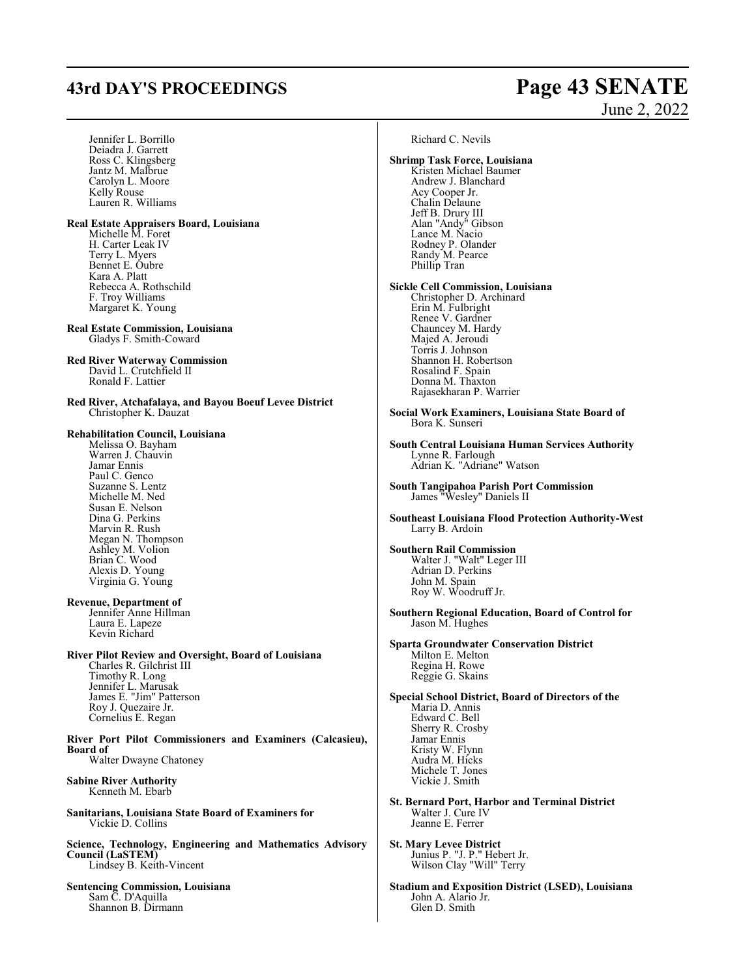# **43rd DAY'S PROCEEDINGS Page 43 SENATE**

# June 2, 2022

Jennifer L. Borrillo Deiadra J. Garrett Ross C. Klingsberg Jantz M. Malbrue Carolyn L. Moore Kelly Rouse Lauren R. Williams **Real Estate Appraisers Board, Louisiana** Michelle M. Foret H. Carter Leak IV Terry L. Myers Bennet E. Oubre Kara A. Platt Rebecca A. Rothschild F. Troy Williams Margaret K. Young **Real Estate Commission, Louisiana** Gladys F. Smith-Coward **Red River Waterway Commission** David L. Crutchfield II Ronald F. Lattier **Red River, Atchafalaya, and Bayou Boeuf Levee District** Christopher K. Dauzat **Rehabilitation Council, Louisiana** Melissa O. Bayham Warren J. Chauvin Jamar Ennis Paul C. Genco Suzanne S. Lentz Michelle M. Ned Susan E. Nelson Dina G. Perkins Marvin R. Rush Megan N. Thompson Ashley M. Volion Brian C. Wood Alexis D. Young Virginia G. Young **Revenue, Department of** Jennifer Anne Hillman Laura E. Lapeze Kevin Richard **River Pilot Review and Oversight, Board of Louisiana** Charles R. Gilchrist III Timothy R. Long Jennifer L. Marusak James E. "Jim" Patterson Roy J. Quezaire Jr. Cornelius E. Regan **River Port Pilot Commissioners and Examiners (Calcasieu), Board of** Walter Dwayne Chatoney **Sabine River Authority** Kenneth M. Ebarb **Sanitarians, Louisiana State Board of Examiners for** Vickie D. Collins **Science, Technology, Engineering and Mathematics Advisory Council (LaSTEM)** Lindsey B. Keith-Vincent **Sentencing Commission, Louisiana** Sam C. D'Aquilla Shannon B. Dirmann

Richard C. Nevils

**Shrimp Task Force, Louisiana** Kristen Michael Baumer Andrew J. Blanchard Acy Cooper Jr. Chalin Delaune Jeff B. Drury III Alan "Andy" Gibson Lance M. Nacio Rodney P. Olander Randy M. Pearce Phillip Tran **Sickle Cell Commission, Louisiana** Christopher D. Archinard Erin M. Fulbright Renee V. Gardner Chauncey M. Hardy Majed A. Jeroudi Torris J. Johnson Shannon H. Robertson Rosalind F. Spain Donna M. Thaxton Rajasekharan P. Warrier **Social Work Examiners, Louisiana State Board of** Bora K. Sunseri **South Central Louisiana Human Services Authority** Lynne R. Farlough Adrian K. "Adriane" Watson **South Tangipahoa Parish Port Commission** James "Wesley" Daniels II **Southeast Louisiana Flood Protection Authority-West** Larry B. Ardoin **Southern Rail Commission** Walter J. "Walt" Leger III Adrian D. Perkins John M. Spain Roy W. Woodruff Jr. **Southern Regional Education, Board of Control for** Jason M. Hughes **Sparta Groundwater Conservation District** Milton E. Melton Regina H. Rowe Reggie G. Skains **Special School District, Board of Directors of the** Maria D. Annis Edward C. Bell Sherry R. Crosby Jamar Ennis Kristy W. Flynn Audra M. Hicks Michele T. Jones Vickie J. Smith **St. Bernard Port, Harbor and Terminal District** Walter J. Cure IV Jeanne E. Ferrer **St. Mary Levee District** Junius P. "J. P." Hebert Jr. Wilson Clay "Will" Terry **Stadium and Exposition District (LSED), Louisiana**

John A. Alario Jr. Glen D. Smith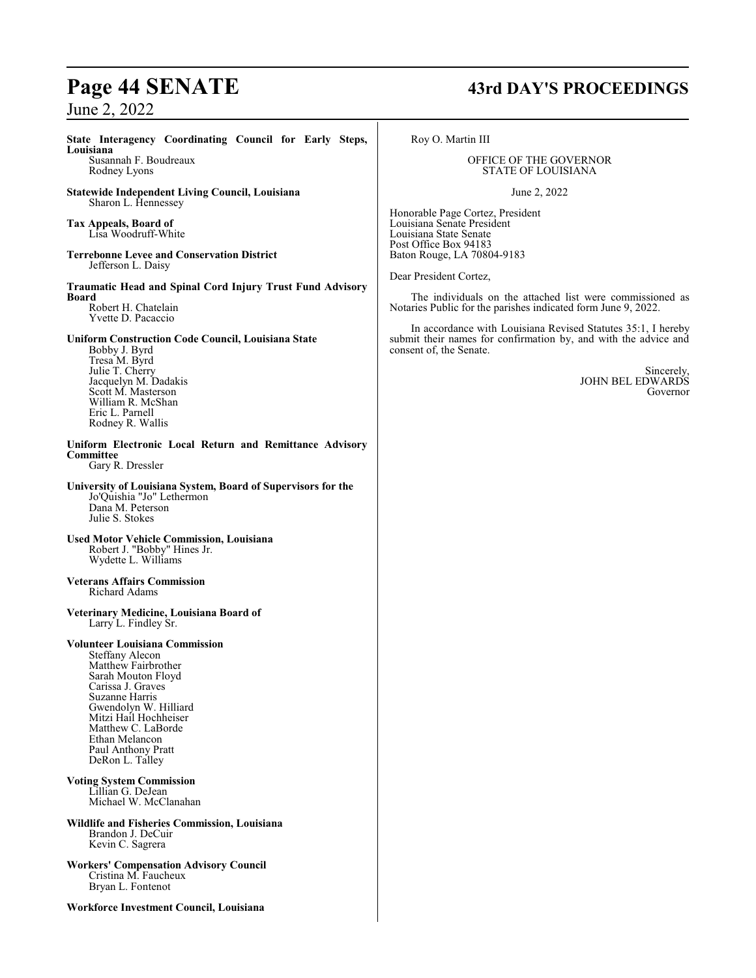**State Interagency Coordinating Council for Early Steps, Louisiana** Susannah F. Boudreaux Rodney Lyons **Statewide Independent Living Council, Louisiana** Sharon L. Hennessey **Tax Appeals, Board of** Lisa Woodruff-White **Terrebonne Levee and Conservation District** Jefferson L. Daisy **Traumatic Head and Spinal Cord Injury Trust Fund Advisory Board** Robert H. Chatelain Yvette D. Pacaccio **Uniform Construction Code Council, Louisiana State** Bobby J. Byrd Tresa M. Byrd Julie T. Cherry Jacquelyn M. Dadakis Scott M. Masterson William R. McShan Eric L. Parnell Rodney R. Wallis **Uniform Electronic Local Return and Remittance Advisory Committee** Gary R. Dressler **University of Louisiana System, Board of Supervisors for the** Jo'Quishia "Jo" Lethermon Dana M. Peterson Julie S. Stokes **Used Motor Vehicle Commission, Louisiana** Robert J. "Bobby" Hines Jr. Wydette L. Williams **Veterans Affairs Commission** Richard Adams **Veterinary Medicine, Louisiana Board of** Larry L. Findley Sr. **Volunteer Louisiana Commission** Steffany Alecon Matthew Fairbrother Sarah Mouton Floyd Carissa J. Graves Suzanne Harris Gwendolyn W. Hilliard Mitzi Hail Hochheiser Matthew C. LaBorde Ethan Melancon Paul Anthony Pratt DeRon L. Talley **Voting System Commission** Lillian G. DeJean Michael W. McClanahan **Wildlife and Fisheries Commission, Louisiana** Brandon J. DeCuir Kevin C. Sagrera **Workers' Compensation Advisory Council** Cristina M. Faucheux Bryan L. Fontenot **Workforce Investment Council, Louisiana**

# **Page 44 SENATE 43rd DAY'S PROCEEDINGS**

Roy O. Martin III

#### OFFICE OF THE GOVERNOR STATE OF LOUISIANA

June 2, 2022

Honorable Page Cortez, President Louisiana Senate President Louisiana State Senate Post Office Box 94183 Baton Rouge, LA 70804-9183

Dear President Cortez,

The individuals on the attached list were commissioned as Notaries Public for the parishes indicated form June 9, 2022.

In accordance with Louisiana Revised Statutes 35:1, I hereby submit their names for confirmation by, and with the advice and consent of, the Senate.

> Sincerely, JOHN BEL EDWARDS Governor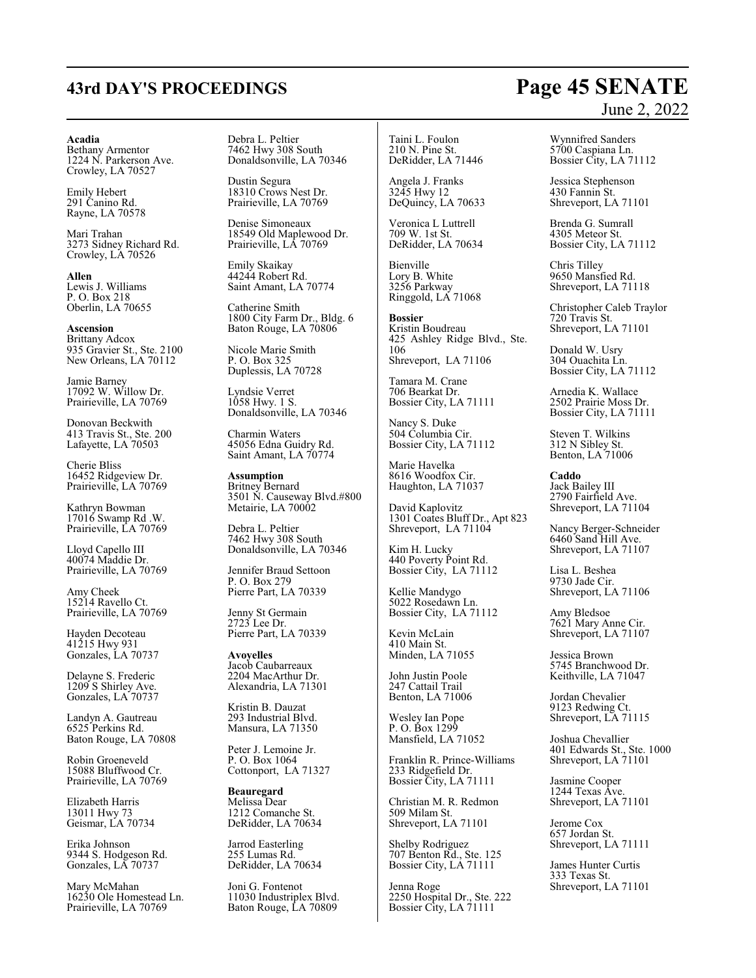# **43rd DAY'S PROCEEDINGS Page 45 SENATE**

#### **Acadia**

Bethany Armentor 1224 N. Parkerson Ave. Crowley, LA 70527

Emily Hebert 291 Canino Rd. Rayne, LA 70578

Mari Trahan 3273 Sidney Richard Rd. Crowley, LA 70526

**Allen** Lewis J. Williams P. O. Box 218 Oberlin, LA 70655

**Ascension** Brittany Adcox 935 Gravier St., Ste. 2100 New Orleans, LA 70112

Jamie Barney 17092 W. Willow Dr. Prairieville, LA 70769

Donovan Beckwith 413 Travis St., Ste. 200 Lafayette, LA 70503

Cherie Bliss 16452 Ridgeview Dr. Prairieville, LA 70769

Kathryn Bowman 17016 Swamp Rd .W. Prairieville, LA 70769

Lloyd Capello III 40074 Maddie Dr. Prairieville, LA 70769

Amy Cheek 15214 Ravello Ct. Prairieville, LA 70769

Hayden Decoteau 41215 Hwy 931 Gonzales, LA 70737

Delayne S. Frederic 1209 S Shirley Ave. Gonzales, LA 70737

Landyn A. Gautreau 6525 Perkins Rd. Baton Rouge, LA 70808

Robin Groeneveld 15088 Bluffwood Cr. Prairieville, LA 70769

Elizabeth Harris 13011 Hwy 73 Geismar, LA 70734

Erika Johnson 9344 S. Hodgeson Rd. Gonzales, LA 70737

Mary McMahan 16230 Ole Homestead Ln. Prairieville, LA 70769

Debra L. Peltier 7462 Hwy 308 South Donaldsonville, LA 70346

Dustin Segura 18310 Crows Nest Dr. Prairieville, LA 70769

Denise Simoneaux 18549 Old Maplewood Dr. Prairieville, LA 70769

Emily Skaikay 44244 Robert Rd. Saint Amant, LA 70774

Catherine Smith 1800 City Farm Dr., Bldg. 6 Baton Rouge, LA 70806

Nicole Marie Smith P. O. Box 325 Duplessis, LA 70728

Lyndsie Verret 1058 Hwy. 1 S. Donaldsonville, LA 70346

Charmin Waters 45056 Edna Guidry Rd. Saint Amant, LA 70774

**Assumption** Britney Bernard 3501 N. Causeway Blvd.#800 Metairie, LA 70002

Debra L. Peltier 7462 Hwy 308 South Donaldsonville, LA 70346

Jennifer Braud Settoon P. O. Box 279 Pierre Part, LA 70339

Jenny St Germain 2723 Lee Dr. Pierre Part, LA 70339

**Avoyelles** Jacob Caubarreaux 2204 MacArthur Dr. Alexandria, LA 71301

Kristin B. Dauzat 293 Industrial Blvd. Mansura, LA 71350

Peter J. Lemoine Jr. P. O. Box 1064 Cottonport, LA 71327

**Beauregard** Melissa Dear 1212 Comanche St. DeRidder, LA 70634

Jarrod Easterling 255 Lumas Rd. DeRidder, LA 70634

Joni G. Fontenot 11030 Industriplex Blvd. Baton Rouge, LA 70809

Taini L. Foulon 210 N. Pine St. DeRidder, LA 71446

Angela J. Franks 3245 Hwy 12 DeQuincy, LA 70633

Veronica L Luttrell 709 W. 1st St. DeRidder, LA 70634

Bienville Lory B. White 3256 Parkway Ringgold, LA 71068

**Bossier** Kristin Boudreau 425 Ashley Ridge Blvd., Ste. 106 Shreveport, LA 71106

Tamara M. Crane 706 Bearkat Dr. Bossier City, LA 71111

Nancy S. Duke 504 Columbia Cir. Bossier City, LA 71112

Marie Havelka 8616 Woodfox Cir. Haughton, LA 71037

David Kaplovitz 1301 Coates Bluff Dr., Apt 823 Shreveport, LA 71104

Kim H. Lucky 440 Poverty Point Rd. Bossier City, LA 71112

Kellie Mandygo 5022 Rosedawn Ln. Bossier City, LA 71112

Kevin McLain 410 Main St. Minden, LA 71055

John Justin Poole 247 Cattail Trail Benton, LA 71006

Wesley Ian Pope P. O. Box 1299 Mansfield, LA 71052

Franklin R. Prince-Williams 233 Ridgefield Dr. Bossier City, LA 71111

Christian M. R. Redmon 509 Milam St. Shreveport, LA 71101

Shelby Rodriguez 707 Benton Rd., Ste. 125 Bossier City, LA 71111

Jenna Roge 2250 Hospital Dr., Ste. 222 Bossier City, LA 71111

# June 2, 2022

Wynnifred Sanders 5700 Caspiana Ln. Bossier City, LA 71112

Jessica Stephenson 430 Fannin St. Shreveport, LA 71101

Brenda G. Sumrall 4305 Meteor St. Bossier City, LA 71112

Chris Tilley 9650 Mansfied Rd. Shreveport, LA 71118

Christopher Caleb Traylor 720 Travis St. Shreveport, LA 71101

Donald W. Usry 304 Ouachita Ln. Bossier City, LA 71112

Arnedia K. Wallace 2502 Prairie Moss Dr. Bossier City, LA 71111

Steven T. Wilkins 312 N Sibley St. Benton, LA 71006

**Caddo** Jack Bailey III 2790 Fairfield Ave. Shreveport, LA 71104

Nancy Berger-Schneider 6460 Sand Hill Ave. Shreveport, LA 71107

Lisa L. Beshea 9730 Jade Cir. Shreveport, LA 71106

Amy Bledsoe 7621 Mary Anne Cir. Shreveport, LA 71107

Jessica Brown 5745 Branchwood Dr. Keithville, LA 71047

Jordan Chevalier 9123 Redwing Ct. Shreveport, LA 71115

Joshua Chevallier 401 Edwards St., Ste. 1000 Shreveport, LA 71101

Jasmine Cooper 1244 Texas Ave. Shreveport, LA 71101

Jerome Cox 657 Jordan St. Shreveport, LA 71111

James Hunter Curtis 333 Texas St. Shreveport, LA 71101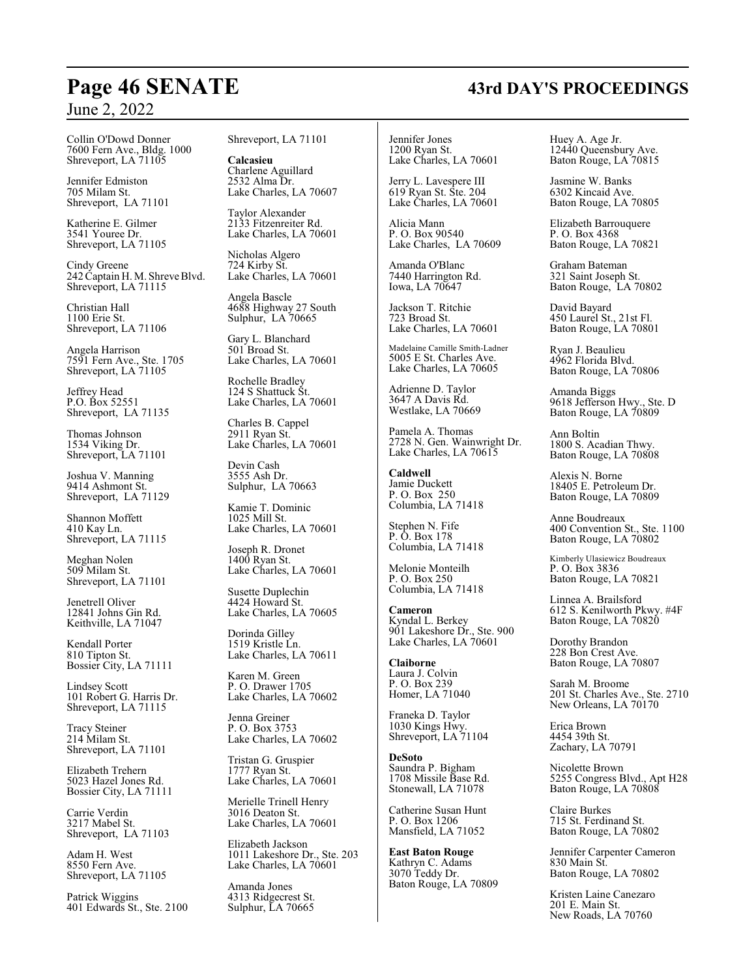Collin O'Dowd Donner 7600 Fern Ave., Bldg. 1000 Shreveport, LA 71105

Jennifer Edmiston 705 Milam St. Shreveport, LA 71101

Katherine E. Gilmer 3541 Youree Dr. Shreveport, LA 71105

Cindy Greene 242 Captain H. M. Shreve Blvd. Shreveport, LA 71115

Christian Hall 1100 Erie St. Shreveport, LA 71106

Angela Harrison 7591 Fern Ave., Ste. 1705 Shreveport, LA 71105

Jeffrey Head P.O. Box 52551 Shreveport, LA 71135

Thomas Johnson 1534 Viking Dr. Shreveport, LA 71101

Joshua V. Manning 9414 Ashmont St. Shreveport, LA 71129

Shannon Moffett 410 Kay Ln. Shreveport, LA 71115

Meghan Nolen 509 Milam St. Shreveport, LA 71101

Jenetrell Oliver 12841 Johns Gin Rd. Keithville, LA 71047

Kendall Porter 810 Tipton St. Bossier City, LA 71111

Lindsey Scott 101 Robert G. Harris Dr. Shreveport, LA 71115

Tracy Steiner 214 Milam St. Shreveport, LA 71101

Elizabeth Trehern 5023 Hazel Jones Rd. Bossier City, LA 71111

Carrie Verdin 3217 Mabel St. Shreveport, LA 71103

Adam H. West 8550 Fern Ave. Shreveport, LA 71105

Patrick Wiggins 401 Edwards St., Ste. 2100 Shreveport, LA 71101

**Calcasieu** Charlene Aguillard 2532 Alma Dr. Lake Charles, LA 70607

Taylor Alexander 2133 Fitzenreiter Rd. Lake Charles, LA 70601

Nicholas Algero 724 Kirby St. Lake Charles, LA 70601

Angela Bascle 4688 Highway 27 South Sulphur, LA 70665

Gary L. Blanchard 501 Broad St. Lake Charles, LA 70601

Rochelle Bradley 124 S Shattuck St. Lake Charles, LA 70601

Charles B. Cappel 2911 Ryan St. Lake Charles, LA 70601

Devin Cash 3555 Ash Dr. Sulphur, LA 70663

Kamie T. Dominic 1025 Mill St. Lake Charles, LA 70601

Joseph R. Dronet 1400 Ryan St. Lake Charles, LA 70601

Susette Duplechin 4424 Howard St. Lake Charles, LA 70605

Dorinda Gilley 1519 Kristle Ln. Lake Charles, LA 70611

Karen M. Green P. O. Drawer 1705 Lake Charles, LA 70602

Jenna Greiner P. O. Box 3753 Lake Charles, LA 70602

Tristan G. Gruspier 1777 Ryan St. Lake Charles, LA 70601

Merielle Trinell Henry 3016 Deaton St. Lake Charles, LA 70601

Elizabeth Jackson 1011 Lakeshore Dr., Ste. 203 Lake Charles, LA 70601

Amanda Jones 4313 Ridgecrest St. Sulphur, LA 70665

Jennifer Jones 1200 Ryan St. Lake Charles, LA 70601

Jerry L. Lavespere III 619 Ryan St. Ste. 204 Lake Charles, LA 70601

Alicia Mann P. O. Box 90540 Lake Charles, LA 70609

Amanda O'Blanc 7440 Harrington Rd. Iowa, LA 70647

Jackson T. Ritchie 723 Broad St. Lake Charles, LA 70601

Madelaine Camille Smith-Ladner 5005 E St. Charles Ave. Lake Charles, LA 70605

Adrienne D. Taylor 3647 A Davis Rd. Westlake, LA 70669

Pamela A. Thomas 2728 N. Gen. Wainwright Dr. Lake Charles, LA 70615

**Caldwell** Jamie Duckett P. O. Box 250 Columbia, LA 71418

Stephen N. Fife P. O. Box 178 Columbia, LA 71418

Melonie Monteilh P. O. Box 250 Columbia, LA 71418

**Cameron** Kyndal L. Berkey 901 Lakeshore Dr., Ste. 900 Lake Charles, LA 70601

**Claiborne** Laura J. Colvin P. O. Box 239 Homer, LA 71040

Franeka D. Taylor 1030 Kings Hwy. Shreveport, LA 71104

**DeSoto** Saundra P. Bigham 1708 Missile Base Rd. Stonewall, LA 71078

Catherine Susan Hunt P. O. Box 1206 Mansfield, LA 71052

**East Baton Rouge** Kathryn C. Adams 3070 Teddy Dr. Baton Rouge, LA 70809 Huey A. Age Jr. 12440 Queensbury Ave. Baton Rouge, LA 70815

Jasmine W. Banks 6302 Kincaid Ave. Baton Rouge, LA 70805

Elizabeth Barrouquere P. O. Box 4368 Baton Rouge, LA 70821

Graham Bateman 321 Saint Joseph St. Baton Rouge, LA 70802

David Bayard 450 Laurel St., 21st Fl. Baton Rouge, LA 70801

Ryan J. Beaulieu 4962 Florida Blvd. Baton Rouge, LA 70806

Amanda Biggs 9618 Jefferson Hwy., Ste. D Baton Rouge, LA 70809

Ann Boltin 1800 S. Acadian Thwy. Baton Rouge, LA 70808

Alexis N. Borne 18405 E. Petroleum Dr. Baton Rouge, LA 70809

Anne Boudreaux 400 Convention St., Ste. 1100 Baton Rouge, LA 70802

Kimberly Ulasiewicz Boudreaux P. O. Box 3836 Baton Rouge, LA 70821

Linnea A. Brailsford 612 S. Kenilworth Pkwy. #4F Baton Rouge, LA 70820

Dorothy Brandon 228 Bon Crest Ave. Baton Rouge, LA 70807

Sarah M. Broome 201 St. Charles Ave., Ste. 2710 New Orleans, LA 70170

Erica Brown 4454 39th St. Zachary, LA 70791

Nicolette Brown 5255 Congress Blvd., Apt H28 Baton Rouge, LA 70808

Claire Burkes 715 St. Ferdinand St. Baton Rouge, LA 70802

Jennifer Carpenter Cameron 830 Main St. Baton Rouge, LA 70802

Kristen Laine Canezaro 201 E. Main St. New Roads, LA 70760

# **Page 46 SENATE 43rd DAY'S PROCEEDINGS**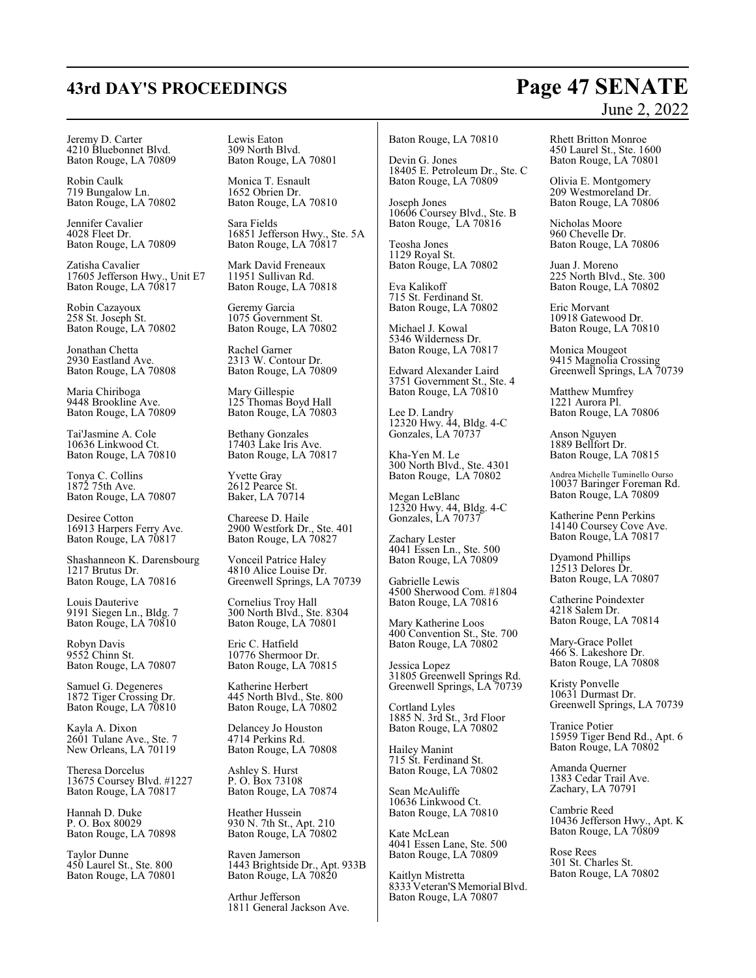# **43rd DAY'S PROCEEDINGS Page 47 SENATE**

# June 2, 2022

Jeremy D. Carter 4210 Bluebonnet Blvd. Baton Rouge, LA 70809

Robin Caulk 719 Bungalow Ln. Baton Rouge, LA 70802

Jennifer Cavalier 4028 Fleet Dr. Baton Rouge, LA 70809

Zatisha Cavalier 17605 Jefferson Hwy., Unit E7 Baton Rouge, LA 70817

Robin Cazayoux 258 St. Joseph St. Baton Rouge, LA 70802

Jonathan Chetta 2930 Eastland Ave. Baton Rouge, LA 70808

Maria Chiriboga 9448 Brookline Ave. Baton Rouge, LA 70809

Tai'Jasmine A. Cole 10636 Linkwood Ct. Baton Rouge, LA 70810

Tonya C. Collins 1872 75th Ave. Baton Rouge, LA 70807

Desiree Cotton 16913 Harpers Ferry Ave. Baton Rouge, LA 70817

Shashanneon K. Darensbourg 1217 Brutus Dr. Baton Rouge, LA 70816

Louis Dauterive 9191 Siegen Ln., Bldg. 7 Baton Rouge, LA 70810

Robyn Davis 9552 Chinn St. Baton Rouge, LA 70807

Samuel G. Degeneres 1872 Tiger Crossing Dr. Baton Rouge, LA 70810

Kayla A. Dixon 2601 Tulane Ave., Ste. 7 New Orleans, LA 70119

Theresa Dorcelus 13675 Coursey Blvd. #1227 Baton Rouge, LA 70817

Hannah D. Duke P. O. Box 80029 Baton Rouge, LA 70898

Taylor Dunne 450 Laurel St., Ste. 800 Baton Rouge, LA 70801 Lewis Eaton 309 North Blvd. Baton Rouge, LA 70801

Monica T. Esnault 1652 Obrien Dr. Baton Rouge, LA 70810

Sara Fields 16851 Jefferson Hwy., Ste. 5A Baton Rouge, LA 70817

Mark David Freneaux 11951 Sullivan Rd. Baton Rouge, LA 70818

Geremy Garcia 1075 Government St. Baton Rouge, LA 70802

Rachel Garner 2313 W. Contour Dr. Baton Rouge, LA 70809

Mary Gillespie 125 Thomas Boyd Hall Baton Rouge, LA 70803

Bethany Gonzales 17403 Lake Iris Ave. Baton Rouge, LA 70817

Yvette Gray 2612 Pearce St. Baker, LA 70714

Chareese D. Haile 2900 Westfork Dr., Ste. 401 Baton Rouge, LA 70827

Vonceil Patrice Haley 4810 Alice Louise Dr. Greenwell Springs, LA 70739

Cornelius Troy Hall 300 North Blvd., Ste. 8304 Baton Rouge, LA 70801

Eric C. Hatfield 10776 Shermoor Dr. Baton Rouge, LA 70815

Katherine Herbert 445 North Blvd., Ste. 800 Baton Rouge, LA 70802

Delancey Jo Houston 4714 Perkins Rd. Baton Rouge, LA 70808

Ashley S. Hurst P. O. Box 73108 Baton Rouge, LA 70874

Heather Hussein 930 N. 7th St., Apt. 210 Baton Rouge, LA 70802

Raven Jamerson 1443 Brightside Dr., Apt. 933B Baton Rouge, LA 70820

Arthur Jefferson 1811 General Jackson Ave. Baton Rouge, LA 70810

Devin G. Jones 18405 E. Petroleum Dr., Ste. C Baton Rouge, LA 70809

Joseph Jones 10606 Coursey Blvd., Ste. B Baton Rouge, LA 70816

Teosha Jones 1129 Royal St. Baton Rouge, LA 70802

Eva Kalikoff 715 St. Ferdinand St. Baton Rouge, LA 70802

Michael J. Kowal 5346 Wilderness Dr. Baton Rouge, LA 70817

Edward Alexander Laird 3751 Government St., Ste. 4 Baton Rouge, LA 70810

Lee D. Landry 12320 Hwy. 44, Bldg. 4-C Gonzales, LA 70737

Kha-Yen M. Le 300 North Blvd., Ste. 4301 Baton Rouge, LA 70802

Megan LeBlanc 12320 Hwy. 44, Bldg. 4-C Gonzales, LA 70737

Zachary Lester 4041 Essen Ln., Ste. 500 Baton Rouge, LA 70809

Gabrielle Lewis 4500 Sherwood Com. #1804 Baton Rouge, LA 70816

Mary Katherine Loos 400 Convention St., Ste. 700 Baton Rouge, LA 70802

Jessica Lopez 31805 Greenwell Springs Rd. Greenwell Springs, LA 70739

Cortland Lyles 1885 N. 3rd St., 3rd Floor Baton Rouge, LA 70802

Hailey Manint 715 St. Ferdinand St. Baton Rouge, LA 70802

Sean McAuliffe 10636 Linkwood Ct. Baton Rouge, LA 70810

Kate McLean 4041 Essen Lane, Ste. 500 Baton Rouge, LA 70809

Kaitlyn Mistretta 8333 Veteran'S Memorial Blvd. Baton Rouge, LA 70807

Rhett Britton Monroe 450 Laurel St., Ste. 1600 Baton Rouge, LA 70801

Olivia E. Montgomery 209 Westmoreland Dr. Baton Rouge, LA 70806

Nicholas Moore 960 Chevelle Dr. Baton Rouge, LA 70806

Juan J. Moreno 225 North Blvd., Ste. 300 Baton Rouge, LA 70802

Eric Morvant 10918 Gatewood Dr. Baton Rouge, LA 70810

Monica Mougeot 9415 Magnolia Crossing Greenwell Springs, LA 70739

Matthew Mumfrey 1221 Aurora Pl. Baton Rouge, LA 70806

Anson Nguyen 1889 Bellfort Dr. Baton Rouge, LA 70815

Andrea Michelle Tuminello Ourso 10037 Baringer Foreman Rd. Baton Rouge, LA 70809

Katherine Penn Perkins 14140 Coursey Cove Ave. Baton Rouge, LA 70817

Dyamond Phillips 12513 Delores Dr. Baton Rouge, LA 70807

Catherine Poindexter 4218 Salem Dr. Baton Rouge, LA 70814

Mary-Grace Pollet 466 S. Lakeshore Dr. Baton Rouge, LA 70808

Kristy Ponvelle 10631 Durmast Dr. Greenwell Springs, LA 70739

Tranice Potier 15959 Tiger Bend Rd., Apt. 6 Baton Rouge, LA 70802

Amanda Querner 1383 Cedar Trail Ave. Zachary, LA 70791

Cambrie Reed 10436 Jefferson Hwy., Apt. K Baton Rouge, LA 70809

Rose Rees 301 St. Charles St. Baton Rouge, LA 70802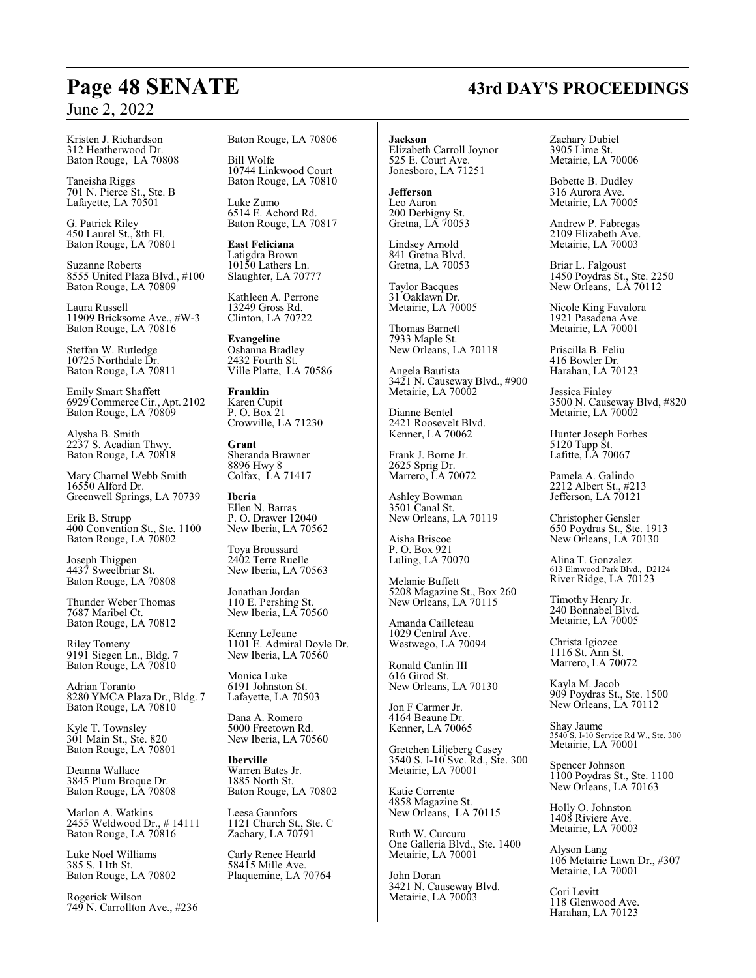Kristen J. Richardson 312 Heatherwood Dr. Baton Rouge, LA 70808

Taneisha Riggs 701 N. Pierce St., Ste. B Lafayette, LA 70501

G. Patrick Riley 450 Laurel St., 8th Fl. Baton Rouge, LA 70801

Suzanne Roberts 8555 United Plaza Blvd., #100 Baton Rouge, LA 70809

Laura Russell 11909 Bricksome Ave., #W-3 Baton Rouge, LA 70816

Steffan W. Rutledge 10725 Northdale Dr. Baton Rouge, LA 70811

Emily Smart Shaffett 6929Commerce Cir., Apt. 2102 Baton Rouge, LA 70809

Alysha B. Smith 2237 S. Acadian Thwy. Baton Rouge, LA 70818

Mary Charnel Webb Smith 16550 Alford Dr. Greenwell Springs, LA 70739

Erik B. Strupp 400 Convention St., Ste. 1100 Baton Rouge, LA 70802

Joseph Thigpen 4437 Sweetbriar St. Baton Rouge, LA 70808

Thunder Weber Thomas 7687 Maribel Ct. Baton Rouge, LA 70812

Riley Tomeny 9191 Siegen Ln., Bldg. 7 Baton Rouge, LA 70810

Adrian Toranto 8280 YMCA Plaza Dr., Bldg. 7 Baton Rouge, LA 70810

Kyle T. Townsley 301 Main St., Ste. 820 Baton Rouge, LA 70801

Deanna Wallace 3845 Plum Broque Dr. Baton Rouge, LA 70808

Marlon A. Watkins 2455 Weldwood Dr., # 14111 Baton Rouge, LA 70816

Luke Noel Williams 385 S. 11th St. Baton Rouge, LA 70802

Rogerick Wilson 749 N. Carrollton Ave., #236 Baton Rouge, LA 70806

Bill Wolfe 10744 Linkwood Court Baton Rouge, LA 70810

Luke Zumo 6514 E. Achord Rd. Baton Rouge, LA 70817

**East Feliciana** Latigdra Brown 10150 Lathers Ln. Slaughter, LA 70777

Kathleen A. Perrone 13249 Gross Rd. Clinton, LA 70722

**Evangeline** Oshanna Bradley 2432 Fourth St. Ville Platte, LA 70586

**Franklin** Karen Cupit P. O. Box 21 Crowville, LA 71230

**Grant** Sheranda Brawner 8896 Hwy 8 Colfax, LA 71417

**Iberia** Ellen N. Barras P. O. Drawer 12040 New Iberia, LA 70562

Toya Broussard 2402 Terre Ruelle New Iberia, LA 70563

Jonathan Jordan 110 E. Pershing St. New Iberia, LA 70560

Kenny LeJeune 1101 E. Admiral Doyle Dr. New Iberia, LA 70560

Monica Luke 6191 Johnston St. Lafayette, LA 70503

Dana A. Romero 5000 Freetown Rd. New Iberia, LA 70560

**Iberville** Warren Bates Jr. 1885 North St. Baton Rouge, LA 70802

Leesa Gannfors 1121 Church St., Ste. C Zachary, LA 70791

Carly Renee Hearld 58415 Mille Ave. Plaquemine, LA 70764 **Jackson** Elizabeth Carroll Joynor

525 E. Court Ave. Jonesboro, LA 71251

**Jefferson** Leo Aaron 200 Derbigny St. Gretna, LA 70053

Lindsey Arnold 841 Gretna Blvd. Gretna, LA 70053

Taylor Bacques 31 Oaklawn Dr. Metairie, LA 70005

Thomas Barnett 7933 Maple St. New Orleans, LA 70118

Angela Bautista 3421 N. Causeway Blvd., #900 Metairie, LA 70002

Dianne Bentel 2421 Roosevelt Blvd. Kenner, LA 70062

Frank J. Borne Jr. 2625 Sprig Dr. Marrero, LA 70072

Ashley Bowman 3501 Canal St. New Orleans, LA 70119

Aisha Briscoe P. O. Box 921 Luling, LA 70070

Melanie Buffett 5208 Magazine St., Box 260 New Orleans, LA 70115

Amanda Cailleteau 1029 Central Ave. Westwego, LA 70094

Ronald Cantin III 616 Girod St. New Orleans, LA 70130

Jon F Carmer Jr. 4164 Beaune Dr. Kenner, LA 70065

Gretchen Liljeberg Casey 3540 S. I-10 Svc. Rd., Ste. 300 Metairie, LA 70001

Katie Corrente 4858 Magazine St. New Orleans, LA 70115

Ruth W. Curcuru One Galleria Blvd., Ste. 1400 Metairie, LA 70001

John Doran 3421 N. Causeway Blvd. Metairie, LA 70003

Zachary Dubiel 3905 Lime St. Metairie, LA 70006

Bobette B. Dudley 316 Aurora Ave. Metairie, LA 70005

Andrew P. Fabregas 2109 Elizabeth Ave. Metairie, LA 70003

Briar L. Falgoust 1450 Poydras St., Ste. 2250 New Orleans, LA 70112

Nicole King Favalora 1921 Pasadena Ave. Metairie, LA 70001

Priscilla B. Feliu 416 Bowler Dr. Harahan, LA 70123

Jessica Finley 3500 N. Causeway Blvd, #820 Metairie, LA 70002

Hunter Joseph Forbes 5120 Tapp St. Lafitte, LA 70067

Pamela A. Galindo 2212 Albert St., #213 Jefferson, LA 70121

Christopher Gensler 650 Poydras St., Ste. 1913 New Orleans, LA 70130

Alina T. Gonzalez 613 Elmwood Park Blvd., D2124 River Ridge, LA 70123

Timothy Henry Jr. 240 Bonnabel Blvd. Metairie, LA 70005

Christa Igiozee 1116 St. Ann St. Marrero, LA 70072

Kayla M. Jacob 909 Poydras St., Ste. 1500 New Orleans, LA 70112

Shay Jaume 3540 S. I-10 Service Rd W., Ste. 300 Metairie, LA 70001

Spencer Johnson 1100 Poydras St., Ste. 1100 New Orleans, LA 70163

Holly O. Johnston 1408 Riviere Ave. Metairie, LA 70003

Alyson Lang 106 Metairie Lawn Dr., #307 Metairie, LA 70001

Cori Levitt 118 Glenwood Ave. Harahan, LA 70123

# **Page 48 SENATE 43rd DAY'S PROCEEDINGS**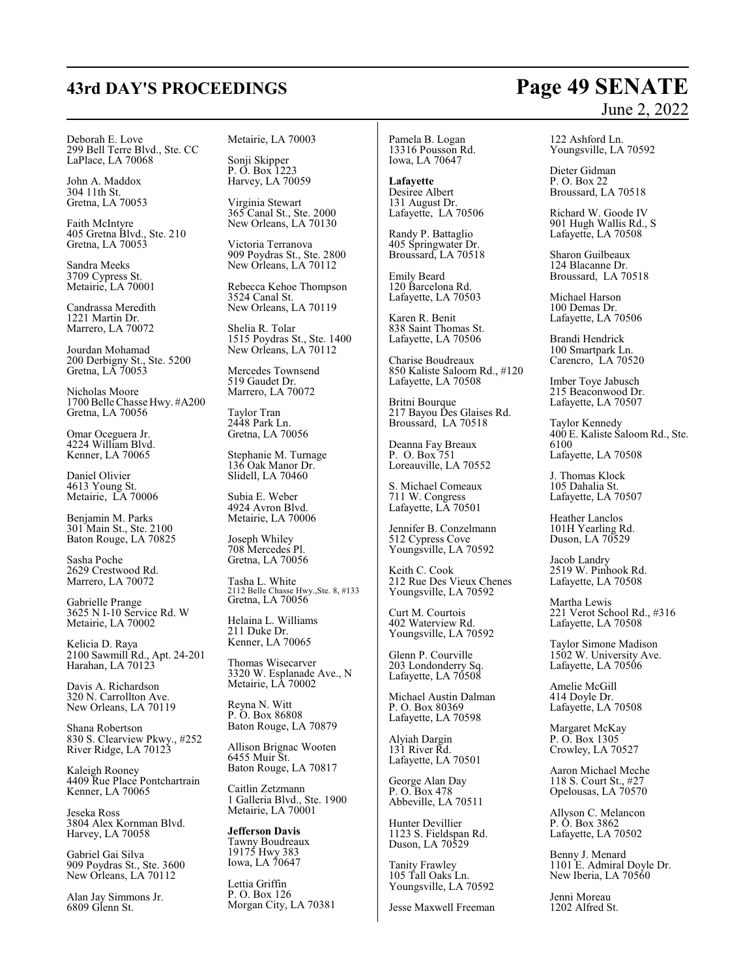Deborah E. Love 299 Bell Terre Blvd., Ste. CC LaPlace, LA 70068

John A. Maddox 304 11th St. Gretna, LA 70053

Faith McIntyre 405 Gretna Blvd., Ste. 210 Gretna, LA 70053

Sandra Meeks 3709 Cypress St. Metairie, LA 70001

Candrassa Meredith 1221 Martin Dr. Marrero, LA 70072

Jourdan Mohamad 200 Derbigny St., Ste. 5200 Gretna, LA 70053

Nicholas Moore 1700Belle Chasse Hwy. #A200 Gretna, LA 70056

Omar Oceguera Jr. 4224 William Blvd. Kenner, LA 70065

Daniel Olivier 4613 Young St. Metairie, LA 70006

Benjamin M. Parks 301 Main St., Ste. 2100 Baton Rouge, LA 70825

Sasha Poche 2629 Crestwood Rd. Marrero, LA 70072

Gabrielle Prange 3625 N I-10 Service Rd. W Metairie, LA 70002

Kelicia D. Raya 2100 Sawmill Rd., Apt. 24-201 Harahan, LA 70123

Davis A. Richardson 320 N. Carrollton Ave. New Orleans, LA 70119

Shana Robertson 830 S. Clearview Pkwy., #252 River Ridge, LA 70123

Kaleigh Rooney 4409 Rue Place Pontchartrain Kenner, LA 70065

Jeseka Ross 3804 Alex Kornman Blvd. Harvey, LA 70058

Gabriel Gai Silva 909 Poydras St., Ste. 3600 New Orleans, LA 70112

Alan Jay Simmons Jr. 6809 Glenn St.

Metairie, LA 70003

Sonji Skipper P. O. Box 1223 Harvey, LA 70059

Virginia Stewart 365 Canal St., Ste. 2000 New Orleans, LA 70130

Victoria Terranova 909 Poydras St., Ste. 2800 New Orleans, LA 70112

Rebecca Kehoe Thompson 3524 Canal St. New Orleans, LA 70119

Shelia R. Tolar 1515 Poydras St., Ste. 1400 New Orleans, LA 70112

Mercedes Townsend 519 Gaudet Dr. Marrero, LA 70072

Taylor Tran 2448 Park Ln. Gretna, LA 70056

Stephanie M. Turnage 136 Oak Manor Dr. Slidell, LA 70460

Subia E. Weber 4924 Avron Blvd. Metairie, LA 70006

Joseph Whiley 708 Mercedes Pl. Gretna, LA 70056

Tasha L. White 2112 Belle Chasse Hwy.,Ste. 8, #133 Gretna, LA 70056

Helaina L. Williams 211 Duke Dr. Kenner, LA 70065

Thomas Wisecarver 3320 W. Esplanade Ave., N Metairie, LA 70002

Reyna N. Witt P. O. Box 86808 Baton Rouge, LA 70879

Allison Brignac Wooten 6455 Muir St. Baton Rouge, LA 70817

Caitlin Zetzmann 1 Galleria Blvd., Ste. 1900 Metairie, LA 70001

**Jefferson Davis** Tawny Boudreaux 19175 Hwy 383 Iowa, LA 70647

Lettia Griffin P. O. Box 126 Morgan City, LA 70381

Pamela B. Logan 13316 Pousson Rd. Iowa, LA 70647

**Lafayette** Desiree Albert 131 August Dr. Lafayette, LA 70506

Randy P. Battaglio 405 Springwater Dr. Broussard, LA 70518

Emily Beard 120 Barcelona Rd. Lafayette, LA 70503

Karen R. Benit 838 Saint Thomas St. Lafayette, LA 70506

Charise Boudreaux 850 Kaliste Saloom Rd., #120 Lafayette, LA 70508

Britni Bourque 217 Bayou Des Glaises Rd. Broussard, LA 70518

Deanna Fay Breaux P. O. Box 751 Loreauville, LA 70552

S. Michael Comeaux 711 W. Congress Lafayette, LA 70501

Jennifer B. Conzelmann 512 Cypress Cove Youngsville, LA 70592

Keith C. Cook 212 Rue Des Vieux Chenes Youngsville, LA 70592

Curt M. Courtois 402 Waterview Rd. Youngsville, LA 70592

Glenn P. Courville 203 Londonderry Sq. Lafayette, LA 70508

Michael Austin Dalman P. O. Box 80369 Lafayette, LA 70598

Alyiah Dargin 131 River Rd. Lafayette, LA 70501

George Alan Day P. O. Box 478 Abbeville, LA 70511

Hunter Devillier 1123 S. Fieldspan Rd. Duson, LA 70529

Tanity Frawley 105 Tall Oaks Ln. Youngsville, LA 70592

Jesse Maxwell Freeman

#### 122 Ashford Ln. Youngsville, LA 70592

Dieter Gidman P. O. Box 22 Broussard, LA 70518

Richard W. Goode IV 901 Hugh Wallis Rd., S Lafayette, LA 70508

Sharon Guilbeaux 124 Blacanne Dr. Broussard, LA 70518

Michael Harson 100 Demas Dr. Lafayette, LA 70506

Brandi Hendrick 100 Smartpark Ln. Carencro, LA 70520

Imber Toye Jabusch 215 Beaconwood Dr. Lafayette, LA 70507

Taylor Kennedy 400 E. Kaliste Saloom Rd., Ste. 6100 Lafayette, LA 70508

J. Thomas Klock 105 Dahalia St. Lafayette, LA 70507

Heather Lanclos 101H Yearling Rd. Duson, LA 70529

Jacob Landry 2519 W. Pinhook Rd. Lafayette, LA 70508

Martha Lewis 221 Verot School Rd., #316 Lafayette, LA 70508

Taylor Simone Madison 1502 W. University Ave. Lafayette, LA 70506

Amelie McGill 414 Doyle Dr. Lafayette, LA 70508

Margaret McKay P. O. Box 1305 Crowley, LA 70527

Aaron Michael Meche 118 S. Court St., #27 Opelousas, LA 70570

Allyson C. Melancon P. O. Box 3862 Lafayette, LA 70502

Benny J. Menard 1101 E. Admiral Doyle Dr. New Iberia, LA 70560

Jenni Moreau 1202 Alfred St.

# **43rd DAY'S PROCEEDINGS Page 49 SENATE** June 2, 2022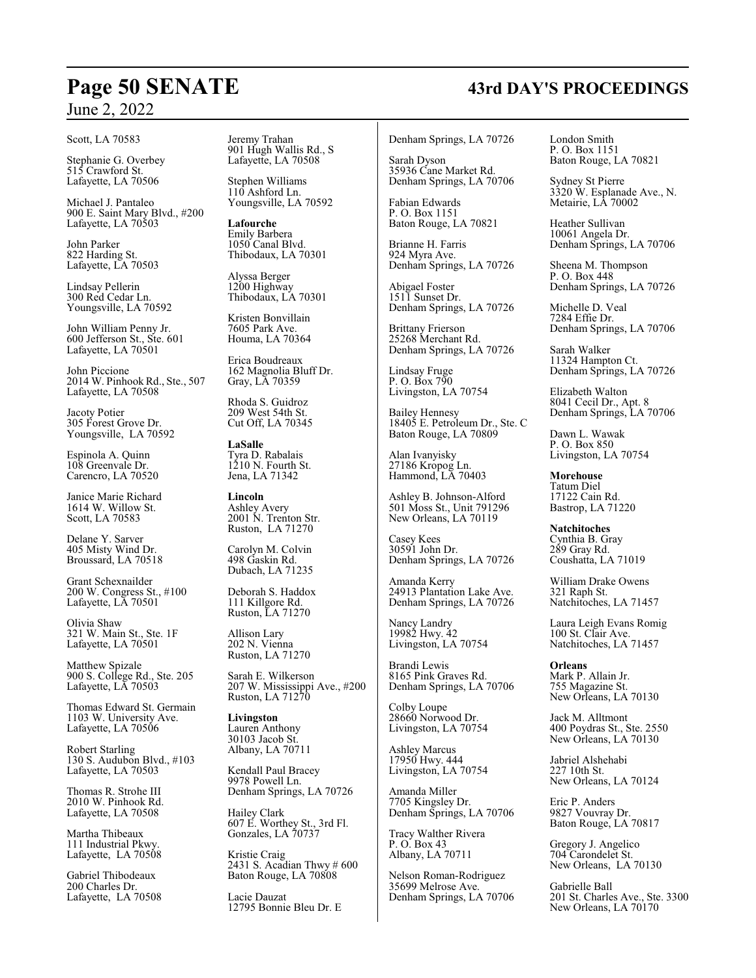#### Scott, LA 70583

Stephanie G. Overbey 515 Crawford St. Lafayette, LA 70506

Michael J. Pantaleo 900 E. Saint Mary Blvd., #200 Lafayette, LA 70503

John Parker 822 Harding St. Lafayette, LA 70503

Lindsay Pellerin 300 Red Cedar Ln. Youngsville, LA 70592

John William Penny Jr. 600 Jefferson St., Ste. 601 Lafayette, LA 70501

John Piccione 2014 W. Pinhook Rd., Ste., 507 Lafayette, LA 70508

Jacoty Potier 305 Forest Grove Dr. Youngsville, LA 70592

Espinola A. Quinn 108 Greenvale Dr. Carencro, LA 70520

Janice Marie Richard 1614 W. Willow St. Scott, LA 70583

Delane Y. Sarver 405 Misty Wind Dr. Broussard, LA 70518

Grant Schexnailder 200 W. Congress St., #100 Lafayette, LA 70501

Olivia Shaw 321 W. Main St., Ste. 1F Lafayette, LA 70501

Matthew Spizale 900 S. College Rd., Ste. 205 Lafayette, LA 70503

Thomas Edward St. Germain 1103 W. University Ave. Lafayette, LA 70506

Robert Starling 130 S. Audubon Blvd., #103 Lafayette, LA 70503

Thomas R. Strohe III 2010 W. Pinhook Rd. Lafayette, LA 70508

Martha Thibeaux 111 Industrial Pkwy. Lafayette, LA 70508

Gabriel Thibodeaux 200 Charles Dr. Lafayette, LA 70508 Jeremy Trahan 901 Hugh Wallis Rd., S Lafayette, LA 70508

Stephen Williams 110 Ashford Ln. Youngsville, LA 70592

**Lafourche** Emily Barbera 1050 Canal Blvd. Thibodaux, LA 70301

Alyssa Berger 1200 Highway Thibodaux, LA 70301

Kristen Bonvillain 7605 Park Ave. Houma, LA 70364

Erica Boudreaux 162 Magnolia Bluff Dr. Gray, LA 70359

Rhoda S. Guidroz 209 West 54th St. Cut Off, LA 70345

**LaSalle** Tyra D. Rabalais 1210 N. Fourth St. Jena, LA 71342

**Lincoln** Ashley Avery 2001 N. Trenton Str. Ruston, LA 71270

Carolyn M. Colvin 498 Gaskin Rd. Dubach, LA 71235

Deborah S. Haddox 111 Killgore Rd. Ruston, LA 71270

Allison Lary 202 N. Vienna Ruston, LA 71270

Sarah E. Wilkerson 207 W. Mississippi Ave., #200 Ruston, LA 71270

**Livingston** Lauren Anthony 30103 Jacob St. Albany, LA 70711

Kendall Paul Bracey 9978 Powell Ln. Denham Springs, LA 70726

Hailey Clark 607 E. Worthey St., 3rd Fl. Gonzales, LA 70737

Kristie Craig 2431 S. Acadian Thwy # 600 Baton Rouge, LA 70808

Lacie Dauzat 12795 Bonnie Bleu Dr. E Denham Springs, LA 70726

Sarah Dyson 35936 Cane Market Rd. Denham Springs, LA 70706

Fabian Edwards P. O. Box 1151 Baton Rouge, LA 70821

Brianne H. Farris 924 Myra Ave. Denham Springs, LA 70726

Abigael Foster 1511 Sunset Dr. Denham Springs, LA 70726

Brittany Frierson 25268 Merchant Rd. Denham Springs, LA 70726

Lindsay Fruge P. O. Box 790 Livingston, LA 70754

Bailey Hennesy 18405 E. Petroleum Dr., Ste. C Baton Rouge, LA 70809

Alan Ivanyisky 27186 Kropog Ln. Hammond, LA 70403

Ashley B. Johnson-Alford 501 Moss St., Unit 791296 New Orleans, LA 70119

Casey Kees 30591 John Dr. Denham Springs, LA 70726

Amanda Kerry 24913 Plantation Lake Ave. Denham Springs, LA 70726

Nancy Landry 19982 Hwy. 42 Livingston, LA 70754

Brandi Lewis 8165 Pink Graves Rd. Denham Springs, LA 70706

Colby Loupe 28660 Norwood Dr. Livingston, LA 70754

Ashley Marcus 17950 Hwy. 444 Livingston, LA 70754

Amanda Miller 7705 Kingsley Dr. Denham Springs, LA 70706

Tracy Walther Rivera P. O. Box 43 Albany, LA 70711

Nelson Roman-Rodriguez 35699 Melrose Ave. Denham Springs, LA 70706 London Smith P. O. Box 1151 Baton Rouge, LA 70821

Sydney St Pierre 3320 W. Esplanade Ave., N. Metairie, LA 70002

Heather Sullivan 10061 Angela Dr. Denham Springs, LA 70706

Sheena M. Thompson P. O. Box 448 Denham Springs, LA 70726

Michelle D. Veal 7284 Effie Dr. Denham Springs, LA 70706

Sarah Walker 11324 Hampton Ct. Denham Springs, LA 70726

Elizabeth Walton 8041 Cecil Dr., Apt. 8 Denham Springs, LA 70706

Dawn L. Wawak P. O. Box 850 Livingston, LA 70754

**Morehouse** Tatum Diel 17122 Cain Rd. Bastrop, LA 71220

**Natchitoches** Cynthia B. Gray 289 Gray Rd. Coushatta, LA 71019

William Drake Owens 321 Raph St. Natchitoches, LA 71457

Laura Leigh Evans Romig 100 St. Clair Ave. Natchitoches, LA 71457

**Orleans** Mark P. Allain Jr. 755 Magazine St. New Orleans, LA 70130

Jack M. Alltmont 400 Poydras St., Ste. 2550 New Orleans, LA 70130

Jabriel Alshehabi 227 10th St. New Orleans, LA 70124

Eric P. Anders 9827 Vouvray Dr. Baton Rouge, LA 70817

Gregory J. Angelico 704 Carondelet St. New Orleans, LA 70130

Gabrielle Ball 201 St. Charles Ave., Ste. 3300 New Orleans, LA 70170

# **Page 50 SENATE 43rd DAY'S PROCEEDINGS**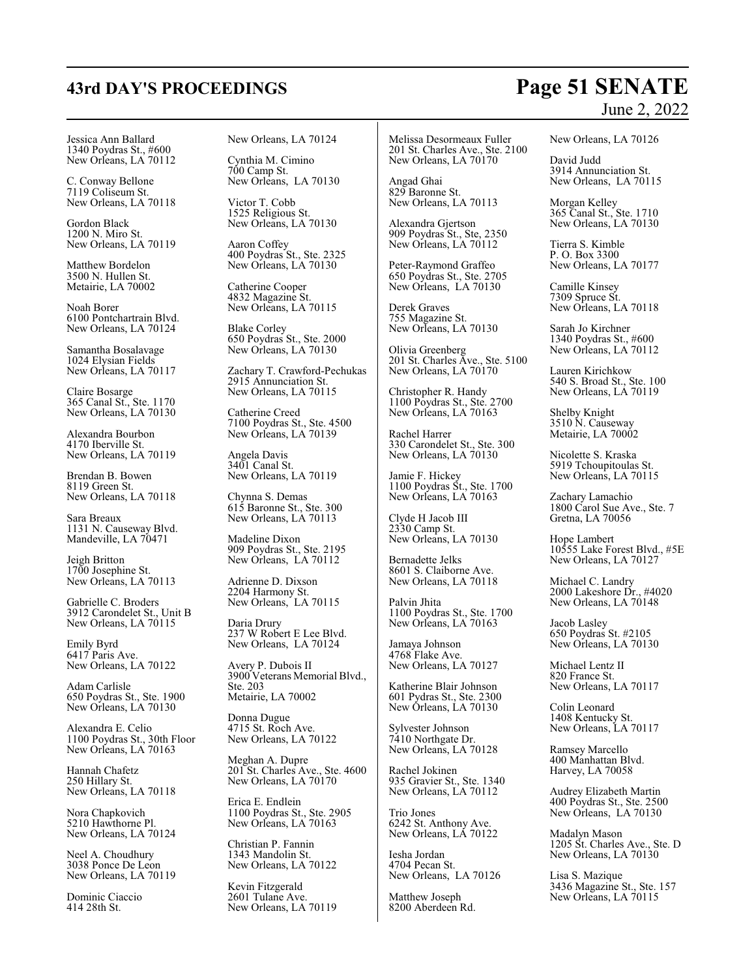# **43rd DAY'S PROCEEDINGS Page 51 SENATE**

# June 2, 2022

Jessica Ann Ballard 1340 Poydras St., #600 New Orleans, LA 70112

C. Conway Bellone 7119 Coliseum St. New Orleans, LA 70118

Gordon Black 1200 N. Miro St. New Orleans, LA 70119

Matthew Bordelon 3500 N. Hullen St. Metairie, LA 70002

Noah Borer 6100 Pontchartrain Blvd. New Orleans, LA 70124

Samantha Bosalavage 1024 Elysian Fields New Orleans, LA 70117

Claire Bosarge 365 Canal St., Ste. 1170 New Orleans, LA 70130

Alexandra Bourbon 4170 Iberville St. New Orleans, LA 70119

Brendan B. Bowen 8119 Green St. New Orleans, LA 70118

Sara Breaux 1131 N. Causeway Blvd. Mandeville, LA 70471

Jeigh Britton 1700 Josephine St. New Orleans, LA 70113

Gabrielle C. Broders 3912 Carondelet St., Unit B New Orleans, LA 70115

Emily Byrd 6417 Paris Ave. New Orleans, LA 70122

Adam Carlisle 650 Poydras St., Ste. 1900 New Orleans, LA 70130

Alexandra E. Celio 1100 Poydras St., 30th Floor New Orleans, LA 70163

Hannah Chafetz 250 Hillary St. New Orleans, LA 70118

Nora Chapkovich 5210 Hawthorne Pl. New Orleans, LA 70124

Neel A. Choudhury 3038 Ponce De Leon New Orleans, LA 70119

Dominic Ciaccio 414 28th St.

New Orleans, LA 70124

Cynthia M. Cimino 700 Camp St. New Orleans, LA 70130

Victor T. Cobb 1525 Religious St. New Orleans, LA 70130

Aaron Coffey 400 Poydras St., Ste. 2325 New Orleans, LA 70130

Catherine Cooper 4832 Magazine St. New Orleans, LA 70115

Blake Corley 650 Poydras St., Ste. 2000 New Orleans, LA 70130

Zachary T. Crawford-Pechukas 2915 Annunciation St. New Orleans, LA 70115

Catherine Creed 7100 Poydras St., Ste. 4500 New Orleans, LA 70139

Angela Davis 3401 Canal St. New Orleans, LA 70119

Chynna S. Demas 615 Baronne St., Ste. 300 New Orleans, LA 70113

Madeline Dixon 909 Poydras St., Ste. 2195 New Orleans, LA 70112

Adrienne D. Dixson 2204 Harmony St. New Orleans, LA 70115

Daria Drury 237 W Robert E Lee Blvd. New Orleans, LA 70124

Avery P. Dubois II 3900 Veterans Memorial Blvd., Ste. 203 Metairie, LA 70002

Donna Dugue 4715 St. Roch Ave. New Orleans, LA 70122

Meghan A. Dupre 201 St. Charles Ave., Ste. 4600 New Orleans, LA 70170

Erica E. Endlein 1100 Poydras St., Ste. 2905 New Orleans, LA 70163

Christian P. Fannin 1343 Mandolin St. New Orleans, LA 70122

Kevin Fitzgerald 2601 Tulane Ave. New Orleans, LA 70119

Melissa Desormeaux Fuller 201 St. Charles Ave., Ste. 2100 New Orleans, LA 70170

Angad Ghai 829 Baronne St. New Orleans, LA 70113

Alexandra Gjertson 909 Poydras St., Ste, 2350 New Orleans, LA 70112

Peter-Raymond Graffeo 650 Poydras St., Ste. 2705 New Orleans, LA 70130

Derek Graves 755 Magazine St. New Orleans, LA 70130

Olivia Greenberg 201 St. Charles Ave., Ste. 5100 New Orleans, LA 70170

Christopher R. Handy 1100 Poydras St., Ste. 2700 New Orleans, LA 70163

Rachel Harrer 330 Carondelet St., Ste. 300 New Orleans, LA 70130

Jamie F. Hickey 1100 Poydras St., Ste. 1700 New Orleans, LA 70163

Clyde H Jacob III 2330 Camp St. New Orleans, LA 70130

Bernadette Jelks 8601 S. Claiborne Ave. New Orleans, LA 70118

Palvin Jhita 1100 Poydras St., Ste. 1700 New Orleans, LA 70163

Jamaya Johnson 4768 Flake Ave. New Orleans, LA 70127

Katherine Blair Johnson 601 Pydras St., Ste. 2300 New Orleans, LA 70130

Sylvester Johnson 7410 Northgate Dr. New Orleans, LA 70128

Rachel Jokinen 935 Gravier St., Ste. 1340 New Orleans, LA 70112

Trio Jones 6242 St. Anthony Ave. New Orleans, LA 70122

Iesha Jordan 4704 Pecan St. New Orleans, LA 70126

Matthew Joseph 8200 Aberdeen Rd. New Orleans, LA 70126

David Judd 3914 Annunciation St. New Orleans, LA 70115

Morgan Kelley 365 Canal St., Ste. 1710 New Orleans, LA 70130

Tierra S. Kimble P. O. Box 3300 New Orleans, LA 70177

Camille Kinsey 7309 Spruce St. New Orleans, LA 70118

Sarah Jo Kirchner 1340 Poydras St., #600 New Orleans, LA 70112

Lauren Kirichkow 540 S. Broad St., Ste. 100 New Orleans, LA 70119

Shelby Knight 3510 N. Causeway Metairie, LA 70002

Nicolette S. Kraska 5919 Tchoupitoulas St. New Orleans, LA 70115

Zachary Lamachio 1800 Carol Sue Ave., Ste. 7 Gretna, LA 70056

Hope Lambert 10555 Lake Forest Blvd., #5E New Orleans, LA 70127

Michael C. Landry 2000 Lakeshore Dr., #4020 New Orleans, LA 70148

Jacob Lasley 650 Poydras St. #2105 New Orleans, LA 70130

Michael Lentz II 820 France St. New Orleans, LA 70117

Colin Leonard 1408 Kentucky St. New Orleans, LA 70117

Ramsey Marcello 400 Manhattan Blvd. Harvey, LA 70058

Audrey Elizabeth Martin 400 Poydras St., Ste. 2500 New Orleans, LA 70130

Madalyn Mason 1205 St. Charles Ave., Ste. D New Orleans, LA 70130

Lisa S. Mazique 3436 Magazine St., Ste. 157 New Orleans, LA 70115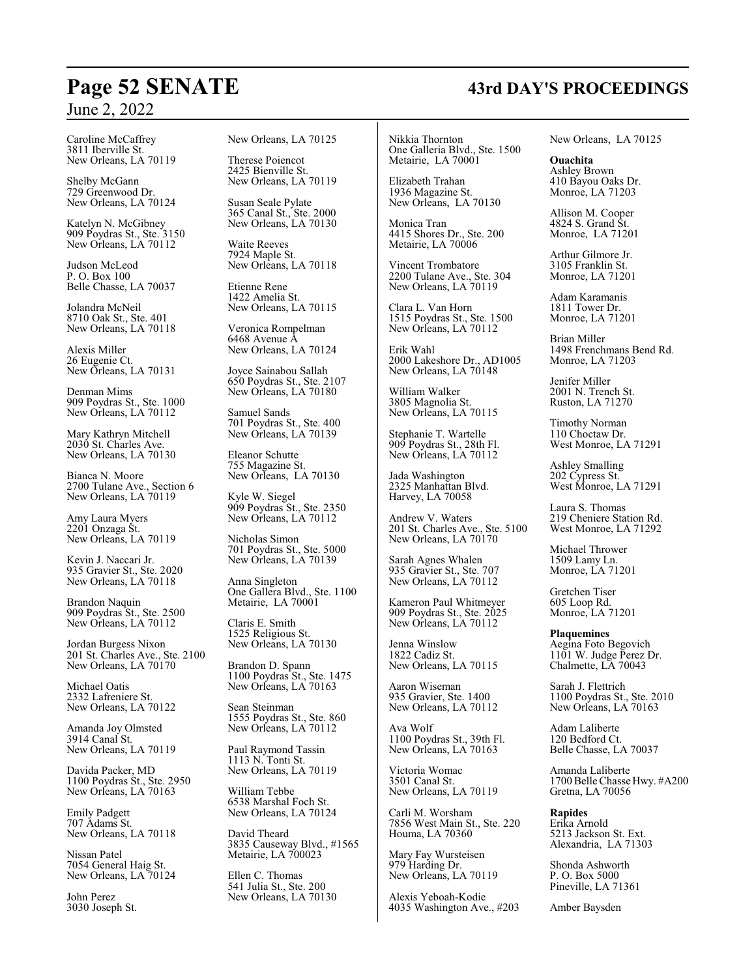# **Page 52 SENATE 43rd DAY'S PROCEEDINGS**

Caroline McCaffrey 3811 Iberville St. New Orleans, LA 70119

Shelby McGann 729 Greenwood Dr. New Orleans, LA 70124

Katelyn N. McGibney 909 Poydras St., Ste. 3150 New Orleans, LA 70112

Judson McLeod P. O. Box 100 Belle Chasse, LA 70037

Jolandra McNeil 8710 Oak St., Ste. 401 New Orleans, LA 70118

Alexis Miller 26 Eugenie Ct. New Orleans, LA 70131

Denman Mims 909 Poydras St., Ste. 1000 New Orleans, LA 70112

Mary Kathryn Mitchell 2030 St. Charles Ave. New Orleans, LA 70130

Bianca N. Moore 2700 Tulane Ave., Section 6 New Orleans, LA 70119

Amy Laura Myers 2201 Onzaga St. New Orleans, LA 70119

Kevin J. Naccari Jr. 935 Gravier St., Ste. 2020 New Orleans, LA 70118

Brandon Naquin 909 Poydras St., Ste. 2500 New Orleans, LA 70112

Jordan Burgess Nixon 201 St. Charles Ave., Ste. 2100 New Orleans, LA 70170

Michael Oatis 2332 Lafreniere St. New Orleans, LA 70122

Amanda Joy Olmsted 3914 Canal St. New Orleans, LA 70119

Davida Packer, MD 1100 Poydras St., Ste. 2950 New Orleans, LA 70163

Emily Padgett 707 Adams St. New Orleans, LA 70118

Nissan Patel 7054 General Haig St. New Orleans, LA 70124

John Perez 3030 Joseph St. New Orleans, LA 70125

Therese Poiencot 2425 Bienville St. New Orleans, LA 70119

Susan Seale Pylate 365 Canal St., Ste. 2000 New Orleans, LA 70130

Waite Reeves 7924 Maple St. New Orleans, LA 70118

Etienne Rene 1422 Amelia St. New Orleans, LA 70115

Veronica Rompelman 6468 Avenue A New Orleans, LA 70124

Joyce Sainabou Sallah 650 Poydras St., Ste. 2107 New Orleans, LA 70180

Samuel Sands 701 Poydras St., Ste. 400 New Orleans, LA 70139

Eleanor Schutte 755 Magazine St. New Orleans, LA 70130

Kyle W. Siegel 909 Poydras St., Ste. 2350 New Orleans, LA 70112

Nicholas Simon 701 Poydras St., Ste. 5000 New Orleans, LA 70139

Anna Singleton One Gallera Blvd., Ste. 1100 Metairie, LA 70001

Claris E. Smith 1525 Religious St. New Orleans, LA 70130

Brandon D. Spann 1100 Poydras St., Ste. 1475 New Orleans, LA 70163

Sean Steinman 1555 Poydras St., Ste. 860 New Orleans, LA 70112

Paul Raymond Tassin 1113 N. Tonti St. New Orleans, LA 70119

William Tebbe 6538 Marshal Foch St. New Orleans, LA 70124

David Theard 3835 Causeway Blvd., #1565 Metairie, LA 700023

Ellen C. Thomas 541 Julia St., Ste. 200 New Orleans, LA 70130

Nikkia Thornton One Galleria Blvd., Ste. 1500 Metairie, LA 70001

Elizabeth Trahan 1936 Magazine St. New Orleans, LA 70130

Monica Tran 4415 Shores Dr., Ste. 200 Metairie, LA 70006

Vincent Trombatore 2200 Tulane Ave., Ste. 304 New Orleans, LA 70119

Clara L. Van Horn 1515 Poydras St., Ste. 1500 New Orleans, LA 70112

Erik Wahl 2000 Lakeshore Dr., AD1005 New Orleans, LA 70148

William Walker 3805 Magnolia St. New Orleans, LA 70115

Stephanie T. Wartelle 909 Poydras St., 28th Fl. New Orleans, LA 70112

Jada Washington 2325 Manhattan Blvd. Harvey, LA 70058

Andrew V. Waters 201 St. Charles Ave., Ste. 5100 New Orleans, LA 70170

Sarah Agnes Whalen 935 Gravier St., Ste. 707 New Orleans, LA 70112

Kameron Paul Whitmeyer 909 Poydras St., Ste. 2025 New Orleans, LA 70112

Jenna Winslow 1822 Cadiz St. New Orleans, LA 70115

Aaron Wiseman 935 Gravier, Ste. 1400 New Orleans, LA 70112

Ava Wolf 1100 Poydras St., 39th Fl. New Orleans, LA 70163

Victoria Womac 3501 Canal St. New Orleans, LA 70119

Carli M. Worsham 7856 West Main St., Ste. 220 Houma, LA 70360

Mary Fay Wursteisen 979 Harding Dr. New Orleans, LA 70119

Alexis Yeboah-Kodie 4035 Washington Ave., #203 New Orleans, LA 70125

**Ouachita** Ashley Brown 410 Bayou Oaks Dr. Monroe, LA 71203

Allison M. Cooper 4824 S. Grand St. Monroe, LA 71201

Arthur Gilmore Jr. 3105 Franklin St. Monroe, LA 71201

Adam Karamanis 1811 Tower Dr. Monroe, LA 71201

Brian Miller 1498 Frenchmans Bend Rd. Monroe, LA 71203

Jenifer Miller 2001 N. Trench St. Ruston, LA 71270

Timothy Norman 110 Choctaw Dr. West Monroe, LA 71291

Ashley Smalling 202 Cypress St. West Monroe, LA 71291

Laura S. Thomas 219 Cheniere Station Rd. West Monroe, LA 71292

Michael Thrower 1509 Lamy Ln. Monroe, LA 71201

Gretchen Tiser 605 Loop Rd. Monroe, LA 71201

**Plaquemines** Aegina Foto Begovich 1101 W. Judge Perez Dr. Chalmette, LA 70043

Sarah J. Flettrich 1100 Poydras St., Ste. 2010 New Orleans, LA 70163

Adam Laliberte 120 Bedford Ct. Belle Chasse, LA 70037

Amanda Laliberte 1700Belle Chasse Hwy. #A200 Gretna, LA 70056

**Rapides** Erika Arnold 5213 Jackson St. Ext. Alexandria, LA 71303

Shonda Ashworth P. O. Box 5000 Pineville, LA 71361

Amber Baysden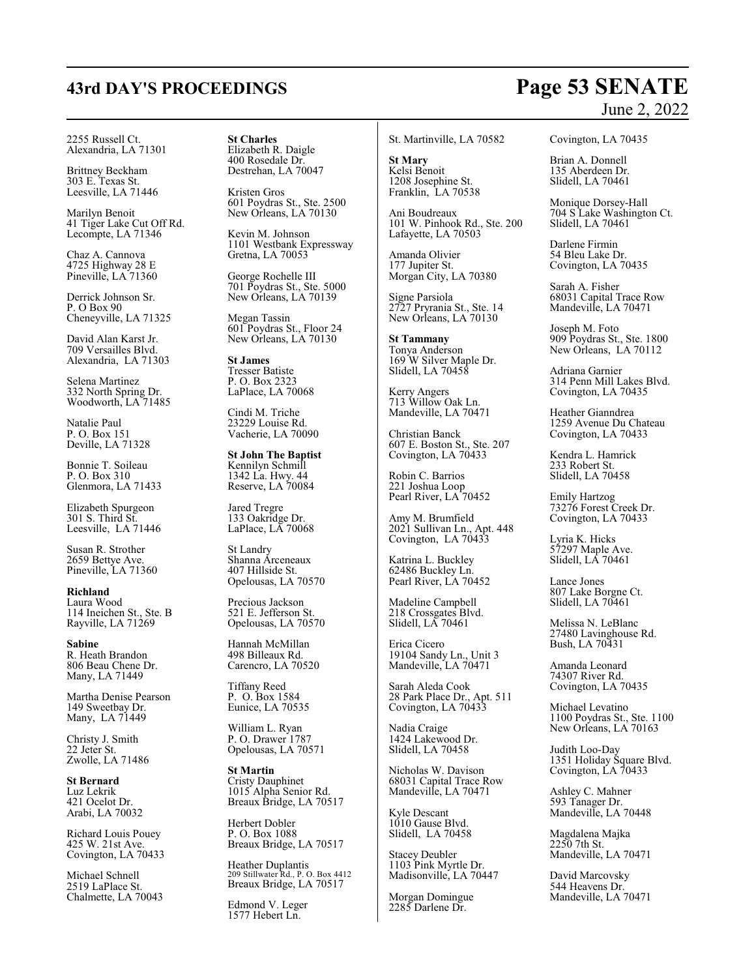# **43rd DAY'S PROCEEDINGS Page 53 SENATE**

# June 2, 2022

2255 Russell Ct. Alexandria, LA 71301

Brittney Beckham 303 E. Texas St. Leesville, LA 71446

Marilyn Benoit 41 Tiger Lake Cut Off Rd. Lecompte, LA 71346

Chaz A. Cannova 4725 Highway 28 E Pineville, LA 71360

Derrick Johnson Sr. P. O Box 90 Cheneyville, LA 71325

David Alan Karst Jr. 709 Versailles Blvd. Alexandria, LA 71303

Selena Martinez 332 North Spring Dr. Woodworth, LA 71485

Natalie Paul P. O. Box 151 Deville, LA 71328

Bonnie T. Soileau P. O. Box 310 Glenmora, LA 71433

Elizabeth Spurgeon 301 S. Third St. Leesville, LA 71446

Susan R. Strother 2659 Bettye Ave. Pineville, LA 71360

**Richland** Laura Wood 114 Ineichen St., Ste. B Rayville, LA 71269

**Sabine** R. Heath Brandon 806 Beau Chene Dr. Many, LA 71449

Martha Denise Pearson 149 Sweetbay Dr. Many, LA 71449

Christy J. Smith 22 Jeter St. Zwolle, LA 71486

**St Bernard** Luz Lekrik 421 Ocelot Dr. Arabi, LA 70032

Richard Louis Pouey 425 W. 21st Ave. Covington, LA 70433

Michael Schnell 2519 LaPlace St. Chalmette, LA 70043 **St Charles** Elizabeth R. Daigle 400 Rosedale Dr. Destrehan, LA 70047

Kristen Gros 601 Poydras St., Ste. 2500 New Orleans, LA 70130

Kevin M. Johnson 1101 Westbank Expressway Gretna, LA 70053

George Rochelle III 701 Poydras St., Ste. 5000 New Orleans, LA 70139

Megan Tassin 601 Poydras St., Floor 24 New Orleans, LA 70130

**St James** Tresser Batiste P. O. Box 2323 LaPlace, LA 70068

Cindi M. Triche 23229 Louise Rd. Vacherie, LA 70090

**St John The Baptist** Kennilyn Schmill 1342 La. Hwy. 44 Reserve, LA 70084

Jared Tregre 133 Oakridge Dr. LaPlace, LA 70068

St Landry Shanna Arceneaux 407 Hillside St. Opelousas, LA 70570

Precious Jackson 521 E. Jefferson St. Opelousas, LA 70570

Hannah McMillan 498 Billeaux Rd. Carencro, LA 70520

Tiffany Reed P. O. Box 1584 Eunice, LA 70535

William L. Ryan P. O. Drawer 1787 Opelousas, LA 70571

**St Martin** Cristy Dauphinet 1015 Alpha Senior Rd. Breaux Bridge, LA 70517

Herbert Dobler P. O. Box 1088 Breaux Bridge, LA 70517

Heather Duplantis 209 Stillwater Rd., P. O. Box 4412 Breaux Bridge, LA 70517

Edmond V. Leger 1577 Hebert Ln.

#### St. Martinville, LA 70582

**St Mary** Kelsi Benoit 1208 Josephine St. Franklin, LA 70538

Ani Boudreaux 101 W. Pinhook Rd., Ste. 200 Lafayette, LA 70503

Amanda Olivier 177 Jupiter St. Morgan City, LA 70380

Signe Parsiola 2727 Pryrania St., Ste. 14 New Orleans, LA 70130

**St Tammany** Tonya Anderson 169 W Silver Maple Dr. Slidell, LA 70458

Kerry Angers 713 Willow Oak Ln. Mandeville, LA 70471

Christian Banck 607 E. Boston St., Ste. 207 Covington, LA 70433

Robin C. Barrios 221 Joshua Loop Pearl River, LA'70452

Amy M. Brumfield 2021 Sullivan Ln., Apt. 448 Covington, LA 70433

Katrina L. Buckley 62486 Buckley Ln. Pearl River, LA 70452

Madeline Campbell 218 Crossgates Blvd. Slidell, LA 70461

Erica Cicero 19104 Sandy Ln., Unit 3 Mandeville, LA 70471

Sarah Aleda Cook 28 Park Place Dr., Apt. 511 Covington, LA 70433

Nadia Craige 1424 Lakewood Dr. Slidell, LA 70458

Nicholas W. Davison 68031 Capital Trace Row Mandeville, LA 70471

Kyle Descant 1010 Gause Blvd. Slidell, LA 70458

Stacey Deubler 1103 Pink Myrtle Dr. Madisonville, LA 70447

Morgan Domingue 2285 Darlene Dr.

Covington, LA 70435

Brian A. Donnell 135 Aberdeen Dr. Slidell, LA 70461

Monique Dorsey-Hall 704 S Lake Washington Ct. Slidell, LA 70461

Darlene Firmin 54 Bleu Lake Dr. Covington, LA 70435

Sarah A. Fisher 68031 Capital Trace Row Mandeville, LA 70471

Joseph M. Foto 909 Poydras St., Ste. 1800 New Orleans, LA 70112

Adriana Garnier 314 Penn Mill Lakes Blvd. Covington, LA 70435

Heather Gianndrea 1259 Avenue Du Chateau Covington, LA 70433

Kendra L. Hamrick 233 Robert St. Slidell, LA 70458

Emily Hartzog 73276 Forest Creek Dr. Covington, LA 70433

Lyria K. Hicks 57297 Maple Ave. Slidell, LA 70461

Lance Jones 807 Lake Borgne Ct. Slidell, LA 70461

Melissa N. LeBlanc 27480 Lavinghouse Rd. Bush, LA 70431

Amanda Leonard 74307 River Rd. Covington, LA 70435

Michael Levatino 1100 Poydras St., Ste. 1100 New Orleans, LA 70163

Judith Loo-Day 1351 Holiday Square Blvd. Covington, LA 70433

Ashley C. Mahner 593 Tanager Dr. Mandeville, LA 70448

Magdalena Majka 2250 7th St. Mandeville, LA 70471

David Marcovsky 544 Heavens Dr. Mandeville, LA 70471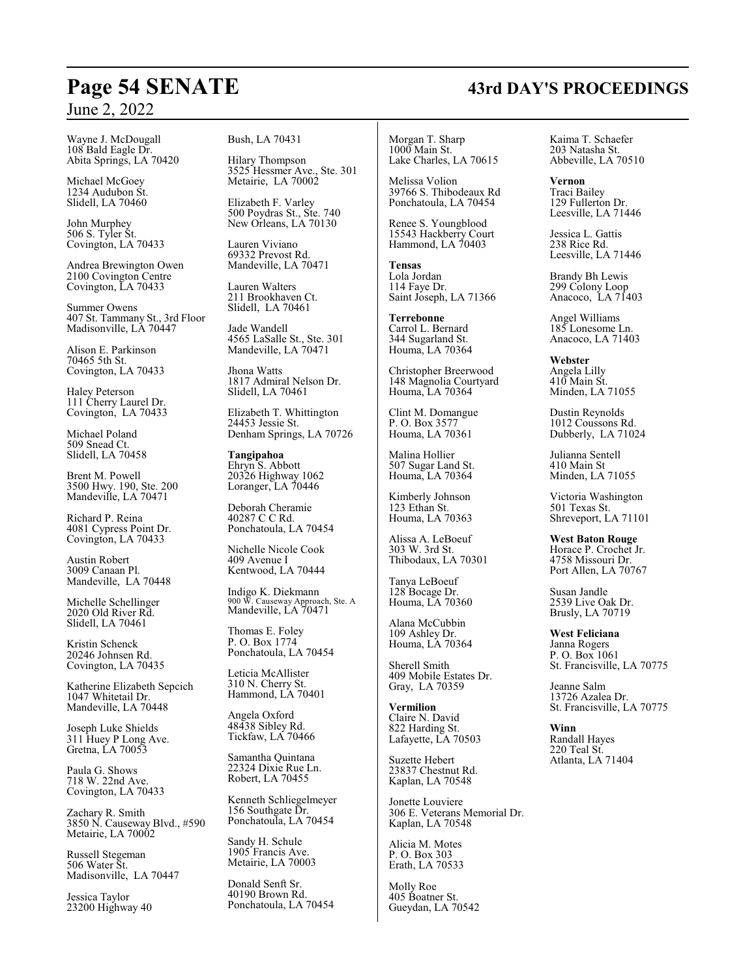Wayne J. McDougall 108 Bald Eagle Dr. Abita Springs, LA 70420

Michael McGoey 1234 Audubon St. Slidell, LA 70460

John Murphey 506 S. Tyler St. Covington, LA 70433

Andrea Brewington Owen 2100 Covington Centre Covington, LA 70433

Summer Owens 407 St. Tammany St., 3rd Floor Madisonville, LA 70447

Alison E. Parkinson 70465 5th St. Covington, LA 70433

Haley Peterson 111 Cherry Laurel Dr. Covington, LA 70433

Michael Poland 509 Snead Ct. Slidell, LA 70458

Brent M. Powell 3500 Hwy. 190, Ste. 200 Mandeville, LA 70471

Richard P. Reina 4081 Cypress Point Dr. Covington, LA 70433

Austin Robert 3009 Canaan Pl. Mandeville, LA 70448

Michelle Schellinger 2020 Old River Rd. Slidell, LA 70461

Kristin Schenck 20246 Johnsen Rd. Covington, LA 70435

Katherine Elizabeth Sepcich 1047 Whitetail Dr. Mandeville, LA 70448

Joseph Luke Shields 311 Huey P Long Ave. Gretna, LA 70053

Paula G. Shows 718 W. 22nd Ave. Covington, LA 70433

Zachary R. Smith 3850 N. Causeway Blvd., #590 Metairie, LA 70002

Russell Stegeman 506 Water St. Madisonville, LA 70447

Jessica Taylor 23200 Highway 40 Bush, LA 70431

Hilary Thompson 3525 Hessmer Ave., Ste. 301 Metairie, LA 70002

Elizabeth F. Varley 500 Poydras St., Ste. 740 New Orleans, LA 70130

Lauren Viviano 69332 Prevost Rd. Mandeville, LA 70471

Lauren Walters 211 Brookhaven Ct. Slidell, LA 70461

Jade Wandell 4565 LaSalle St., Ste. 301 Mandeville, LA 70471

Jhona Watts 1817 Admiral Nelson Dr. Slidell, LA 70461

Elizabeth T. Whittington 24453 Jessie St. Denham Springs, LA 70726

**Tangipahoa** Ehryn S. Abbott 20326 Highway 1062 Loranger, LA 70446

Deborah Cheramie 40287 C C Rd. Ponchatoula, LA 70454

Nichelle Nicole Cook 409 Avenue I Kentwood, LA 70444

Indigo K. Diekmann 900 W. Causeway Approach, Ste. A Mandeville, LA 70471

Thomas E. Foley P. O. Box 1774 Ponchatoula, LA 70454

Leticia McAllister 310 N. Cherry St. Hammond, LA 70401

Angela Oxford 48438 Sibley Rd. Tickfaw, LA 70466

Samantha Quintana 22324 Dixie Rue Ln. Robert, LA 70455

Kenneth Schliegelmeyer 156 Southgate Dr. Ponchatoula, LA 70454

Sandy H. Schule 1905 Francis Ave. Metairie, LA 70003

Donald Senft Sr. 40190 Brown Rd. Ponchatoula, LA 70454

Morgan T. Sharp 1000 Main St. Lake Charles, LA 70615

Melissa Volion 39766 S. Thibodeaux Rd Ponchatoula, LA 70454

Renee S. Youngblood 15543 Hackberry Court Hammond, LA  $70403$ 

**Tensas** Lola Jordan 114 Faye Dr. Saint Joseph, LA 71366

**Terrebonne** Carrol L. Bernard 344 Sugarland St. Houma, LA 70364

Christopher Breerwood 148 Magnolia Courtyard Houma, LA 70364

Clint M. Domangue P. O. Box 3577 Houma, LA 70361

Malina Hollier 507 Sugar Land St. Houma, LA 70364

Kimberly Johnson 123 Ethan St. Houma, LA 70363

Alissa A. LeBoeuf 303 W. 3rd St. Thibodaux, LA 70301

Tanya LeBoeuf 128 Bocage Dr. Houma, LA 70360

Alana McCubbin 109 Ashley Dr. Houma, LA 70364

Sherell Smith 409 Mobile Estates Dr. Gray, LA 70359

**Vermilion** Claire N. David 822 Harding St. Lafayette, LA 70503

Suzette Hebert 23837 Chestnut Rd. Kaplan, LA 70548

Jonette Louviere 306 E. Veterans Memorial Dr. Kaplan, LA 70548

Alicia M. Motes P. O. Box 303 Erath, LA 70533

Molly Roe 405 Boatner St. Gueydan, LA 70542 Kaima T. Schaefer 203 Natasha St. Abbeville, LA 70510

**Vernon** Traci Bailey 129 Fullerton Dr. Leesville, LA 71446

Jessica L. Gattis 238 Rice Rd. Leesville, LA 71446

Brandy Bh Lewis 299 Colony Loop Anacoco, LA 71403

Angel Williams 185 Lonesome Ln. Anacoco, LA 71403

**Webster** Angela Lilly 410 Main St. Minden, LA 71055

Dustin Reynolds 1012 Coussons Rd. Dubberly, LA 71024

Julianna Sentell 410 Main St Minden, LA 71055

Victoria Washington 501 Texas St. Shreveport, LA 71101

**West Baton Rouge** Horace P. Crochet Jr. 4758 Missouri Dr. Port Allen, LA 70767

Susan Jandle 2539 Live Oak Dr. Brusly, LA 70719

**West Feliciana** Janna Rogers P. O. Box 1061 St. Francisville, LA 70775

Jeanne Salm 13726 Azalea Dr. St. Francisville, LA 70775

**Winn** Randall Hayes 220 Teal St. Atlanta, LA 71404

# **Page 54 SENATE 43rd DAY'S PROCEEDINGS**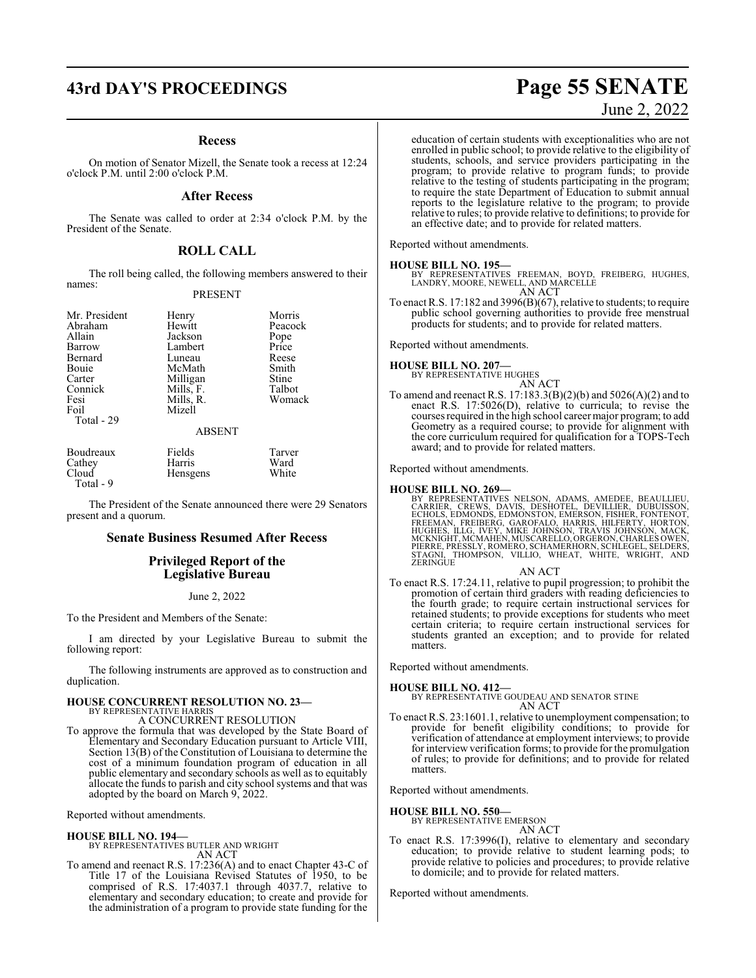# **43rd DAY'S PROCEEDINGS Page 55 SENATE**

#### **Recess**

On motion of Senator Mizell, the Senate took a recess at 12:24 o'clock P.M. until 2:00 o'clock P.M.

#### **After Recess**

The Senate was called to order at 2:34 o'clock P.M. by the President of the Senate.

#### **ROLL CALL**

The roll being called, the following members answered to their names:

#### PRESENT

| Mr. President     | Henry     | Morris        |
|-------------------|-----------|---------------|
| Abraham           | Hewitt    | Peacock       |
| Allain            | Jackson   |               |
| Barrow            | Lambert   | Pope<br>Price |
| Bernard           | Luneau    | Reese         |
| Bouie             | McMath    | Smith         |
| Carter            | Milligan  | Stine         |
| Connick           | Mills, F. | Talbot        |
| Fesi              | Mills, R. | Womack        |
| Foil              | Mizell    |               |
| <b>Total - 29</b> |           |               |

#### ABSENT

| Boudreaux | Fields           | Tarver |
|-----------|------------------|--------|
| Cathey    | Harris           | Ward   |
| Cloud     | <b>H</b> ensgens | White  |
| Total - 9 |                  |        |

The President of the Senate announced there were 29 Senators present and a quorum.

#### **Senate Business Resumed After Recess**

#### **Privileged Report of the Legislative Bureau**

June 2, 2022

To the President and Members of the Senate:

I am directed by your Legislative Bureau to submit the following report:

The following instruments are approved as to construction and duplication.

# **HOUSE CONCURRENT RESOLUTION NO. 23—** BY REPRESENTATIVE HARRIS

A CONCURRENT RESOLUTION

To approve the formula that was developed by the State Board of Elementary and Secondary Education pursuant to Article VIII, Section 13(B) of the Constitution of Louisiana to determine the cost of a minimum foundation program of education in all public elementary and secondary schools as well as to equitably allocate the funds to parish and city school systems and that was adopted by the board on March 9, 2022.

Reported without amendments.

**HOUSE BILL NO. 194—** BY REPRESENTATIVES BUTLER AND WRIGHT AN ACT

To amend and reenact R.S. 17:236(A) and to enact Chapter 43-C of Title 17 of the Louisiana Revised Statutes of 1950, to be comprised of R.S. 17:4037.1 through 4037.7, relative to elementary and secondary education; to create and provide for the administration of a program to provide state funding for the

# June 2, 2022

education of certain students with exceptionalities who are not enrolled in public school; to provide relative to the eligibility of students, schools, and service providers participating in the program; to provide relative to program funds; to provide relative to the testing of students participating in the program; to require the state Department of Education to submit annual reports to the legislature relative to the program; to provide relative to rules; to provide relative to definitions; to provide for an effective date; and to provide for related matters.

Reported without amendments.

**HOUSE BILL NO. 195—** BY REPRESENTATIVES FREEMAN, BOYD, FREIBERG, HUGHES, LANDRY, MOORE, NEWELL, AND MARCELLE AN ACT

To enact R.S. 17:182 and 3996(B)(67), relative to students; to require public school governing authorities to provide free menstrual products for students; and to provide for related matters.

Reported without amendments.

## **HOUSE BILL NO. 207—**

BY REPRESENTATIVE HUGHES AN ACT

To amend and reenact R.S. 17:183.3(B)(2)(b) and 5026(A)(2) and to enact R.S. 17:5026(D), relative to curricula; to revise the courses required in the high school career major program; to add Geometry as a required course; to provide for alignment with the core curriculum required for qualification for a TOPS-Tech award; and to provide for related matters.

Reported without amendments.

#### **HOUSE BILL NO. 269—**

BY REPRESENTATIVES NELSON, ADAMS, AMEDEE, BEAULLIEU,<br>CARRIER, CREWS, DAVIS, DESHOTEL, DEVILLIER, DUBUISSON,<br>ECHOLS, EDMONDS, EDMONSTON, EMERSON, FISHER, FONTENOT,<br>FREEMAN, FREIBERG, GAROFALO, HARRIS, HILFERTY, HORTON,<br>HUGH

#### AN ACT

To enact R.S. 17:24.11, relative to pupil progression; to prohibit the promotion of certain third graders with reading deficiencies to the fourth grade; to require certain instructional services for retained students; to provide exceptions for students who meet certain criteria; to require certain instructional services for students granted an exception; and to provide for related matters.

Reported without amendments.

#### **HOUSE BILL NO. 412—**

BY REPRESENTATIVE GOUDEAU AND SENATOR STINE AN ACT

To enact R.S. 23:1601.1, relative to unemployment compensation; to provide for benefit eligibility conditions; to provide for verification of attendance at employment interviews; to provide for interview verification forms; to provide for the promulgation of rules; to provide for definitions; and to provide for related matters.

Reported without amendments.

#### **HOUSE BILL NO. 550—**

BY REPRESENTATIVE EMERSON AN ACT

To enact R.S. 17:3996(I), relative to elementary and secondary education; to provide relative to student learning pods; to provide relative to policies and procedures; to provide relative to domicile; and to provide for related matters.

Reported without amendments.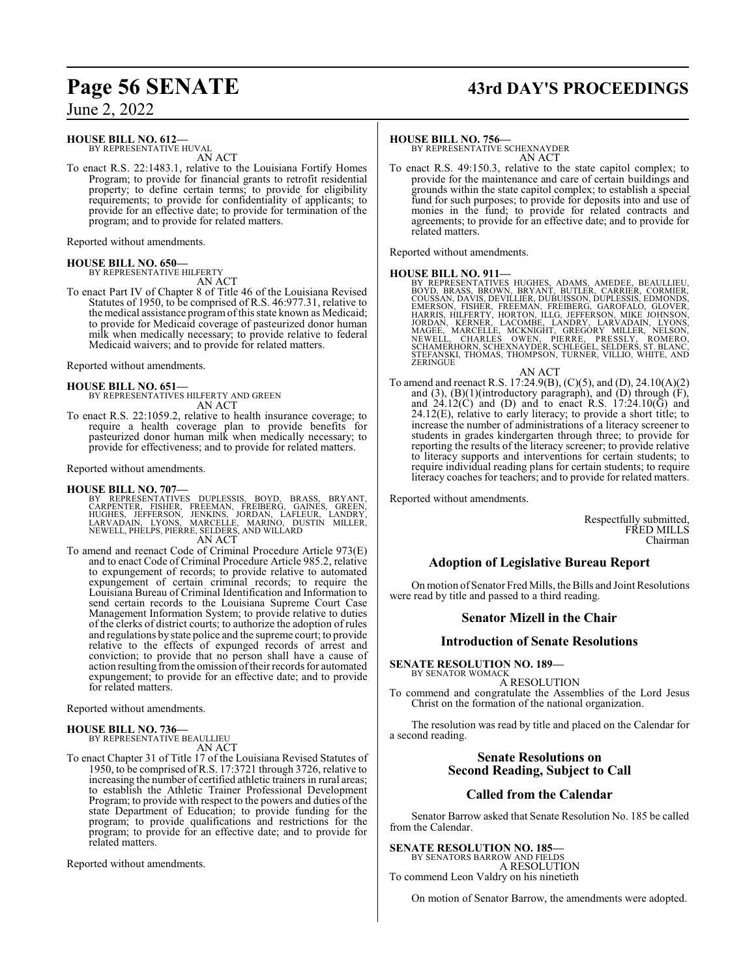### **HOUSE BILL NO. 612—**

BY REPRESENTATIVE HUVAL AN ACT

To enact R.S. 22:1483.1, relative to the Louisiana Fortify Homes Program; to provide for financial grants to retrofit residential property; to define certain terms; to provide for eligibility requirements; to provide for confidentiality of applicants; to provide for an effective date; to provide for termination of the program; and to provide for related matters.

Reported without amendments.

**HOUSE BILL NO. 650—** BY REPRESENTATIVE HILFERTY

AN ACT To enact Part IV of Chapter 8 of Title 46 of the Louisiana Revised Statutes of 1950, to be comprised of R.S. 46:977.31, relative to the medical assistance programofthis state known as Medicaid; to provide for Medicaid coverage of pasteurized donor human milk when medically necessary; to provide relative to federal Medicaid waivers; and to provide for related matters.

Reported without amendments.

#### **HOUSE BILL NO. 651—**

BY REPRESENTATIVES HILFERTY AND GREEN AN ACT

To enact R.S. 22:1059.2, relative to health insurance coverage; to require a health coverage plan to provide benefits for pasteurized donor human milk when medically necessary; to provide for effectiveness; and to provide for related matters.

Reported without amendments.

#### **HOUSE BILL NO. 707—**

BY REPRESENTATIVES DUPLESSIS, BOYD, BRASS, BRYANT,<br>CARPENTER, FISHER, FREEMAN, FREIBERG, GAINES, GREEN,<br>HUGHES, JEFFERSON, JENKINS, JORDAN, LAFLEUR, LANDRY,<br>LARVADAIN, LYONS, MARCELLE, MARINO, DUSTIN MILLER,<br>NEWELL,PHELPS, AN ACT

To amend and reenact Code of Criminal Procedure Article 973(E) and to enact Code of Criminal Procedure Article 985.2, relative to expungement of records; to provide relative to automated expungement of certain criminal records; to require the Louisiana Bureau of Criminal Identification and Information to send certain records to the Louisiana Supreme Court Case Management Information System; to provide relative to duties of the clerks of district courts; to authorize the adoption of rules and regulations by state police and the supreme court; to provide relative to the effects of expunged records of arrest and conviction; to provide that no person shall have a cause of action resulting fromthe omission oftheir records for automated expungement; to provide for an effective date; and to provide for related matters.

Reported without amendments.

#### **HOUSE BILL NO. 736—** BY REPRESENTATIVE BEAULLIEU

AN ACT

To enact Chapter 31 of Title 17 of the Louisiana Revised Statutes of 1950, to be comprised ofR.S. 17:3721 through 3726, relative to increasing the number of certified athletic trainers in rural areas; to establish the Athletic Trainer Professional Development Program; to provide with respect to the powers and duties of the state Department of Education; to provide funding for the program; to provide qualifications and restrictions for the program; to provide for an effective date; and to provide for related matters.

Reported without amendments.

# **Page 56 SENATE 43rd DAY'S PROCEEDINGS**

#### **HOUSE BILL NO. 756—**

BY REPRESENTATIVE SCHEXNAYDER AN ACT

To enact R.S. 49:150.3, relative to the state capitol complex; to provide for the maintenance and care of certain buildings and grounds within the state capitol complex; to establish a special fund for such purposes; to provide for deposits into and use of monies in the fund; to provide for related contracts and agreements; to provide for an effective date; and to provide for related matters.

Reported without amendments.

HOUSE BILL NO. 911—<br>BY REPRESENTATIVES HUGHES, ADAMS, AMEDEE, BEAULLIEU,<br>BOYD, BRASS, BROWN, BRYANT, BUTLER, CARRIER, CORMIER,<br>COUSSAN, DAVIS, DEVILLIER, DUBUISSON, DUPLESSIS, EDMONDS,<br>EMERSON, FISHER, FREEMAN, FREIBERG, G

AN ACT To amend and reenact R.S. 17:24.9(B), (C)(5), and (D), 24.10(A)(2) and  $(3)$ ,  $(B)(1)$ (introductory paragraph), and  $(D)$  through  $(F)$ , and  $24.12(\overrightarrow{C})$  and (D) and to enact R.S.  $17:24.10(\overrightarrow{G})$  and 24.12(E), relative to early literacy; to provide a short title; to increase the number of administrations of a literacy screener to students in grades kindergarten through three; to provide for reporting the results of the literacy screener; to provide relative to literacy supports and interventions for certain students; to require individual reading plans for certain students; to require literacy coaches for teachers; and to provide for related matters.

Reported without amendments.

Respectfully submitted, FRED MILLS Chairman

## **Adoption of Legislative Bureau Report**

On motion of Senator Fred Mills, the Bills and Joint Resolutions were read by title and passed to a third reading.

#### **Senator Mizell in the Chair**

## **Introduction of Senate Resolutions**

**SENATE RESOLUTION NO. 189—** BY SENATOR WOMACK

A RESOLUTION

To commend and congratulate the Assemblies of the Lord Jesus Christ on the formation of the national organization.

The resolution was read by title and placed on the Calendar for a second reading.

#### **Senate Resolutions on Second Reading, Subject to Call**

#### **Called from the Calendar**

Senator Barrow asked that Senate Resolution No. 185 be called from the Calendar.

**SENATE RESOLUTION NO. 185—** BY SENATORS BARROW AND FIELDS A RESOLUTION To commend Leon Valdry on his ninetieth

On motion of Senator Barrow, the amendments were adopted.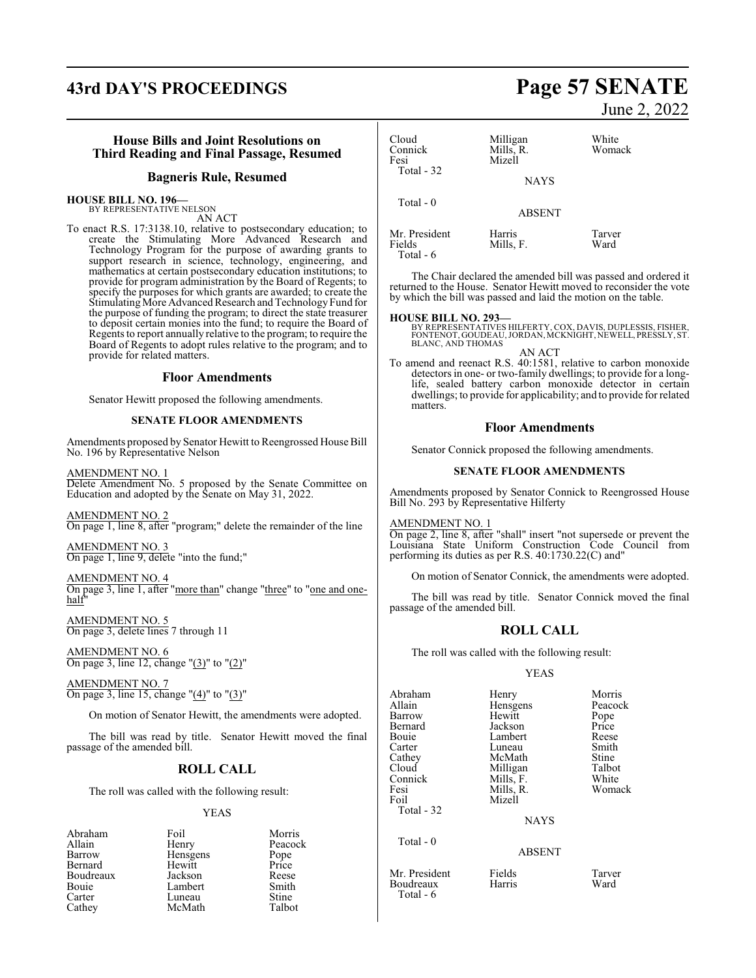# **43rd DAY'S PROCEEDINGS Page 57 SENATE**

### **House Bills and Joint Resolutions on Third Reading and Final Passage, Resumed**

#### **Bagneris Rule, Resumed**

# **HOUSE BILL NO. 196—** BY REPRESENTATIVE NELSON

AN ACT

To enact R.S. 17:3138.10, relative to postsecondary education; to create the Stimulating More Advanced Research and Technology Program for the purpose of awarding grants to support research in science, technology, engineering, and mathematics at certain postsecondary education institutions; to provide for program administration by the Board of Regents; to specify the purposes for which grants are awarded; to create the Stimulating More Advanced Research and Technology Fund for the purpose of funding the program; to direct the state treasurer to deposit certain monies into the fund; to require the Board of Regents to report annually relative to the program; to require the Board of Regents to adopt rules relative to the program; and to provide for related matters.

#### **Floor Amendments**

Senator Hewitt proposed the following amendments.

#### **SENATE FLOOR AMENDMENTS**

Amendments proposed by Senator Hewitt to Reengrossed House Bill No. 196 by Representative Nelson

AMENDMENT NO. 1 Delete Amendment No. 5 proposed by the Senate Committee on Education and adopted by the Senate on May 31, 2022.

AMENDMENT NO. 2 On page 1, line 8, after "program;" delete the remainder of the line

AMENDMENT NO. 3 On page 1, line 9, delete "into the fund;"

AMENDMENT NO. 4 On page 3, line 1, after "more than" change "three" to "one and onehalf

AMENDMENT NO. 5 On page 3, delete lines 7 through 11

AMENDMENT NO. 6 On page 3, line 12, change "(3)" to "(2)"

AMENDMENT NO. 7 On page 3, line 15, change " $(4)$ " to " $(3)$ "

On motion of Senator Hewitt, the amendments were adopted.

The bill was read by title. Senator Hewitt moved the final passage of the amended bill.

#### **ROLL CALL**

The roll was called with the following result:

#### YEAS

| Abraham   | Foil     | Morris        |
|-----------|----------|---------------|
| Allain    | Henry    | Peacock       |
| Barrow    | Hensgens | Pope<br>Price |
| Bernard   | Hewitt   |               |
| Boudreaux | Jackson  | Reese         |
| Bouie     | Lambert  | Smith         |
| Carter    | Luneau   | Stine         |
| Cathey    | McMath   | Talbot        |
|           |          |               |

June 2, 2022

| Cloud<br>Connick<br>Fesi<br>Total - 32 | Milligan<br>Mills, R.<br>Mizell | White<br>Womack |
|----------------------------------------|---------------------------------|-----------------|
|                                        | <b>NAYS</b>                     |                 |
| Total $-0$                             | <b>ABSENT</b>                   |                 |
| Mr. President<br>Fields<br>Total - 6   | Harris<br>Mills, F.             | Tarver<br>Ward  |

The Chair declared the amended bill was passed and ordered it returned to the House. Senator Hewitt moved to reconsider the vote by which the bill was passed and laid the motion on the table.

#### **HOUSE BILL NO. 293—**

BY REPRESENTATIVES HILFERTY, COX, DAVIS, DUPLESSIS, FISHER, FONTENOT, GOUDEAU,JORDAN, MCKNIGHT, NEWELL, PRESSLY, ST. BLANC, AND THOMAS

AN ACT To amend and reenact R.S. 40:1581, relative to carbon monoxide detectors in one- or two-family dwellings; to provide for a longlife, sealed battery carbon monoxide detector in certain dwellings; to provide for applicability; and to provide for related matters.

#### **Floor Amendments**

Senator Connick proposed the following amendments.

#### **SENATE FLOOR AMENDMENTS**

Amendments proposed by Senator Connick to Reengrossed House Bill No. 293 by Representative Hilferty

#### AMENDMENT NO. 1

On page 2, line 8, after "shall" insert "not supersede or prevent the Louisiana State Uniform Construction Code Council from performing its duties as per R.S. 40:1730.22(C) and"

On motion of Senator Connick, the amendments were adopted.

The bill was read by title. Senator Connick moved the final passage of the amended bill.

## **ROLL CALL**

The roll was called with the following result:

#### YEAS

ABSENT

| Abraham<br>Allain<br>Barrow<br>Bernard<br>Bouie<br>Carter<br>Cathey<br>Cloud<br>Connick<br>Fesi<br>Foil<br>Total - 32 | Henry<br>Hensgens<br>Hewitt<br>Jackson<br>Lambert<br>Luneau<br>McMath<br>Milligan<br>Mills, F.<br>Mills, R.<br>Mizell | Morris<br>Peacock<br>Pope<br>Price<br>Reese<br>Smith<br>Stine<br>Talbot<br>White<br>Womack |
|-----------------------------------------------------------------------------------------------------------------------|-----------------------------------------------------------------------------------------------------------------------|--------------------------------------------------------------------------------------------|
|                                                                                                                       | <b>NAYS</b>                                                                                                           |                                                                                            |
| Total - 0                                                                                                             |                                                                                                                       |                                                                                            |

Mr. President Fields Tarver **Boudreaux** Total - 6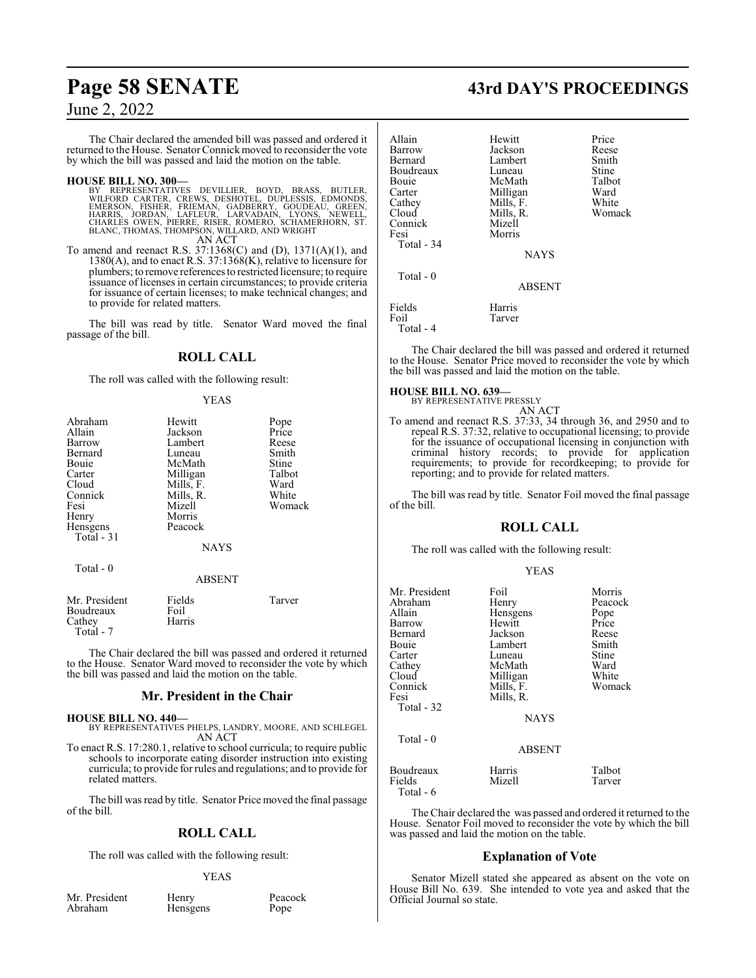The Chair declared the amended bill was passed and ordered it returned to the House. Senator Connick moved to reconsider the vote by which the bill was passed and laid the motion on the table.

#### **HOUSE BILL NO. 300—**

- BY REPRESENTATIVES DEVILLIER, BOYD, BRASS, BUTLER,<br>WILFORD CARTER, CREWS, DESHOTEL, DUPLESSIS, EDMONDS,<br>EMERSON, FISHER, FRIEMAN, GADBERRY, GOUDEAU, GREEN,<br>HARRIS, JORDAN, LAFLEUR, LARVADAIN, LYONS, NEWELL,<br>CHARLES OWEN, P
- To amend and reenact R.S. 37:1368(C) and (D), 1371(A)(1), and  $1380(A)$ , and to enact R.S.  $37:1368(K)$ , relative to licensure for plumbers; to remove references to restricted licensure; to require issuance of licenses in certain circumstances; to provide criteria for issuance of certain licenses; to make technical changes; and to provide for related matters.

The bill was read by title. Senator Ward moved the final passage of the bill.

## **ROLL CALL**

The roll was called with the following result:

#### YEAS

| Abraham       | Hewitt      | Pope   |
|---------------|-------------|--------|
| Allain        | Jackson     | Price  |
| <b>Barrow</b> | Lambert     | Reese  |
| Bernard       | Luneau      | Smith  |
| Bouie         | McMath      | Stine  |
| Carter        | Milligan    | Talbot |
| Cloud         | Mills, F.   | Ward   |
| Connick       | Mills, R.   | White  |
| Fesi          | Mizell      | Womack |
| Henry         | Morris      |        |
| Hensgens      | Peacock     |        |
| Total $-31$   |             |        |
|               | <b>NAYS</b> |        |
| Total - 0     |             |        |
|               | ABSENT      |        |

| Mr. President<br>Fields<br>Foil<br>Boudreaux<br>Harris<br>Cathey<br>Total - 7 | Tarver |
|-------------------------------------------------------------------------------|--------|
|-------------------------------------------------------------------------------|--------|

The Chair declared the bill was passed and ordered it returned to the House. Senator Ward moved to reconsider the vote by which the bill was passed and laid the motion on the table.

#### **Mr. President in the Chair**

- **HOUSE BILL NO. 440—** BY REPRESENTATIVES PHELPS, LANDRY, MOORE, AND SCHLEGEL AN ACT
- To enact R.S. 17:280.1, relative to school curricula; to require public schools to incorporate eating disorder instruction into existing curricula; to provide for rules and regulations; and to provide for related matters.

The bill was read by title. Senator Price moved the final passage of the bill.

## **ROLL CALL**

The roll was called with the following result:

#### YEAS

Mr. President Henry Peacock<br>Abraham Hensgens Pope

Hensgens

# **Page 58 SENATE 43rd DAY'S PROCEEDINGS**

| Allain<br>Barrow<br>Bernard<br>Boudreaux | Hewitt<br>Jackson<br>Lambert<br>Luneau | Price<br>Reese<br>Smith<br>Stine |
|------------------------------------------|----------------------------------------|----------------------------------|
| Bouie                                    | McMath                                 | Talbot                           |
| Carter<br>Cathey                         | Milligan<br>Mills, F.                  | Ward<br>White                    |
| Cloud<br>Connick<br>Fesi                 | Mills, R.<br>Mizell<br>Morris          | Womack                           |
| Total - 34                               | <b>NAYS</b>                            |                                  |
| Total $-0$                               | <b>ABSENT</b>                          |                                  |
| Fields<br>Foil<br>Total - 4              | Harris<br>Tarver                       |                                  |

The Chair declared the bill was passed and ordered it returned to the House. Senator Price moved to reconsider the vote by which the bill was passed and laid the motion on the table.

#### **HOUSE BILL NO. 639—**

BY REPRESENTATIVE PRESSLY AN ACT

To amend and reenact R.S. 37:33, 34 through 36, and 2950 and to repeal R.S. 37:32, relative to occupational licensing; to provide for the issuance of occupational licensing in conjunction with criminal history records; to provide for application requirements; to provide for recordkeeping; to provide for reporting; and to provide for related matters.

The bill was read by title. Senator Foil moved the final passage of the bill.

#### **ROLL CALL**

The roll was called with the following result:

|--|--|--|--|

| Mr. President<br>Abraham<br>Allain<br>Barrow<br>Bernard<br>Bouie<br>Carter<br>Cathey<br>Cloud<br>Connick<br>Fesi<br>Total - 32 | Foil<br>Henry<br>Hensgens<br>Hewitt<br>Jackson<br>Lambert<br>Luneau<br>McMath<br>Milligan<br>Mills, F.<br>Mills, R.<br><b>NAYS</b> | Morris<br>Peacock<br>Pope<br>Price<br>Reese<br>Smith<br>Stine<br>Ward<br>White<br>Womack |
|--------------------------------------------------------------------------------------------------------------------------------|------------------------------------------------------------------------------------------------------------------------------------|------------------------------------------------------------------------------------------|
| Total $-0$                                                                                                                     | <b>ABSENT</b>                                                                                                                      |                                                                                          |
| Boudreaux<br>Fields                                                                                                            | Harris<br>Mizell                                                                                                                   | Talbot<br>Tarver                                                                         |

Total - 6

The Chair declared the was passed and ordered it returned to the House. Senator Foil moved to reconsider the vote by which the bill was passed and laid the motion on the table.

#### **Explanation of Vote**

Senator Mizell stated she appeared as absent on the vote on House Bill No. 639. She intended to vote yea and asked that the Official Journal so state.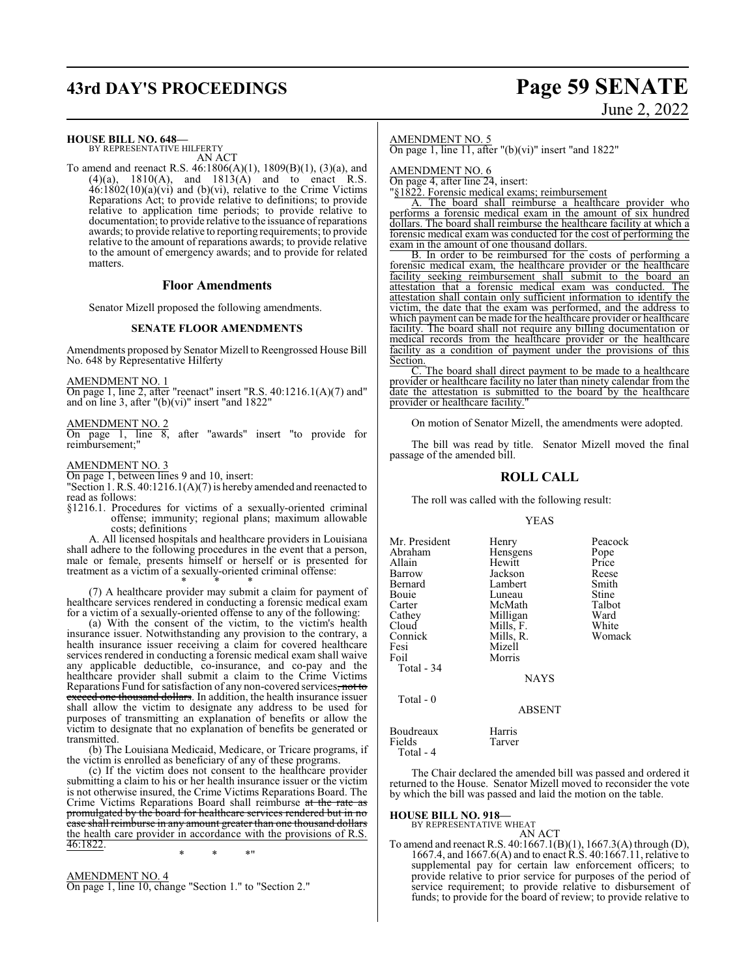# **43rd DAY'S PROCEEDINGS Page 59 SENATE**

# June 2, 2022

**HOUSE BILL NO. 648—**

BY REPRESENTATIVE HILFERTY AN ACT

To amend and reenact R.S. 46:1806(A)(1), 1809(B)(1), (3)(a), and  $(4)(a)$ , 1810(A), and 1813(A) and to enact R.S.  $46:1802(10)(a)(vi)$  and (b)(vi), relative to the Crime Victims Reparations Act; to provide relative to definitions; to provide relative to application time periods; to provide relative to documentation; to provide relative to the issuance ofreparations awards; to provide relative to reporting requirements; to provide relative to the amount of reparations awards; to provide relative to the amount of emergency awards; and to provide for related matters.

#### **Floor Amendments**

Senator Mizell proposed the following amendments.

#### **SENATE FLOOR AMENDMENTS**

Amendments proposed by Senator Mizell to Reengrossed House Bill No. 648 by Representative Hilferty

AMENDMENT NO. 1

On page 1, line 2, after "reenact" insert "R.S. 40:1216.1(A)(7) and" and on line 3, after "(b)(vi)" insert "and 1822"

#### AMENDMENT NO. 2

On page 1, line 8, after "awards" insert "to provide for reimbursement;"

#### AMENDMENT NO. 3

On page 1, between lines 9 and 10, insert:

"Section 1. R.S. 40:1216.1(A)(7) is hereby amended and reenacted to read as follows:

§1216.1. Procedures for victims of a sexually-oriented criminal offense; immunity; regional plans; maximum allowable costs; definitions

A. All licensed hospitals and healthcare providers in Louisiana shall adhere to the following procedures in the event that a person, male or female, presents himself or herself or is presented for treatment as a victim of a sexually-oriented criminal offense: \* \* \*

(7) A healthcare provider may submit a claim for payment of healthcare services rendered in conducting a forensic medical exam for a victim of a sexually-oriented offense to any of the following:

(a) With the consent of the victim, to the victim's health insurance issuer. Notwithstanding any provision to the contrary, a health insurance issuer receiving a claim for covered healthcare services rendered in conducting a forensic medical exam shall waive any applicable deductible, co-insurance, and co-pay and the healthcare provider shall submit a claim to the Crime Victims Reparations Fund for satisfaction of any non-covered services, not to exceed one thousand dollars. In addition, the health insurance issuer shall allow the victim to designate any address to be used for purposes of transmitting an explanation of benefits or allow the victim to designate that no explanation of benefits be generated or transmitted.

(b) The Louisiana Medicaid, Medicare, or Tricare programs, if the victim is enrolled as beneficiary of any of these programs.

(c) If the victim does not consent to the healthcare provider submitting a claim to his or her health insurance issuer or the victim is not otherwise insured, the Crime Victims Reparations Board. The Crime Victims Reparations Board shall reimburse at the rate as promulgated by the board for healthcare services rendered but in no case shall reimburse in any amount greater than one thousand dollars the health care provider in accordance with the provisions of R.S. 46:1822.

\* \* \*"

AMENDMENT NO. 4 On page 1, line 10, change "Section 1." to "Section 2."

#### AMENDMENT NO. 5

On page 1, line 11, after " $(b)(vi)$ " insert "and 1822"

AMENDMENT NO. 6

On page 4, after line 24, insert:

"§1822. Forensic medical exams; reimbursement

A. The board shall reimburse a healthcare provider who performs a forensic medical exam in the amount of six hundred dollars. The board shall reimburse the healthcare facility at which a forensic medical exam was conducted for the cost of performing the exam in the amount of one thousand dollars.

B. In order to be reimbursed for the costs of performing a forensic medical exam, the healthcare provider or the healthcare facility seeking reimbursement shall submit to the board an attestation that a forensic medical exam was conducted. The attestation shall contain only sufficient information to identify the victim, the date that the exam was performed, and the address to which payment can be made for the healthcare provider or healthcare facility. The board shall not require any billing documentation or medical records from the healthcare provider or the healthcare facility as a condition of payment under the provisions of this Section.

The board shall direct payment to be made to a healthcare provider or healthcare facility no later than ninety calendar from the date the attestation is submitted to the board by the healthcare provider or healthcare facility."

On motion of Senator Mizell, the amendments were adopted.

The bill was read by title. Senator Mizell moved the final passage of the amended bill.

## **ROLL CALL**

The roll was called with the following result:

#### YEAS

| Mr. President<br>Abraham<br>Allain<br>Barrow<br>Bernard                      | Henry<br>Hensgens<br>Hewitt<br>Jackson<br>Lambert                          | Peacock<br>Pope<br>Price<br>Reese<br>Smith |
|------------------------------------------------------------------------------|----------------------------------------------------------------------------|--------------------------------------------|
| Bouie<br>Carter<br>Cathey<br>Cloud<br>Connick<br>Fesi<br>Foil<br>Total $-34$ | Luneau<br>McMath<br>Milligan<br>Mills, F.<br>Mills, R.<br>Mizell<br>Morris | Stine<br>Talbot<br>Ward<br>White<br>Womack |
| Total - 0                                                                    | <b>NAYS</b>                                                                |                                            |

#### ABSENT

Boudreaux Harris<br>Fields Tarver Fields

Total - 4

The Chair declared the amended bill was passed and ordered it returned to the House. Senator Mizell moved to reconsider the vote by which the bill was passed and laid the motion on the table.

# **HOUSE BILL NO. 918—** BY REPRESENTATIVE WHEAT

- AN ACT To amend and reenact R.S. 40:1667.1(B)(1), 1667.3(A) through (D),
- 1667.4, and 1667.6(A) and to enact R.S. 40:1667.11, relative to supplemental pay for certain law enforcement officers; to provide relative to prior service for purposes of the period of service requirement; to provide relative to disbursement of funds; to provide for the board of review; to provide relative to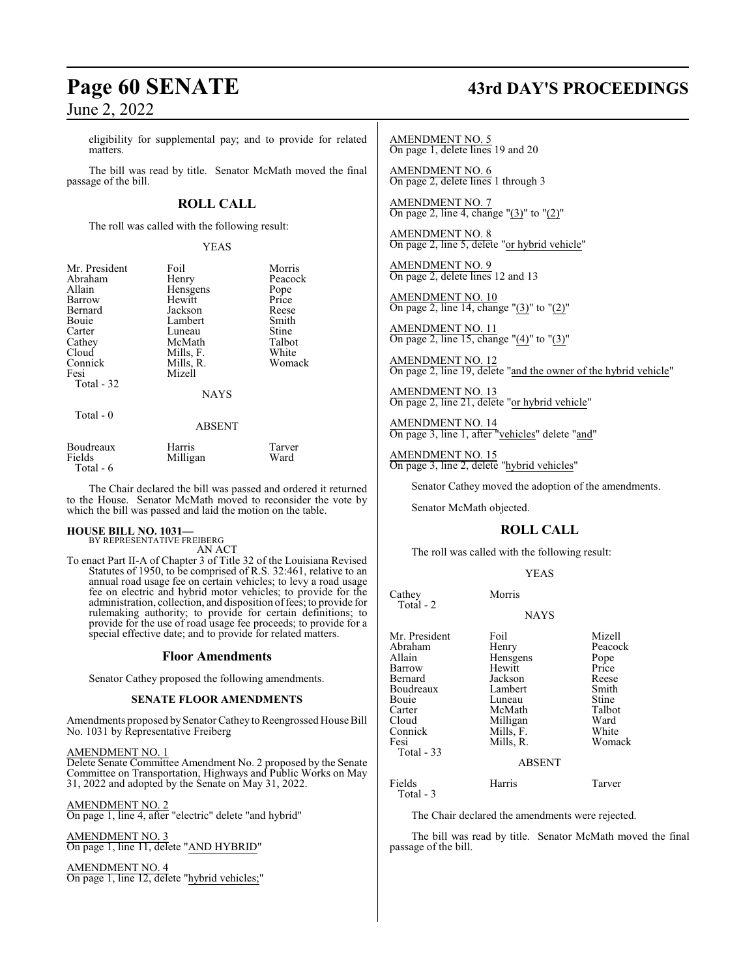eligibility for supplemental pay; and to provide for related matters.

The bill was read by title. Senator McMath moved the final passage of the bill.

## **ROLL CALL**

The roll was called with the following result:

YEAS

| Mr. President | Foil          | Morris  |
|---------------|---------------|---------|
| Abraham       | Henry         | Peacock |
| Allain        | Hensgens      | Pope    |
| Barrow        | Hewitt        | Price   |
| Bernard       | Jackson       | Reese   |
| <b>Bouje</b>  | Lambert       | Smith   |
| Carter        | Luneau        | Stine   |
| Cathey        | McMath        | Talbot  |
| Cloud         | Mills, F.     | White   |
| Connick       | Mills, R.     | Womack  |
| Fesi          | Mizell        |         |
| Total - 32    |               |         |
|               | <b>NAYS</b>   |         |
| Total - 0     |               |         |
|               | <b>ABSENT</b> |         |
| Boudreaux     | Harris        | Tarver  |
| Fields        | Milligan      | Ward    |

 Total - 6 The Chair declared the bill was passed and ordered it returned

to the House. Senator McMath moved to reconsider the vote by which the bill was passed and laid the motion on the table.

#### **HOUSE BILL NO. 1031—** BY REPRESENTATIVE FREIBERG

AN ACT

To enact Part II-A of Chapter 3 of Title 32 of the Louisiana Revised Statutes of 1950, to be comprised of R.S. 32:461, relative to an annual road usage fee on certain vehicles; to levy a road usage fee on electric and hybrid motor vehicles; to provide for the administration, collection, and disposition offees; to provide for rulemaking authority; to provide for certain definitions; to provide for the use of road usage fee proceeds; to provide for a special effective date; and to provide for related matters.

#### **Floor Amendments**

Senator Cathey proposed the following amendments.

#### **SENATE FLOOR AMENDMENTS**

Amendments proposed bySenator Cathey to Reengrossed House Bill No. 1031 by Representative Freiberg

#### AMENDMENT NO. 1

Delete Senate Committee Amendment No. 2 proposed by the Senate Committee on Transportation, Highways and Public Works on May 31, 2022 and adopted by the Senate on May 31, 2022.

AMENDMENT NO. 2

On page 1, line 4, after "electric" delete "and hybrid"

AMENDMENT NO. 3 On page 1, line 11, delete "AND HYBRID"

AMENDMENT NO. 4 On page 1, line 12, delete "hybrid vehicles;"

# **Page 60 SENATE 43rd DAY'S PROCEEDINGS**

AMENDMENT NO. 5 On page 1, delete lines 19 and 20

AMENDMENT NO. 6 On page 2, delete lines 1 through 3

AMENDMENT NO. 7 On page 2, line 4, change "(3)" to "(2)"

AMENDMENT NO. 8 On page 2, line 5, delete "or hybrid vehicle"

AMENDMENT NO. 9 On page 2, delete lines 12 and 13

AMENDMENT NO. 10 On page 2, line 14, change "(3)" to "(2)"

AMENDMENT NO. 11 On page 2, line 15, change "(4)" to "(3)"

AMENDMENT NO. 12 On page 2, line 19, delete "and the owner of the hybrid vehicle"

AMENDMENT NO. 13 On page 2, line 21, delete "or hybrid vehicle"

AMENDMENT NO. 14 On page 3, line 1, after "vehicles" delete "and"

AMENDMENT NO. 15 On page 3, line 2, delete "hybrid vehicles"

Senator Cathey moved the adoption of the amendments.

Senator McMath objected.

Total - 3

## **ROLL CALL**

The roll was called with the following result:

#### YEAS

| Cathey<br>Total - 2                                                                                                                | Morris                                                                                                                               |                                                                                                    |
|------------------------------------------------------------------------------------------------------------------------------------|--------------------------------------------------------------------------------------------------------------------------------------|----------------------------------------------------------------------------------------------------|
|                                                                                                                                    | <b>NAYS</b>                                                                                                                          |                                                                                                    |
| Mr. President<br>Abraham<br>Allain<br>Barrow<br>Bernard<br>Boudreaux<br>Bouie<br>Carter<br>Cloud<br>Connick<br>Fesi<br>Total $-33$ | Foil<br>Henry<br>Hensgens<br>Hewitt<br>Jackson<br>Lambert<br>Luneau<br>McMath<br>Milligan<br>Mills, F.<br>Mills, R.<br><b>ABSENT</b> | Mizell<br>Peacock<br>Pope<br>Price<br>Reese<br>Smith<br>Stine<br>Talbot<br>Ward<br>White<br>Womack |
| Fields                                                                                                                             | Harris                                                                                                                               | Tarver                                                                                             |

The Chair declared the amendments were rejected.

The bill was read by title. Senator McMath moved the final passage of the bill.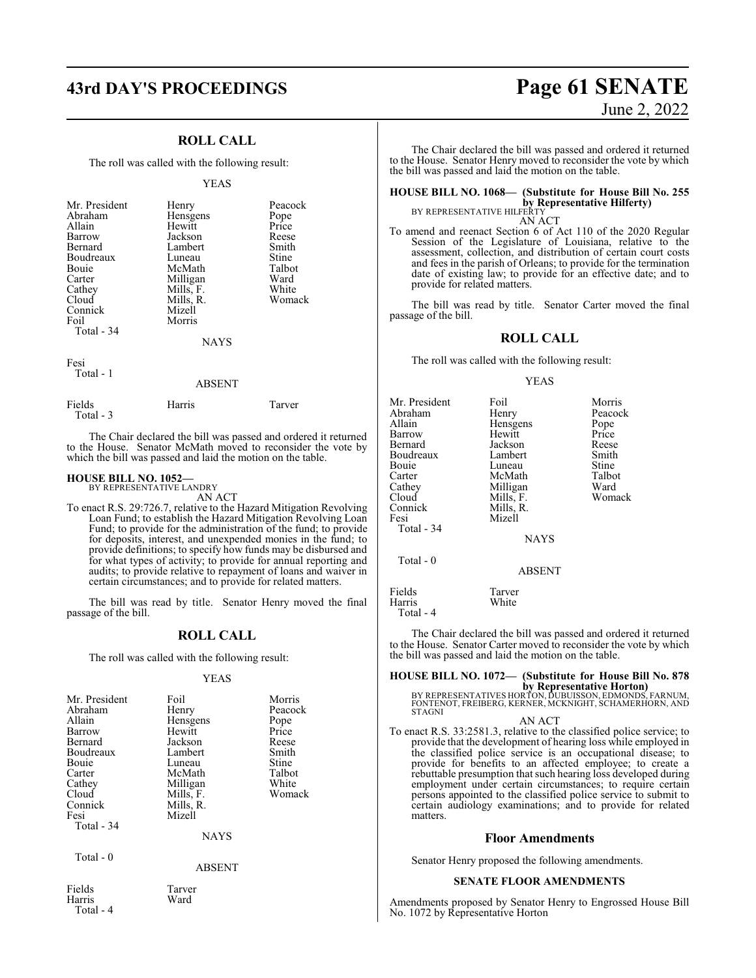## **ROLL CALL**

The roll was called with the following result:

#### YEAS

| Mr. President<br>Abraham<br>Allain<br>Barrow<br>Bernard<br>Boudreaux<br>Bouie<br>Carter<br>Cathey<br>Cloud<br>Connick<br>Foil<br>Total - 34 | Henry<br>Hensgens<br>Hewitt<br>Jackson<br>Lambert<br>Luneau<br>McMath<br>Milligan<br>Mills, F.<br>Mills, R.<br>Mizell<br>Morris<br>NAYS | Peacock<br>Pope<br>Price<br>Reese<br>Smith<br>Stine<br>Talbot<br>Ward<br>White<br>Womack |
|---------------------------------------------------------------------------------------------------------------------------------------------|-----------------------------------------------------------------------------------------------------------------------------------------|------------------------------------------------------------------------------------------|
|                                                                                                                                             |                                                                                                                                         |                                                                                          |

Fesi Total - 1

## ABSENT

| Fields    | Harris | Tarver |  |
|-----------|--------|--------|--|
| Total - 3 |        |        |  |

The Chair declared the bill was passed and ordered it returned to the House. Senator McMath moved to reconsider the vote by which the bill was passed and laid the motion on the table.

#### **HOUSE BILL NO. 1052—** BY REPRESENTATIVE LANDRY

AN ACT

To enact R.S. 29:726.7, relative to the Hazard Mitigation Revolving Loan Fund; to establish the Hazard Mitigation Revolving Loan Fund; to provide for the administration of the fund; to provide for deposits, interest, and unexpended monies in the fund; to provide definitions; to specify how funds may be disbursed and for what types of activity; to provide for annual reporting and audits; to provide relative to repayment of loans and waiver in certain circumstances; and to provide for related matters.

The bill was read by title. Senator Henry moved the final passage of the bill.

#### **ROLL CALL**

The roll was called with the following result:

#### YEAS

| Mr. President<br>Abraham<br>Allain<br>Barrow<br>Bernard<br>Boudreaux<br>Bouie<br>Carter<br>Cathey<br>Cloud<br>Connick<br>Fesi<br>Total - 34 | Foil<br>Henry<br>Hensgens<br>Hewitt<br>Jackson<br>Lambert<br>Luneau<br>McMath<br>Milligan<br>Mills, F.<br>Mills, R.<br>Mizell<br><b>NAYS</b> | Morris<br>Peacock<br>Pope<br>Price<br>Reese<br>Smith<br>Stine<br>Talbot<br>White<br>Womack |
|---------------------------------------------------------------------------------------------------------------------------------------------|----------------------------------------------------------------------------------------------------------------------------------------------|--------------------------------------------------------------------------------------------|
| Total - 0                                                                                                                                   | <b>ABSENT</b>                                                                                                                                |                                                                                            |
| Fields<br>Harris<br>Total - 4                                                                                                               | Tarver<br>Ward                                                                                                                               |                                                                                            |

# **43rd DAY'S PROCEEDINGS Page 61 SENATE** June 2, 2022

The Chair declared the bill was passed and ordered it returned to the House. Senator Henry moved to reconsider the vote by which the bill was passed and laid the motion on the table.

**HOUSE BILL NO. 1068— (Substitute for House Bill No. 255 by Representative Hilferty)**<br>BY REPRESENTATIVE HILFERTY<br>AN ACT

To amend and reenact Section 6 of Act 110 of the 2020 Regular Session of the Legislature of Louisiana, relative to the assessment, collection, and distribution of certain court costs and fees in the parish of Orleans; to provide for the termination date of existing law; to provide for an effective date; and to provide for related matters.

The bill was read by title. Senator Carter moved the final passage of the bill.

#### **ROLL CALL**

The roll was called with the following result:

#### YEAS

| Mr. President<br>Abraham<br>Allain<br>Barrow<br>Bernard<br>Boudreaux<br>Bouie<br>Carter<br>Cathey<br>Cloud<br>Connick<br>Fesi<br>Total - 34 | Foil<br>Henry<br>Hensgens<br>Hewitt<br>Jackson<br>Lambert<br>Luneau<br>McMath<br>Milligan<br>Mills, F.<br>Mills, R.<br>Mizell<br><b>NAYS</b> | Morris<br>Peacock<br>Pope<br>Price<br>Reese<br>Smith<br>Stine<br>Talbot<br>Ward<br>Womack |
|---------------------------------------------------------------------------------------------------------------------------------------------|----------------------------------------------------------------------------------------------------------------------------------------------|-------------------------------------------------------------------------------------------|
| Total $-0$                                                                                                                                  | <b>ABSENT</b>                                                                                                                                |                                                                                           |
| Fields<br>Harris                                                                                                                            | Tarver<br>White                                                                                                                              |                                                                                           |

Total - 4

The Chair declared the bill was passed and ordered it returned to the House. Senator Carter moved to reconsider the vote by which the bill was passed and laid the motion on the table.

## **HOUSE BILL NO. 1072— (Substitute for House Bill No. 878**

**by Representative Horton)**<br>BY REPRESENTATIVES HORTON, DUBUISSON, EDMONDS, FARNUM,<br>FONTENOT, FREIBERG, KERNER, MCKNIGHT, SCHAMERHORN, AND STAGNI

```
AN ACT
```
To enact R.S. 33:2581.3, relative to the classified police service; to provide that the development of hearing loss while employed in the classified police service is an occupational disease; to provide for benefits to an affected employee; to create a rebuttable presumption that such hearing loss developed during employment under certain circumstances; to require certain persons appointed to the classified police service to submit to certain audiology examinations; and to provide for related matters.

#### **Floor Amendments**

Senator Henry proposed the following amendments.

#### **SENATE FLOOR AMENDMENTS**

Amendments proposed by Senator Henry to Engrossed House Bill No. 1072 by Representative Horton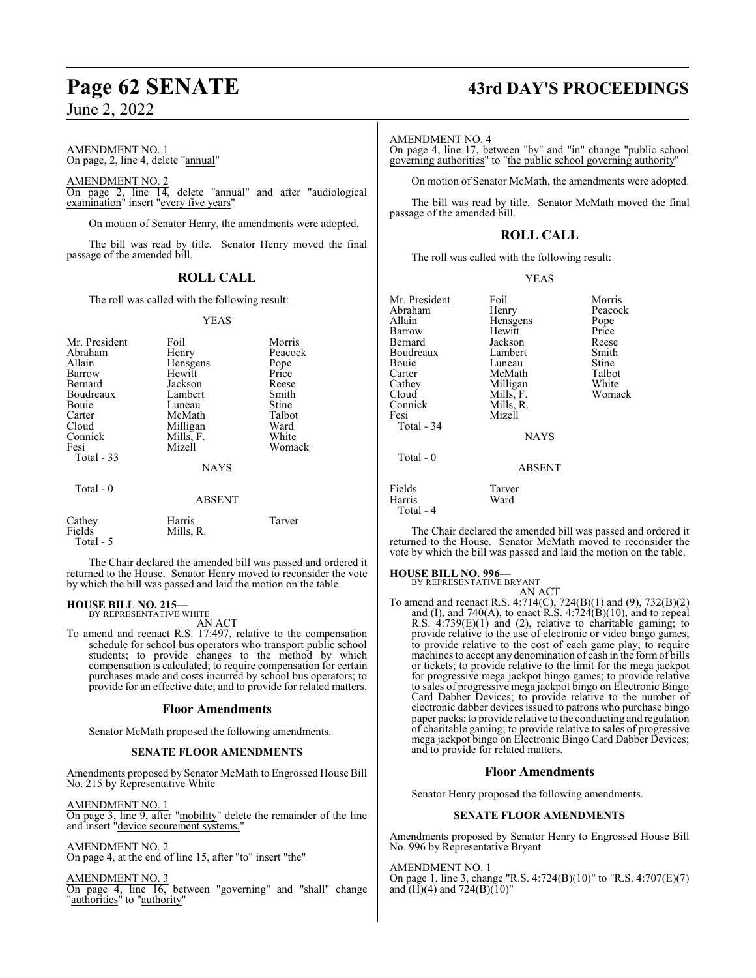#### AMENDMENT NO. 1 On page, 2, line 4, delete "annual"

AMENDMENT NO. 2 On page 2, line 14, delete "annual" and after "audiological examination" insert "every five years"

On motion of Senator Henry, the amendments were adopted.

The bill was read by title. Senator Henry moved the final passage of the amended bill.

## **ROLL CALL**

The roll was called with the following result:

#### YEAS

| Mr. President<br>Abraham<br>Allain<br>Barrow<br>Bernard<br>Boudreaux<br>Bouie<br>Carter<br>Cloud<br>Connick<br>Fesi<br>Total $-33$ | Foil<br>Henry<br>Hensgens<br>Hewitt<br>Jackson<br>Lambert<br>Luneau<br>McMath<br>Milligan<br>Mills, F.<br>Mizell<br><b>NAYS</b> | Morris<br>Peacock<br>Pope<br>Price<br>Reese<br>Smith<br>Stine<br>Talbot<br>Ward<br>White<br>Womack |
|------------------------------------------------------------------------------------------------------------------------------------|---------------------------------------------------------------------------------------------------------------------------------|----------------------------------------------------------------------------------------------------|
| Total - 0                                                                                                                          | <b>ABSENT</b>                                                                                                                   |                                                                                                    |
| Cathey<br>Fields                                                                                                                   | Harris<br>Mills, R.                                                                                                             | Tarver                                                                                             |

The Chair declared the amended bill was passed and ordered it returned to the House. Senator Henry moved to reconsider the vote by which the bill was passed and laid the motion on the table.

# **HOUSE BILL NO. 215—** BY REPRESENTATIVE WHITE

Total - 5

AN ACT To amend and reenact R.S. 17:497, relative to the compensation schedule for school bus operators who transport public school students; to provide changes to the method by which compensation is calculated; to require compensation for certain purchases made and costs incurred by school bus operators; to provide for an effective date; and to provide for related matters.

#### **Floor Amendments**

Senator McMath proposed the following amendments.

#### **SENATE FLOOR AMENDMENTS**

Amendments proposed by Senator McMath to Engrossed House Bill No. 215 by Representative White

AMENDMENT NO. 1

On page 3, line 9, after "mobility" delete the remainder of the line and insert "device securement systems,"

### AMENDMENT NO. 2

On page 4, at the end of line 15, after "to" insert "the"

AMENDMENT NO. 3

On page 4, line 16, between "governing" and "shall" change "authorities" to "authority"

# **Page 62 SENATE 43rd DAY'S PROCEEDINGS**

#### AMENDMENT NO. 4

On page 4, line 17, between "by" and "in" change "public school governing authorities" to "the public school governing authority"

On motion of Senator McMath, the amendments were adopted.

The bill was read by title. Senator McMath moved the final passage of the amended bill.

## **ROLL CALL**

The roll was called with the following result:

| Mr. President | Foil          | Morris  |
|---------------|---------------|---------|
| Abraham       | Henry         | Peacock |
| Allain        | Hensgens      | Pope    |
| Barrow        | Hewitt        | Price   |
| Bernard       | Jackson       | Reese   |
| Boudreaux     | Lambert       | Smith   |
| Bouie         | Luneau        | Stine   |
| Carter        | McMath        | Talbot  |
| Cathey        | Milligan      | White   |
| Cloud         | Mills, F.     | Womack  |
| Connick       | Mills, R.     |         |
|               |               |         |
| Fesi          | Mizell        |         |
| Total - 34    |               |         |
|               | <b>NAYS</b>   |         |
| Total - 0     |               |         |
|               | <b>ABSENT</b> |         |
| Fields        | Tarver        |         |
| Harris        | Ward          |         |
| Total - 4     |               |         |

The Chair declared the amended bill was passed and ordered it returned to the House. Senator McMath moved to reconsider the vote by which the bill was passed and laid the motion on the table.

#### **HOUSE BILL NO. 996—**

BY REPRESENTATIVE BRYANT

AN ACT To amend and reenact R.S. 4:714(C), 724(B)(1) and (9), 732(B)(2) and (I), and 740(A), to enact R.S.  $4:724(B)(10)$ , and to repeal R.S. 4:739(E)(1) and (2), relative to charitable gaming; to provide relative to the use of electronic or video bingo games; to provide relative to the cost of each game play; to require machines to accept any denomination of cash in the form of bills or tickets; to provide relative to the limit for the mega jackpot for progressive mega jackpot bingo games; to provide relative to sales of progressive mega jackpot bingo on Electronic Bingo Card Dabber Devices; to provide relative to the number of electronic dabber devices issued to patrons who purchase bingo paper packs; to provide relative to the conducting and regulation of charitable gaming; to provide relative to sales of progressive mega jackpot bingo on Electronic Bingo Card Dabber Devices; and to provide for related matters.

#### **Floor Amendments**

Senator Henry proposed the following amendments.

#### **SENATE FLOOR AMENDMENTS**

Amendments proposed by Senator Henry to Engrossed House Bill No. 996 by Representative Bryant

#### AMENDMENT NO. 1

On page 1, line 3, change "R.S. 4:724(B)(10)" to "R.S. 4:707(E)(7) and  $(H)(4)$  and  $724(B)(10)$ "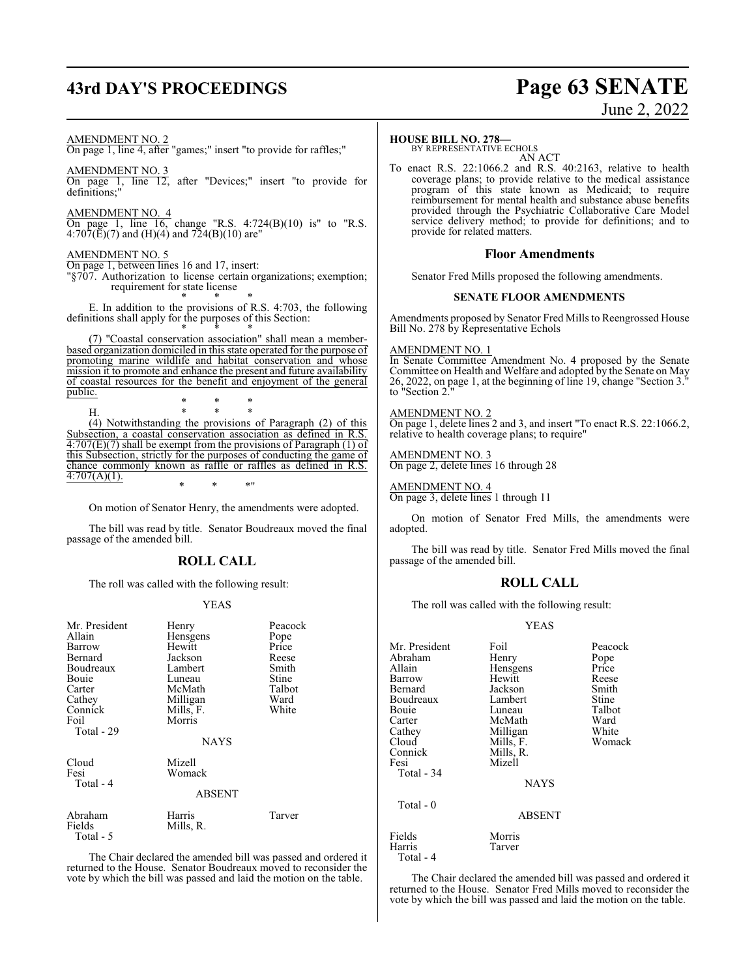# **43rd DAY'S PROCEEDINGS Page 63 SENATE**

# June 2, 2022

AMENDMENT NO. 2

On page 1, line 4, after "games;" insert "to provide for raffles;"

AMENDMENT NO. 3 On page 1, line 12, after "Devices;" insert "to provide for definitions;"

AMENDMENT NO. 4 On page 1, line 16, change "R.S. 4:724(B)(10) is" to "R.S.  $4:707(\text{E})(7)$  and  $(\text{H})(4)$  and  $724(\text{B})(10)$  are"

#### AMENDMENT NO. 5

On page 1, between lines 16 and 17, insert:

"§707. Authorization to license certain organizations; exemption; requirement for state license

\* \* \* E. In addition to the provisions of R.S. 4:703, the following definitions shall apply for the purposes of this Section:

\* \* \* (7) "Coastal conservation association" shall mean a memberbased organization domiciled in this state operated for the purpose of promoting marine wildlife and habitat conservation and whose mission it to promote and enhance the present and future availability of coastal resources for the benefit and enjoyment of the general public.

\* \* \*

H. \* \* \* (4) Notwithstanding the provisions of Paragraph (2) of this Subsection, a coastal conservation association as defined in R.S.  $\overline{4:707(E)(7)}$  shall be exempt from the provisions of Paragraph (1) of this Subsection, strictly for the purposes of conducting the game of chance commonly known as raffle or raffles as defined in R.S.  $4:707(A)(1)$ . \* \* \*"

On motion of Senator Henry, the amendments were adopted.

The bill was read by title. Senator Boudreaux moved the final passage of the amended bill.

## **ROLL CALL**

The roll was called with the following result:

#### YEAS

| Mr. President<br>Allain<br>Barrow<br>Bernard<br>Boudreaux<br>Bouie<br>Carter<br>Cathey | Henry<br>Hensgens<br>Hewitt<br>Jackson<br>Lambert<br>Luneau<br>McMath<br>Milligan | Peacock<br>Pope<br>Price<br>Reese<br>Smith<br>Stine<br>Talbot<br>Ward |
|----------------------------------------------------------------------------------------|-----------------------------------------------------------------------------------|-----------------------------------------------------------------------|
| Connick<br>Foil<br>Total - 29                                                          | Mills, F.<br>Morris<br><b>NAYS</b>                                                | White                                                                 |
| Cloud<br>Fesi<br>Total - 4                                                             | Mizell<br>Womack<br><b>ABSENT</b>                                                 |                                                                       |
| Abraham<br>Fields<br>Total - 5                                                         | Harris<br>Mills, R.                                                               | Tarver                                                                |

The Chair declared the amended bill was passed and ordered it returned to the House. Senator Boudreaux moved to reconsider the vote by which the bill was passed and laid the motion on the table.

#### **HOUSE BILL NO. 278—**

BY REPRESENTATIVE ECHOLS AN ACT

To enact R.S. 22:1066.2 and R.S. 40:2163, relative to health coverage plans; to provide relative to the medical assistance program of this state known as Medicaid; to require reimbursement for mental health and substance abuse benefits provided through the Psychiatric Collaborative Care Model service delivery method; to provide for definitions; and to provide for related matters.

### **Floor Amendments**

Senator Fred Mills proposed the following amendments.

#### **SENATE FLOOR AMENDMENTS**

Amendments proposed by Senator Fred Mills to Reengrossed House Bill No. 278 by Representative Echols

## AMENDMENT NO. 1

In Senate Committee Amendment No. 4 proposed by the Senate Committee on Health and Welfare and adopted by the Senate on May 26, 2022, on page 1, at the beginning of line 19, change "Section 3." to "Section 2."

#### AMENDMENT NO. 2

On page 1, delete lines 2 and 3, and insert "To enact R.S. 22:1066.2, relative to health coverage plans; to require"

#### AMENDMENT NO. 3

On page 2, delete lines 16 through 28

#### AMENDMENT NO. 4

On page 3, delete lines 1 through 11

On motion of Senator Fred Mills, the amendments were adopted.

The bill was read by title. Senator Fred Mills moved the final passage of the amended bill.

#### **ROLL CALL**

The roll was called with the following result:

#### YEAS

| Mr. President<br>Abraham<br>Allain | Foil<br>Henry<br>Hensgens | Peacock<br>Pope<br>Price |
|------------------------------------|---------------------------|--------------------------|
| Barrow                             | Hewitt                    | Reese                    |
| Bernard                            | Jackson                   | Smith                    |
| Boudreaux                          | Lambert                   | Stine                    |
| Bouie                              | Luneau                    | Talbot                   |
| Carter                             | McMath                    | Ward                     |
| Cathey                             | Milligan                  | White                    |
| Cloud                              | Mills, F.                 | Womack                   |
| Connick                            | Mills, R.                 |                          |
| Fesi                               | Mizell                    |                          |
| Total - 34                         |                           |                          |
|                                    | <b>NAYS</b>               |                          |
| Total - 0                          |                           |                          |
|                                    | <b>ABSENT</b>             |                          |
| Fields                             | Morris                    |                          |
| Harris<br>Total - 4                | Tarver                    |                          |

The Chair declared the amended bill was passed and ordered it returned to the House. Senator Fred Mills moved to reconsider the vote by which the bill was passed and laid the motion on the table.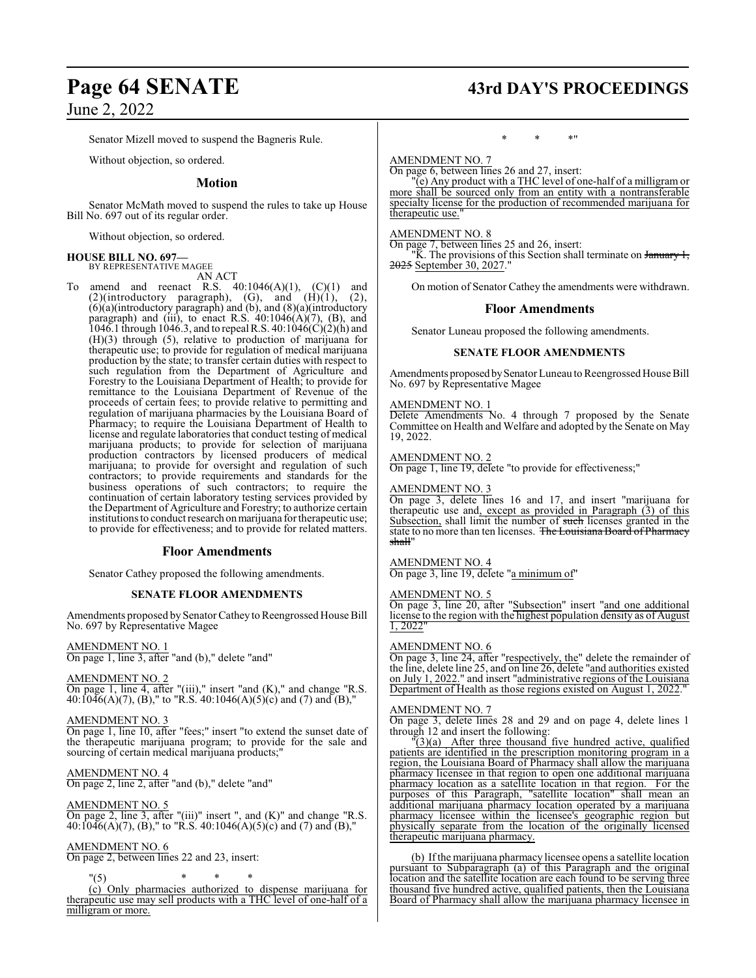# **Page 64 SENATE 43rd DAY'S PROCEEDINGS**

June 2, 2022

Senator Mizell moved to suspend the Bagneris Rule.

Without objection, so ordered.

#### **Motion**

Senator McMath moved to suspend the rules to take up House Bill No. 697 out of its regular order.

Without objection, so ordered.

#### **HOUSE BILL NO. 697—**

BY REPRESENTATIVE MAGEE AN ACT

To amend and reenact R.S.  $40:1046(A)(1)$ ,  $(C)(1)$  and  $(2)$ (introductory paragraph),  $(G)$ , and  $(H)(1)$ ,  $(2)$ , (6)(a)(introductory paragraph) and (b), and (8)(a)(introductory paragraph) and (iii), to enact R.S. 40:1046(A)(7), (B), and 1046.1 through 1046.3, and to repeal R.S. 40:1046(C)(2)(h) and (H)(3) through (5), relative to production of marijuana for therapeutic use; to provide for regulation of medical marijuana production by the state; to transfer certain duties with respect to such regulation from the Department of Agriculture and Forestry to the Louisiana Department of Health; to provide for remittance to the Louisiana Department of Revenue of the proceeds of certain fees; to provide relative to permitting and regulation of marijuana pharmacies by the Louisiana Board of Pharmacy; to require the Louisiana Department of Health to license and regulate laboratories that conduct testing of medical marijuana products; to provide for selection of marijuana production contractors by licensed producers of medical marijuana; to provide for oversight and regulation of such contractors; to provide requirements and standards for the business operations of such contractors; to require the continuation of certain laboratory testing services provided by the Department of Agriculture and Forestry; to authorize certain institutions to conduct research on marijuana for therapeutic use; to provide for effectiveness; and to provide for related matters.

#### **Floor Amendments**

Senator Cathey proposed the following amendments.

#### **SENATE FLOOR AMENDMENTS**

Amendments proposed by Senator Catheyto Reengrossed House Bill No. 697 by Representative Magee

AMENDMENT NO. 1 On page 1, line 3, after "and (b)," delete "and"

#### AMENDMENT NO. 2

On page 1, line 4, after "(iii)," insert "and (K)," and change "R.S. 40:1046(A)(7), (B)," to "R.S. 40:1046(A)(5)(c) and (7) and (B),"

#### AMENDMENT NO. 3

On page 1, line 10, after "fees;" insert "to extend the sunset date of the therapeutic marijuana program; to provide for the sale and sourcing of certain medical marijuana products;"

## AMENDMENT NO. 4

On page 2, line 2, after "and (b)," delete "and"

#### AMENDMENT NO. 5

On page 2, line 3, after "(iii)" insert ", and (K)" and change "R.S. 40:1046(A)(7), (B)," to "R.S. 40:1046(A)(5)(c) and (7) and (B),"

#### AMENDMENT NO. 6

On page 2, between lines 22 and 23, insert:

"(5) \* \* \* (c) Only pharmacies authorized to dispense marijuana for therapeutic use may sell products with a THC level of one-half of a milligram or more.

## \* \* \*"

## AMENDMENT NO. 7

On page 6, between lines 26 and 27, insert:

"(e) Any product with a THC level of one-half of a milligram or more shall be sourced only from an entity with a nontransferable specialty license for the production of recommended marijuana for therapeutic use.

#### AMENDMENT NO. 8

On page 7, between lines 25 and 26, insert:

"K. The provisions of this Section shall terminate on January 1, 2025 September 30, 2027.'

On motion of Senator Cathey the amendments were withdrawn.

#### **Floor Amendments**

Senator Luneau proposed the following amendments.

#### **SENATE FLOOR AMENDMENTS**

Amendments proposed by Senator Luneau to Reengrossed House Bill No. 697 by Representative Magee

#### AMENDMENT NO. 1

Delete Amendments No. 4 through 7 proposed by the Senate Committee on Health and Welfare and adopted by the Senate on May 19, 2022.

## AMENDMENT NO. 2

On page 1, line 19, delete "to provide for effectiveness;"

#### AMENDMENT NO. 3

On page 3, delete lines 16 and 17, and insert "marijuana for therapeutic use and, except as provided in Paragraph (3) of this Subsection, shall limit the number of such licenses granted in the state to no more than ten licenses. The Louisiana Board of Pharmacy shall'

#### AMENDMENT NO. 4

On page 3, line 19, delete "a minimum of"

#### AMENDMENT NO. 5

On page 3, line 20, after "Subsection" insert "and one additional license to the region with the highest population density as of August 1, 2022"

#### AMENDMENT NO. 6

On page 3, line 24, after "respectively, the" delete the remainder of the line, delete line 25, and on line 26, delete "and authorities existed on July 1, 2022." and insert "administrative regions of the Louisiana Department of Health as those regions existed on August 1, 2022."

#### AMENDMENT NO. 7

On page 3, delete lines 28 and 29 and on page 4, delete lines 1 through 12 and insert the following:

 $\tilde{f}(3)(a)$  After three thousand five hundred active, qualified patients are identified in the prescription monitoring program in a region, the Louisiana Board of Pharmacy shall allow the marijuana pharmacy licensee in that region to open one additional marijuana pharmacy location as a satellite location in that region. For the purposes of this Paragraph, "satellite location" shall mean an additional marijuana pharmacy location operated by a marijuana pharmacy licensee within the licensee's geographic region but physically separate from the location of the originally licensed therapeutic marijuana pharmacy.

(b) Ifthe marijuana pharmacy licensee opens a satellite location pursuant to Subparagraph (a) of this Paragraph and the original location and the satellite location are each found to be serving three thousand five hundred active, qualified patients, then the Louisiana Board of Pharmacy shall allow the marijuana pharmacy licensee in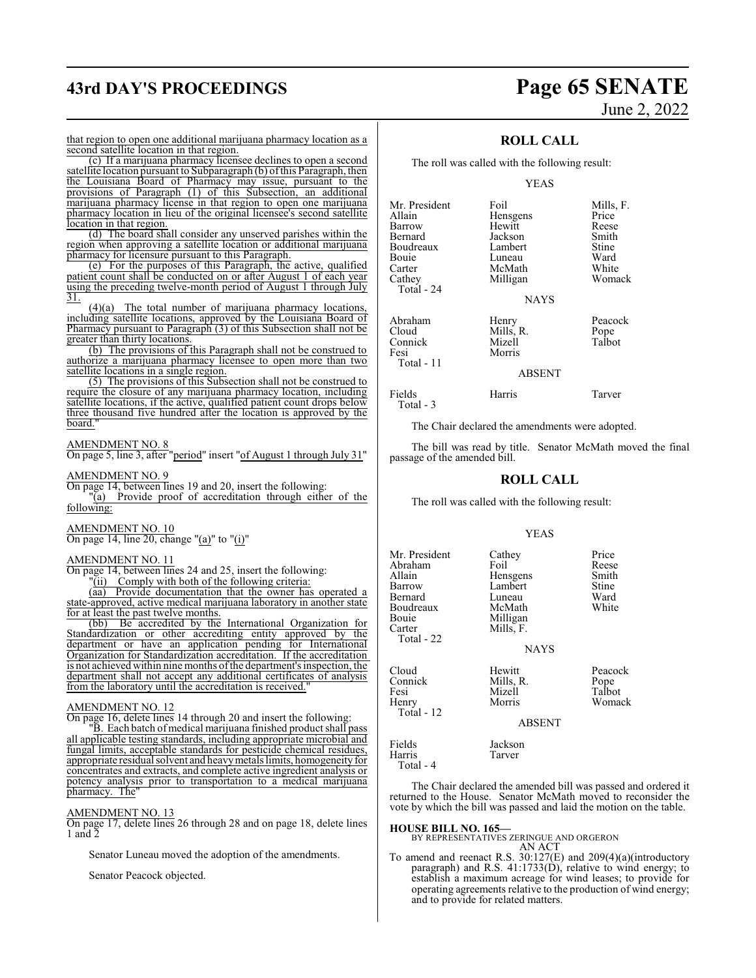# **43rd DAY'S PROCEEDINGS Page 65 SENATE**

# June 2, 2022

that region to open one additional marijuana pharmacy location as a second satellite location in that region.

(c) If a marijuana pharmacy licensee declines to open a second satellite location pursuant to Subparagraph (b) ofthis Paragraph, then the Louisiana Board of Pharmacy may issue, pursuant to the provisions of Paragraph (1) of this Subsection, an additional marijuana pharmacy license in that region to open one marijuana pharmacy location in lieu of the original licensee's second satellite location in that region.

(d) The board shall consider any unserved parishes within the region when approving a satellite location or additional marijuana pharmacy for licensure pursuant to this Paragraph.

(e) For the purposes of this Paragraph, the active, qualified patient count shall be conducted on or after August 1 of each year using the preceding twelve-month period of August 1 through July 31.

(4)(a) The total number of marijuana pharmacy locations, including satellite locations, approved by the Louisiana Board of Pharmacy pursuant to Paragraph (3) of this Subsection shall not be greater than thirty locations.

(b) The provisions of this Paragraph shall not be construed to authorize a marijuana pharmacy licensee to open more than two satellite locations in a single region.

(5) The provisions of this Subsection shall not be construed to require the closure of any marijuana pharmacy location, including satellite locations, if the active, qualified patient count drops below three thousand five hundred after the location is approved by the board.

#### AMENDMENT NO. 8

On page 5, line 3, after "period" insert "of August 1 through July 31"

#### AMENDMENT NO. 9

On page 14, between lines 19 and 20, insert the following:

"(a) Provide proof of accreditation through either of the following:

AMENDMENT NO. 10

On page 14, line 20, change "(a)" to "(i)"

#### AMENDMENT NO. 11

On page 14, between lines 24 and 25, insert the following:<br>"(ii) Comply with both of the following criteria: Comply with both of the following criteria:

(aa) Provide documentation that the owner has operated a

state-approved, active medical marijuana laboratory in another state for at least the past twelve months.

(bb) Be accredited by the International Organization for Standardization or other accrediting entity approved by the department or have an application pending for International Organization for Standardization accreditation. If the accreditation is not achieved within nine months of the department's inspection, the department shall not accept any additional certificates of analysis from the laboratory until the accreditation is received.

#### AMENDMENT NO. 12

On page 16, delete lines 14 through 20 and insert the following:

"B. Each batch of medical marijuana finished product shall pass all applicable testing standards, including appropriate microbial and fungal limits, acceptable standards for pesticide chemical residues, appropriate residual solvent and heavymetals limits, homogeneity for concentrates and extracts, and complete active ingredient analysis or potency analysis prior to transportation to a medical marijuana pharmacy. The"

#### AMENDMENT NO. 13

On page 17, delete lines 26 through 28 and on page 18, delete lines 1 and  $\overline{2}$ 

Senator Luneau moved the adoption of the amendments.

Senator Peacock objected.

### **ROLL CALL**

The roll was called with the following result:

#### YEAS

| Mr. President | Foil          | Mills, F. |
|---------------|---------------|-----------|
| Allain        | Hensgens      | Price     |
| Barrow        | Hewitt        | Reese     |
| Bernard       | Jackson       | Smith     |
| Boudreaux     | Lambert       | Stine     |
| <b>Bouje</b>  | Luneau        | Ward      |
|               |               |           |
| Carter        | McMath        | White     |
| Cathey        | Milligan      | Womack    |
| Total - 24    |               |           |
|               | <b>NAYS</b>   |           |
| Abraham       | Henry         | Peacock   |
| Cloud         | Mills, R.     | Pope      |
| Connick       | Mizell        | Talbot    |
| Fesi          | Morris        |           |
| Total - 11    |               |           |
|               | <b>ABSENT</b> |           |
|               |               |           |

Fields Harris Tarver

Total - 3

The Chair declared the amendments were adopted.

The bill was read by title. Senator McMath moved the final passage of the amended bill.

#### **ROLL CALL**

The roll was called with the following result:

#### YEAS

Mr. President Cathey Price<br>
Abraham Foil Reese Abraham Foil Reese<br>Allain Hensgens Smith Allain Hensgens Smith Lambert Stine<br>
Luneau Ward Bernard Luneau Ward<br>Boudreaux McMath White Boudreaux<br>Bouje Bouie Milligan<br>Carter Mills, F. Mills, F. Total - 22 **NAYS** Cloud Hewitt Peacock Connick Mills, R. Pope Mizell Henry Morris Womack Total - 12 ABSENT Fields Jackson Harris Total - 4

The Chair declared the amended bill was passed and ordered it returned to the House. Senator McMath moved to reconsider the vote by which the bill was passed and laid the motion on the table.

#### **HOUSE BILL NO. 165—**

BY REPRESENTATIVES ZERINGUE AND ORGERON AN ACT

To amend and reenact R.S. 30:127(E) and 209(4)(a)(introductory paragraph) and R.S. 41:1733(D), relative to wind energy; to establish a maximum acreage for wind leases; to provide for operating agreements relative to the production of wind energy; and to provide for related matters.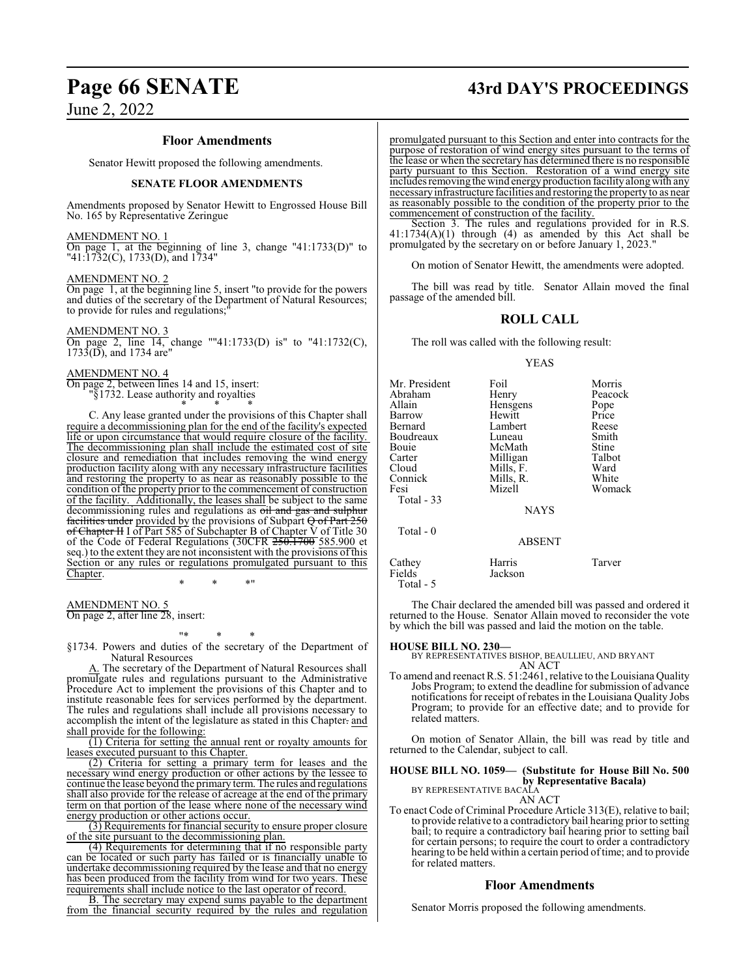#### **Floor Amendments**

Senator Hewitt proposed the following amendments.

#### **SENATE FLOOR AMENDMENTS**

Amendments proposed by Senator Hewitt to Engrossed House Bill No. 165 by Representative Zeringue

#### AMENDMENT NO. 1

On page 1, at the beginning of line 3, change "41:1733(D)" to "41:1732(C), 1733(D), and 1734"

#### AMENDMENT NO. 2

On page 1, at the beginning line 5, insert "to provide for the powers and duties of the secretary of the Department of Natural Resources; to provide for rules and regulations;

AMENDMENT NO. 3

On page 2, line 14, change ""41:1733(D) is" to "41:1732(C), 1733(D), and 1734 are"

#### AMENDMENT NO. 4

On page 2, between lines 14 and 15, insert: "§1732. Lease authority and royalties \* \* \*

C. Any lease granted under the provisions of this Chapter shall require a decommissioning plan for the end of the facility's expected life or upon circumstance that would require closure of the facility. The decommissioning plan shall include the estimated cost of site closure and remediation that includes removing the wind energy production facility along with any necessary infrastructure facilities and restoring the property to as near as reasonably possible to the condition of the property prior to the commencement of construction of the facility. Additionally, the leases shall be subject to the same decommissioning rules and regulations as oil and gas and sulphur facilities under provided by the provisions of Subpart  $\Theta$  of Part 250 of Chapter II I of Part 585 of Subchapter B of Chapter V of Title 30 of the Code of Federal Regulations (30CFR 250.1700 585.900 et seq.) to the extent they are not inconsistent with the provisions of this Section or any rules or regulations promulgated pursuant to this Chapter.

\* \* \*"

AMENDMENT NO. 5 On page 2, after line 28, insert:

"\* \* \*

§1734. Powers and duties of the secretary of the Department of Natural Resources

A. The secretary of the Department of Natural Resources shall promulgate rules and regulations pursuant to the Administrative Procedure Act to implement the provisions of this Chapter and to institute reasonable fees for services performed by the department. The rules and regulations shall include all provisions necessary to accomplish the intent of the legislature as stated in this Chapter. and shall provide for the following:

(1) Criteria for setting the annual rent or royalty amounts for leases executed pursuant to this Chapter.

(2) Criteria for setting a primary term for leases and the necessary wind energy production or other actions by the lessee to continue the lease beyond the primary term. The rules and regulations shall also provide for the release of acreage at the end of the primary term on that portion of the lease where none of the necessary wind energy production or other actions occur.

(3) Requirements for financial security to ensure proper closure of the site pursuant to the decommissioning plan.

(4) Requirements for determining that if no responsible party can be located or such party has failed or is financially unable to undertake decommissioning required by the lease and that no energy has been produced from the facility from wind for two years. These requirements shall include notice to the last operator of record.

B. The secretary may expend sums payable to the department from the financial security required by the rules and regulation

# **Page 66 SENATE 43rd DAY'S PROCEEDINGS**

promulgated pursuant to this Section and enter into contracts for the purpose of restoration of wind energy sites pursuant to the terms of the lease or when the secretary has determined there is no responsible party pursuant to this Section. Restoration of a wind energy site includes removing the wind energy production facility alongwith any necessaryinfrastructure facilities and restoring the property to as near as reasonably possible to the condition of the property prior to the commencement of construction of the facility.

Section 3. The rules and regulations provided for in R.S.  $41:1734(A)(1)$  through (4) as amended by this Act shall be promulgated by the secretary on or before January 1, 2023."

On motion of Senator Hewitt, the amendments were adopted.

The bill was read by title. Senator Allain moved the final passage of the amended bill.

## **ROLL CALL**

The roll was called with the following result:

#### YEAS

| Mr. President | Foil          | Morris  |
|---------------|---------------|---------|
| Abraham       | Henry         | Peacock |
| Allain        | Hensgens      | Pope    |
| Barrow        | Hewitt        | Price   |
| Bernard       | Lambert       | Reese   |
| Boudreaux     | Luneau        | Smith   |
| Bouie         | McMath        | Stine   |
| Carter        | Milligan      | Talbot  |
| Cloud         | Mills, F.     | Ward    |
| Connick       | Mills, R.     | White   |
| Fesi          | Mizell        | Womack  |
| Total - 33    |               |         |
|               | <b>NAYS</b>   |         |
| Total $-0$    |               |         |
|               | <b>ABSENT</b> |         |
| Cathey        | Harris        | Tarver  |
| Fields        | Jackson       |         |

The Chair declared the amended bill was passed and ordered it returned to the House. Senator Allain moved to reconsider the vote by which the bill was passed and laid the motion on the table.

Total - 5

**HOUSE BILL NO. 230—** BY REPRESENTATIVES BISHOP, BEAULLIEU, AND BRYANT AN ACT

To amend and reenact R.S. 51:2461, relative to the Louisiana Quality Jobs Program; to extend the deadline for submission of advance notifications for receipt of rebates in the Louisiana Quality Jobs Program; to provide for an effective date; and to provide for related matters.

On motion of Senator Allain, the bill was read by title and returned to the Calendar, subject to call.

#### **HOUSE BILL NO. 1059— (Substitute for House Bill No. 500 by Representative Bacala)** BY REPRESENTATIVE BACALA

AN ACT

To enact Code of Criminal Procedure Article 313(E), relative to bail; to provide relative to a contradictory bail hearing prior to setting bail; to require a contradictory bail hearing prior to setting bail for certain persons; to require the court to order a contradictory hearing to be held within a certain period of time; and to provide for related matters.

#### **Floor Amendments**

Senator Morris proposed the following amendments.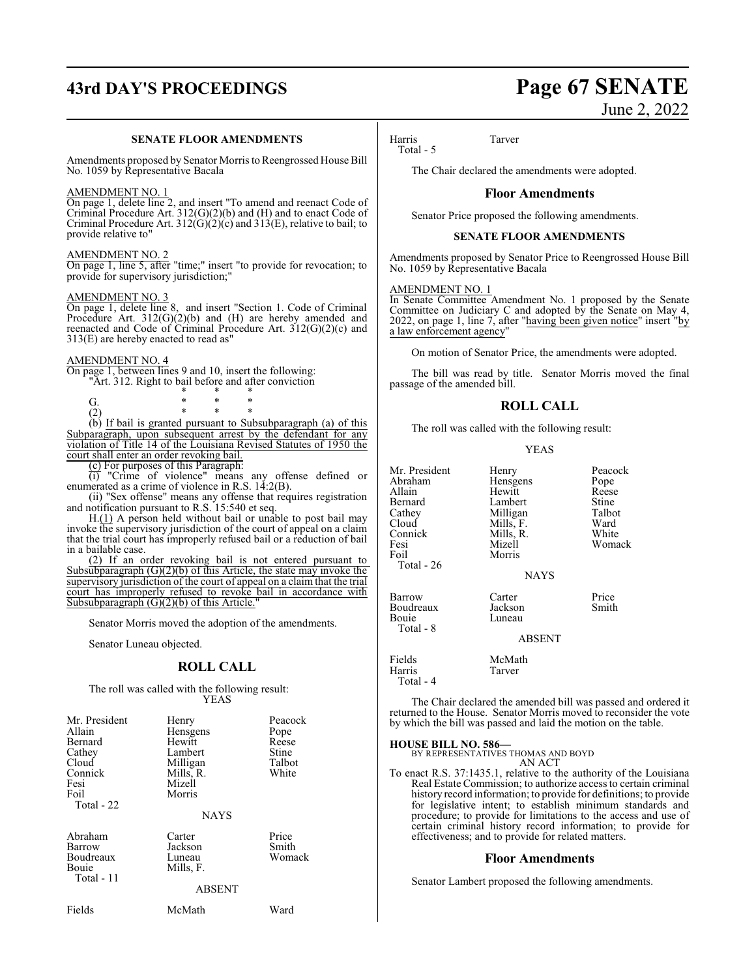# **43rd DAY'S PROCEEDINGS Page 67 SENATE**

#### **SENATE FLOOR AMENDMENTS**

Amendments proposed by Senator Morris to Reengrossed House Bill No. 1059 by Representative Bacala

#### AMENDMENT NO. 1

On page 1, delete line 2, and insert "To amend and reenact Code of Criminal Procedure Art. 312(G)(2)(b) and (H) and to enact Code of Criminal Procedure Art.  $312(G)(2)(c)$  and  $313(E)$ , relative to bail; to provide relative to"

#### AMENDMENT NO. 2

On page 1, line 5, after "time;" insert "to provide for revocation; to provide for supervisory jurisdiction;"

#### AMENDMENT NO. 3

On page 1, delete line 8, and insert "Section 1. Code of Criminal Procedure Art. 312(G)(2)(b) and (H) are hereby amended and reenacted and Code of Criminal Procedure Art. 312(G)(2)(c) and 313(E) are hereby enacted to read as"

#### AMENDMENT NO. 4

On page 1, between lines 9 and 10, insert the following: "Art. 312. Right to bail before and after conviction

\* \* \* G. \* \* \* (2) \* \* \*

(b) If bail is granted pursuant to Subsubparagraph (a) of this Subparagraph, upon subsequent arrest by the defendant for any violation of Title 14 of the Louisiana Revised Statutes of 1950 the court shall enter an order revoking bail.

(c) For purposes of this Paragraph:

(i) "Crime of violence" means any offense defined or enumerated as a crime of violence in R.S. 14:2(B).

(ii) "Sex offense" means any offense that requires registration and notification pursuant to R.S. 15:540 et seq.

H.(1) A person held without bail or unable to post bail may invoke the supervisory jurisdiction of the court of appeal on a claim that the trial court has improperly refused bail or a reduction of bail in a bailable case.

(2) If an order revoking bail is not entered pursuant to Subsubparagraph  $(G)(2)(b)$  of this Article, the state may invoke the supervisory jurisdiction of the court of appeal on a claim that the trial court has improperly refused to revoke bail in accordance with Subsubparagraph  $(G)(2)(b)$  of this Article.

Senator Morris moved the adoption of the amendments.

Senator Luneau objected.

#### **ROLL CALL**

The roll was called with the following result: YEAS

| Mr. President<br>Allain<br>Bernard<br>Cathey<br>Cloud<br>Connick<br>Fesi<br>Foil<br>Total - 22 | Henry<br>Hensgens<br>Hewitt<br>Lambert<br>Milligan<br>Mills, R.<br>Mizell<br>Morris<br><b>NAYS</b> | Peacock<br>Pope<br>Reese<br>Stine<br>Talbot<br>White |
|------------------------------------------------------------------------------------------------|----------------------------------------------------------------------------------------------------|------------------------------------------------------|
| Abraham<br>Barrow<br>Boudreaux<br>Bouie<br>Total - 11                                          | Carter<br>Jackson<br>Luneau<br>Mills, F.<br>ABSENT                                                 | Price<br>Smith<br>Womack                             |

Fields McMath Ward

# June 2, 2022

Harris Tarver

Total - 5

The Chair declared the amendments were adopted.

## **Floor Amendments**

Senator Price proposed the following amendments.

#### **SENATE FLOOR AMENDMENTS**

Amendments proposed by Senator Price to Reengrossed House Bill No. 1059 by Representative Bacala

#### AMENDMENT NO. 1

In Senate Committee Amendment No. 1 proposed by the Senate Committee on Judiciary C and adopted by the Senate on May 4, 2022, on page 1, line 7, after "having been given notice" insert "by a law enforcement agency"

On motion of Senator Price, the amendments were adopted.

The bill was read by title. Senator Morris moved the final passage of the amended bill.

### **ROLL CALL**

The roll was called with the following result:

#### YEAS

| Mr. President<br>Abraham<br>Allain<br>Bernard<br>Cathey<br>Cloud<br>Connick<br>Fesi<br>Foil<br><b>Total - 26</b> | Henry<br>Hensgens<br>Hewitt<br>Lambert<br>Milligan<br>Mills, F.<br>Mills, R.<br>Mizell<br>Morris<br><b>NAYS</b> | Peacock<br>Pope<br>Reese<br>Stine<br>Talbot<br>Ward<br>White<br>Womack |
|------------------------------------------------------------------------------------------------------------------|-----------------------------------------------------------------------------------------------------------------|------------------------------------------------------------------------|
| Barrow<br>Boudreaux<br>Bouie<br>Total - 8                                                                        | Carter<br>Jackson<br>Luneau<br><b>ABSENT</b>                                                                    | Price<br>Smith                                                         |
| Fields<br>Harris                                                                                                 | McMath<br>Tarver                                                                                                |                                                                        |

The Chair declared the amended bill was passed and ordered it returned to the House. Senator Morris moved to reconsider the vote by which the bill was passed and laid the motion on the table.

Total - 4

**HOUSE BILL NO. 586—** BY REPRESENTATIVES THOMAS AND BOYD AN ACT

To enact R.S. 37:1435.1, relative to the authority of the Louisiana Real Estate Commission; to authorize access to certain criminal history record information; to provide for definitions; to provide for legislative intent; to establish minimum standards and procedure; to provide for limitations to the access and use of certain criminal history record information; to provide for effectiveness; and to provide for related matters.

#### **Floor Amendments**

Senator Lambert proposed the following amendments.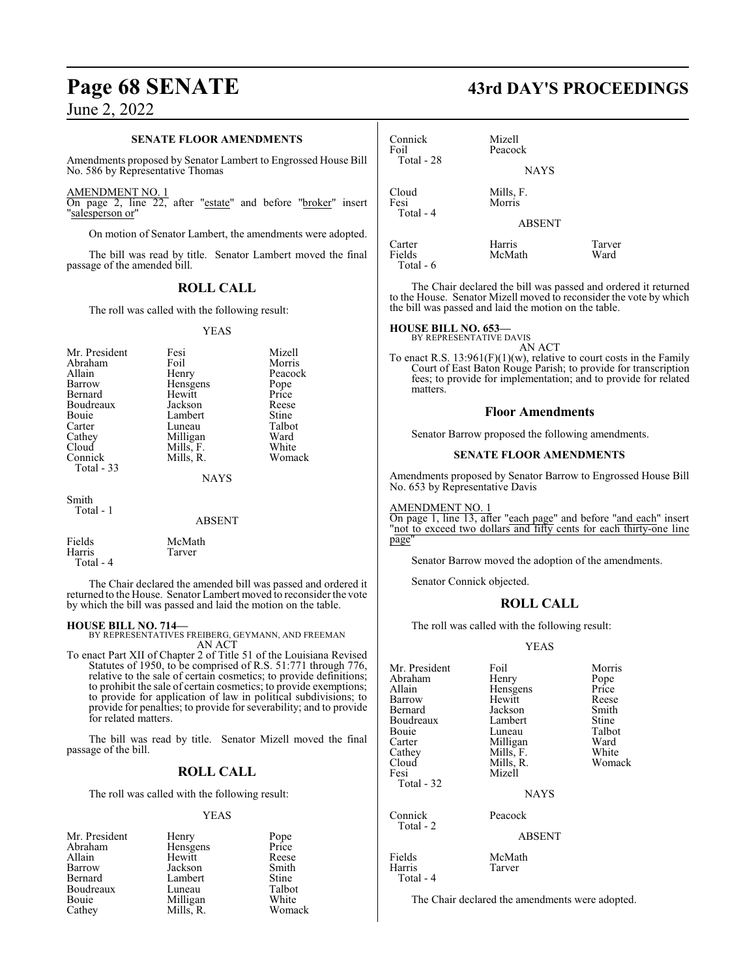#### **SENATE FLOOR AMENDMENTS**

Amendments proposed by Senator Lambert to Engrossed House Bill No. 586 by Representative Thomas

AMENDMENT NO. 1

On page 2, line 22, after "estate" and before "broker" insert "salesperson or"

On motion of Senator Lambert, the amendments were adopted.

The bill was read by title. Senator Lambert moved the final passage of the amended bill.

### **ROLL CALL**

The roll was called with the following result:

#### YEAS

| Mr. President | Fesi        | Mizell  |
|---------------|-------------|---------|
| Abraham       | Foil        | Morris  |
| Allain        | Henry       | Peacock |
| Barrow        | Hensgens    | Pope    |
| Bernard       | Hewitt      | Price   |
| Boudreaux     | Jackson     | Reese   |
| Bouie         | Lambert     | Stine   |
| Carter        | Luneau      | Talbot  |
| Cathey        | Milligan    | Ward    |
| Cloud         | Mills, F.   | White   |
| Connick       | Mills, R.   | Womack  |
| Total $-33$   | <b>NAYS</b> |         |

Smith Total - 1

| Fields    | McMath |
|-----------|--------|
| Harris    | Tarver |
| Total - 4 |        |

The Chair declared the amended bill was passed and ordered it returned to the House. Senator Lambert moved to reconsider the vote by which the bill was passed and laid the motion on the table.

#### **HOUSE BILL NO. 714—**

BY REPRESENTATIVES FREIBERG, GEYMANN, AND FREEMAN AN ACT

To enact Part XII of Chapter 2 of Title 51 of the Louisiana Revised Statutes of 1950, to be comprised of R.S. 51:771 through 776, relative to the sale of certain cosmetics; to provide definitions; to prohibit the sale of certain cosmetics; to provide exemptions; to provide for application of law in political subdivisions; to provide for penalties; to provide for severability; and to provide for related matters.

The bill was read by title. Senator Mizell moved the final passage of the bill.

#### **ROLL CALL**

The roll was called with the following result:

#### YEAS

| Mr. President | Henry     | Pope<br>Price |
|---------------|-----------|---------------|
| Abraham       | Hensgens  |               |
| Allain        | Hewitt    | Reese         |
| Barrow        | Jackson   | Smith         |
| Bernard       | Lambert   | Stine         |
| Boudreaux     | Luneau    | Talbot        |
| Bouie         | Milligan  | White         |
| Cathey        | Mills, R. | Womack        |

# **Page 68 SENATE 43rd DAY'S PROCEEDINGS**

| Connick<br>Foil<br>Total - 28 | Mizell<br>Peacock<br><b>NAYS</b> |                |
|-------------------------------|----------------------------------|----------------|
| Cloud<br>Fesi<br>Total - 4    | Mills, F.<br>Morris              |                |
|                               | <b>ABSENT</b>                    |                |
| Carter<br>Fields              | Harris<br>McMath                 | Tarver<br>Ward |

The Chair declared the bill was passed and ordered it returned to the House. Senator Mizell moved to reconsider the vote by which the bill was passed and laid the motion on the table.

#### **HOUSE BILL NO. 653—**

Total - 6

BY REPRESENTATIVE DAVIS

AN ACT To enact R.S.  $13:961(F)(1)(w)$ , relative to court costs in the Family Court of East Baton Rouge Parish; to provide for transcription fees; to provide for implementation; and to provide for related matters.

#### **Floor Amendments**

Senator Barrow proposed the following amendments.

#### **SENATE FLOOR AMENDMENTS**

Amendments proposed by Senator Barrow to Engrossed House Bill No. 653 by Representative Davis

AMENDMENT NO. 1

On page 1, line 13, after "each page" and before "and each" insert "not to exceed two dollars and fifty cents for each thirty-one line page"

Senator Barrow moved the adoption of the amendments.

Senator Connick objected.

### **ROLL CALL**

The roll was called with the following result:

#### YEAS

| Mr. President        | Foil        | Morris |
|----------------------|-------------|--------|
| Abraham              | Henry       | Pope   |
| Allain               | Hensgens    | Price  |
| Barrow               | Hewitt      | Reese  |
| Bernard              | Jackson     | Smith  |
| Boudreaux            | Lambert     | Stine  |
| Bouie                | Luneau      | Talbot |
| Carter               | Milligan    | Ward   |
| Cathey               | Mills, F.   | White  |
| Cloud                | Mills, R.   | Womack |
| Fesi                 | Mizell      |        |
| Total - 32           |             |        |
|                      | <b>NAYS</b> |        |
| Connick<br>Total - 2 | Peacock     |        |

Harris Total - 4 ABSENT

Fields McMath<br>
Harris Tarver

The Chair declared the amendments were adopted.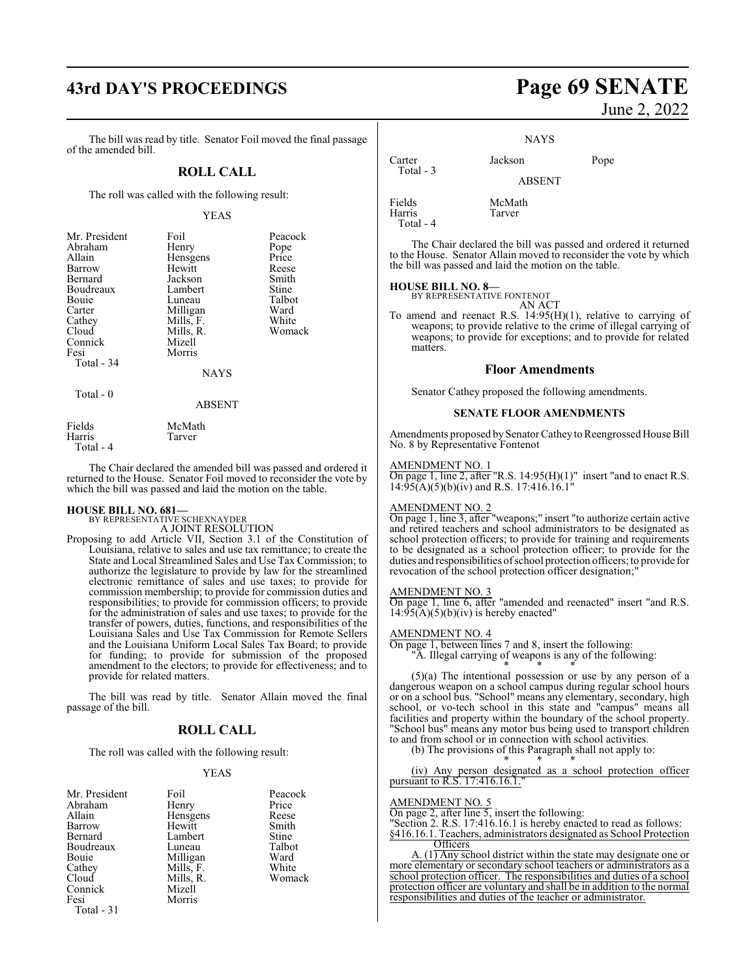# **43rd DAY'S PROCEEDINGS Page 69 SENATE**

The bill was read by title. Senator Foil moved the final passage of the amended bill.

### **ROLL CALL**

The roll was called with the following result:

#### YEAS

| Mr. President | Foil        | Peacock |
|---------------|-------------|---------|
| Abraham       | Henry       | Pope    |
| Allain        | Hensgens    | Price   |
| Barrow        | Hewitt      | Reese   |
| Bernard       | Jackson     | Smith   |
| Boudreaux     | Lambert     | Stine   |
| Bouie         | Luneau      | Talbot  |
| Carter        | Milligan    | Ward    |
| Cathey        | Mills, F.   | White   |
| Cloud         | Mills, R.   | Womack  |
| Connick       | Mizell      |         |
| Fesi          | Morris      |         |
| Total - 34    |             |         |
|               | <b>NAYS</b> |         |
| Total - 0     |             |         |
|               | ABSENT      |         |

Fields McMath<br>
Harris Tarver

Total - 4

The Chair declared the amended bill was passed and ordered it returned to the House. Senator Foil moved to reconsider the vote by which the bill was passed and laid the motion on the table.

# **HOUSE BILL NO. 681—** BY REPRESENTATIVE SCHEXNAYDER

A JOINT RESOLUTION

Tarver

Proposing to add Article VII, Section 3.1 of the Constitution of Louisiana, relative to sales and use tax remittance; to create the State and Local Streamlined Sales and Use Tax Commission; to authorize the legislature to provide by law for the streamlined electronic remittance of sales and use taxes; to provide for commission membership; to provide for commission duties and responsibilities; to provide for commission officers; to provide for the administration of sales and use taxes; to provide for the transfer of powers, duties, functions, and responsibilities of the Louisiana Sales and Use Tax Commission for Remote Sellers and the Louisiana Uniform Local Sales Tax Board; to provide for funding; to provide for submission of the proposed amendment to the electors; to provide for effectiveness; and to provide for related matters.

The bill was read by title. Senator Allain moved the final passage of the bill.

#### **ROLL CALL**

The roll was called with the following result:

#### YEAS

| Mr. President | Foil      | Peacock |
|---------------|-----------|---------|
| Abraham       | Henry     | Price   |
| Allain        | Hensgens  | Reese   |
| Barrow        | Hewitt    | Smith   |
| Bernard       | Lambert   | Stine   |
| Boudreaux     | Luneau    | Talbot  |
| Bouie         | Milligan  | Ward    |
| Cathey        | Mills, F. | White   |
| Cloud         | Mills, R. | Womack  |
| Connick       | Mizell    |         |
| Fesi          | Morris    |         |
|               |           |         |

Total - 31

# June 2, 2022

NAYS

Carter Jackson Pope Total - 3 ABSENT Fields McMath Harris Tarver

The Chair declared the bill was passed and ordered it returned to the House. Senator Allain moved to reconsider the vote by which the bill was passed and laid the motion on the table.

#### **HOUSE BILL NO. 8—**

Total - 4

BY REPRESENTATIVE FONTENOT AN ACT

To amend and reenact R.S. 14:95(H)(1), relative to carrying of weapons; to provide relative to the crime of illegal carrying of weapons; to provide for exceptions; and to provide for related matters.

#### **Floor Amendments**

Senator Cathey proposed the following amendments.

#### **SENATE FLOOR AMENDMENTS**

Amendments proposed by Senator Cathey to Reengrossed House Bill No. 8 by Representative Fontenot

#### AMENDMENT NO. 1

On page 1, line 2, after "R.S.  $14:95(H)(1)$ " insert "and to enact R.S. 14:95(A)(5)(b)(iv) and R.S. 17:416.16.1"

#### AMENDMENT NO. 2

On page 1, line 3, after "weapons;" insert "to authorize certain active and retired teachers and school administrators to be designated as school protection officers; to provide for training and requirements to be designated as a school protection officer; to provide for the duties and responsibilities ofschool protection officers; to provide for revocation of the school protection officer designation;

#### AMENDMENT NO. 3

On page 1, line 6, after "amended and reenacted" insert "and R.S.  $14:95(A)(5)(b)(iv)$  is hereby enacted"

#### AMENDMENT NO. 4

On page 1, between lines 7 and 8, insert the following:

"A. Illegal carrying of weapons is any of the following: \* \* \*

(5)(a) The intentional possession or use by any person of a dangerous weapon on a school campus during regular school hours or on a school bus. "School" means any elementary, secondary, high school, or vo-tech school in this state and "campus" means all facilities and property within the boundary of the school property. "School bus" means any motor bus being used to transport children to and from school or in connection with school activities.

(b) The provisions of this Paragraph shall not apply to:

\* \* \* (iv) Any person designated as a school protection officer pursuant to R.S. 17:416.16.1.

#### AMENDMENT NO. 5

On page 2, after line 5, insert the following:

"Section 2. R.S. 17:416.16.1 is hereby enacted to read as follows:

§416.16.1. Teachers, administrators designated as School Protection **Officers** 

A.  $(1)$  Any school district within the state may designate one or more elementary or secondary school teachers or administrators as a school protection officer. The responsibilities and duties of a school protection officer are voluntary and shall be in addition to the normal responsibilities and duties of the teacher or administrator.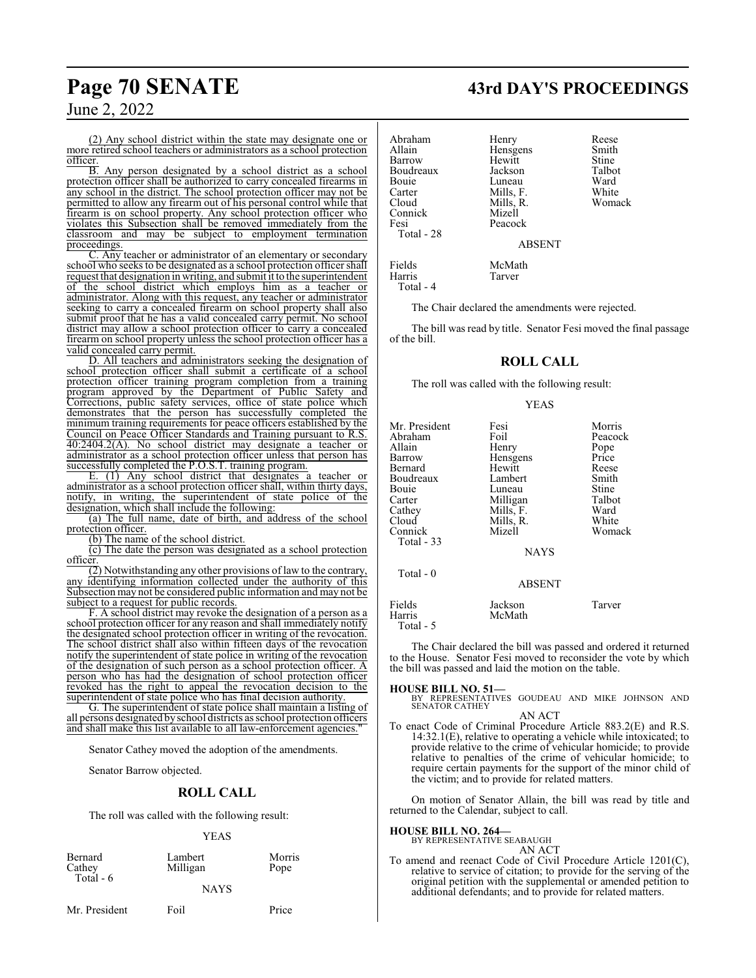# **Page 70 SENATE 43rd DAY'S PROCEEDINGS**

June 2, 2022

(2) Any school district within the state may designate one or more retired school teachers or administrators as a school protection officer.

B. Any person designated by a school district as a school protection officer shall be authorized to carry concealed firearms in any school in the district. The school protection officer may not be permitted to allow any firearm out of his personal control while that firearm is on school property. Any school protection officer who violates this Subsection shall be removed immediately from the classroom and may be subject to employment termination proceedings.

C. Any teacher or administrator of an elementary or secondary school who seeks to be designated as a school protection officer shall request that designation in writing, and submit it to the superintendent of the school district which employs him as a teacher or administrator. Along with this request, any teacher or administrator seeking to carry a concealed firearm on school property shall also submit proof that he has a valid concealed carry permit. No school district may allow a school protection officer to carry a concealed firearm on school property unless the school protection officer has a valid concealed carry permit.

D. All teachers and administrators seeking the designation of school protection officer shall submit a certificate of a school protection officer training program completion from a training program approved by the Department of Public Safety and Corrections, public safety services, office of state police which demonstrates that the person has successfully completed the minimum training requirements for peace officers established by the Council on Peace Officer Standards and Training pursuant to R.S. 40:2404.2(A). No school district may designate a teacher or administrator as a school protection officer unless that person has successfully completed the P.O.S.T. training program.

E. (1) Any school district that designates a teacher or administrator as a school protection officer shall, within thirty days, notify, in writing, the superintendent of state police of the designation, which shall include the following:

(a) The full name, date of birth, and address of the school protection officer.

(b) The name of the school district.

(c) The date the person was designated as a school protection officer.

(2) Notwithstanding any other provisions of law to the contrary, any identifying information collected under the authority of this Subsection may not be considered public information and may not be subject to a request for public records.

F. A school district may revoke the designation of a person as a school protection officer for any reason and shall immediately notify the designated school protection officer in writing of the revocation. The school district shall also within fifteen days of the revocation notify the superintendent of state police in writing of the revocation of the designation of such person as a school protection officer. A person who has had the designation of school protection officer revoked has the right to appeal the revocation decision to the superintendent of state police who has final decision authority.

G. The superintendent of state police shall maintain a listing of all persons designated byschool districts as school protection officers and shall make this list available to all law-enforcement agencies."

Senator Cathey moved the adoption of the amendments.

Senator Barrow objected.

#### **ROLL CALL**

The roll was called with the following result:

YEAS

| Bernard   |  |
|-----------|--|
| Cathey    |  |
| Total - 6 |  |

Lambert Morris<br>
Milligan Pope Milligan NAYS

Mr. President Foil Price

Abraham Henry Reese<br>Allain Hensgens Smith Allain **Hensigens** Smith<br>Barrow Hewitt Stine Barrow Hewitt Stine<br>Boudreaux Jackson Talbot Boudreaux Jackson Talbot<br>Bouie Luneau Ward Bouie Luneau Ward<br>Carter Mills, F. White Carter Mills, F. White<br>Cloud Mills, R. Womack Connick<br>Fesi Total - 28

Total - 4

Mills, R.<br>Mizell Peacock

ABSENT

Fields McMath Tarver

The Chair declared the amendments were rejected.

The bill was read by title. Senator Fesi moved the final passage of the bill.

#### **ROLL CALL**

The roll was called with the following result:

#### YEAS

| Mr. President | Fesi          | Morris  |
|---------------|---------------|---------|
| Abraham       | Foil          | Peacock |
| Allain        | Henry         | Pope    |
| Barrow        | Hensgens      | Price   |
| Bernard       | Hewitt        | Reese   |
| Boudreaux     | Lambert       | Smith   |
| Bouie         | Luneau        | Stine   |
| Carter        | Milligan      | Talbot  |
| Cathey        | Mills, F.     | Ward    |
| Cloud         | Mills, R.     | White   |
| Connick       | Mizell        | Womack  |
| Total $-33$   |               |         |
|               | <b>NAYS</b>   |         |
| Total $-0$    |               |         |
|               | <b>ABSENT</b> |         |
| Fields        | Jackson       | Tarver  |
| Harris        | McMath        |         |

Total - 5

The Chair declared the bill was passed and ordered it returned to the House. Senator Fesi moved to reconsider the vote by which the bill was passed and laid the motion on the table.

**HOUSE BILL NO. 51—** BY REPRESENTATIVES GOUDEAU AND MIKE JOHNSON AND SENATOR CATHEY

AN ACT

To enact Code of Criminal Procedure Article 883.2(E) and R.S. 14:32.1(E), relative to operating a vehicle while intoxicated; to provide relative to the crime of vehicular homicide; to provide relative to penalties of the crime of vehicular homicide; to require certain payments for the support of the minor child of the victim; and to provide for related matters.

On motion of Senator Allain, the bill was read by title and returned to the Calendar, subject to call.

#### **HOUSE BILL NO. 264—**

BY REPRESENTATIVE SEABAUGH AN ACT

To amend and reenact Code of Civil Procedure Article 1201(C), relative to service of citation; to provide for the serving of the original petition with the supplemental or amended petition to additional defendants; and to provide for related matters.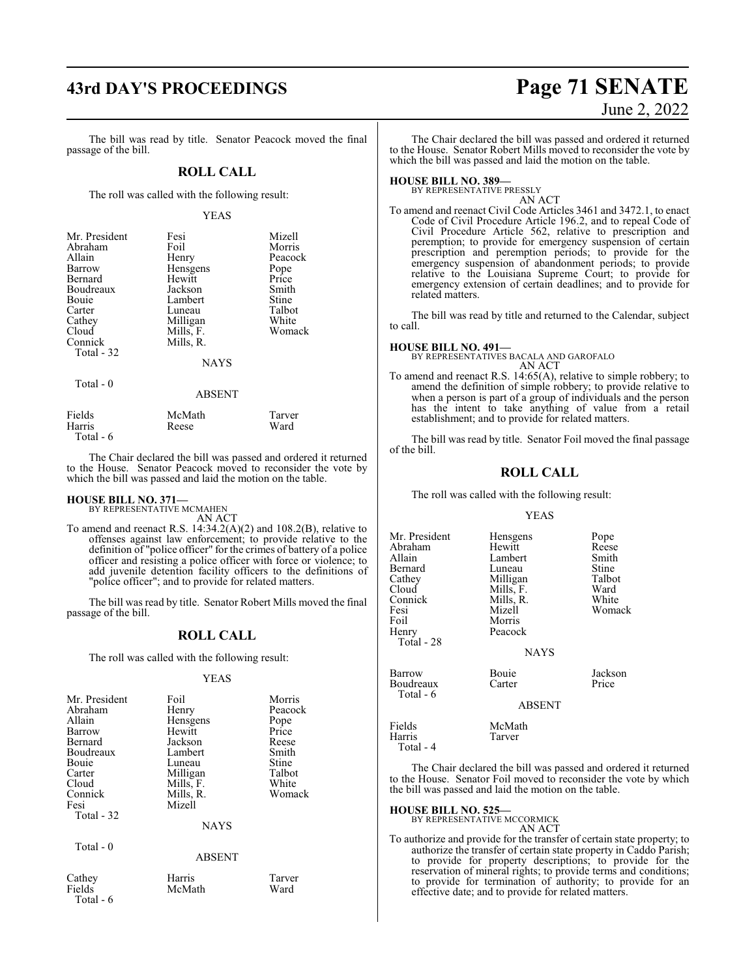#### The bill was read by title. Senator Peacock moved the final passage of the bill.

### **ROLL CALL**

The roll was called with the following result:

#### YEAS

| Mr. President<br>Abraham<br>Allain<br>Barrow<br>Bernard<br>Boudreaux<br>Bouie<br>Carter<br>Cathey<br>Cloud<br>Connick<br>Total - 32 | Fesi<br>Foil<br>Henry<br>Hensgens<br>Hewitt<br>Jackson<br>Lambert<br>Luneau<br>Milligan<br>Mills, F.<br>Mills, R.<br><b>NAYS</b> | Mizell<br>Morris<br>Peacock<br>Pope<br>Price<br>Smith<br>Stine<br>Talbot<br>White<br>Womack |
|-------------------------------------------------------------------------------------------------------------------------------------|----------------------------------------------------------------------------------------------------------------------------------|---------------------------------------------------------------------------------------------|
|-------------------------------------------------------------------------------------------------------------------------------------|----------------------------------------------------------------------------------------------------------------------------------|---------------------------------------------------------------------------------------------|

Total - 0

Total - 6

|        | ADƏLIN I |        |
|--------|----------|--------|
| Fields | McMath   | Tarver |
| Harris | Reese    | Ward   |

The Chair declared the bill was passed and ordered it returned to the House. Senator Peacock moved to reconsider the vote by which the bill was passed and laid the motion on the table.

ABSENT

## **HOUSE BILL NO. 371—** BY REPRESENTATIVE MCMAHEN

AN ACT

To amend and reenact R.S. 14:34.2(A)(2) and 108.2(B), relative to offenses against law enforcement; to provide relative to the definition of "police officer" for the crimes of battery of a police officer and resisting a police officer with force or violence; to add juvenile detention facility officers to the definitions of "police officer"; and to provide for related matters.

The bill was read by title. Senator Robert Mills moved the final passage of the bill.

### **ROLL CALL**

The roll was called with the following result:

#### YEAS

| Mr. President<br>Abraham<br>Allain<br>Barrow<br>Bernard<br>Boudreaux<br>Bouie<br>Carter<br>Cloud<br>Connick<br>Fesi<br>Total - 32 | Foil<br>Henry<br>Hensgens<br>Hewitt<br>Jackson<br>Lambert<br>Luneau<br>Milligan<br>Mills, F.<br>Mills, R.<br>Mizell<br><b>NAYS</b> | Morris<br>Peacock<br>Pope<br>Price<br>Reese<br>Smith<br>Stine<br>Talbot<br>White<br>Womack |
|-----------------------------------------------------------------------------------------------------------------------------------|------------------------------------------------------------------------------------------------------------------------------------|--------------------------------------------------------------------------------------------|
| Total $-0$                                                                                                                        | ABSENT                                                                                                                             |                                                                                            |

| Cathey  |   |
|---------|---|
| Fields  |   |
| Total - | 6 |

| Cathey | Harris | Tarver |
|--------|--------|--------|
|        |        |        |
| Fields | McMath | Ward   |
| . 1    |        |        |

# **43rd DAY'S PROCEEDINGS Page 71 SENATE** June 2, 2022

The Chair declared the bill was passed and ordered it returned to the House. Senator Robert Mills moved to reconsider the vote by which the bill was passed and laid the motion on the table.

#### **HOUSE BILL NO. 389—**

BY REPRESENTATIVE PRESSLY AN ACT

To amend and reenact Civil Code Articles 3461 and 3472.1, to enact Code of Civil Procedure Article 196.2, and to repeal Code of Civil Procedure Article 562, relative to prescription and peremption; to provide for emergency suspension of certain prescription and peremption periods; to provide for the emergency suspension of abandonment periods; to provide relative to the Louisiana Supreme Court; to provide for emergency extension of certain deadlines; and to provide for related matters.

The bill was read by title and returned to the Calendar, subject to call.

#### **HOUSE BILL NO. 491—** BY REPRESENTATIVES BACALA AND GAROFALO AN ACT

To amend and reenact R.S. 14:65(A), relative to simple robbery; to amend the definition of simple robbery; to provide relative to when a person is part of a group of individuals and the person has the intent to take anything of value from a retail establishment; and to provide for related matters.

The bill was read by title. Senator Foil moved the final passage of the bill.

#### **ROLL CALL**

The roll was called with the following result:

#### YEAS

| Mr. President       | Hensgens      | Pope    |
|---------------------|---------------|---------|
| Abraham             | Hewitt        | Reese   |
| Allain              | Lambert       | Smith   |
| Bernard             | Luneau        | Stine   |
| Cathey              | Milligan      | Talbot  |
| Cloud               | Mills, F.     | Ward    |
| Connick             | Mills, R.     | White   |
| Fesi                | Mizell        | Womack  |
| Foil                | Morris        |         |
| Henry               | Peacock       |         |
| Total - 28          |               |         |
|                     | <b>NAYS</b>   |         |
| Barrow              | Bouie         | Jackson |
| Boudreaux           | Carter        | Price   |
| Total - 6           | <b>ABSENT</b> |         |
|                     |               |         |
| Fields              | McMath        |         |
| Harris<br>Total - 4 | Tarver        |         |

The Chair declared the bill was passed and ordered it returned to the House. Senator Foil moved to reconsider the vote by which the bill was passed and laid the motion on the table.

#### **HOUSE BILL NO. 525—**

BY REPRESENTATIVE MCCORMICK AN ACT

To authorize and provide for the transfer of certain state property; to authorize the transfer of certain state property in Caddo Parish; to provide for property descriptions; to provide for the reservation of mineral rights; to provide terms and conditions; to provide for termination of authority; to provide for an effective date; and to provide for related matters.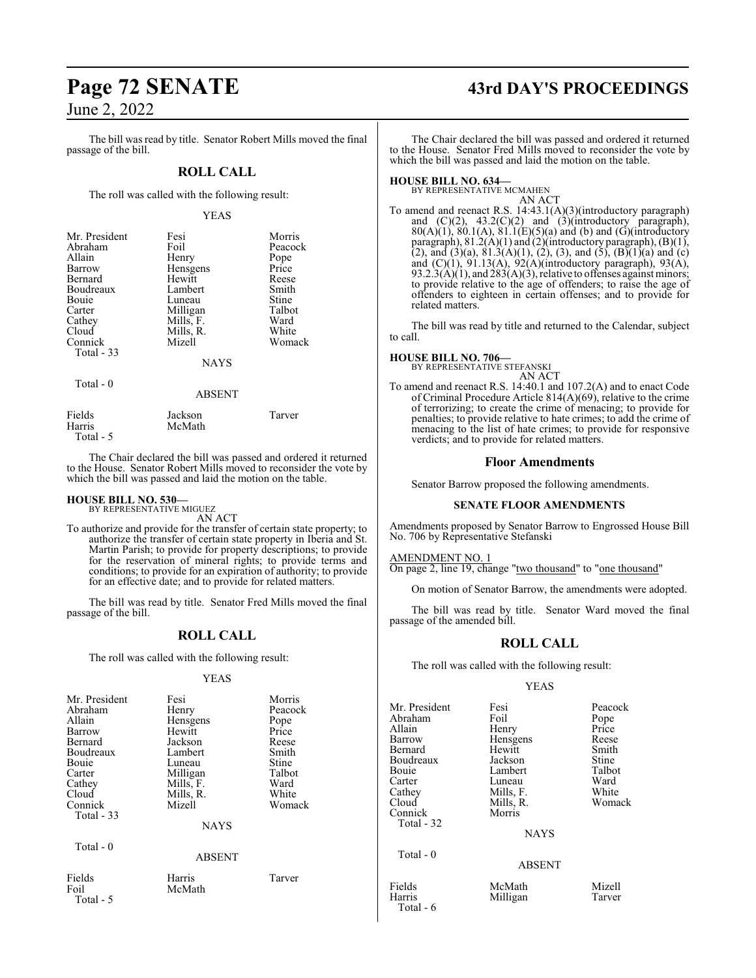The bill was read by title. Senator Robert Mills moved the final passage of the bill.

### **ROLL CALL**

The roll was called with the following result:

#### YEAS

| Mr. President | Fesi        | Morris  |
|---------------|-------------|---------|
| Abraham       | Foil        | Peacock |
| Allain        | Henry       | Pope    |
| <b>Barrow</b> | Hensgens    | Price   |
| Bernard       | Hewitt      | Reese   |
| Boudreaux     | Lambert     | Smith   |
| Bouie         | Luneau      | Stine   |
| Carter        | Milligan    | Talbot  |
| Cathey        | Mills, F.   | Ward    |
| Cloud         | Mills, R.   | White   |
| Connick       | Mizell      | Womack  |
| Total - 33    |             |         |
|               | <b>NAYS</b> |         |

Total - 0

ABSENT

| Fields    | Jackson | Tarver |
|-----------|---------|--------|
| Harris    | McMath  |        |
| Total - 5 |         |        |

The Chair declared the bill was passed and ordered it returned to the House. Senator Robert Mills moved to reconsider the vote by which the bill was passed and laid the motion on the table.

## **HOUSE BILL NO. 530—** BY REPRESENTATIVE MIGUEZ

AN ACT

To authorize and provide for the transfer of certain state property; to authorize the transfer of certain state property in Iberia and St. Martin Parish; to provide for property descriptions; to provide for the reservation of mineral rights; to provide terms and conditions; to provide for an expiration of authority; to provide for an effective date; and to provide for related matters.

The bill was read by title. Senator Fred Mills moved the final passage of the bill.

## **ROLL CALL**

The roll was called with the following result:

#### YEAS

| Mr. President<br>Abraham<br>Allain<br>Barrow<br>Bernard<br>Boudreaux<br><b>Bouje</b><br>Carter<br>Cathey<br>Cloud<br>Connick<br>Total - 33 | Fesi<br>Henry<br>Hensgens<br>Hewitt<br>Jackson<br>Lambert<br>Luneau<br>Milligan<br>Mills, F.<br>Mills, R.<br>Mizell<br><b>NAYS</b> | Morris<br>Peacock<br>Pope<br>Price<br>Reese<br>Smith<br>Stine<br>Talbot<br>Ward<br>White<br>Womack |
|--------------------------------------------------------------------------------------------------------------------------------------------|------------------------------------------------------------------------------------------------------------------------------------|----------------------------------------------------------------------------------------------------|
| Total - 0                                                                                                                                  | <b>ABSENT</b>                                                                                                                      |                                                                                                    |
| Fields<br>Foil<br>Total - 5                                                                                                                | Harris<br>McMath                                                                                                                   | Tarver                                                                                             |

# **Page 72 SENATE 43rd DAY'S PROCEEDINGS**

The Chair declared the bill was passed and ordered it returned to the House. Senator Fred Mills moved to reconsider the vote by which the bill was passed and laid the motion on the table.

# **HOUSE BILL NO. 634—** BY REPRESENTATIVE MCMAHEN

AN ACT

To amend and reenact R.S. 14:43.1(A)(3)(introductory paragraph) and  $(C)(2)$ ,  $43.2(C)(2)$  and  $(3)(introductory)$  paragraph),  $80(A)(1)$ ,  $80.1(A)$ ,  $81.1(E)(5)(a)$  and (b) and (G)(introductory paragraph), 81.2(A)(1) and (2)(introductory paragraph), (B)(1), (2), and (3)(a),  $81.3(A)(1)$ , (2), (3), and (5), (B)(1)(a) and (c) and (C)(1), 91.13(A), 92(A)(introductory paragraph), 93(A),  $93.2.3(A)(1)$ , and  $283(A)(3)$ , relative to offenses against minors; to provide relative to the age of offenders; to raise the age of offenders to eighteen in certain offenses; and to provide for related matters.

The bill was read by title and returned to the Calendar, subject to call.

# **HOUSE BILL NO. 706—** BY REPRESENTATIVE STEFANSKI

AN ACT

To amend and reenact R.S. 14:40.1 and 107.2(A) and to enact Code of Criminal Procedure Article 814(A)(69), relative to the crime of terrorizing; to create the crime of menacing; to provide for penalties; to provide relative to hate crimes; to add the crime of menacing to the list of hate crimes; to provide for responsive verdicts; and to provide for related matters.

#### **Floor Amendments**

Senator Barrow proposed the following amendments.

#### **SENATE FLOOR AMENDMENTS**

Amendments proposed by Senator Barrow to Engrossed House Bill No. 706 by Representative Stefanski

AMENDMENT NO. 1

On page 2, line 19, change "two thousand" to "one thousand"

On motion of Senator Barrow, the amendments were adopted.

The bill was read by title. Senator Ward moved the final passage of the amended bill.

## **ROLL CALL**

The roll was called with the following result:

#### YEAS

| Mr. President<br>Abraham<br>Allain | Fesi<br>Foil<br>Henry | Peacock<br>Pope<br>Price |
|------------------------------------|-----------------------|--------------------------|
| Barrow                             | Hensgens              | Reese                    |
| Bernard                            | Hewitt                | Smith                    |
| Boudreaux                          | Jackson               | Stine                    |
| Bouie                              | Lambert               | Talbot                   |
| Carter                             | Luneau                | Ward                     |
| Cathey                             | Mills, F.             | White                    |
| Cloud                              | Mills, R.             | Womack                   |
| Connick                            | Morris                |                          |
| Total - 32                         |                       |                          |
|                                    | <b>NAYS</b>           |                          |
| Total $-0$                         |                       |                          |
|                                    | <b>ABSENT</b>         |                          |
| Fields<br>Harris<br>Total - 6      | McMath<br>Milligan    | Mizell<br>Tarver         |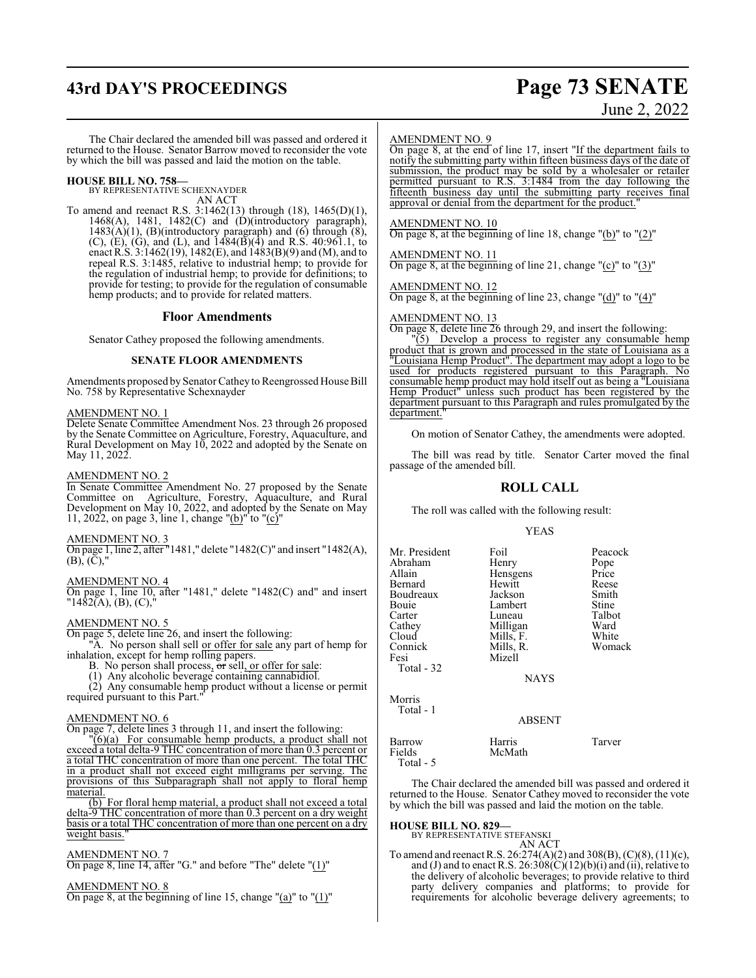## **43rd DAY'S PROCEEDINGS Page 73 SENATE**

# June 2, 2022

The Chair declared the amended bill was passed and ordered it returned to the House. Senator Barrow moved to reconsider the vote by which the bill was passed and laid the motion on the table.

**HOUSE BILL NO. 758—** BY REPRESENTATIVE SCHEXNAYDER

AN ACT

To amend and reenact R.S. 3:1462(13) through (18), 1465(D)(1), 1468(A), 1481, 1482(C) and (D)(introductory paragraph),  $1483(A)(1)$ , (B)(introductory paragraph) and (6) through (8), (C), (E), (G), and (L), and  $1484(B)(4)$  and R.S. 40:961.1, to enact R.S. 3:1462(19), 1482(E), and 1483(B)(9) and (M), and to repeal R.S. 3:1485, relative to industrial hemp; to provide for the regulation of industrial hemp; to provide for definitions; to provide for testing; to provide for the regulation of consumable hemp products; and to provide for related matters.

### **Floor Amendments**

Senator Cathey proposed the following amendments.

### **SENATE FLOOR AMENDMENTS**

Amendments proposed by Senator Cathey to Reengrossed House Bill No. 758 by Representative Schexnayder

### AMENDMENT NO. 1

Delete Senate Committee Amendment Nos. 23 through 26 proposed by the Senate Committee on Agriculture, Forestry, Aquaculture, and Rural Development on May 10, 2022 and adopted by the Senate on May 11, 2022.

### AMENDMENT NO. 2

In Senate Committee Amendment No. 27 proposed by the Senate Committee on Agriculture, Forestry, Aquaculture, and Rural Development on May 10, 2022, and adopted by the Senate on May 11, 2022, on page 3, line 1, change " $(b)$ " to " $(c)$ "

### AMENDMENT NO. 3

On page 1, line 2, after "1481," delete "1482(C)" and insert "1482(A),  $(B), (C)$ ,

### AMENDMENT NO. 4

On page 1, line 10, after "1481," delete "1482(C) and" and insert "1482(A), (B), (C),"

### AMENDMENT NO. 5

On page 5, delete line 26, and insert the following:

"A. No person shall sell or offer for sale any part of hemp for inhalation, except for hemp rolling papers.

- B. No person shall process, or sell, or offer for sale:
- (1) Any alcoholic beverage containing cannabidiol.

(2) Any consumable hemp product without a license or permit required pursuant to this Part."

### AMENDMENT NO. 6

On page 7, delete lines 3 through 11, and insert the following:

 $\sqrt[1]{(6)}$  For consumable hemp products, a product shall not exceed a total delta-9 THC concentration of more than 0.3 percent or a total THC concentration of more than one percent. The total THC in a product shall not exceed eight milligrams per serving. The provisions of this Subparagraph shall not apply to floral hemp material.

(b) For floral hemp material, a product shall not exceed a total delta-9 THC concentration of more than 0.3 percent on a dry weight basis or a total THC concentration of more than one percent on a dry weight basis."

### AMENDMENT NO. 7

On page 8, line 14, after "G." and before "The" delete "(1)"

### AMENDMENT NO. 8

On page 8, at the beginning of line 15, change " $(a)$ " to " $(1)$ "

### AMENDMENT NO. 9

On page 8, at the end of line 17, insert "If the department fails to notify the submitting party within fifteen business days of the date of submission, the product may be sold by a wholesaler or retailer permitted pursuant to R.S. 3:1484 from the day following the fifteenth business day until the submitting party receives final approval or denial from the department for the product.

### AMENDMENT NO. 10

On page 8, at the beginning of line 18, change  $"$ (b)" to  $"$ (2)"

### AMENDMENT NO. 11

On page 8, at the beginning of line 21, change " $(c)$ " to " $(3)$ "

AMENDMENT NO. 12

On page 8, at the beginning of line 23, change "(d)" to "(4)"

AMENDMENT NO. 13

On page 8, delete line  $\overline{26}$  through 29, and insert the following: "(5) Develop a process to register any consumable 1

Develop a process to register any consumable hemp product that is grown and processed in the state of Louisiana as a "Louisiana Hemp Product". The department may adopt a logo to be used for products registered pursuant to this Paragraph. consumable hemp product may hold itself out as being a "Louisiana Hemp Product" unless such product has been registered by the department pursuant to this Paragraph and rules promulgated by the department."

On motion of Senator Cathey, the amendments were adopted.

The bill was read by title. Senator Carter moved the final passage of the amended bill.

### **ROLL CALL**

The roll was called with the following result:

YEAS

| Mr. President | Foil          | Peacock |
|---------------|---------------|---------|
| Abraham       | Henry         | Pope    |
| Allain        | Hensgens      | Price   |
| Bernard       | Hewitt        | Reese   |
| Boudreaux     | Jackson       | Smith   |
| Bouie         | Lambert       | Stine   |
| Carter        | Luneau        | Talbot  |
| Cathey        | Milligan      | Ward    |
| Cloud         | Mills, F.     | White   |
| Connick       | Mills, R.     | Womack  |
| Fesi          | Mizell        |         |
| Total - 32    |               |         |
|               | <b>NAYS</b>   |         |
| Morris        |               |         |
| Total - 1     |               |         |
|               | <b>ARSENT</b> |         |

ABSENT

Barrow Harris Tarver McMath Total - 5

The Chair declared the amended bill was passed and ordered it returned to the House. Senator Cathey moved to reconsider the vote by which the bill was passed and laid the motion on the table.

## **HOUSE BILL NO. 829—** BY REPRESENTATIVE STEFANSKI

AN ACT

To amend and reenact R.S. 26:274(A)(2) and 308(B), (C)(8), (11)(c), and (J) and to enact R.S.  $26:308(\mathrm{C})(12)(\mathrm{b})(i)$  and (ii), relative to the delivery of alcoholic beverages; to provide relative to third party delivery companies and platforms; to provide for requirements for alcoholic beverage delivery agreements; to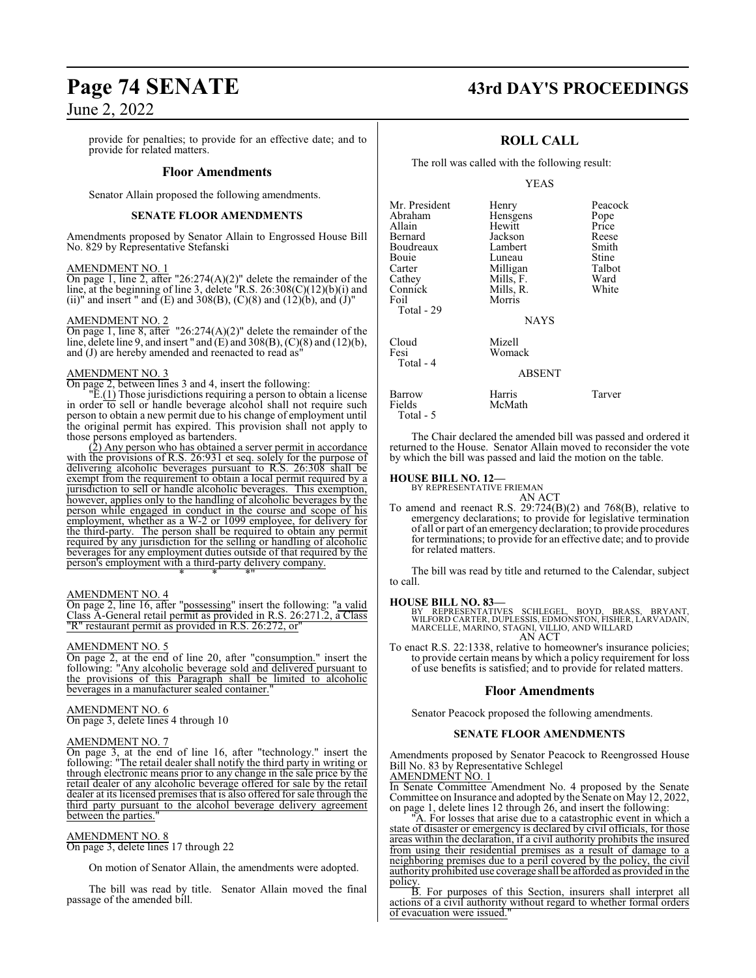provide for penalties; to provide for an effective date; and to provide for related matters.

### **Floor Amendments**

Senator Allain proposed the following amendments.

### **SENATE FLOOR AMENDMENTS**

Amendments proposed by Senator Allain to Engrossed House Bill No. 829 by Representative Stefanski

### AMENDMENT NO. 1

On page 1, line 2, after "26:274(A)(2)" delete the remainder of the line, at the beginning of line 3, delete "R.S. 26:308(C)(12)(b)(i) and (ii)" and insert " and  $(E)$  and  $308(B)$ ,  $(C)(8)$  and  $(12)(b)$ , and  $(J)$ "

### AMENDMENT NO. 2

On page 1, line 8, after "26:274(A)(2)" delete the remainder of the line, delete line 9, and insert " and  $(E)$  and 308(B),  $(C)(8)$  and  $(12)(b)$ , and (J) are hereby amended and reenacted to read as"

### AMENDMENT NO. 3

On page 2, between lines 3 and 4, insert the following:

 $E(1)$  Those jurisdictions requiring a person to obtain a license in order to sell or handle beverage alcohol shall not require such person to obtain a new permit due to his change of employment until the original permit has expired. This provision shall not apply to those persons employed as bartenders.

(2) Any person who has obtained a server permit in accordance with the provisions of R.S. 26:931 et seq. solely for the purpose of delivering alcoholic beverages pursuant to R.S. 26:308 shall be exempt from the requirement to obtain a local permit required by a jurisdiction to sell or handle alcoholic beverages. This exemption, however, applies only to the handling of alcoholic beverages by the person while engaged in conduct in the course and scope of his employment, whether as a W-2 or 1099 employee, for delivery for the third-party. The person shall be required to obtain any permit required by any jurisdiction for the selling or handling of alcoholic beverages for any employment duties outside of that required by the person's employment with a third-party delivery company. \* \* \*"

### AMENDMENT NO. 4

On page 2, line 16, after "possessing" insert the following: "a valid Class A-General retail permit as provided in R.S. 26:271.2, a Class "R" restaurant permit as provided in R.S. 26:272, or"

### AMENDMENT NO. 5

On page 2, at the end of line 20, after "consumption." insert the following: "Any alcoholic beverage sold and delivered pursuant to the provisions of this Paragraph shall be limited to alcoholic beverages in a manufacturer sealed container.

### AMENDMENT NO. 6 On page 3, delete lines 4 through 10

### AMENDMENT NO. 7

On page 3, at the end of line 16, after "technology." insert the following: "The retail dealer shall notify the third party in writing or through electronic means prior to any change in the sale price by the retail dealer of any alcoholic beverage offered for sale by the retail dealer at its licensed premises that is also offered for sale through the third party pursuant to the alcohol beverage delivery agreement between the parties.

### AMENDMENT NO. 8

On page 3, delete lines 17 through 22

On motion of Senator Allain, the amendments were adopted.

The bill was read by title. Senator Allain moved the final passage of the amended bill.

## **Page 74 SENATE 43rd DAY'S PROCEEDINGS**

Peacock Pope<br>Price

### **ROLL CALL**

The roll was called with the following result:

### YEAS

| Mr. President<br>Abraham<br>Allain<br>Bernard<br>Boudreaux | Henry<br>Hensgens<br>Hewitt<br>Jackson<br>Lambert | Peacoo<br>Pope<br>Price<br>Reese<br>Smith |
|------------------------------------------------------------|---------------------------------------------------|-------------------------------------------|
| Bouie<br>Carter                                            | Luneau<br>Milligan                                | Stine<br>Talbot                           |
| Cathey<br>Connick<br>Foil<br>Total - 29                    | Mills, F.<br>Mills, R.<br>Morris                  | Ward<br>White                             |
|                                                            | <b>NAYS</b>                                       |                                           |
| Cloud<br>Fesi<br>Total - 4                                 | Mizell<br>Womack                                  |                                           |
|                                                            | <b>ABSENT</b>                                     |                                           |
| Barrow<br>Fields<br>Total - 5                              | Harris<br>McMath                                  | Tarver                                    |

The Chair declared the amended bill was passed and ordered it returned to the House. Senator Allain moved to reconsider the vote by which the bill was passed and laid the motion on the table.

### **HOUSE BILL NO. 12—**

BY REPRESENTATIVE FRIEMAN

AN ACT To amend and reenact R.S. 29:724(B)(2) and 768(B), relative to emergency declarations; to provide for legislative termination of all or part of an emergency declaration; to provide procedures for terminations; to provide for an effective date; and to provide for related matters.

The bill was read by title and returned to the Calendar, subject to call.

### **HOUSE BILL NO. 83—**

BY REPRESENTATIVES SCHLEGEL, BOYD, BRASS, BRYANT,<br>WILFORD CARTER, DUPLESSIS, EDMONSTON, FISHER, LARVADAIN,<br>MARCELLE, MARINO, STAGNI, VILLIO, AND WILLARD AN ACT

To enact R.S. 22:1338, relative to homeowner's insurance policies; to provide certain means by which a policy requirement for loss of use benefits is satisfied; and to provide for related matters.

### **Floor Amendments**

Senator Peacock proposed the following amendments.

### **SENATE FLOOR AMENDMENTS**

Amendments proposed by Senator Peacock to Reengrossed House Bill No. 83 by Representative Schlegel

AMENDMENT NO. 1 In Senate Committee Amendment No. 4 proposed by the Senate Committee on Insurance and adopted by the Senate on May 12, 2022, on page 1, delete lines 12 through 26, and insert the following:

"A. For losses that arise due to a catastrophic event in which a state of disaster or emergency is declared by civil officials, for those areas within the declaration, if a civil authority prohibits the insured from using their residential premises as a result of damage to a neighboring premises due to a peril covered by the policy, the civil authority prohibited use coverage shall be afforded as provided in the policy.

B. For purposes of this Section, insurers shall interpret all actions of a civil authority without regard to whether formal orders of evacuation were issued."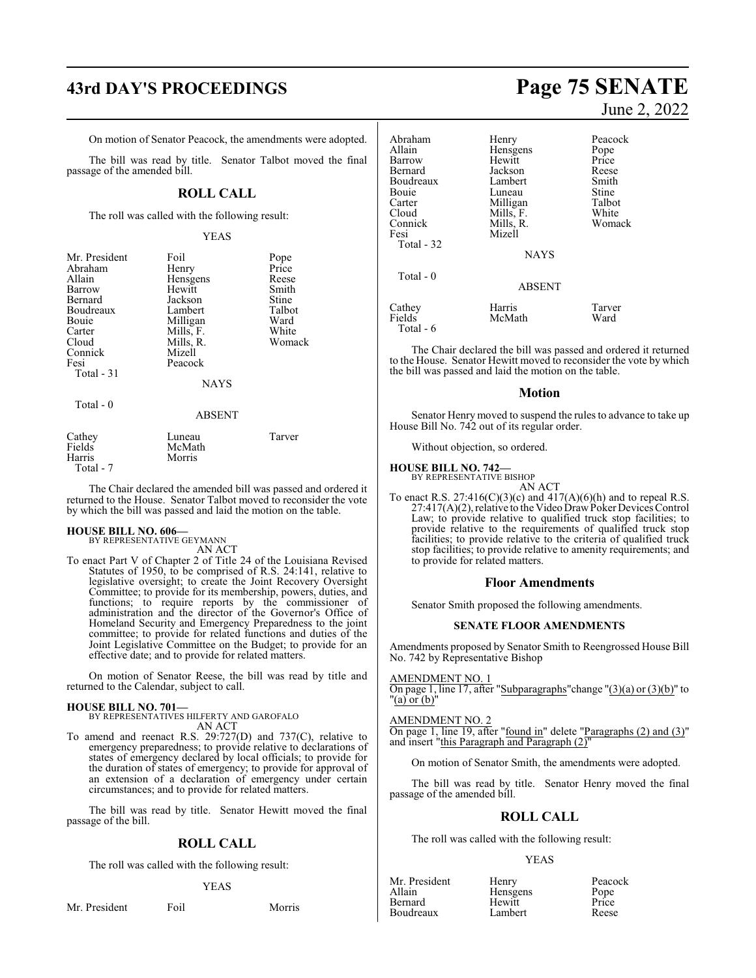On motion of Senator Peacock, the amendments were adopted.

The bill was read by title. Senator Talbot moved the final passage of the amended bill.

### **ROLL CALL**

The roll was called with the following result:

### YEAS

| Mr. President | Foil          | Pope               |
|---------------|---------------|--------------------|
| Abraham       | Henry         | Price              |
| Allain        | Hensgens      | Reese              |
| Barrow        | Hewitt        | Smith              |
| Bernard       | Jackson       | Stine              |
| Boudreaux     | Lambert       | Talbot             |
| <b>Bouje</b>  | Milligan      | Ward               |
| Carter        | Mills, F.     | White              |
| Cloud         | Mills, R.     | Womack             |
| Connick       | Mizell        |                    |
| Fesi          | Peacock       |                    |
| Total - 31    |               |                    |
|               | <b>NAYS</b>   |                    |
| Total - 0     |               |                    |
|               | <b>ABSENT</b> |                    |
| Cat           | I uneau       | $\mathrm{T}$ arver |

| Cathey    | Luneau | Tarver |
|-----------|--------|--------|
| Fields    | McMath |        |
| Harris    | Morris |        |
| Total - 7 |        |        |

The Chair declared the amended bill was passed and ordered it returned to the House. Senator Talbot moved to reconsider the vote by which the bill was passed and laid the motion on the table.

### **HOUSE BILL NO. 606—**

BY REPRESENTATIVE GEYMANN AN ACT

To enact Part V of Chapter 2 of Title 24 of the Louisiana Revised Statutes of 1950, to be comprised of R.S. 24:141, relative to legislative oversight; to create the Joint Recovery Oversight Committee; to provide for its membership, powers, duties, and functions; to require reports by the commissioner of administration and the director of the Governor's Office of Homeland Security and Emergency Preparedness to the joint committee; to provide for related functions and duties of the Joint Legislative Committee on the Budget; to provide for an effective date; and to provide for related matters.

On motion of Senator Reese, the bill was read by title and returned to the Calendar, subject to call.

### **HOUSE BILL NO. 701—**

BY REPRESENTATIVES HILFERTY AND GAROFALO AN ACT

To amend and reenact R.S. 29:727(D) and 737(C), relative to emergency preparedness; to provide relative to declarations of states of emergency declared by local officials; to provide for the duration of states of emergency; to provide for approval of an extension of a declaration of emergency under certain circumstances; and to provide for related matters.

The bill was read by title. Senator Hewitt moved the final passage of the bill.

### **ROLL CALL**

The roll was called with the following result:

### YEAS

Mr. President Foil Morris

## **43rd DAY'S PROCEEDINGS Page 75 SENATE** June 2, 2022

| Abraham<br>Allain<br>Barrow<br>Bernard<br>Boudreaux<br>Bouie<br>Carter<br>Cloud<br>Connick<br>Fesi<br>Total - 32 | Henry<br>Hensgens<br>Hewitt<br>Jackson<br>Lambert<br>Luneau<br>Milligan<br>Mills, F.<br>Mills, R.<br>Mizell | Peacock<br>Pope<br>Price<br>Reese<br>Smith<br>Stine<br>Talbot<br>White<br>Womack |
|------------------------------------------------------------------------------------------------------------------|-------------------------------------------------------------------------------------------------------------|----------------------------------------------------------------------------------|
|                                                                                                                  | <b>NAYS</b>                                                                                                 |                                                                                  |
| Total $-0$                                                                                                       | <b>ABSENT</b>                                                                                               |                                                                                  |
| Cathey<br>Fields<br>Total - 6                                                                                    | Harris<br>McMath                                                                                            | Tarver<br>Ward                                                                   |

The Chair declared the bill was passed and ordered it returned to the House. Senator Hewitt moved to reconsider the vote by which the bill was passed and laid the motion on the table.

### **Motion**

Senator Henry moved to suspend the rules to advance to take up House Bill No. 742 out of its regular order.

Without objection, so ordered.

### **HOUSE BILL NO. 742—**

BY REPRESENTATIVE BISHOP AN ACT

To enact R.S.  $27:416(C)(3)(c)$  and  $417(A)(6)(h)$  and to repeal R.S. 27:417(A)(2), relative to the Video DrawPoker Devices Control Law; to provide relative to qualified truck stop facilities; to provide relative to the requirements of qualified truck stop facilities; to provide relative to the criteria of qualified truck stop facilities; to provide relative to amenity requirements; and to provide for related matters.

### **Floor Amendments**

Senator Smith proposed the following amendments.

### **SENATE FLOOR AMENDMENTS**

Amendments proposed by Senator Smith to Reengrossed House Bill No. 742 by Representative Bishop

### AMENDMENT NO. 1

On page 1, line 17, after "Subparagraphs" change " $(3)(a)$  or  $(3)(b)$ " to "(a) or (b)"

### AMENDMENT NO. 2

On page 1, line 19, after "found in" delete "Paragraphs (2) and (3)" and insert "this Paragraph and Paragraph  $(2)$ "

On motion of Senator Smith, the amendments were adopted.

The bill was read by title. Senator Henry moved the final passage of the amended bill.

### **ROLL CALL**

The roll was called with the following result:

### YEAS

| Mr. Presiden |
|--------------|
| Allain       |
| Bernard      |
| Boudreaux    |

nt Henry Peacock<br>Hensgens Pope Hensgens Pope<br>
Hewitt Price Hewitt Price<br>
Lambert Reese Lambert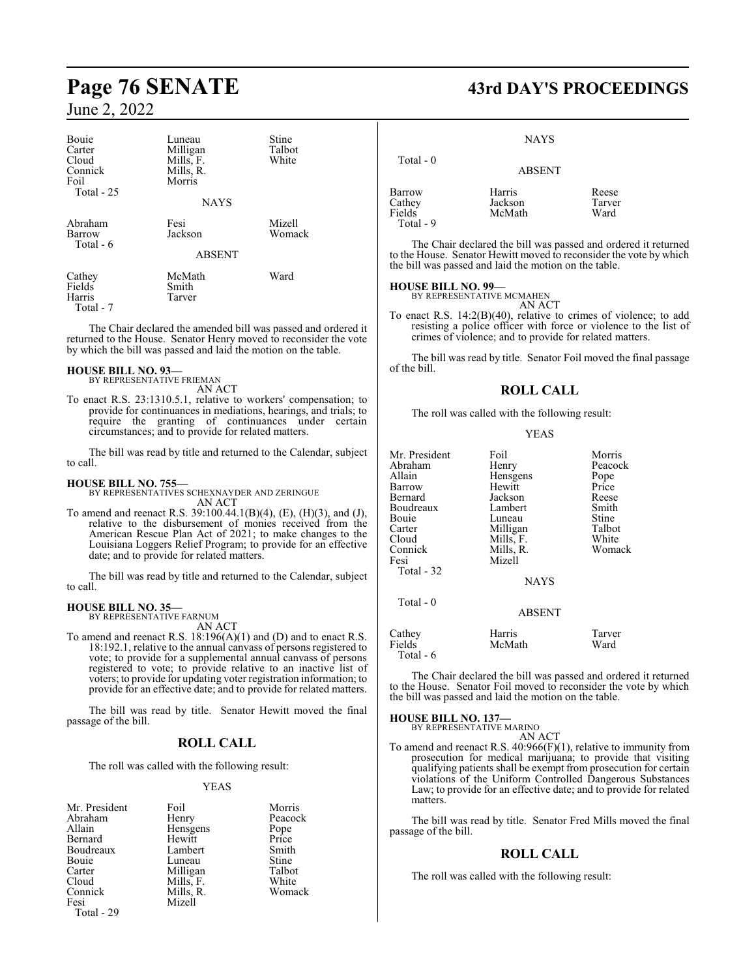| Bouie<br>Carter<br>Cloud<br>Connick<br>Foil<br>Total - 25 | Luneau<br>Milligan<br>Mills, F.<br>Mills, R.<br>Morris<br><b>NAYS</b> | Stine<br>Talbot<br>White |
|-----------------------------------------------------------|-----------------------------------------------------------------------|--------------------------|
| Abraham<br>Barrow<br>Total - 6                            | Fesi<br>Jackson<br><b>ABSENT</b>                                      | Mizell<br>Womack         |
| Cathey<br>Fields<br>Harris<br>Total - 7                   | McMath<br>Smith<br>Tarver                                             | Ward                     |

The Chair declared the amended bill was passed and ordered it returned to the House. Senator Henry moved to reconsider the vote by which the bill was passed and laid the motion on the table.

## **HOUSE BILL NO. 93—** BY REPRESENTATIVE FRIEMAN

AN ACT

To enact R.S. 23:1310.5.1, relative to workers' compensation; to provide for continuances in mediations, hearings, and trials; to require the granting of continuances under certain circumstances; and to provide for related matters.

The bill was read by title and returned to the Calendar, subject to call.

### **HOUSE BILL NO. 755—**

BY REPRESENTATIVES SCHEXNAYDER AND ZERINGUE AN ACT

To amend and reenact R.S. 39:100.44.1(B)(4), (E), (H)(3), and (J), relative to the disbursement of monies received from the American Rescue Plan Act of 2021; to make changes to the Louisiana Loggers Relief Program; to provide for an effective date; and to provide for related matters.

The bill was read by title and returned to the Calendar, subject to call.

## **HOUSE BILL NO. 35—** BY REPRESENTATIVE FARNUM

AN ACT

To amend and reenact R.S. 18:196(A)(1) and (D) and to enact R.S. 18:192.1, relative to the annual canvass of persons registered to vote; to provide for a supplemental annual canvass of persons registered to vote; to provide relative to an inactive list of voters; to provide for updating voter registration information; to provide for an effective date; and to provide for related matters.

The bill was read by title. Senator Hewitt moved the final passage of the bill.

### **ROLL CALL**

The roll was called with the following result:

### YEAS

| Foil      | Morris                            |
|-----------|-----------------------------------|
| Henry     | Peacock                           |
|           | Pope<br>Price                     |
| Hewitt    |                                   |
| Lambert   | Smith                             |
| Luneau    | Stine                             |
|           | Talbot                            |
| Mills, F. | White                             |
|           | Womack                            |
| Mizell    |                                   |
|           | Hensgens<br>Milligan<br>Mills, R. |

Total - 29

## **Page 76 SENATE 43rd DAY'S PROCEEDINGS**

**NAYS** 

| Total $-0$          | <b>ABSENT</b>     |                 |
|---------------------|-------------------|-----------------|
| Barrow<br>Cathey    | Harris<br>Jackson | Reese<br>Tarver |
| Fields<br>Total - 9 | McMath            | Ward            |

The Chair declared the bill was passed and ordered it returned to the House. Senator Hewitt moved to reconsider the vote by which the bill was passed and laid the motion on the table.

### **HOUSE BILL NO. 99—**

BY REPRESENTATIVE MCMAHEN AN ACT

To enact R.S. 14:2(B)(40), relative to crimes of violence; to add resisting a police officer with force or violence to the list of crimes of violence; and to provide for related matters.

The bill was read by title. Senator Foil moved the final passage of the bill.

### **ROLL CALL**

The roll was called with the following result:

### YEAS

| Mr. President<br>Abraham<br>Allain<br>Barrow<br>Bernard<br>Boudreaux<br>Bouie<br>Carter<br>Cloud<br>Connick<br>Fesi<br>Total - 32 | Foil<br>Henry<br>Hensgens<br>Hewitt<br>Jackson<br>Lambert<br>Luneau<br>Milligan<br>Mills, F.<br>Mills, R.<br>Mizell<br><b>NAYS</b> | Morris<br>Peacock<br>Pope<br>Price<br>Reese<br>Smith<br>Stine<br>Talbot<br>White<br>Womack |
|-----------------------------------------------------------------------------------------------------------------------------------|------------------------------------------------------------------------------------------------------------------------------------|--------------------------------------------------------------------------------------------|
| Total - 0                                                                                                                         | <b>ABSENT</b>                                                                                                                      |                                                                                            |
| Cathey<br>Fields<br>Total - 6                                                                                                     | Harris<br>McMath                                                                                                                   | Tarver<br>Ward                                                                             |

The Chair declared the bill was passed and ordered it returned to the House. Senator Foil moved to reconsider the vote by which the bill was passed and laid the motion on the table.

**HOUSE BILL NO. 137—** BY REPRESENTATIVE MARINO

AN ACT

To amend and reenact R.S. 40:966(F)(1), relative to immunity from prosecution for medical marijuana; to provide that visiting qualifying patients shall be exempt from prosecution for certain violations of the Uniform Controlled Dangerous Substances Law; to provide for an effective date; and to provide for related matters.

The bill was read by title. Senator Fred Mills moved the final passage of the bill.

### **ROLL CALL**

The roll was called with the following result: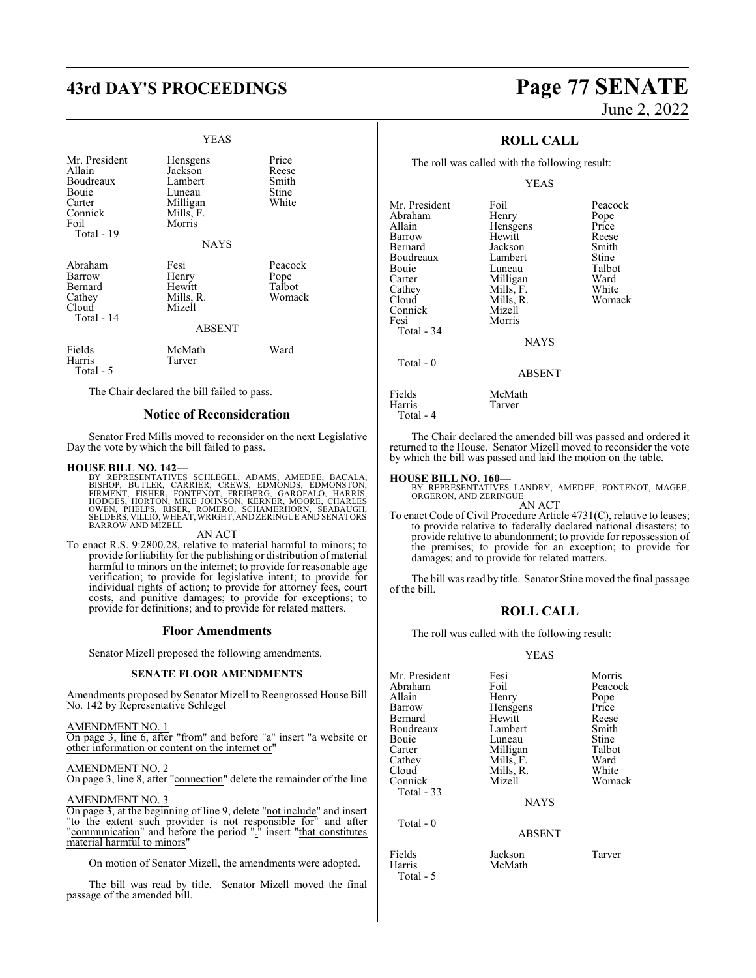## **43rd DAY'S PROCEEDINGS Page 77 SENATE**

### YEAS

| Mr. President<br>Allain<br>Boudreaux<br>Bouie<br>Carter<br>Connick<br>Foil<br>Total - 19 | Hensgens<br>Jackson<br>Lambert<br>Luneau<br>Milligan<br>Mills, F.<br>Morris<br><b>NAYS</b> | Price<br>Reese<br>Smith<br>Stine<br>White |
|------------------------------------------------------------------------------------------|--------------------------------------------------------------------------------------------|-------------------------------------------|
| Abraham<br>Barrow<br>Bernard<br>Cathey<br>Cloud<br>Total - 14                            | Fesi<br>Henry<br>Hewitt<br>Mills, R.<br>Mizell<br><b>ABSENT</b>                            | Peacock<br>Pope<br>Talbot<br>Womack       |
| Fields<br>Harris<br>Total - 5                                                            | McMath<br>Tarver                                                                           | Ward                                      |

The Chair declared the bill failed to pass.

### **Notice of Reconsideration**

Senator Fred Mills moved to reconsider on the next Legislative Day the vote by which the bill failed to pass.

**HOUSE BILL NO. 142—**<br>BY REPRESENTATIVES SCHLEGEL, ADAMS, AMEDEE, BACALA,<br>BISHOP, BUTLER, CARRIER, CREWS, EDMONDS, EDMONSTON,<br>FIRMENT, FISHER, FONTENOT, FREIBERG, GAROFALO, HARRIS,<br>HODGES, HORTON, MIKE JOHNSON, KERNER, MOO

### AN ACT

To enact R.S. 9:2800.28, relative to material harmful to minors; to provide for liability for the publishing or distribution of material harmful to minors on the internet; to provide for reasonable age verification; to provide for legislative intent; to provide for individual rights of action; to provide for attorney fees, court costs, and punitive damages; to provide for exceptions; to provide for definitions; and to provide for related matters.

### **Floor Amendments**

Senator Mizell proposed the following amendments.

### **SENATE FLOOR AMENDMENTS**

Amendments proposed by Senator Mizell to Reengrossed House Bill No. 142 by Representative Schlegel

### AMENDMENT NO. 1

On page 3, line 6, after "from" and before "a" insert "a website or other information or content on the internet or"

### AMENDMENT NO. 2

On page 3, line 8, after "connection" delete the remainder of the line

### AMENDMENT NO. 3

On page 3, at the beginning of line 9, delete "not include" and insert "to the extent such provider is not responsible for" and after "communication" and before the period "." insert "that constitutes material harmful to minors"

On motion of Senator Mizell, the amendments were adopted.

The bill was read by title. Senator Mizell moved the final passage of the amended bill.

# June 2, 2022

### **ROLL CALL**

The roll was called with the following result:

### YEAS

| Mr. President<br>Abraham<br>Allain<br>Barrow<br>Bernard<br>Boudreaux<br>Bouie<br>Carter<br>Cathey<br>Cloud | Foil<br>Henry<br>Hensgens<br>Hewitt<br>Jackson<br>Lambert<br>Luneau<br>Milligan<br>Mills, F.<br>Mills, R. | Peacock<br>Pope<br>Price<br>Reese<br>Smith<br>Stine<br>Talbot<br>Ward<br>White<br>Womack |
|------------------------------------------------------------------------------------------------------------|-----------------------------------------------------------------------------------------------------------|------------------------------------------------------------------------------------------|
| Connick<br>Fesi<br>Total - 34<br>Total - 0                                                                 | Mizell<br>Morris<br><b>NAYS</b>                                                                           |                                                                                          |
|                                                                                                            | <b>ABSENT</b>                                                                                             |                                                                                          |
| Fields<br>Harris<br>Total - 4                                                                              | McMath<br>Tarver                                                                                          |                                                                                          |

The Chair declared the amended bill was passed and ordered it returned to the House. Senator Mizell moved to reconsider the vote by which the bill was passed and laid the motion on the table.

### **HOUSE BILL NO. 160—**

BY REPRESENTATIVES LANDRY, AMEDEE, FONTENOT, MAGEE, ORGERON, AND ZERINGUE AN ACT

To enact Code of Civil Procedure Article 4731(C), relative to leases; to provide relative to federally declared national disasters; to provide relative to abandonment; to provide for repossession of the premises; to provide for an exception; to provide for damages; and to provide for related matters.

The bill was read by title. Senator Stine moved the final passage of the bill.

### **ROLL CALL**

The roll was called with the following result:

### YEAS

| Mr. President | Fesi        | Morris  |
|---------------|-------------|---------|
| Abraham       | Foil        | Peacock |
| Allain        | Henry       | Pope    |
| Barrow        | Hensgens    | Price   |
| Bernard       | Hewitt      | Reese   |
| Boudreaux     | Lambert     | Smith   |
| Bouie         | Luneau      | Stine   |
| Carter        | Milligan    | Talbot  |
| Cathey        | Mills, F.   | Ward    |
| Cloud         | Mills, R.   | White   |
| Connick       | Mizell      | Womack  |
| Total - 33    |             |         |
|               | <b>NAYS</b> |         |
| Total - 0     |             |         |
|               | ABSENT      |         |

Fields Jackson Tarver Harris McMath Total - 5

- 
- 
-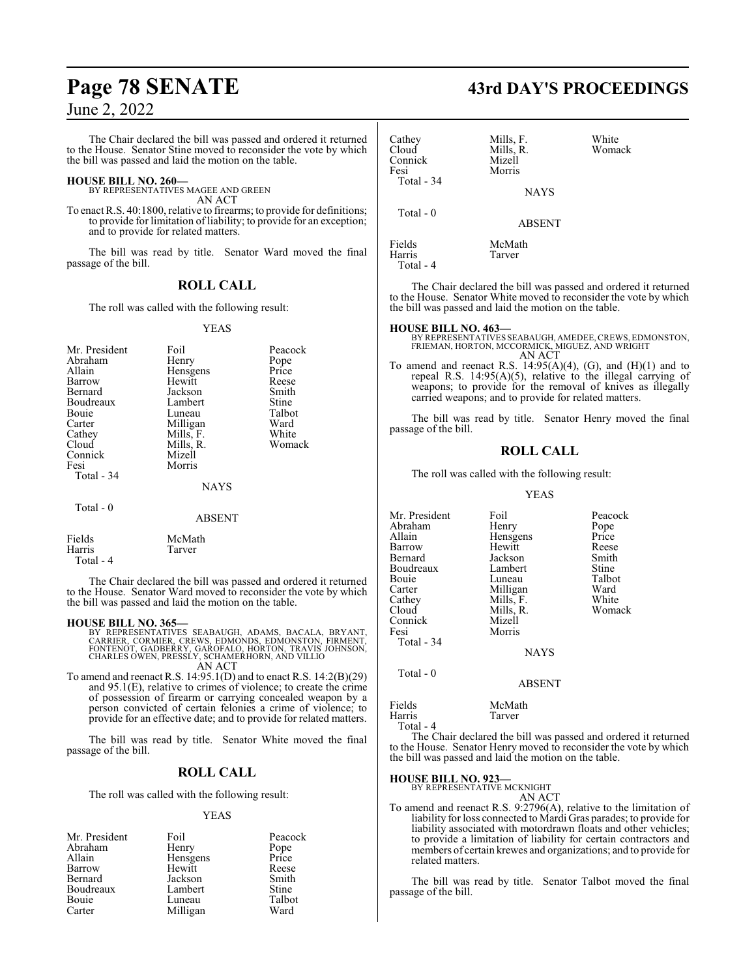The Chair declared the bill was passed and ordered it returned to the House. Senator Stine moved to reconsider the vote by which the bill was passed and laid the motion on the table.

### **HOUSE BILL NO. 260—**

BY REPRESENTATIVES MAGEE AND GREEN AN ACT

To enact R.S. 40:1800, relative to firearms; to provide for definitions; to provide for limitation of liability; to provide for an exception; and to provide for related matters.

The bill was read by title. Senator Ward moved the final passage of the bill.

### **ROLL CALL**

The roll was called with the following result:

### YEAS

| Henry<br>Hensgens<br>Hewitt<br>Jackson<br>Lambert<br>Luneau<br>Milligan<br>Mills, F.<br>Mills, R.<br>Mizell<br>Morris | Pope<br>Price<br>Reese<br>Smith<br>Stine<br>Talbot<br>Ward<br>White<br>Womack |
|-----------------------------------------------------------------------------------------------------------------------|-------------------------------------------------------------------------------|
| <b>ABSENT</b>                                                                                                         |                                                                               |
|                                                                                                                       | <b>NAYS</b>                                                                   |

| Fields    | McMath |
|-----------|--------|
| Harris    | Tarver |
| Total - 4 |        |

The Chair declared the bill was passed and ordered it returned to the House. Senator Ward moved to reconsider the vote by which the bill was passed and laid the motion on the table.

### **HOUSE BILL NO. 365—**

BY REPRESENTATIVES SEABAUGH, ADAMS, BACALA, BRYANT,<br>CARRIER, CORMIER, CREWS, EDMONDS, EDMONSTON, FIRMENT,<br>FONTENOT, GADBERRY, GAROFALO, HORTON, TRAVIS JOHNSON,<br>CHARLES OWEN, PRESSLY, SCHAMERHORN, AND VILLIO AN ACT

To amend and reenact R.S. 14:95.1(D) and to enact R.S. 14:2(B)(29) and 95.1(E), relative to crimes of violence; to create the crime of possession of firearm or carrying concealed weapon by a person convicted of certain felonies a crime of violence; to provide for an effective date; and to provide for related matters.

The bill was read by title. Senator White moved the final passage of the bill.

### **ROLL CALL**

The roll was called with the following result:

### YEAS

|          | Peacock       |
|----------|---------------|
| Henry    | Pope<br>Price |
| Hensgens |               |
| Hewitt   | Reese         |
| Jackson  | Smith         |
| Lambert  | <b>Stine</b>  |
| Luneau   | Talbot        |
| Milligan | Ward          |
|          | Foil          |

## **Page 78 SENATE 43rd DAY'S PROCEEDINGS**

| Cathey<br>Cloud<br>Connick<br>Fesi<br>Total - 34 | Mills, F.<br>Mills, R.<br>Mizell<br>Morris<br><b>NAYS</b> | White<br>Womack |
|--------------------------------------------------|-----------------------------------------------------------|-----------------|
| Total $-0$                                       | <b>ABSENT</b>                                             |                 |
| Fields<br>Harris                                 | McMath<br>Tarver                                          |                 |

Total - 4

The Chair declared the bill was passed and ordered it returned to the House. Senator White moved to reconsider the vote by which the bill was passed and laid the motion on the table.

### **HOUSE BILL NO. 463—**

BY REPRESENTATIVES SEABAUGH, AMEDEE,CREWS, EDMONSTON, FRIEMAN, HORTON, MCCORMICK, MIGUEZ, AND WRIGHT AN ACT

To amend and reenact R.S.  $14:95(A)(4)$ , (G), and  $(H)(1)$  and to repeal R.S. 14:95(A)(5), relative to the illegal carrying of weapons; to provide for the removal of knives as illegally carried weapons; and to provide for related matters.

The bill was read by title. Senator Henry moved the final passage of the bill.

### **ROLL CALL**

The roll was called with the following result:

### YEAS

| Mr. President<br>Abraham<br>Allain<br>Barrow<br>Bernard<br>Boudreaux<br>Bouie<br>Carter<br>Cathey<br>Cloud<br>Connick<br>Fesi<br>Total - 34 | Foil<br>Henry<br>Hensgens<br>Hewitt<br>Jackson<br>Lambert<br>Luneau<br>Milligan<br>Mills, F.<br>Mills, R.<br>Mizell<br>Morris<br><b>NAYS</b> | Peacock<br>Pope<br>Price<br>Reese<br>Smith<br>Stine<br>Talbot<br>Ward<br>White<br>Womack |
|---------------------------------------------------------------------------------------------------------------------------------------------|----------------------------------------------------------------------------------------------------------------------------------------------|------------------------------------------------------------------------------------------|
| Total $-0$                                                                                                                                  | <b>ABSENT</b>                                                                                                                                |                                                                                          |

| Fields    | McMath |
|-----------|--------|
| Harris    | Tarver |
| Total - 4 |        |

The Chair declared the bill was passed and ordered it returned to the House. Senator Henry moved to reconsider the vote by which the bill was passed and laid the motion on the table.

**HOUSE BILL NO. 923—**

BY REPRESENTATIVE MCKNIGHT AN ACT

To amend and reenact R.S. 9:2796(A), relative to the limitation of liability for loss connected to Mardi Gras parades; to provide for liability associated with motordrawn floats and other vehicles; to provide a limitation of liability for certain contractors and members of certain krewes and organizations; and to provide for related matters.

The bill was read by title. Senator Talbot moved the final passage of the bill.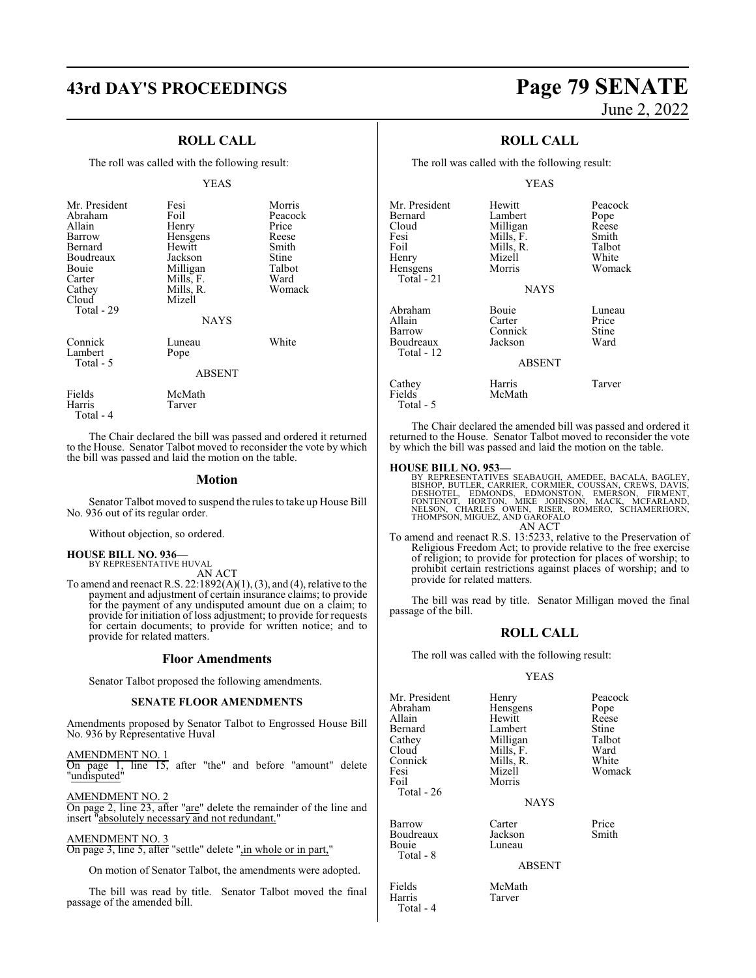### **ROLL CALL**

The roll was called with the following result:

### YEAS

| Mr. President<br>Abraham<br>Allain<br>Barrow<br>Bernard<br>Boudreaux<br>Bouie<br>Carter<br>Cathey<br>Cloud<br>Total - 29 | Fesi<br>Foil<br>Henry<br>Hensgens<br>Hewitt<br>Jackson<br>Milligan<br>Mills, F.<br>Mills, R.<br>Mizell<br><b>NAYS</b> | Morris<br>Peacock<br>Price<br>Reese<br>Smith<br>Stine<br>Talbot<br>Ward<br>Womack |
|--------------------------------------------------------------------------------------------------------------------------|-----------------------------------------------------------------------------------------------------------------------|-----------------------------------------------------------------------------------|
| Connick<br>Lambert<br>Total - 5                                                                                          | Luneau<br>Pope<br><b>ABSENT</b>                                                                                       | White                                                                             |
| Fields<br>Harris                                                                                                         | McMath<br>Tarver                                                                                                      |                                                                                   |

Total - 4

The Chair declared the bill was passed and ordered it returned to the House. Senator Talbot moved to reconsider the vote by which the bill was passed and laid the motion on the table.

### **Motion**

Senator Talbot moved to suspend the rules to take up House Bill No. 936 out of its regular order.

Without objection, so ordered.

### **HOUSE BILL NO. 936—** BY REPRESENTATIVE HUVAL

AN ACT

To amend and reenact R.S.  $22:1892(A)(1), (3)$ , and (4), relative to the payment and adjustment of certain insurance claims; to provide for the payment of any undisputed amount due on a claim; to provide for initiation of loss adjustment; to provide for requests for certain documents; to provide for written notice; and to provide for related matters.

### **Floor Amendments**

Senator Talbot proposed the following amendments.

### **SENATE FLOOR AMENDMENTS**

Amendments proposed by Senator Talbot to Engrossed House Bill No. 936 by Representative Huval

AMENDMENT NO. 1 On page 1, line 15, after "the" and before "amount" delete "undisputed"

AMENDMENT NO. 2 On page 2, line 23, after "are" delete the remainder of the line and insert "absolutely necessary and not redundant."

### AMENDMENT NO. 3

On page 3, line 5, after "settle" delete ",in whole or in part,"

On motion of Senator Talbot, the amendments were adopted.

The bill was read by title. Senator Talbot moved the final passage of the amended bill.

## **43rd DAY'S PROCEEDINGS Page 79 SENATE** June 2, 2022

### **ROLL CALL**

The roll was called with the following result:

### YEAS

| Mr. President<br>Bernard<br>Cloud<br>Fesi<br>Foil<br>Henry<br>Hensgens<br>Total - 21 | Hewitt<br>Lambert<br>Milligan<br>Mills, F.<br>Mills, R.<br>Mizell<br>Morris<br><b>NAYS</b> | Peacock<br>Pope<br>Reese<br>Smith<br>Talbot<br>White<br>Womack |
|--------------------------------------------------------------------------------------|--------------------------------------------------------------------------------------------|----------------------------------------------------------------|
| Abraham<br>Allain<br>Barrow<br>Boudreaux<br>Total - 12                               | Bouie<br>Carter<br>Connick<br>Jackson<br><b>ABSENT</b>                                     | Luneau<br>Price<br>Stine<br>Ward                               |
| Cathey<br>Fields                                                                     | Harris<br>McMath                                                                           | Tarver                                                         |

The Chair declared the amended bill was passed and ordered it returned to the House. Senator Talbot moved to reconsider the vote by which the bill was passed and laid the motion on the table.

### **HOUSE BILL NO. 953—**

Total - 5

BY REPRESENTATIVES SEABAUGH, AMEDEE, BACALA, BAGLEY,<br>BISHOP, BUTLER, CARRIER, CORMIER, COUSSAN, CREWS, DAVIS,<br>DESHOTEL, EDMONDS, EDMONSTON, EMERSON, FIRMENT,<br>FONTENOT, HORTON, MIKE JOHNSON, MACK, MCFARLAND,<br>NELSON, CHARLES AN ACT

- To amend and reenact R.S. 13:5233, relative to the Preservation of
	- Religious Freedom Act; to provide relative to the free exercise of religion; to provide for protection for places of worship; to prohibit certain restrictions against places of worship; and to provide for related matters.

The bill was read by title. Senator Milligan moved the final passage of the bill.

### **ROLL CALL**

The roll was called with the following result:

### YEAS

| Mr. President<br>Abraham<br>Allain<br>Bernard<br>Cathey<br>Cloud<br>Connick<br>Fesi<br>Foil | Henry<br>Hensgens<br>Hewitt<br>Lambert<br>Milligan<br>Mills, F.<br>Mills, R.<br>Mizell<br>Morris | Peacock<br>Pope<br>Reese<br>Stine<br>Talbot<br>Ward<br>White<br>Womack |
|---------------------------------------------------------------------------------------------|--------------------------------------------------------------------------------------------------|------------------------------------------------------------------------|
| Total - 26                                                                                  | <b>NAYS</b>                                                                                      |                                                                        |
| Barrow<br>Boudreaux<br>Bouie<br>Total - 8                                                   | Carter<br>Jackson<br>Luneau<br><b>ABSENT</b>                                                     | Price<br>Smith                                                         |
|                                                                                             |                                                                                                  |                                                                        |

Total - 4

Fields McMath<br>
Harris Tarver Tarver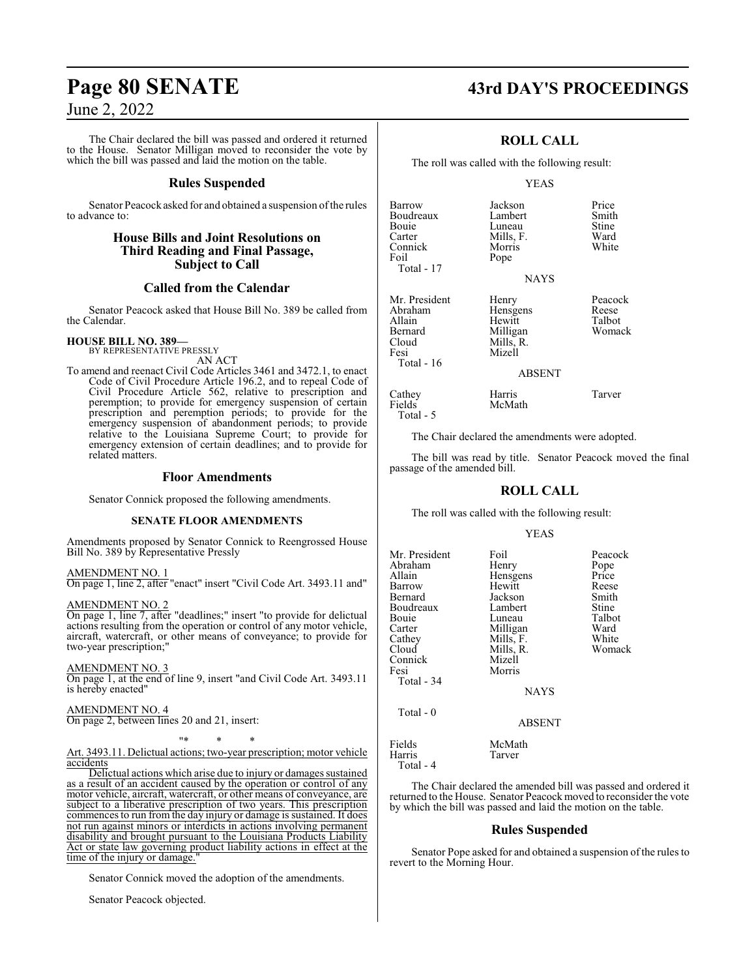The Chair declared the bill was passed and ordered it returned to the House. Senator Milligan moved to reconsider the vote by which the bill was passed and laid the motion on the table.

### **Rules Suspended**

Senator Peacock asked for and obtained a suspension of the rules to advance to:

### **House Bills and Joint Resolutions on Third Reading and Final Passage, Subject to Call**

### **Called from the Calendar**

Senator Peacock asked that House Bill No. 389 be called from the Calendar.

### **HOUSE BILL NO. 389—**

BY REPRESENTATIVE PRESSLY AN ACT

To amend and reenact Civil Code Articles 3461 and 3472.1, to enact Code of Civil Procedure Article 196.2, and to repeal Code of Civil Procedure Article 562, relative to prescription and peremption; to provide for emergency suspension of certain prescription and peremption periods; to provide for the emergency suspension of abandonment periods; to provide relative to the Louisiana Supreme Court; to provide for emergency extension of certain deadlines; and to provide for related matters.

### **Floor Amendments**

Senator Connick proposed the following amendments.

### **SENATE FLOOR AMENDMENTS**

Amendments proposed by Senator Connick to Reengrossed House Bill No. 389 by Representative Pressly

### AMENDMENT NO. 1

On page 1, line 2, after "enact" insert "Civil Code Art. 3493.11 and"

### AMENDMENT NO. 2

On page 1, line 7, after "deadlines;" insert "to provide for delictual actions resulting from the operation or control of any motor vehicle, aircraft, watercraft, or other means of conveyance; to provide for two-year prescription;"

### AMENDMENT NO. 3

On page 1, at the end of line 9, insert "and Civil Code Art. 3493.11 is hereby enacted"

### AMENDMENT NO. 4

On page 2, between lines 20 and 21, insert:

"\* \* \*

### Art. 3493.11. Delictual actions; two-year prescription; motor vehicle accidents

Delictual actions which arise due to injury or damages sustained as a result of an accident caused by the operation or control of any motor vehicle, aircraft, watercraft, or other means of conveyance, are subject to a liberative prescription of two years. This prescription commences to run from the day injury or damage is sustained. It does not run against minors or interdicts in actions involving permanent disability and brought pursuant to the Louisiana Products Liability Act or state law governing product liability actions in effect at the time of the injury or damage.

Senator Connick moved the adoption of the amendments.

Senator Peacock objected.

## **Page 80 SENATE 43rd DAY'S PROCEEDINGS**

### **ROLL CALL**

The roll was called with the following result:

### YEAS

| Barrow        | Jackson     | Price  |
|---------------|-------------|--------|
| Boudreaux     | Lambert     | Smith  |
| Bouie         | Luneau      | Stine  |
| Carter        | Mills, F.   | Ward   |
| Connick       | Morris      | White  |
| Foil          | Pope        |        |
| Total - 17    |             |        |
|               | <b>NAYS</b> |        |
| Mr. President | Henry       | Peacoo |
| Abraham       | Hensgens    | Reese  |
| Allain        | Hewitt      | Talbot |
| Bernard       | Milligan    | Woma   |
| Cloud         | Mills, R.   |        |
| Fesi          | Mizell      |        |
| Total - 16    |             |        |
|               | ABSENT      |        |
|               |             |        |

Peacock<br>Reese

Womack

| Cathey    | Harris | Tarver |
|-----------|--------|--------|
| Fields    | McMath |        |
| Total - 5 |        |        |

The Chair declared the amendments were adopted.

The bill was read by title. Senator Peacock moved the final passage of the amended bill.

### **ROLL CALL**

The roll was called with the following result:

### YEAS

| Mr. President<br>Abraham<br>Allain<br>Barrow<br>Bernard<br>Boudreaux<br>Bouie<br>Carter<br>Cathey<br>Cloud<br>Connick<br>Fesi<br>Total - 34 | Foil<br>Henry<br>Hensgens<br>Hewitt<br>Jackson<br>Lambert<br>Luneau<br>Milligan<br>Mills, F.<br>Mills, R.<br>Mizell<br>Morris<br>NAYS | Peacock<br>Pope<br>Price<br>Reese<br>Smith<br>Stine<br>Talbot<br>Ward<br>White<br>Womack |
|---------------------------------------------------------------------------------------------------------------------------------------------|---------------------------------------------------------------------------------------------------------------------------------------|------------------------------------------------------------------------------------------|
| Total - 0                                                                                                                                   | <b>ABSENT</b>                                                                                                                         |                                                                                          |
| Fields<br>Harris<br>Total - 4                                                                                                               | McMath<br>Tarver                                                                                                                      |                                                                                          |

The Chair declared the amended bill was passed and ordered it returned to the House. Senator Peacock moved to reconsider the vote by which the bill was passed and laid the motion on the table.

### **Rules Suspended**

Senator Pope asked for and obtained a suspension of the rules to revert to the Morning Hour.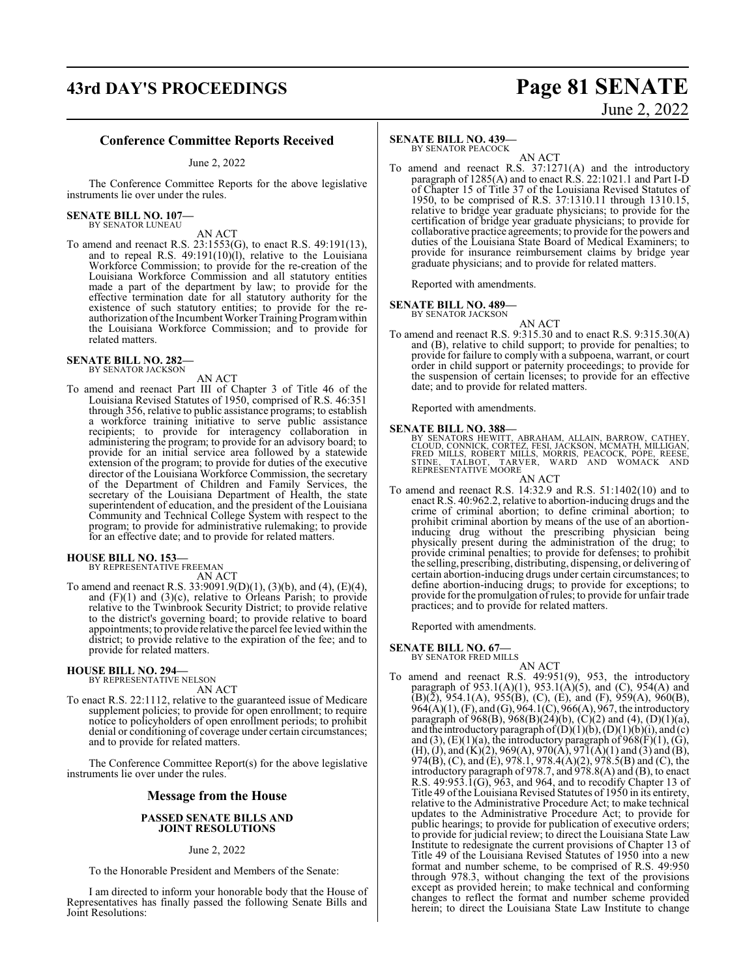## **43rd DAY'S PROCEEDINGS Page 81 SENATE** June 2, 2022

### **Conference Committee Reports Received**

June 2, 2022

The Conference Committee Reports for the above legislative instruments lie over under the rules.

## **SENATE BILL NO. 107—** BY SENATOR LUNEAU

AN ACT

To amend and reenact R.S. 23:1553(G), to enact R.S. 49:191(13), and to repeal R.S. 49:191(10)(l), relative to the Louisiana Workforce Commission; to provide for the re-creation of the Louisiana Workforce Commission and all statutory entities made a part of the department by law; to provide for the effective termination date for all statutory authority for the existence of such statutory entities; to provide for the reauthorization of the Incumbent Worker Training Program within the Louisiana Workforce Commission; and to provide for related matters.

### **SENATE BILL NO. 282—** BY SENATOR JACKSON

AN ACT

To amend and reenact Part III of Chapter 3 of Title 46 of the Louisiana Revised Statutes of 1950, comprised of R.S. 46:351 through 356, relative to public assistance programs; to establish a workforce training initiative to serve public assistance recipients; to provide for interagency collaboration in administering the program; to provide for an advisory board; to provide for an initial service area followed by a statewide extension of the program; to provide for duties of the executive director of the Louisiana Workforce Commission, the secretary of the Department of Children and Family Services, the secretary of the Louisiana Department of Health, the state superintendent of education, and the president of the Louisiana Community and Technical College System with respect to the program; to provide for administrative rulemaking; to provide for an effective date; and to provide for related matters.

### **HOUSE BILL NO. 153—**

BY REPRESENTATIVE FREEMAN AN ACT

To amend and reenact R.S. 33:9091.9(D)(1), (3)(b), and (4), (E)(4), and (F)(1) and (3)(c), relative to Orleans Parish; to provide relative to the Twinbrook Security District; to provide relative to the district's governing board; to provide relative to board appointments; to provide relative the parcel fee levied within the district; to provide relative to the expiration of the fee; and to provide for related matters.

## **HOUSE BILL NO. 294—**

BY REPRESENTATIVE NELSON AN ACT

To enact R.S. 22:1112, relative to the guaranteed issue of Medicare supplement policies; to provide for open enrollment; to require notice to policyholders of open enrollment periods; to prohibit denial or conditioning of coverage under certain circumstances; and to provide for related matters.

The Conference Committee Report(s) for the above legislative instruments lie over under the rules.

### **Message from the House**

### **PASSED SENATE BILLS AND JOINT RESOLUTIONS**

### June 2, 2022

To the Honorable President and Members of the Senate:

I am directed to inform your honorable body that the House of Representatives has finally passed the following Senate Bills and Joint Resolutions:

### **SENATE BILL NO. 439—**

BY SENATOR PEACOCK

AN ACT To amend and reenact R.S. 37:1271(A) and the introductory paragraph of 1285(A) and to enact R.S. 22:1021.1 and Part I-D of Chapter 15 of Title 37 of the Louisiana Revised Statutes of 1950, to be comprised of R.S. 37:1310.11 through 1310.15, relative to bridge year graduate physicians; to provide for the certification of bridge year graduate physicians; to provide for collaborative practice agreements; to provide for the powers and duties of the Louisiana State Board of Medical Examiners; to provide for insurance reimbursement claims by bridge year graduate physicians; and to provide for related matters.

Reported with amendments.

### **SENATE BILL NO. 489—**

BY SENATOR JACKSON

- AN ACT
- To amend and reenact R.S. 9:315.30 and to enact R.S. 9:315.30(A) and (B), relative to child support; to provide for penalties; to provide for failure to comply with a subpoena, warrant, or court order in child support or paternity proceedings; to provide for the suspension of certain licenses; to provide for an effective date; and to provide for related matters.

Reported with amendments.

**SENATE BILL NO. 388—**<br>BY SENATORS HEWITT, ABRAHAM, ALLAIN, BARROW, CATHEY,<br>CLOUD, CONNICK, CORTEZ, FESI, JACKSON, MCMATH, MILLIGAN,<br>FRED MILLS, ROBERT MILLS, MORRIS, PEACOCK, PÓPE, REESE,<br>STINE, TALBOT, TARVER, WARD AND W

AN ACT

To amend and reenact R.S. 14:32.9 and R.S. 51:1402(10) and to enact R.S. 40:962.2, relative to abortion-inducing drugs and the crime of criminal abortion; to define criminal abortion; to prohibit criminal abortion by means of the use of an abortioninducing drug without the prescribing physician being physically present during the administration of the drug; to provide criminal penalties; to provide for defenses; to prohibit the selling, prescribing, distributing, dispensing, or delivering of certain abortion-inducing drugs under certain circumstances; to define abortion-inducing drugs; to provide for exceptions; to provide for the promulgation ofrules; to provide for unfair trade practices; and to provide for related matters.

Reported with amendments.

### **SENATE BILL NO. 67—** BY SENATOR FRED MILLS

AN ACT

To amend and reenact R.S. 49:951(9), 953, the introductory paragraph of  $953.1(A)(1)$ ,  $953.1(A)(5)$ , and (C),  $954(A)$  and  $(B)(\overline{2})$ , 954.1(A), 955(B), (C), (E), and (F), 959(A), 960(B), 964(A)(1), (F), and (G), 964.1(C), 966(A), 967, the introductory paragraph of 968(B), 968(B)(24)(b), (C)(2) and (4), (D)(1)(a), and the introductory paragraph of  $(D)(1)(b)$ ,  $(D)(1)(b)(i)$ , and  $(c)$ and (3),  $(E)(1)(a)$ , the introductory paragraph of  $968(F)(1)$ ,  $(G)$ ,  $(H), (J),$  and  $(K)(2), 969(A), 970(A), 971(A)(1)$  and  $(3)$  and  $(B),$ 974(B), (C), and (E), 978.1, 978.4(A)(2), 978.5(B) and (C), the introductory paragraph of 978.7, and 978.8(A) and (B), to enact R.S. 49:953.1(G), 963, and 964, and to recodify Chapter 13 of Title 49 ofthe Louisiana Revised Statutes of 1950 in its entirety, relative to the Administrative Procedure Act; to make technical updates to the Administrative Procedure Act; to provide for public hearings; to provide for publication of executive orders; to provide for judicial review; to direct the Louisiana State Law Institute to redesignate the current provisions of Chapter 13 of Title 49 of the Louisiana Revised Statutes of 1950 into a new format and number scheme, to be comprised of R.S. 49:950 through 978.3, without changing the text of the provisions except as provided herein; to make technical and conforming changes to reflect the format and number scheme provided herein; to direct the Louisiana State Law Institute to change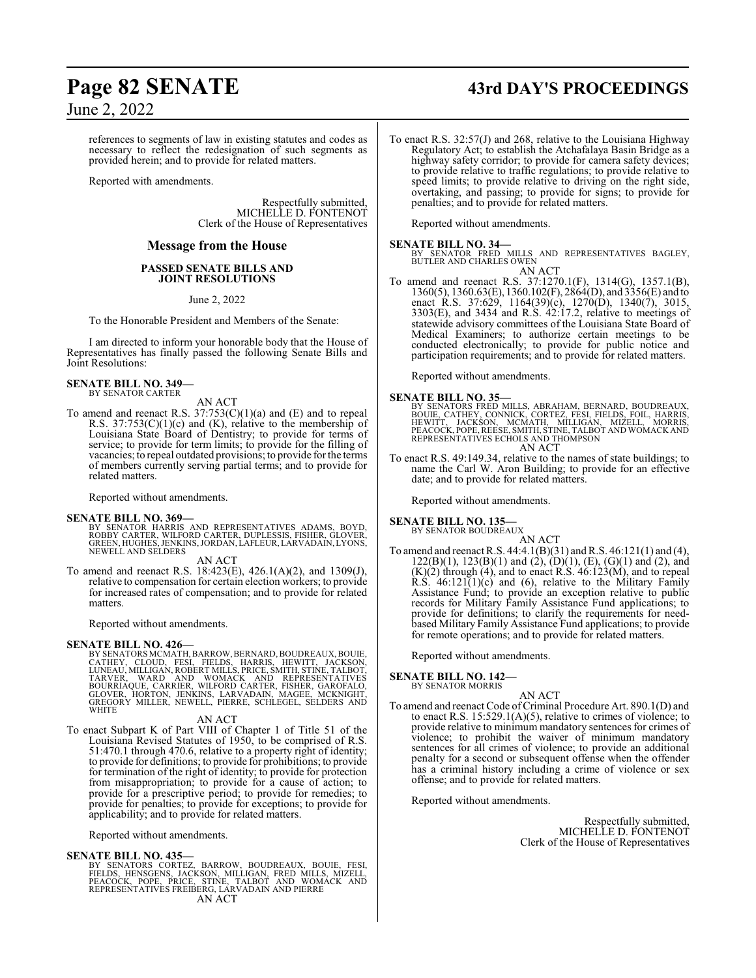## **Page 82 SENATE 43rd DAY'S PROCEEDINGS**

June 2, 2022

references to segments of law in existing statutes and codes as necessary to reflect the redesignation of such segments as provided herein; and to provide for related matters.

Reported with amendments.

Respectfully submitted, MICHELLE D. FONTENOT Clerk of the House of Representatives

### **Message from the House**

### **PASSED SENATE BILLS AND JOINT RESOLUTIONS**

June 2, 2022

To the Honorable President and Members of the Senate:

I am directed to inform your honorable body that the House of Representatives has finally passed the following Senate Bills and Joint Resolutions:

### **SENATE BILL NO. 349—** BY SENATOR CARTER

AN ACT

To amend and reenact R.S.  $37:753(C)(1)(a)$  and  $(E)$  and to repeal R.S.  $37:753(C)(1)(c)$  and  $(K)$ , relative to the membership of Louisiana State Board of Dentistry; to provide for terms of service; to provide for term limits; to provide for the filling of vacancies; to repeal outdated provisions; to provide for the terms of members currently serving partial terms; and to provide for related matters.

Reported without amendments.

### **SENATE BILL NO. 369—**

BY SENATOR HARRIS AND REPRESENTATIVES ADAMS, BOYD,<br>ROBBY CARTER, WILFORD CARTER, DUPLESSIS, FISHER, GLOVER,<br>GREEN,HUGHES,JENKINS,JORDAN,LAFLEUR,LARVADAIN,LYONS, NEWELL AND SELDERS

AN ACT

To amend and reenact R.S. 18:423(E), 426.1(A)(2), and 1309(J), relative to compensation for certain election workers; to provide for increased rates of compensation; and to provide for related matters.

Reported without amendments.

### **SENATE BILL NO. 426—**

BY SENATORS MCMATH, BARROW, BERNARD, BOUDREAUX, BOUIE,<br>CATHEY, CLOUD, FESI, FIELDS, HARRIS, HEWITT, JACKSON,<br>LUNEAU, MILLIGAN, ROBERT MILLS, PRICE, SMITH, STINE, TALBOT,<br>TARVER, WARD AND WOMACK AND REPRESENTATIVES<br>BOURRIAQ **WHITE** 

### AN ACT

To enact Subpart K of Part VIII of Chapter 1 of Title 51 of the Louisiana Revised Statutes of 1950, to be comprised of R.S. 51:470.1 through 470.6, relative to a property right of identity; to provide for definitions; to provide for prohibitions; to provide for termination of the right of identity; to provide for protection from misappropriation; to provide for a cause of action; to provide for a prescriptive period; to provide for remedies; to provide for penalties; to provide for exceptions; to provide for applicability; and to provide for related matters.

Reported without amendments.

### **SENATE BILL NO. 435—**

BY SENATORS CORTEZ, BARROW, BOUDREAUX, BOUIE, FESI,<br>FIELDS, HENSGENS, JACKSON, MILLIGAN, FRED MILLS, MIZELL,<br>PEACOCK, POPE, PRICE, STINE, TALBOT AND WOMACK AND<br>REPRESENTATIVES FREIBERG,LARVADAIN AND PIERRE<br>AN ACT

To enact R.S. 32:57(J) and 268, relative to the Louisiana Highway Regulatory Act; to establish the Atchafalaya Basin Bridge as a highway safety corridor; to provide for camera safety devices; to provide relative to traffic regulations; to provide relative to speed limits; to provide relative to driving on the right side, overtaking, and passing; to provide for signs; to provide for penalties; and to provide for related matters.

Reported without amendments.

**SENATE BILL NO. 34—**<br>BY SENATOR FRED MILLS AND REPRESENTATIVES BAGLEY,<br>BUTLER AND CHARLES OWEN AN ACT

To amend and reenact R.S. 37:1270.1(F), 1314(G), 1357.1(B), 1360(5), 1360.63(E), 1360.102(F), 2864(D), and 3356(E) and to enact R.S. 37:629, 1164(39)(c), 1270(D), 1340(7), 3015, 3303(E), and 3434 and R.S. 42:17.2, relative to meetings of statewide advisory committees of the Louisiana State Board of Medical Examiners; to authorize certain meetings to be conducted electronically; to provide for public notice and participation requirements; and to provide for related matters.

Reported without amendments.

### **SENATE BILL NO. 35—**

BY SENATORS FRED MILLS, ABRAHAM, BERNARD, BOUDREAUX,<br>BOUIE, CATHEY, CONNICK, CORTEZ, FESI, FIELDS, FOIL, HARRIS,<br>HEWITT, JACKSON, MCMATH, MILLIGAN, MIZELL, MORRIS,<br>PEACOCK,POPE,REESE,SMITH,STINE,TALBOT AND WOMACKAND<br>REPRES AN ACT

To enact R.S. 49:149.34, relative to the names of state buildings; to name the Carl W. Aron Building; to provide for an effective date; and to provide for related matters.

Reported without amendments.

### **SENATE BILL NO. 135—** BY SENATOR BOUDREAUX

AN ACT To amend and reenact R.S.  $44:4.1(B)(31)$  and R.S.  $46:121(1)$  and  $(4)$ ,  $122(B)(1)$ ,  $123(B)(1)$  and  $(2)$ ,  $(D)(1)$ ,  $(E)$ ,  $(G)(1)$  and  $(2)$ , and  $(K)(2)$  through  $(4)$ , and to enact R.S.  $46:123(M)$ , and to repeal R.S.  $46:121(1)(c)$  and (6), relative to the Military Family Assistance Fund; to provide an exception relative to public records for Military Family Assistance Fund applications; to provide for definitions; to clarify the requirements for needbased Military Family Assistance Fund applications; to provide for remote operations; and to provide for related matters.

Reported without amendments.

**SENATE BILL NO. 142—** BY SENATOR MORRIS

AN ACT

To amend and reenact Code of Criminal Procedure Art. 890.1(D) and to enact R.S. 15:529.1(A)(5), relative to crimes of violence; to provide relative to minimum mandatory sentences for crimes of violence; to prohibit the waiver of minimum mandatory sentences for all crimes of violence; to provide an additional penalty for a second or subsequent offense when the offender has a criminal history including a crime of violence or sex offense; and to provide for related matters.

Reported without amendments.

Respectfully submitted, MICHELLE D. FONTENOT Clerk of the House of Representatives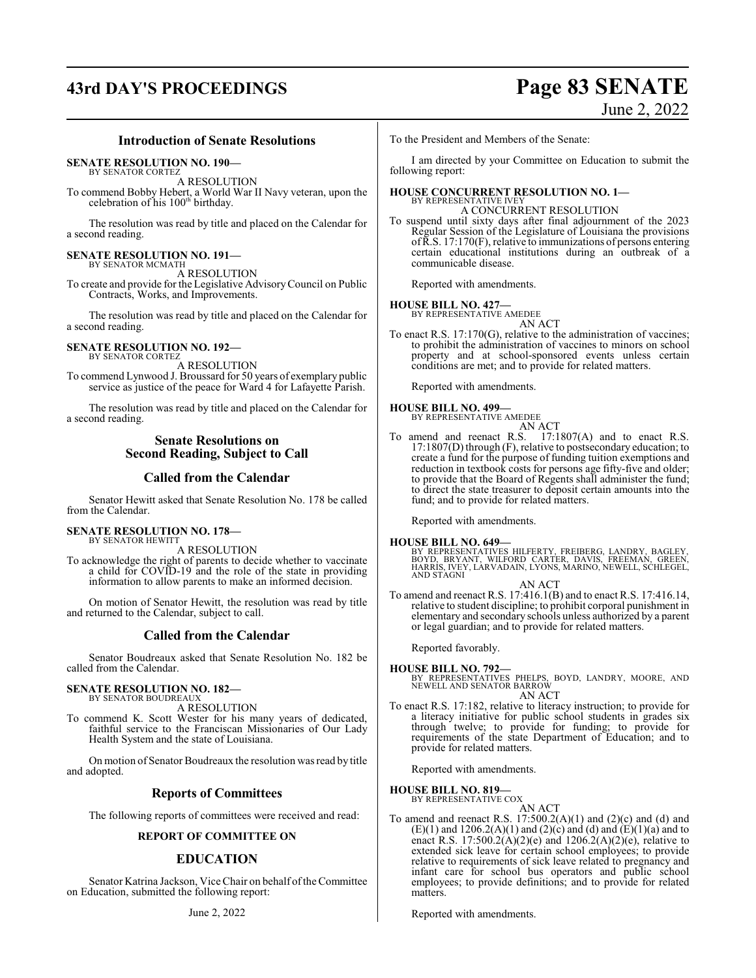## **43rd DAY'S PROCEEDINGS Page 83 SENATE**

## June 2, 2022

### **Introduction of Senate Resolutions**

**SENATE RESOLUTION NO. 190—**

BY SENATOR CORTEZ

A RESOLUTION To commend Bobby Hebert, a World War II Navy veteran, upon the celebration of his 100<sup>th</sup> birthday.

The resolution was read by title and placed on the Calendar for a second reading.

## **SENATE RESOLUTION NO. 191—** BY SENATOR MCMATH

A RESOLUTION

To create and provide for the Legislative AdvisoryCouncil on Public Contracts, Works, and Improvements.

The resolution was read by title and placed on the Calendar for a second reading.

### **SENATE RESOLUTION NO. 192—** BY SENATOR CORTEZ

A RESOLUTION To commend Lynwood J. Broussard for 50 years of exemplary public service as justice of the peace for Ward 4 for Lafayette Parish.

The resolution was read by title and placed on the Calendar for a second reading.

### **Senate Resolutions on Second Reading, Subject to Call**

### **Called from the Calendar**

Senator Hewitt asked that Senate Resolution No. 178 be called from the Calendar.

### **SENATE RESOLUTION NO. 178—** BY SENATOR HEWITT

A RESOLUTION

To acknowledge the right of parents to decide whether to vaccinate a child for COVID-19 and the role of the state in providing information to allow parents to make an informed decision.

On motion of Senator Hewitt, the resolution was read by title and returned to the Calendar, subject to call.

### **Called from the Calendar**

Senator Boudreaux asked that Senate Resolution No. 182 be called from the Calendar.

### **SENATE RESOLUTION NO. 182—** BY SENATOR BOUDREAUX

A RESOLUTION

To commend K. Scott Wester for his many years of dedicated, faithful service to the Franciscan Missionaries of Our Lady Health System and the state of Louisiana.

On motion of Senator Boudreaux the resolution was read by title and adopted.

### **Reports of Committees**

The following reports of committees were received and read:

### **REPORT OF COMMITTEE ON**

### **EDUCATION**

Senator Katrina Jackson, Vice Chair on behalf ofthe Committee on Education, submitted the following report:

To the President and Members of the Senate:

I am directed by your Committee on Education to submit the following report:

### **HOUSE CONCURRENT RESOLUTION NO. 1—** BY REPRESENTATIVE IVEY

A CONCURRENT RESOLUTION To suspend until sixty days after final adjournment of the 2023

Regular Session of the Legislature of Louisiana the provisions ofR.S. 17:170(F), relative to immunizations of persons entering certain educational institutions during an outbreak of a communicable disease.

Reported with amendments.

### **HOUSE BILL NO. 427—**

BY REPRESENTATIVE AMEDEE AN ACT

To enact R.S. 17:170(G), relative to the administration of vaccines; to prohibit the administration of vaccines to minors on school property and at school-sponsored events unless certain conditions are met; and to provide for related matters.

Reported with amendments.

### **HOUSE BILL NO. 499—**

BY REPRESENTATIVE AMEDEE AN ACT

fund; and to provide for related matters.

To amend and reenact R.S. 17:1807(A) and to enact R.S. 17:1807(D) through (F), relative to postsecondary education; to create a fund for the purpose of funding tuition exemptions and reduction in textbook costs for persons age fifty-five and older; to provide that the Board of Regents shall administer the fund; to direct the state treasurer to deposit certain amounts into the

Reported with amendments.

### **HOUSE BILL NO. 649—**

BY REPRESENTATIVES HILFERTY, FREIBERG, LANDRY, BAGLEY,<br>BOYD, BRYANT, WILFORD CARTER, DAVIS, FREEMAN, GREEN,<br>HARRIS, IVEY, LARVADAIN, LYONS, MARINO, NEWELL, SCHLEGEL,<br>AND STAGNI

AN ACT

To amend and reenact R.S. 17:416.1(B) and to enact R.S. 17:416.14, relative to student discipline; to prohibit corporal punishment in elementary and secondary schools unless authorized by a parent or legal guardian; and to provide for related matters.

Reported favorably.

### **HOUSE BILL NO. 792—**

BY REPRESENTATIVES PHELPS, BOYD, LANDRY, MOORE, AND NEWELL AND SENATOR BARROW AN ACT

To enact R.S. 17:182, relative to literacy instruction; to provide for a literacy initiative for public school students in grades six through twelve; to provide for funding; to provide for requirements of the state Department of Education; and to provide for related matters.

Reported with amendments.

## **HOUSE BILL NO. 819—** BY REPRESENTATIVE COX

AN ACT

To amend and reenact R.S.  $17:500.2(A)(1)$  and  $(2)(c)$  and  $(d)$  and  $(E)(1)$  and  $1206.2(A)(1)$  and  $(2)(c)$  and  $(d)$  and  $(E)(1)(a)$  and to enact R.S. 17:500.2(A)(2)(e) and 1206.2(A)(2)(e), relative to extended sick leave for certain school employees; to provide relative to requirements of sick leave related to pregnancy and infant care for school bus operators and public school employees; to provide definitions; and to provide for related matters.

Reported with amendments.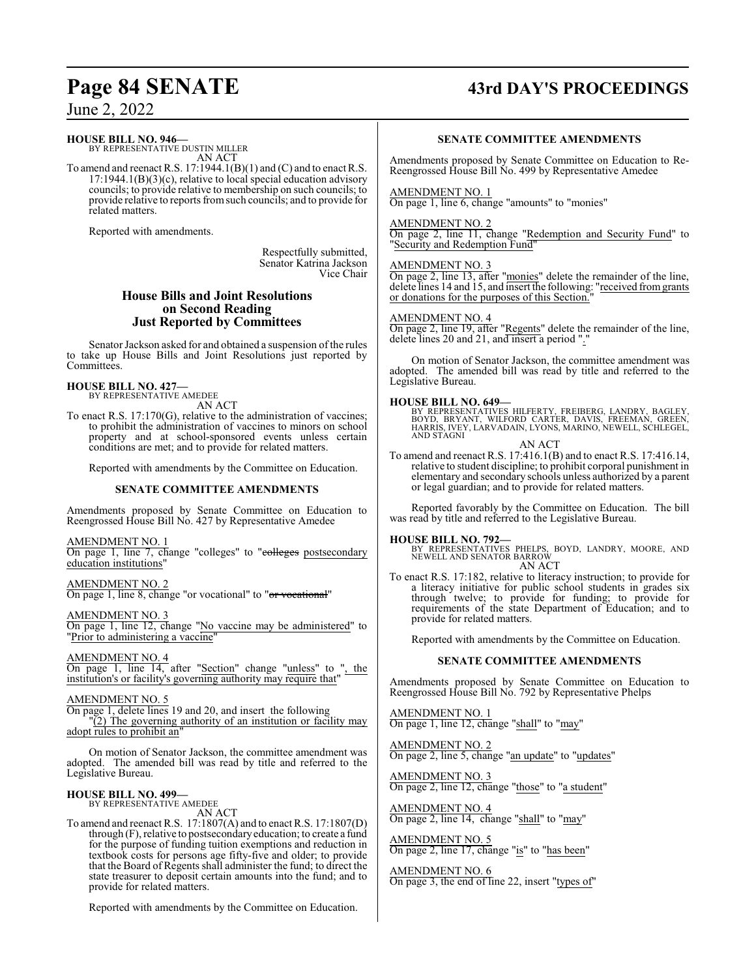## **Page 84 SENATE 43rd DAY'S PROCEEDINGS**

June 2, 2022

### **HOUSE BILL NO. 946—**

BY REPRESENTATIVE DUSTIN MILLER AN ACT

To amend and reenact R.S. 17:1944.1(B)(1) and (C) and to enact R.S. 17:1944.1(B)(3)(c), relative to local special education advisory councils; to provide relative to membership on such councils; to provide relative to reports fromsuch councils; and to provide for related matters.

Reported with amendments.

Respectfully submitted, Senator Katrina Jackson Vice Chair

### **House Bills and Joint Resolutions on Second Reading Just Reported by Committees**

Senator Jackson asked for and obtained a suspension of the rules to take up House Bills and Joint Resolutions just reported by Committees.

### **HOUSE BILL NO. 427—**

BY REPRESENTATIVE AMEDEE

AN ACT

To enact R.S. 17:170(G), relative to the administration of vaccines; to prohibit the administration of vaccines to minors on school property and at school-sponsored events unless certain conditions are met; and to provide for related matters.

Reported with amendments by the Committee on Education.

### **SENATE COMMITTEE AMENDMENTS**

Amendments proposed by Senate Committee on Education to Reengrossed House Bill No. 427 by Representative Amedee

### AMENDMENT NO. 1

On page 1, line 7, change "colleges" to "colleges postsecondary education institutions"

AMENDMENT NO. 2 On page 1, line 8, change "or vocational" to "or vocational"

AMENDMENT NO. 3 On page 1, line 12, change "No vaccine may be administered" to "Prior to administering a vaccine"

AMENDMENT NO. 4 On page 1, line 14, after "Section" change "unless" to ", the institution's or facility's governing authority may require that"

### AMENDMENT NO. 5

On page 1, delete lines 19 and 20, and insert the following "(2) The governing authority of an institution or facility may

adopt rules to prohibit an

On motion of Senator Jackson, the committee amendment was adopted. The amended bill was read by title and referred to the Legislative Bureau.

### **HOUSE BILL NO. 499—**

BY REPRESENTATIVE AMEDEE

AN ACT

To amend and reenact R.S. 17:1807(A) and to enact R.S. 17:1807(D) through (F), relative to postsecondaryeducation; to create a fund for the purpose of funding tuition exemptions and reduction in textbook costs for persons age fifty-five and older; to provide that the Board of Regents shall administer the fund; to direct the state treasurer to deposit certain amounts into the fund; and to provide for related matters.

Reported with amendments by the Committee on Education.

### **SENATE COMMITTEE AMENDMENTS**

Amendments proposed by Senate Committee on Education to Re-Reengrossed House Bill No. 499 by Representative Amedee

### AMENDMENT NO. 1

On page 1, line 6, change "amounts" to "monies"

### AMENDMENT NO. 2

On page 2, line 11, change "Redemption and Security Fund" to "Security and Redemption Fund"

### AMENDMENT NO. 3

On page 2, line 13, after "monies" delete the remainder of the line, delete lines 14 and 15, and insert the following: "received from grants or donations for the purposes of this Section.

### AMENDMENT NO. 4

On page 2, line 19, after "Regents" delete the remainder of the line, delete lines 20 and 21, and insert a period "."

On motion of Senator Jackson, the committee amendment was adopted. The amended bill was read by title and referred to the Legislative Bureau.

### **HOUSE BILL NO. 649—**

BY REPRESENTATIVES HILFERTY, FREIBERG, LANDRY, BAGLEY,<br>BOYD, BRYANT, WILFORD CARTER, DAVIS, FREEMAN, GREER,<br>HARRIS, IVEY, LARVADAIN, LYONS, MARINO, NEWELL, SCHLEGEL, AND STAGNI

AN ACT

To amend and reenact R.S. 17:416.1(B) and to enact R.S. 17:416.14, relative to student discipline; to prohibit corporal punishment in elementary and secondary schools unless authorized by a parent or legal guardian; and to provide for related matters.

Reported favorably by the Committee on Education. The bill was read by title and referred to the Legislative Bureau.

**HOUSE BILL NO. 792—** BY REPRESENTATIVES PHELPS, BOYD, LANDRY, MOORE, AND NEWELL AND SENATOR BARROW AN ACT

To enact R.S. 17:182, relative to literacy instruction; to provide for a literacy initiative for public school students in grades six through twelve; to provide for funding; to provide for requirements of the state Department of Education; and to provide for related matters.

Reported with amendments by the Committee on Education.

### **SENATE COMMITTEE AMENDMENTS**

Amendments proposed by Senate Committee on Education to Reengrossed House Bill No. 792 by Representative Phelps

AMENDMENT NO. 1 On page 1, line 12, change "shall" to "may"

AMENDMENT NO. 2 On page 2, line 5, change "an update" to "updates"

AMENDMENT NO. 3 On page 2, line 12, change "those" to "a student"

AMENDMENT NO. 4 On page 2, line 14, change "shall" to "may"

AMENDMENT NO. 5 On page 2, line 17, change "is" to "has been"

AMENDMENT NO. 6 On page 3, the end of line 22, insert "types of"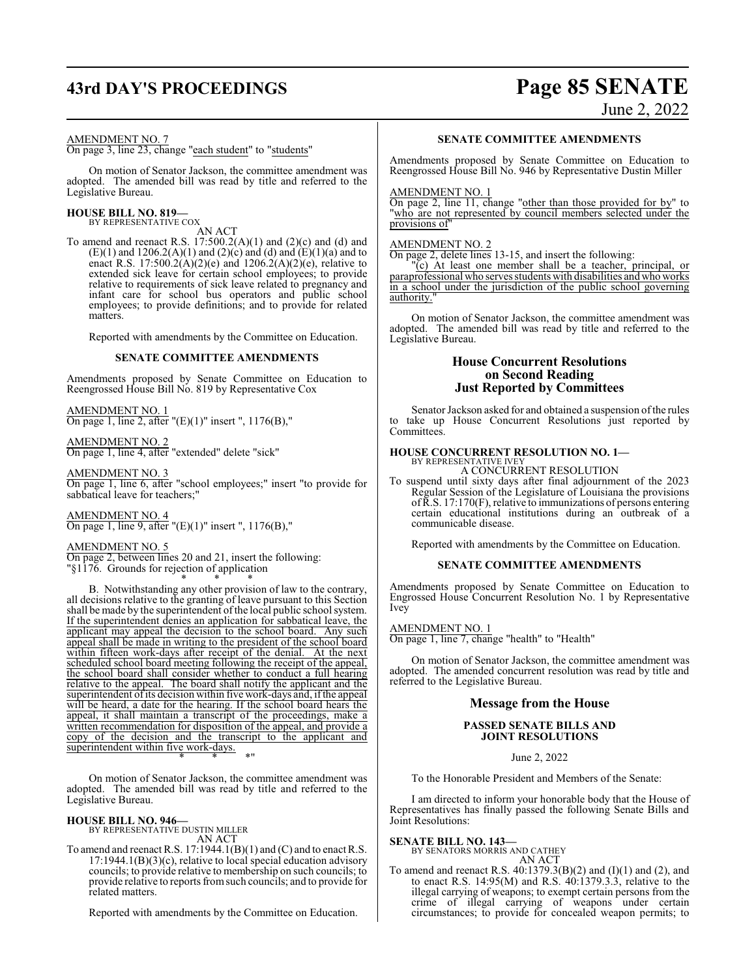# **43rd DAY'S PROCEEDINGS Page 85 SENATE**

June 2, 2022

### AMENDMENT NO. 7

On page 3, line 23, change "each student" to "students"

On motion of Senator Jackson, the committee amendment was adopted. The amended bill was read by title and referred to the Legislative Bureau.

## **HOUSE BILL NO. 819—** BY REPRESENTATIVE COX

AN ACT

To amend and reenact R.S.  $17:500.2(A)(1)$  and  $(2)(c)$  and  $(d)$  and (E)(1) and 1206.2(A)(1) and (2)(c) and (d) and (E)(1)(a) and to enact R.S. 17:500.2( $\hat{A}$ )(2)(e) and 1206.2( $A$ )(2)(e), relative to extended sick leave for certain school employees; to provide relative to requirements of sick leave related to pregnancy and infant care for school bus operators and public school employees; to provide definitions; and to provide for related matters.

Reported with amendments by the Committee on Education.

### **SENATE COMMITTEE AMENDMENTS**

Amendments proposed by Senate Committee on Education to Reengrossed House Bill No. 819 by Representative Cox

AMENDMENT NO. 1 On page 1, line 2, after " $(E)(1)$ " insert ", 1176 $(B)$ ,"

AMENDMENT NO. 2 On page 1, line 4, after "extended" delete "sick"

AMENDMENT NO. 3 On page 1, line 6, after "school employees;" insert "to provide for sabbatical leave for teachers;

AMENDMENT NO. 4 On page 1, line 9, after "(E)(1)" insert ", 1176(B),"

### AMENDMENT NO. 5

On page 2, between lines 20 and 21, insert the following: "§1176. Grounds for rejection of application

\* \* \* B. Notwithstanding any other provision of law to the contrary, all decisions relative to the granting of leave pursuant to this Section shall be made by the superintendent of the local public school system. If the superintendent denies an application for sabbatical leave, the applicant may appeal the decision to the school board. Any such applicant may appeal the decision to the school board. appeal shall be made in writing to the president of the school board within fifteen work-days after receipt of the denial. At the next scheduled school board meeting following the receipt of the appeal, the school board shall consider whether to conduct a full hearing relative to the appeal. The board shall notify the applicant and the superintendent of its decision within five work-days and, if the appeal will be heard, a date for the hearing. If the school board hears the appeal, it shall maintain a transcript of the proceedings, make a written recommendation for disposition of the appeal, and provide a copy of the decision and the transcript to the applicant and superintendent within five work-days. \* \* \*"

On motion of Senator Jackson, the committee amendment was adopted. The amended bill was read by title and referred to the Legislative Bureau.

**HOUSE BILL NO. 946—** BY REPRESENTATIVE DUSTIN MILLER AN ACT

To amend and reenact R.S. 17:1944.1(B)(1) and (C) and to enact R.S.  $17:1944.1(B)(3)(c)$ , relative to local special education advisory councils; to provide relative to membership on such councils; to provide relative to reports fromsuch councils; and to provide for related matters.

Reported with amendments by the Committee on Education.

### **SENATE COMMITTEE AMENDMENTS**

Amendments proposed by Senate Committee on Education to Reengrossed House Bill No. 946 by Representative Dustin Miller

### AMENDMENT NO. 1

On page 2, line 11, change "other than those provided for by" to "who are not represented by council members selected under the provisions of"

### AMENDMENT NO. 2

On page 2, delete lines 13-15, and insert the following:

"(c) At least one member shall be a teacher, principal, or paraprofessional who serves students with disabilities and who works in a school under the jurisdiction of the public school governing authority."

On motion of Senator Jackson, the committee amendment was adopted. The amended bill was read by title and referred to the Legislative Bureau.

### **House Concurrent Resolutions on Second Reading Just Reported by Committees**

Senator Jackson asked for and obtained a suspension of the rules to take up House Concurrent Resolutions just reported by Committees.

## **HOUSE CONCURRENT RESOLUTION NO. 1—** BY REPRESENTATIVE IVEY

A CONCURRENT RESOLUTION

To suspend until sixty days after final adjournment of the 2023 Regular Session of the Legislature of Louisiana the provisions ofR.S. 17:170(F), relative to immunizations of persons entering certain educational institutions during an outbreak of a communicable disease.

Reported with amendments by the Committee on Education.

### **SENATE COMMITTEE AMENDMENTS**

Amendments proposed by Senate Committee on Education to Engrossed House Concurrent Resolution No. 1 by Representative Ivey

### AMENDMENT NO. 1

On page 1, line 7, change "health" to "Health"

On motion of Senator Jackson, the committee amendment was adopted. The amended concurrent resolution was read by title and referred to the Legislative Bureau.

### **Message from the House**

### **PASSED SENATE BILLS AND JOINT RESOLUTIONS**

June 2, 2022

To the Honorable President and Members of the Senate:

I am directed to inform your honorable body that the House of Representatives has finally passed the following Senate Bills and Joint Resolutions:

**SENATE BILL NO. 143—**<br>BY SENATORS MORRIS AND CATHEY AN ACT

To amend and reenact R.S. 40:1379.3(B)(2) and (I)(1) and (2), and to enact R.S. 14:95(M) and R.S. 40:1379.3.3, relative to the illegal carrying of weapons; to exempt certain persons from the crime of illegal carrying of weapons under certain circumstances; to provide for concealed weapon permits; to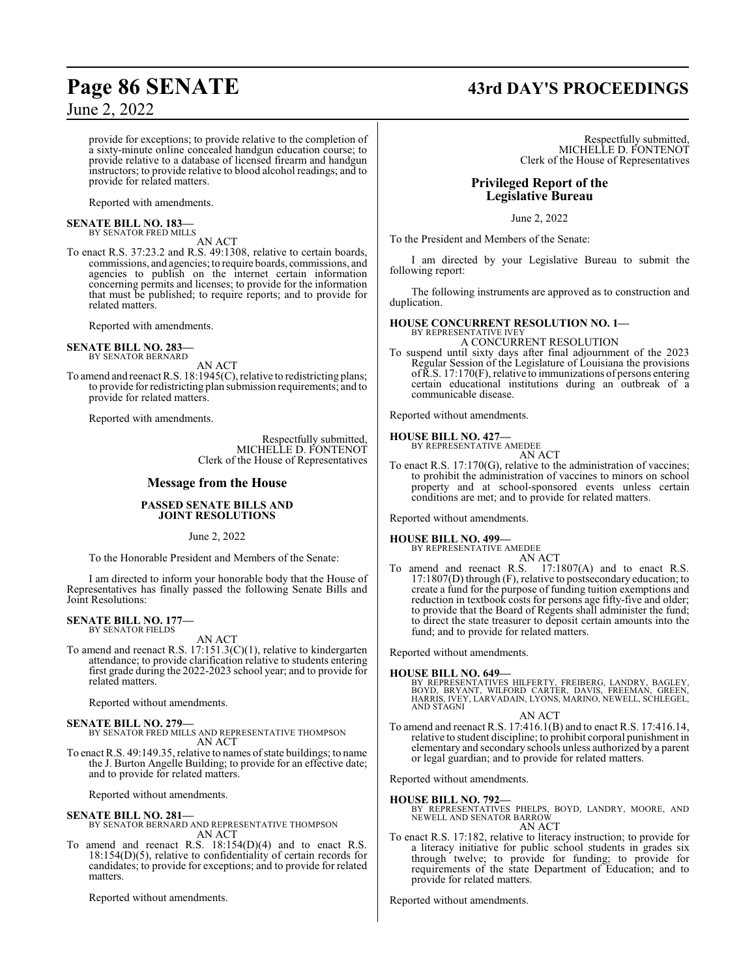**Page 86 SENATE 43rd DAY'S PROCEEDINGS**

provide for exceptions; to provide relative to the completion of a sixty-minute online concealed handgun education course; to provide relative to a database of licensed firearm and handgun instructors; to provide relative to blood alcohol readings; and to provide for related matters.

Reported with amendments.

## **SENATE BILL NO. 183—** BY SENATOR FRED MILLS

AN ACT

To enact R.S. 37:23.2 and R.S. 49:1308, relative to certain boards, commissions, and agencies; to require boards, commissions, and agencies to publish on the internet certain information concerning permits and licenses; to provide for the information that must be published; to require reports; and to provide for related matters.

Reported with amendments.

### **SENATE BILL NO. 283—** BY SENATOR BERNARD

AN ACT

To amend and reenact R.S. 18:1945(C), relative to redistricting plans; to provide for redistricting plan submission requirements; and to provide for related matters.

Reported with amendments.

Respectfully submitted, MICHELLE D. FONTENOT Clerk of the House of Representatives

### **Message from the House**

### **PASSED SENATE BILLS AND JOINT RESOLUTIONS**

June 2, 2022

To the Honorable President and Members of the Senate:

I am directed to inform your honorable body that the House of Representatives has finally passed the following Senate Bills and Joint Resolutions:

### **SENATE BILL NO. 177—** BY SENATOR FIELDS

AN ACT

To amend and reenact R.S. 17:151.3(C)(1), relative to kindergarten attendance; to provide clarification relative to students entering first grade during the 2022-2023 school year; and to provide for related matters.

Reported without amendments.

### **SENATE BILL NO. 279—**

BY SENATOR FRED MILLS AND REPRESENTATIVE THOMPSON AN ACT

To enact R.S. 49:149.35, relative to names of state buildings; to name the J. Burton Angelle Building; to provide for an effective date; and to provide for related matters.

Reported without amendments.

**SENATE BILL NO. 281—** BY SENATOR BERNARD AND REPRESENTATIVE THOMPSON AN ACT

To amend and reenact R.S. 18:154(D)(4) and to enact R.S. 18:154(D)(5), relative to confidentiality of certain records for candidates; to provide for exceptions; and to provide for related matters.

Reported without amendments.

Respectfully submitted, MICHELLE D. FONTENOT Clerk of the House of Representatives

### **Privileged Report of the Legislative Bureau**

June 2, 2022

To the President and Members of the Senate:

I am directed by your Legislative Bureau to submit the following report:

The following instruments are approved as to construction and duplication.

## **HOUSE CONCURRENT RESOLUTION NO. 1—** BY REPRESENTATIVE IVEY

A CONCURRENT RESOLUTION

To suspend until sixty days after final adjournment of the 2023 Regular Session of the Legislature of Louisiana the provisions ofR.S. 17:170(F), relative to immunizations of persons entering certain educational institutions during an outbreak of a communicable disease.

Reported without amendments.

### **HOUSE BILL NO. 427—**

BY REPRESENTATIVE AMEDEE AN ACT

To enact R.S. 17:170(G), relative to the administration of vaccines; to prohibit the administration of vaccines to minors on school property and at school-sponsored events unless certain conditions are met; and to provide for related matters.

Reported without amendments.

### **HOUSE BILL NO. 499—**

BY REPRESENTATIVE AMEDEE AN ACT

To amend and reenact R.S. 17:1807(A) and to enact R.S. 17:1807(D) through (F), relative to postsecondary education; to create a fund for the purpose of funding tuition exemptions and reduction in textbook costs for persons age fifty-five and older; to provide that the Board of Regents shall administer the fund; to direct the state treasurer to deposit certain amounts into the fund; and to provide for related matters.

Reported without amendments.

### **HOUSE BILL NO. 649—**

BY REPRESENTATIVES HILFERTY, FREIBERG, LANDRY, BAGLEY,<br>BOYD, BRYANT, WILFORD CARTER, DAVIS, FREEMAN, GREEN,<br>HARRIS, IVEY, LARVADAIN, LYONS, MARINO, NEWELL, SCHLEGEL, AND STAGNI

AN ACT

To amend and reenact R.S. 17:416.1(B) and to enact R.S. 17:416.14, relative to student discipline; to prohibit corporal punishment in elementary and secondary schools unless authorized by a parent or legal guardian; and to provide for related matters.

Reported without amendments.

**HOUSE BILL NO. 792—** BY REPRESENTATIVES PHELPS, BOYD, LANDRY, MOORE, AND NEWELL AND SENATOR BARROW AN ACT

To enact R.S. 17:182, relative to literacy instruction; to provide for a literacy initiative for public school students in grades six through twelve; to provide for funding; to provide for requirements of the state Department of Education; and to provide for related matters.

Reported without amendments.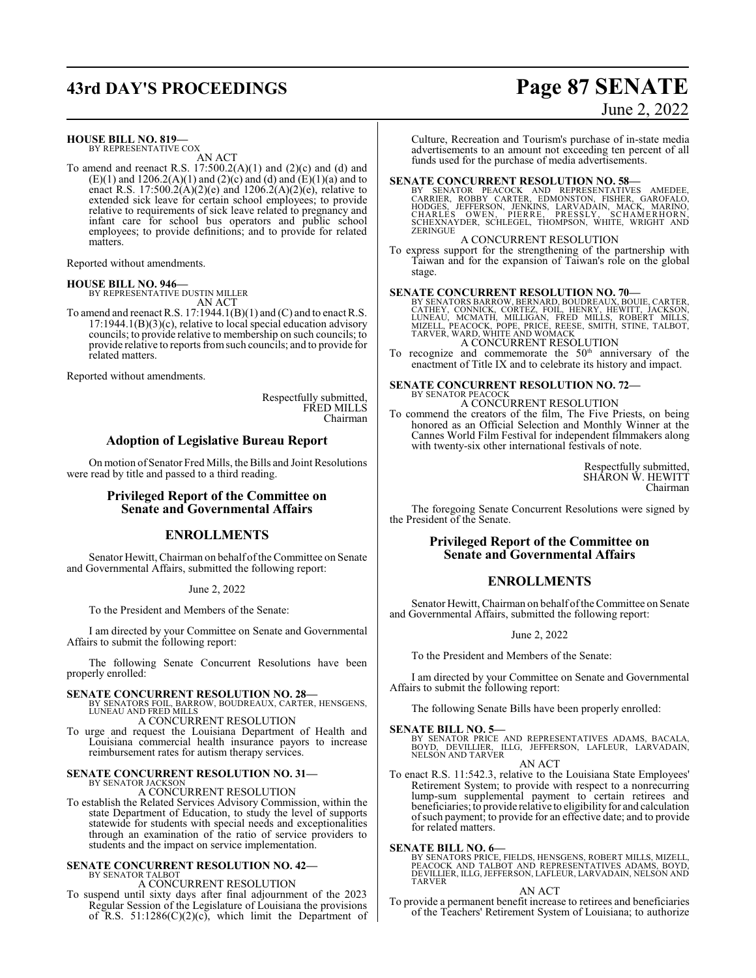## **43rd DAY'S PROCEEDINGS Page 87 SENATE**

# June 2, 2022

**HOUSE BILL NO. 819—**

BY REPRESENTATIVE COX AN ACT

To amend and reenact R.S.  $17:500.2(A)(1)$  and  $(2)(c)$  and  $(d)$  and  $(E)(1)$  and  $1206.2(A)(1)$  and  $(2)(c)$  and  $(d)$  and  $(E)(1)(a)$  and to enact R.S. 17:500.2( $\angle$ )(2)(e) and 1206.2(A)(2)(e), relative to extended sick leave for certain school employees; to provide relative to requirements of sick leave related to pregnancy and infant care for school bus operators and public school employees; to provide definitions; and to provide for related matters.

Reported without amendments.

**HOUSE BILL NO. 946—**

BY REPRESENTATIVE DUSTIN MILLER AN ACT

To amend and reenact R.S. 17:1944.1(B)(1) and (C) and to enact R.S. 17:1944.1(B)(3)(c), relative to local special education advisory councils; to provide relative to membership on such councils; to provide relative to reports fromsuch councils; and to provide for related matters.

Reported without amendments.

Respectfully submitted, FRED MILLS Chairman

### **Adoption of Legislative Bureau Report**

On motion of Senator Fred Mills, the Bills and Joint Resolutions were read by title and passed to a third reading.

### **Privileged Report of the Committee on Senate and Governmental Affairs**

### **ENROLLMENTS**

Senator Hewitt, Chairman on behalf of the Committee on Senate and Governmental Affairs, submitted the following report:

June 2, 2022

To the President and Members of the Senate:

I am directed by your Committee on Senate and Governmental Affairs to submit the following report:

The following Senate Concurrent Resolutions have been properly enrolled:

### **SENATE CONCURRENT RESOLUTION NO. 28—**

BY SENATORS FOIL, BARROW, BOUDREAUX, CARTER, HENSGENS, LUNEAU AND FRED MILLS A CONCURRENT RESOLUTION

To urge and request the Louisiana Department of Health and Louisiana commercial health insurance payors to increase

## reimbursement rates for autism therapy services. **SENATE CONCURRENT RESOLUTION NO. 31—** BY SENATOR JACKSON

A CONCURRENT RESOLUTION

To establish the Related Services Advisory Commission, within the state Department of Education, to study the level of supports statewide for students with special needs and exceptionalities through an examination of the ratio of service providers to students and the impact on service implementation.

### **SENATE CONCURRENT RESOLUTION NO. 42—** BY SENATOR TALBOT

A CONCURRENT RESOLUTION

To suspend until sixty days after final adjournment of the 2023 Regular Session of the Legislature of Louisiana the provisions of R.S.  $51:1286(C)(2)(c)$ , which limit the Department of Culture, Recreation and Tourism's purchase of in-state media advertisements to an amount not exceeding ten percent of all funds used for the purchase of media advertisements.

### **SENATE CONCURRENT RESOLUTION NO. 58—**

BY SENATOR PEACOCK AND REPRESENTATIVES AMEDEE,<br>CARRIER, ROBBY CARTER, EDMONSTON, FISHER, GAROFALO,<br>HODGES, JEFFERSON, JENKINS, LARVADÁIN, MACK, MARINO,<br>CHARLES OWEN, PIERRE, PRESSLY, SCHAMERHORN,<br>SCHEXNAYDER, SCHLEGEL, THO **ZERINGUE** 

A CONCURRENT RESOLUTION To express support for the strengthening of the partnership with Taiwan and for the expansion of Taiwan's role on the global stage.

### **SENATE CONCURRENT RESOLUTION NO. 70—**

BY SENATORS BARROW, BERNARD, BOUDREAUX, BOUIE, CARTER,<br>CATHEY, CONNICK, CORTEZ, FOIL, HENRY, HEWITT, JACKSON,<br>LUNEAU, MCMATH, MILLIGAN, FRED MILLS, ROBERT MILLS,<br>MIZELL, PEACOCK, POPE, PRICE, REESE, SMITH, STINE, TALBOT,<br>T

To recognize and commemorate the  $50<sup>th</sup>$  anniversary of the enactment of Title IX and to celebrate its history and impact.

## **SENATE CONCURRENT RESOLUTION NO. 72—** BY SENATOR PEACOCK

A CONCURRENT RESOLUTION

To commend the creators of the film, The Five Priests, on being honored as an Official Selection and Monthly Winner at the Cannes World Film Festival for independent filmmakers along with twenty-six other international festivals of note.

> Respectfully submitted, SHARON W. HEWITT Chairman

The foregoing Senate Concurrent Resolutions were signed by the President of the Senate.

### **Privileged Report of the Committee on Senate and Governmental Affairs**

### **ENROLLMENTS**

Senator Hewitt, Chairman on behalf of the Committee on Senate and Governmental Affairs, submitted the following report:

June 2, 2022

To the President and Members of the Senate:

I am directed by your Committee on Senate and Governmental Affairs to submit the following report:

The following Senate Bills have been properly enrolled:

### **SENATE BILL NO. 5—**

BY SENATOR PRICE AND REPRESENTATIVES ADAMS, BACALA,<br>BOYD, DEVILLIER, ILLG, JEFFERSON, LAFLEUR, LARVADAIN,<br>NELSON ANDTARVER AN ACT

To enact R.S. 11:542.3, relative to the Louisiana State Employees' Retirement System; to provide with respect to a nonrecurring lump-sum supplemental payment to certain retirees and beneficiaries; to provide relative to eligibility for and calculation ofsuch payment; to provide for an effective date; and to provide for related matters.

**SENATE BILL NO. 6—** BY SENATORS PRICE, FIELDS, HENSGENS, ROBERT MILLS, MIZELL, PEACOCK AND TALBOT AND REPRESENTATIVES ADAMS, BOYD, DEVILLIER, ILLG, JEFFERSON, LAFLEUR, LARVADAIN, NELSON AND TARVER

### AN ACT

To provide a permanent benefit increase to retirees and beneficiaries of the Teachers' Retirement System of Louisiana; to authorize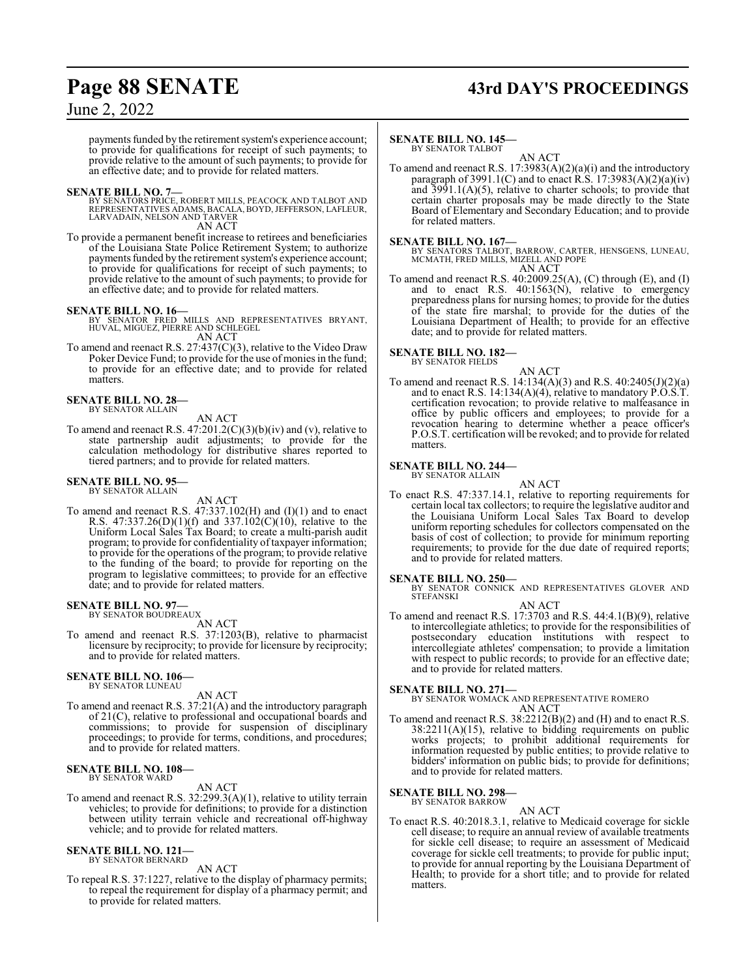## **Page 88 SENATE 43rd DAY'S PROCEEDINGS**

### June 2, 2022

payments funded by the retirement system's experience account; to provide for qualifications for receipt of such payments; to provide relative to the amount of such payments; to provide for an effective date; and to provide for related matters.

### **SENATE BILL NO. 7—**

BY SENATORS PRICE, ROBERT MILLS, PEACOCK AND TALBOT AND<br>REPRESENTATIVES ADAMS, BACALA, BOYD, JEFFERSON, LAFLEUR,<br>LARVADAIN, NELSON AND TARVER AN ACT

To provide a permanent benefit increase to retirees and beneficiaries of the Louisiana State Police Retirement System; to authorize payments funded by the retirement system's experience account; to provide for qualifications for receipt of such payments; to provide relative to the amount of such payments; to provide for an effective date; and to provide for related matters.

**SENATE BILL NO. 16—** BY SENATOR FRED MILLS AND REPRESENTATIVES BRYANT, HUVAL, MIGUEZ, PIERRE AND SCHLEGEL AN ACT

To amend and reenact R.S. 27:437(C)(3), relative to the Video Draw Poker Device Fund; to provide for the use of monies in the fund; to provide for an effective date; and to provide for related matters.

### **SENATE BILL NO. 28—**

BY SENATOR ALLAIN

AN ACT

To amend and reenact R.S.  $47:201.2(C)(3)(b)(iv)$  and (v), relative to state partnership audit adjustments; to provide for the calculation methodology for distributive shares reported to tiered partners; and to provide for related matters.

### **SENATE BILL NO. 95—** BY SENATOR ALLAIN

AN ACT

To amend and reenact R.S. 47:337.102(H) and (I)(1) and to enact R.S.  $47:337.26(D)(1)(f)$  and  $337.102(C)(10)$ , relative to the Uniform Local Sales Tax Board; to create a multi-parish audit program; to provide for confidentiality of taxpayer information; to provide for the operations of the program; to provide relative to the funding of the board; to provide for reporting on the program to legislative committees; to provide for an effective date; and to provide for related matters.

### **SENATE BILL NO. 97—** BY SENATOR BOUDREAUX

AN ACT

To amend and reenact R.S. 37:1203(B), relative to pharmacist licensure by reciprocity; to provide for licensure by reciprocity; and to provide for related matters.

### **SENATE BILL NO. 106—** BY SENATOR LUNEAU

AN ACT

To amend and reenact R.S. 37:21(A) and the introductory paragraph of 21(C), relative to professional and occupational boards and commissions; to provide for suspension of disciplinary proceedings; to provide for terms, conditions, and procedures; and to provide for related matters.

### **SENATE BILL NO. 108—** BY SENATOR WARD

### AN ACT

To amend and reenact R.S. 32:299.3(A)(1), relative to utility terrain vehicles; to provide for definitions; to provide for a distinction between utility terrain vehicle and recreational off-highway vehicle; and to provide for related matters.

### **SENATE BILL NO. 121—**

BY SENATOR BERNARD AN ACT

To repeal R.S. 37:1227, relative to the display of pharmacy permits; to repeal the requirement for display of a pharmacy permit; and to provide for related matters.

### **SENATE BILL NO. 145—**

BY SENATOR TALBOT AN ACT

To amend and reenact R.S. 17:3983(A)(2)(a)(i) and the introductory paragraph of 3991.1(C) and to enact  $R.S.$  17:3983(A)(2)(a)(iv) and 3991.1(A)(5), relative to charter schools; to provide that certain charter proposals may be made directly to the State Board of Elementary and Secondary Education; and to provide for related matters.

**SENATE BILL NO. 167—** BY SENATORS TALBOT, BARROW, CARTER, HENSGENS, LUNEAU, MCMATH, FRED MILLS, MIZELL AND POPE AN ACT

To amend and reenact R.S. 40:2009.25(A), (C) through (E), and (I) and to enact R.S. 40:1563(N), relative to emergency preparedness plans for nursing homes; to provide for the duties of the state fire marshal; to provide for the duties of the Louisiana Department of Health; to provide for an effective date; and to provide for related matters.

## **SENATE BILL NO. 182—** BY SENATOR FIELDS

- AN ACT
- To amend and reenact R.S. 14:134(A)(3) and R.S. 40:2405(J)(2)(a) and to enact R.S. 14:134(A)(4), relative to mandatory  $\angle P.O.S.T$ . certification revocation; to provide relative to malfeasance in office by public officers and employees; to provide for a revocation hearing to determine whether a peace officer's P.O.S.T. certification will be revoked; and to provide for related matters.

### **SENATE BILL NO. 244—** BY SENATOR ALLAIN

AN ACT

To enact R.S. 47:337.14.1, relative to reporting requirements for certain local tax collectors; to require the legislative auditor and the Louisiana Uniform Local Sales Tax Board to develop uniform reporting schedules for collectors compensated on the basis of cost of collection; to provide for minimum reporting requirements; to provide for the due date of required reports; and to provide for related matters.

**SENATE BILL NO. 250—**<br>BY SENATOR CONNICK AND REPRESENTATIVES GLOVER AND STEFANSKI AN ACT

To amend and reenact R.S. 17:3703 and R.S. 44:4.1(B)(9), relative to intercollegiate athletics; to provide for the responsibilities of postsecondary education institutions with respect to education institutions with respect to intercollegiate athletes' compensation; to provide a limitation with respect to public records; to provide for an effective date; and to provide for related matters.

### **SENATE BILL NO. 271—**

BY SENATOR WOMACK AND REPRESENTATIVE ROMERO AN ACT

To amend and reenact R.S. 38:2212(B)(2) and (H) and to enact R.S. 38:2211(A)(15), relative to bidding requirements on public works projects; to prohibit additional requirements for information requested by public entities; to provide relative to bidders' information on public bids; to provide for definitions; and to provide for related matters.

### **SENATE BILL NO. 298—**

BY SENATOR BARROW

AN ACT To enact R.S. 40:2018.3.1, relative to Medicaid coverage for sickle cell disease; to require an annual review of available treatments for sickle cell disease; to require an assessment of Medicaid coverage for sickle cell treatments; to provide for public input; to provide for annual reporting by the Louisiana Department of Health; to provide for a short title; and to provide for related matters.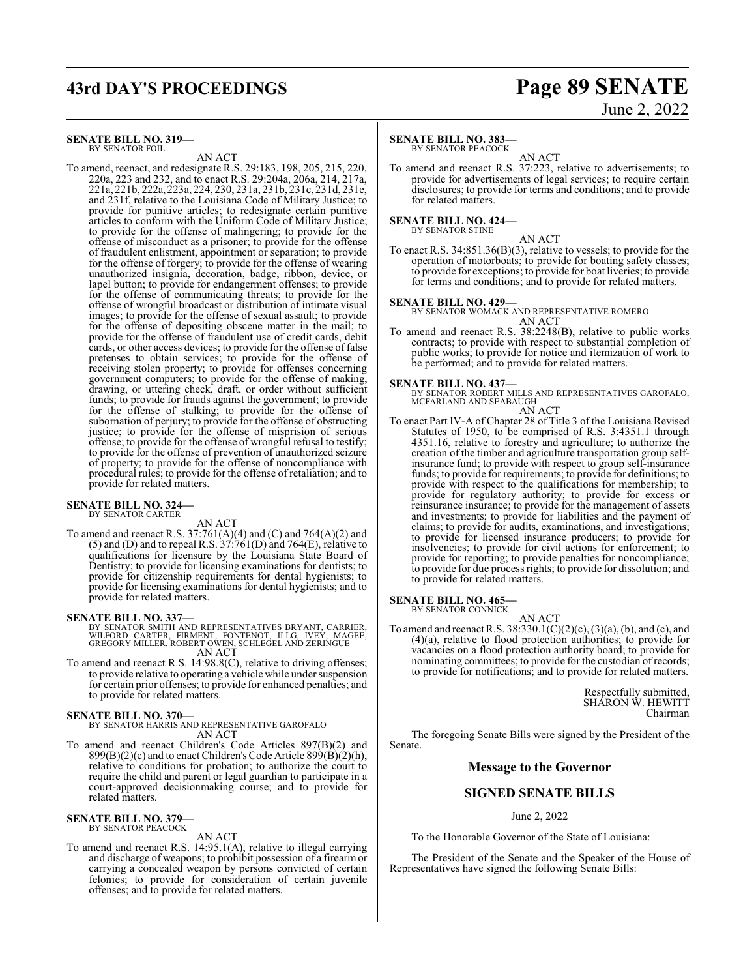## **43rd DAY'S PROCEEDINGS Page 89 SENATE**

### **SENATE BILL NO. 319—**

BY SENATOR FOIL

AN ACT To amend, reenact, and redesignate R.S. 29:183, 198, 205, 215, 220, 220a, 223 and 232, and to enact R.S. 29:204a, 206a, 214, 217a, 221a, 221b, 222a, 223a, 224, 230, 231a, 231b, 231c, 231d, 231e, and 231f, relative to the Louisiana Code of Military Justice; to provide for punitive articles; to redesignate certain punitive articles to conform with the Uniform Code of Military Justice; to provide for the offense of malingering; to provide for the offense of misconduct as a prisoner; to provide for the offense of fraudulent enlistment, appointment or separation; to provide for the offense of forgery; to provide for the offense of wearing unauthorized insignia, decoration, badge, ribbon, device, or lapel button; to provide for endangerment offenses; to provide for the offense of communicating threats; to provide for the offense of wrongful broadcast or distribution of intimate visual images; to provide for the offense of sexual assault; to provide for the offense of depositing obscene matter in the mail; to provide for the offense of fraudulent use of credit cards, debit cards, or other access devices; to provide for the offense of false pretenses to obtain services; to provide for the offense of receiving stolen property; to provide for offenses concerning government computers; to provide for the offense of making, drawing, or uttering check, draft, or order without sufficient funds; to provide for frauds against the government; to provide for the offense of stalking; to provide for the offense of subornation of perjury; to provide for the offense of obstructing justice; to provide for the offense of misprision of serious offense; to provide for the offense of wrongful refusal to testify; to provide for the offense of prevention of unauthorized seizure of property; to provide for the offense of noncompliance with procedural rules; to provide for the offense of retaliation; and to provide for related matters.

### **SENATE BILL NO. 324—** BY SENATOR CARTER

AN ACT

To amend and reenact R.S. 37:761(A)(4) and (C) and 764(A)(2) and  $(5)$  and  $(D)$  and to repeal R.S.  $37:761(D)$  and  $764(E)$ , relative to qualifications for licensure by the Louisiana State Board of Dentistry; to provide for licensing examinations for dentists; to provide for citizenship requirements for dental hygienists; to provide for licensing examinations for dental hygienists; and to provide for related matters.

### **SENATE BILL NO. 337—**

BY SENATOR SMITH AND REPRESENTATIVES BRYANT, CARRIER, WILFORD CARTER, FIRMENT, FONTENOT, ILLG, IVEY, MAGEE, GREGORY MILLER, ROBERT OWEN, SCHLEGEL AND ZERINGUE AN ACT

To amend and reenact R.S. 14:98.8(C), relative to driving offenses; to provide relative to operating a vehicle while under suspension for certain prior offenses; to provide for enhanced penalties; and to provide for related matters.

### **SENATE BILL NO. 370—**

BY SENATOR HARRIS AND REPRESENTATIVE GAROFALO AN ACT

To amend and reenact Children's Code Articles 897(B)(2) and  $899(B)(2)(c)$  and to enact Children's Code Article  $899(B)(2)(h)$ , relative to conditions for probation; to authorize the court to require the child and parent or legal guardian to participate in a court-approved decisionmaking course; and to provide for related matters.

### **SENATE BILL NO. 379—** BY SENATOR PEACOCK

AN ACT

To amend and reenact R.S. 14:95.1(A), relative to illegal carrying and discharge of weapons; to prohibit possession of a firearm or carrying a concealed weapon by persons convicted of certain felonies; to provide for consideration of certain juvenile offenses; and to provide for related matters.

## June 2, 2022

### **SENATE BILL NO. 383—**

BY SENATOR PEACOCK

AN ACT To amend and reenact R.S. 37:223, relative to advertisements; to provide for advertisements of legal services; to require certain disclosures; to provide for terms and conditions; and to provide for related matters.

### **SENATE BILL NO. 424—**

BY SENATOR STINE

AN ACT To enact R.S. 34:851.36(B)(3), relative to vessels; to provide for the operation of motorboats; to provide for boating safety classes; to provide for exceptions; to provide for boat liveries; to provide for terms and conditions; and to provide for related matters.

### **SENATE BILL NO. 429—**

BY SENATOR WOMACK AND REPRESENTATIVE ROMERO AN ACT

To amend and reenact R.S. 38:2248(B), relative to public works contracts; to provide with respect to substantial completion of public works; to provide for notice and itemization of work to be performed; and to provide for related matters.

### **SENATE BILL NO. 437—**

BY SENATOR ROBERT MILLS AND REPRESENTATIVES GAROFALO, MCFARLAND AND SEABAUGH

AN ACT

To enact Part IV-A of Chapter 28 of Title 3 of the Louisiana Revised Statutes of 1950, to be comprised of R.S. 3:4351.1 through 4351.16, relative to forestry and agriculture; to authorize the creation of the timber and agriculture transportation group selfinsurance fund; to provide with respect to group self-insurance funds; to provide for requirements; to provide for definitions; to provide with respect to the qualifications for membership; to provide for regulatory authority; to provide for excess or reinsurance insurance; to provide for the management of assets and investments; to provide for liabilities and the payment of claims; to provide for audits, examinations, and investigations; to provide for licensed insurance producers; to provide for insolvencies; to provide for civil actions for enforcement; to provide for reporting; to provide penalties for noncompliance; to provide for due process rights; to provide for dissolution; and to provide for related matters.

### **SENATE BILL NO. 465—** BY SENATOR CONNICK

AN ACT

To amend and reenact R.S. 38:330.1(C)(2)(c), (3)(a), (b), and (c), and (4)(a), relative to flood protection authorities; to provide for vacancies on a flood protection authority board; to provide for nominating committees; to provide for the custodian of records; to provide for notifications; and to provide for related matters.

> Respectfully submitted, SHARON W. HEWITT Chairman

The foregoing Senate Bills were signed by the President of the Senate.

### **Message to the Governor**

### **SIGNED SENATE BILLS**

### June 2, 2022

To the Honorable Governor of the State of Louisiana:

The President of the Senate and the Speaker of the House of Representatives have signed the following Senate Bills: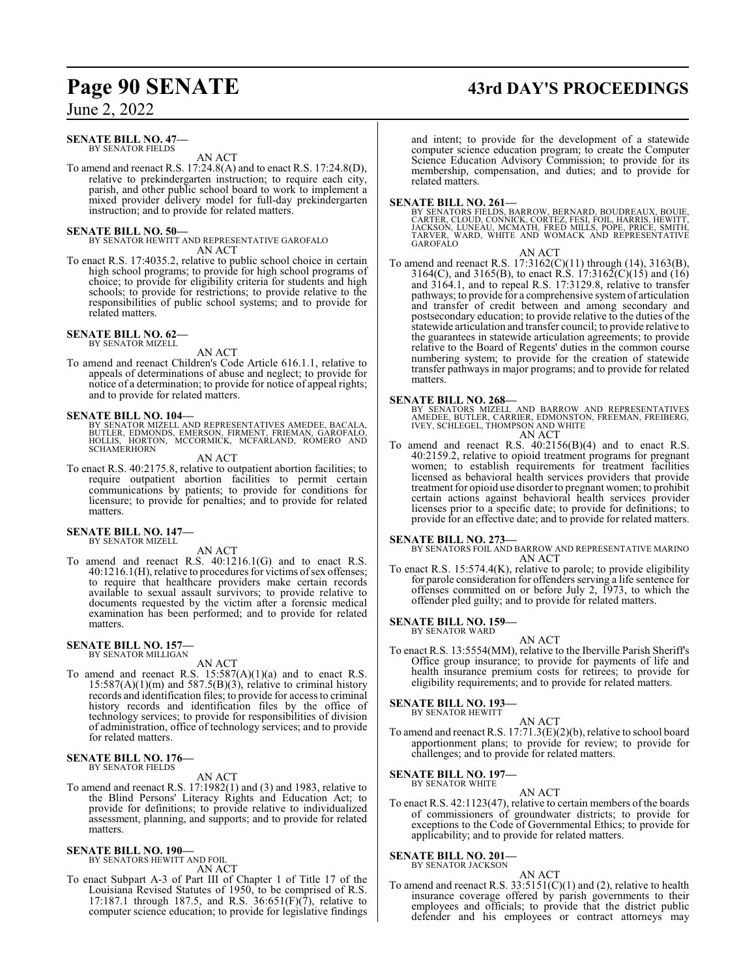## **Page 90 SENATE 43rd DAY'S PROCEEDINGS**

June 2, 2022

### **SENATE BILL NO. 47—** BY SENATOR FIELDS

AN ACT

To amend and reenact R.S. 17:24.8(A) and to enact R.S. 17:24.8(D), relative to prekindergarten instruction; to require each city, parish, and other public school board to work to implement a mixed provider delivery model for full-day prekindergarten instruction; and to provide for related matters.

### **SENATE BILL NO. 50—**

BY SENATOR HEWITT AND REPRESENTATIVE GAROFALO AN ACT

To enact R.S. 17:4035.2, relative to public school choice in certain high school programs; to provide for high school programs of choice; to provide for eligibility criteria for students and high schools; to provide for restrictions; to provide relative to the responsibilities of public school systems; and to provide for related matters.

### **SENATE BILL NO. 62—** BY SENATOR MIZELL

AN ACT

To amend and reenact Children's Code Article 616.1.1, relative to appeals of determinations of abuse and neglect; to provide for notice of a determination; to provide for notice of appeal rights; and to provide for related matters.

### **SENATE BILL NO. 104—**

BY SENATOR MIZELL AND REPRESENTATIVES AMEDEE, BACALA, BUTLER, EDMONDS, EMERSON, FIRMENT, FRIEMAN, GAROFALO, HOLLIS, HORTON, MCCORMICK, MCFARLAND, ROMERO AND **SCHAMERHORN** 

AN ACT

To enact R.S. 40:2175.8, relative to outpatient abortion facilities; to require outpatient abortion facilities to permit certain communications by patients; to provide for conditions for licensure; to provide for penalties; and to provide for related matters.

**SENATE BILL NO. 147—**

BY SENATOR MIZELL

AN ACT

To amend and reenact R.S. 40:1216.1(G) and to enact R.S. 40:1216.1(H), relative to procedures for victims ofsex offenses; to require that healthcare providers make certain records available to sexual assault survivors; to provide relative to documents requested by the victim after a forensic medical examination has been performed; and to provide for related matters.

### **SENATE BILL NO. 157—** BY SENATOR MILLIGAN

AN ACT

To amend and reenact R.S.  $15:587(A)(1)(a)$  and to enact R.S.  $15:587(A)(1)(m)$  and  $587.5(B)(3)$ , relative to criminal history records and identification files; to provide for access to criminal history records and identification files by the office of technology services; to provide for responsibilities of division of administration, office of technology services; and to provide for related matters.

### **SENATE BILL NO. 176—** BY SENATOR FIELDS

AN ACT

To amend and reenact R.S. 17:1982(1) and (3) and 1983, relative to the Blind Persons' Literacy Rights and Education Act; to provide for definitions; to provide relative to individualized assessment, planning, and supports; and to provide for related matters.

### **SENATE BILL NO. 190—**

BY SENATORS HEWITT AND FOIL AN ACT

To enact Subpart A-3 of Part III of Chapter 1 of Title 17 of the Louisiana Revised Statutes of 1950, to be comprised of R.S. 17:187.1 through 187.5, and R.S.  $36:651(F)(7)$ , relative to computer science education; to provide for legislative findings

and intent; to provide for the development of a statewide computer science education program; to create the Computer Science Education Advisory Commission; to provide for its membership, compensation, and duties; and to provide for related matters.

**SENATE BILL NO. 261—**<br>BY SENATORS FIELDS, BARROW, BERNARD, BOUDREAUX, BOUIE,<br>CARTER, CLOUD, CONNICK, CORTEZ, FESI, FOIL, HARRIS, HEWITT,<br>JACKSON, LUNEAU, MCMATH, FRED MILLS, POPE, PRICE, SMITH,<br>TARVER, WARD, WHITE AND WOM AN ACT

To amend and reenact R.S. 17:3162(C)(11) through (14), 3163(B), 3164(C), and 3165(B), to enact R.S. 17:3162(C)(15) and (16) and 3164.1, and to repeal R.S. 17:3129.8, relative to transfer pathways; to provide for a comprehensive systemof articulation and transfer of credit between and among secondary and postsecondary education; to provide relative to the duties of the statewide articulation and transfer council; to provide relative to the guarantees in statewide articulation agreements; to provide relative to the Board of Regents' duties in the common course numbering system; to provide for the creation of statewide transfer pathways in major programs; and to provide for related matters.

**SENATE BILL NO. 268—**<br>BY SENATORS MIZELL AND BARROW AND REPRESENTATIVES<br>AMEDEE, BUTLER, CARRIER, EDMONSTON, FREEMAN, FREIBERG,<br>IVEY, SCHLEGEL, THOMPSON AND WHITE<br>AN ACT

To amend and reenact R.S. 40:2156(B)(4) and to enact R.S. 40:2159.2, relative to opioid treatment programs for pregnant women; to establish requirements for treatment facilities licensed as behavioral health services providers that provide treatment for opioid use disorder to pregnant women; to prohibit certain actions against behavioral health services provider licenses prior to a specific date; to provide for definitions; to provide for an effective date; and to provide for related matters.

**SENATE BILL NO. 273—** BY SENATORS FOIL AND BARROW AND REPRESENTATIVE MARINO AN ACT

To enact R.S. 15:574.4(K), relative to parole; to provide eligibility for parole consideration for offenders serving a life sentence for offenses committed on or before July 2, 1973, to which the offender pled guilty; and to provide for related matters.

### **SENATE BILL NO. 159—** BY SENATOR WARD

AN ACT

To enact R.S. 13:5554(MM), relative to the Iberville Parish Sheriff's Office group insurance; to provide for payments of life and health insurance premium costs for retirees; to provide for eligibility requirements; and to provide for related matters.

### **SENATE BILL NO. 193—**

BY SENATOR HEWITT

AN ACT To amend and reenact R.S. 17:71.3(E)(2)(b), relative to school board apportionment plans; to provide for review; to provide for challenges; and to provide for related matters.

### **SENATE BILL NO. 197—**

BY SENATOR WHITE AN ACT

To enact R.S. 42:1123(47), relative to certain members of the boards of commissioners of groundwater districts; to provide for exceptions to the Code of Governmental Ethics; to provide for applicability; and to provide for related matters.

### **SENATE BILL NO. 201—**

BY SENATOR JACKSON AN ACT

To amend and reenact R.S. 33:5151(C)(1) and (2), relative to health insurance coverage offered by parish governments to their employees and officials; to provide that the district public defender and his employees or contract attorneys may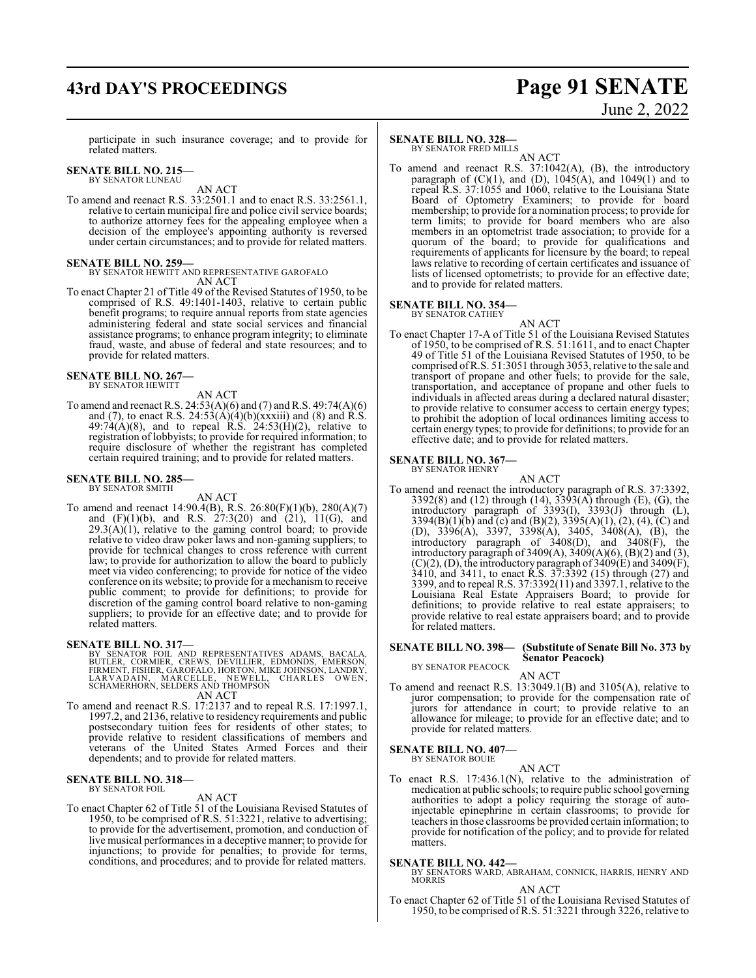## **43rd DAY'S PROCEEDINGS Page 91 SENATE**

# June 2, 2022

participate in such insurance coverage; and to provide for related matters.

### **SENATE BILL NO. 215—** BY SENATOR LUNEAU

AN ACT

To amend and reenact R.S. 33:2501.1 and to enact R.S. 33:2561.1, relative to certain municipal fire and police civil service boards; to authorize attorney fees for the appealing employee when a decision of the employee's appointing authority is reversed under certain circumstances; and to provide for related matters.

### **SENATE BILL NO. 259—**

BY SENATOR HEWITT AND REPRESENTATIVE GAROFALO AN ACT

To enact Chapter 21 of Title 49 of the Revised Statutes of 1950, to be comprised of R.S. 49:1401-1403, relative to certain public benefit programs; to require annual reports from state agencies administering federal and state social services and financial assistance programs; to enhance program integrity; to eliminate fraud, waste, and abuse of federal and state resources; and to provide for related matters.

## **SENATE BILL NO. 267—** BY SENATOR HEWITT

AN ACT

To amend and reenact R.S. 24:53(A)(6) and (7) and R.S. 49:74(A)(6) and (7), to enact R.S.  $24:53(A)(4)(b)(xxxiii)$  and (8) and R.S.  $49:74(A)(8)$ , and to repeal R.S.  $24:53(H)(2)$ , relative to registration of lobbyists; to provide for required information; to require disclosure of whether the registrant has completed certain required training; and to provide for related matters.

### **SENATE BILL NO. 285—** BY SENATOR SMITH

### AN ACT

To amend and reenact 14:90.4(B), R.S. 26:80(F)(1)(b), 280(A)(7) and (F)(1)(b), and R.S. 27:3(20) and (21), 11(G), and  $29.3(A)(1)$ , relative to the gaming control board; to provide relative to video draw poker laws and non-gaming suppliers; to provide for technical changes to cross reference with current law; to provide for authorization to allow the board to publicly meet via video conferencing; to provide for notice of the video conference on its website; to provide for a mechanism to receive public comment; to provide for definitions; to provide for discretion of the gaming control board relative to non-gaming suppliers; to provide for an effective date; and to provide for related matters.

**SENATE BILL NO. 317—**<br>BY SENATOR FOIL AND REPRESENTATIVES ADAMS, BACALA,<br>BUTLER, CORMIER, CREWS, DEVILLIER, EDMONDS, EMERSON,<br>FIRMENT, FISHER, GAROFALÓ, HORTON, MIKE JOHNSÓN, LANDRY,<br>LARVADAIN, MARCELLE, NEWELL, CHARLES O

AN ACT

To amend and reenact R.S. 17:2137 and to repeal R.S. 17:1997.1, 1997.2, and 2136, relative to residency requirements and public postsecondary tuition fees for residents of other states; to provide relative to resident classifications of members and veterans of the United States Armed Forces and their dependents; and to provide for related matters.

### **SENATE BILL NO. 318—** BY SENATOR FOIL

### AN ACT

To enact Chapter 62 of Title 51 of the Louisiana Revised Statutes of 1950, to be comprised of R.S. 51:3221, relative to advertising; to provide for the advertisement, promotion, and conduction of live musical performances in a deceptive manner; to provide for injunctions; to provide for penalties; to provide for terms, conditions, and procedures; and to provide for related matters.

### **SENATE BILL NO. 328—**

BY SENATOR FRED MILLS

AN ACT To amend and reenact R.S. 37:1042(A), (B), the introductory paragraph of  $(C)(1)$ , and  $(D)$ ,  $1045(A)$ , and  $1049(1)$  and to repeal R.S. 37:1055 and 1060, relative to the Louisiana State Board of Optometry Examiners; to provide for board membership; to provide for a nomination process; to provide for term limits; to provide for board members who are also members in an optometrist trade association; to provide for a quorum of the board; to provide for qualifications and requirements of applicants for licensure by the board; to repeal laws relative to recording of certain certificates and issuance of lists of licensed optometrists; to provide for an effective date; and to provide for related matters.

### **SENATE BILL NO. 354—**

BY SENATOR CATHEY

AN ACT To enact Chapter 17-A of Title 51 of the Louisiana Revised Statutes of 1950, to be comprised of R.S. 51:1611, and to enact Chapter 49 of Title 51 of the Louisiana Revised Statutes of 1950, to be comprised ofR.S. 51:3051 through 3053, relative to the sale and transport of propane and other fuels; to provide for the sale, transportation, and acceptance of propane and other fuels to individuals in affected areas during a declared natural disaster; to provide relative to consumer access to certain energy types; to prohibit the adoption of local ordinances limiting access to certain energy types; to provide for definitions; to provide for an effective date; and to provide for related matters.

## **SENATE BILL NO. 367—** BY SENATOR HENRY

- 
- AN ACT To amend and reenact the introductory paragraph of R.S. 37:3392, 3392(8) and (12) through (14), 3393(A) through (E), (G), the introductory paragraph of  $3393(I)$ ,  $3393(J)$  through (L), 3394(B)(1)(b) and (c) and (B)(2), 3395(A)(1), (2), (4), (C) and (D), 3396(A), 3397, 3398(A), 3405, 3408(A), (B), the introductory paragraph of 3408(D), and 3408(F), the introductory paragraph of  $3409(A)$ ,  $3409(A)(6)$ ,  $(B)(2)$  and  $(3)$ ,  $(C)(2)$ ,  $(D)$ , the introductory paragraph of 3409 $(E)$  and 3409 $(F)$ , 3410, and 3411, to enact R.S. 37:3392 (15) through (27) and 3399, and to repeal R.S. 37:3392(11) and 3397.1, relative to the Louisiana Real Estate Appraisers Board; to provide for definitions; to provide relative to real estate appraisers; to provide relative to real estate appraisers board; and to provide for related matters.

### **SENATE BILL NO. 398— (Substitute of Senate Bill No. 373 by Senator Peacock)**

BY SENATOR PEACOCK

### AN ACT

To amend and reenact R.S. 13:3049.1(B) and 3105(A), relative to juror compensation; to provide for the compensation rate of jurors for attendance in court; to provide relative to an allowance for mileage; to provide for an effective date; and to provide for related matters.

### **SENATE BILL NO. 407—** BY SENATOR BOUIE

AN ACT

To enact R.S. 17:436.1(N), relative to the administration of medication at public schools; to require public school governing authorities to adopt a policy requiring the storage of autoinjectable epinephrine in certain classrooms; to provide for teachers in those classrooms be provided certain information; to provide for notification of the policy; and to provide for related matters.

### **SENATE BILL NO. 442—**

BY SENATORS WARD, ABRAHAM, CONNICK, HARRIS, HENRY AND MORRIS

AN ACT

To enact Chapter 62 of Title 51 of the Louisiana Revised Statutes of 1950, to be comprised of R.S. 51:3221 through 3226, relative to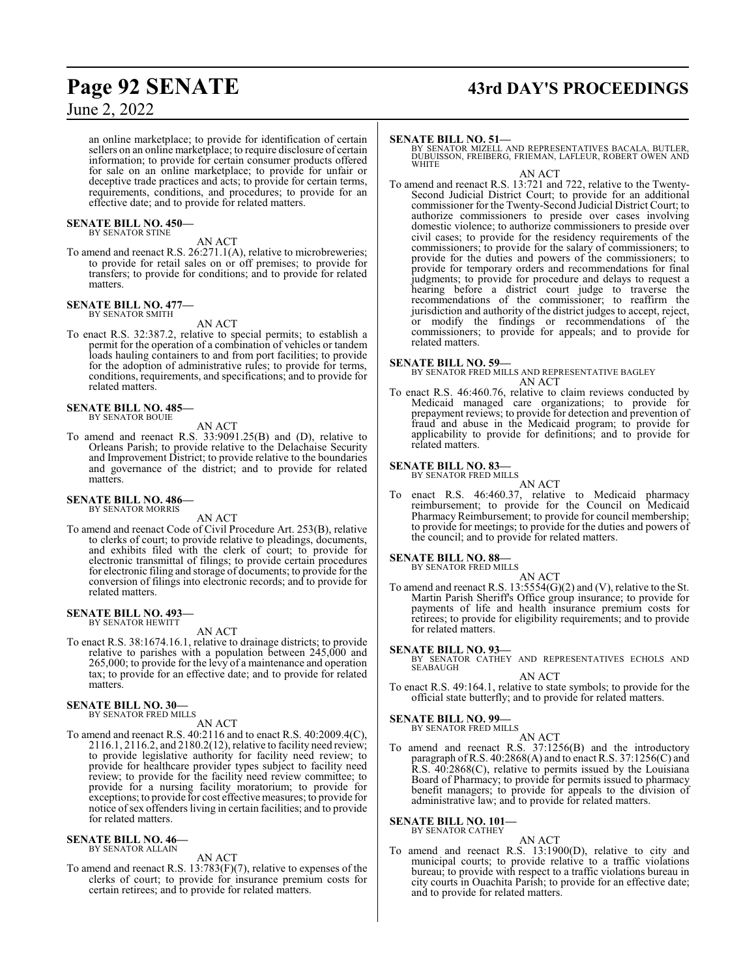an online marketplace; to provide for identification of certain sellers on an online marketplace; to require disclosure of certain information; to provide for certain consumer products offered for sale on an online marketplace; to provide for unfair or deceptive trade practices and acts; to provide for certain terms, requirements, conditions, and procedures; to provide for an effective date; and to provide for related matters.

## **SENATE BILL NO. 450—** BY SENATOR STINE

AN ACT

To amend and reenact R.S. 26:271.1(A), relative to microbreweries; to provide for retail sales on or off premises; to provide for transfers; to provide for conditions; and to provide for related matters.

### **SENATE BILL NO. 477—**

BY SENATOR SMITH

To enact R.S. 32:387.2, relative to special permits; to establish a permit for the operation of a combination of vehicles or tandem loads hauling containers to and from port facilities; to provide for the adoption of administrative rules; to provide for terms,

conditions, requirements, and specifications; and to provide for

AN ACT

related matters. **SENATE BILL NO. 485—** BY SENATOR BOUIE

AN ACT

To amend and reenact R.S. 33:9091.25(B) and (D), relative to Orleans Parish; to provide relative to the Delachaise Security and Improvement District; to provide relative to the boundaries and governance of the district; and to provide for related matters.

### **SENATE BILL NO. 486—** BY SENATOR MORRIS

AN ACT

To amend and reenact Code of Civil Procedure Art. 253(B), relative to clerks of court; to provide relative to pleadings, documents, and exhibits filed with the clerk of court; to provide for electronic transmittal of filings; to provide certain procedures for electronic filing and storage of documents; to provide for the conversion of filings into electronic records; and to provide for related matters.

### **SENATE BILL NO. 493—** BY SENATOR HEWITT

AN ACT

To enact R.S. 38:1674.16.1, relative to drainage districts; to provide relative to parishes with a population between 245,000 and 265,000; to provide for the levy of a maintenance and operation tax; to provide for an effective date; and to provide for related matters.

### **SENATE BILL NO. 30—** BY SENATOR FRED MILLS

AN ACT

To amend and reenact R.S. 40:2116 and to enact R.S. 40:2009.4(C), 2116.1, 2116.2, and 2180.2(12), relative to facility need review; to provide legislative authority for facility need review; to provide for healthcare provider types subject to facility need review; to provide for the facility need review committee; to provide for a nursing facility moratorium; to provide for exceptions; to provide for cost effective measures; to provide for notice ofsex offenders living in certain facilities; and to provide for related matters.

### **SENATE BILL NO. 46—** BY SENATOR ALLAIN

### AN ACT

To amend and reenact R.S. 13:783(F)(7), relative to expenses of the clerks of court; to provide for insurance premium costs for certain retirees; and to provide for related matters.

## **Page 92 SENATE 43rd DAY'S PROCEEDINGS**

### **SENATE BILL NO. 51—**

BY SENATOR MIZELL AND REPRESENTATIVES BACALA, BUTLER, DUBUISSON, FREIBERG, FRIEMAN, LAFLEUR, ROBERT OWEN AND **WHITE** 

AN ACT To amend and reenact R.S. 13:721 and 722, relative to the Twenty-Second Judicial District Court; to provide for an additional commissioner for the Twenty-Second Judicial District Court; to authorize commissioners to preside over cases involving domestic violence; to authorize commissioners to preside over civil cases; to provide for the residency requirements of the commissioners; to provide for the salary of commissioners; to provide for the duties and powers of the commissioners; to provide for temporary orders and recommendations for final judgments; to provide for procedure and delays to request a hearing before a district court judge to traverse the recommendations of the commissioner; to reaffirm the jurisdiction and authority of the district judges to accept, reject, or modify the findings or recommendations of the commissioners; to provide for appeals; and to provide for related matters.

### **SENATE BILL NO. 59—**

BY SENATOR FRED MILLS AND REPRESENTATIVE BAGLEY AN ACT

To enact R.S. 46:460.76, relative to claim reviews conducted by Medicaid managed care organizations; to provide for prepayment reviews; to provide for detection and prevention of fraud and abuse in the Medicaid program; to provide for applicability to provide for definitions; and to provide for related matters.

### **SENATE BILL NO. 83—**

BY SENATOR FRED MILLS

AN ACT To enact R.S. 46:460.37, relative to Medicaid pharmacy reimbursement; to provide for the Council on Medicaid Pharmacy Reimbursement; to provide for council membership; to provide for meetings; to provide for the duties and powers of the council; and to provide for related matters.

## **SENATE BILL NO. 88—** BY SENATOR FRED MILLS

AN ACT

To amend and reenact R.S.  $13:5554(G)(2)$  and (V), relative to the St. Martin Parish Sheriff's Office group insurance; to provide for payments of life and health insurance premium costs for retirees; to provide for eligibility requirements; and to provide for related matters.

### **SENATE BILL NO. 93—**

BY SENATOR CATHEY AND REPRESENTATIVES ECHOLS AND SEABAUGH

AN ACT

To enact R.S. 49:164.1, relative to state symbols; to provide for the official state butterfly; and to provide for related matters.

**SENATE BILL NO. 99—** BY SENATOR FRED MILLS

### AN ACT

To amend and reenact R.S. 37:1256(B) and the introductory paragraph ofR.S. 40:2868(A) and to enact R.S. 37:1256(C) and R.S. 40:2868(C), relative to permits issued by the Louisiana Board of Pharmacy; to provide for permits issued to pharmacy benefit managers; to provide for appeals to the division of administrative law; and to provide for related matters.

**SENATE BILL NO. 101—**

BY SENATOR CATHEY

AN ACT To amend and reenact R.S. 13:1900(D), relative to city and municipal courts; to provide relative to a traffic violations bureau; to provide with respect to a traffic violations bureau in city courts in Ouachita Parish; to provide for an effective date; and to provide for related matters.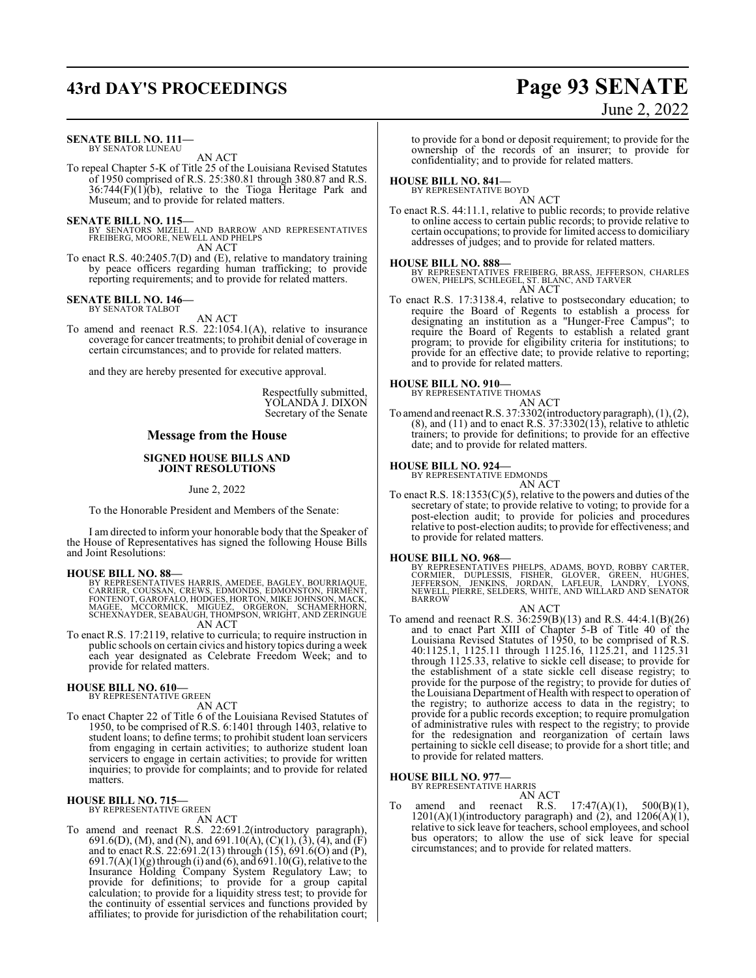## **43rd DAY'S PROCEEDINGS Page 93 SENATE**

### **SENATE BILL NO. 111—** BY SENATOR LUNEAU

AN ACT

To repeal Chapter 5-K of Title 25 of the Louisiana Revised Statutes of 1950 comprised of R.S. 25:380.81 through 380.87 and R.S.  $36:744(F)(1)(b)$ , relative to the Tioga Heritage Park and Museum; and to provide for related matters.

**SENATE BILL NO. 115—**<br>BY SENATORS MIZELL AND BARROW AND REPRESENTATIVES<br>FREIBERG, MOORE, NEWELL AND PHELPS

AN ACT

To enact R.S. 40:2405.7(D) and (E), relative to mandatory training by peace officers regarding human trafficking; to provide reporting requirements; and to provide for related matters.

### **SENATE BILL NO. 146—** BY SENATOR TALBOT

AN ACT

To amend and reenact R.S. 22:1054.1(A), relative to insurance coverage for cancer treatments; to prohibit denial of coverage in certain circumstances; and to provide for related matters.

and they are hereby presented for executive approval.

Respectfully submitted, YOLANDA J. DIXON Secretary of the Senate

### **Message from the House**

### **SIGNED HOUSE BILLS AND JOINT RESOLUTIONS**

June 2, 2022

To the Honorable President and Members of the Senate:

I am directed to inform your honorable body that the Speaker of the House of Representatives has signed the following House Bills and Joint Resolutions:

### **HOUSE BILL NO. 88—**

- BY REPRESENTATIVES HARRIS, AMEDEE, BAGLEY, BOURRIAQUE,<br>CARRIER, COUSSAN, CREWS, EDMONDS, EDMONSTON, FIRMENT,<br>FONTENOT, GAROFALO, HODGES, HORTON, MIKE JOHNSON, MACK,<br>MAGEE, \_ MCCORMICK, \_ MIGUEZ, \_ ORGERON, \_ SCHAMERHORN,<br>S AN ACT
- To enact R.S. 17:2119, relative to curricula; to require instruction in public schools on certain civics and history topics during a week each year designated as Celebrate Freedom Week; and to provide for related matters.

### **HOUSE BILL NO. 610—** BY REPRESENTATIVE GREEN

AN ACT

To enact Chapter 22 of Title 6 of the Louisiana Revised Statutes of 1950, to be comprised of R.S. 6:1401 through 1403, relative to student loans; to define terms; to prohibit student loan servicers from engaging in certain activities; to authorize student loan servicers to engage in certain activities; to provide for written inquiries; to provide for complaints; and to provide for related matters.

### **HOUSE BILL NO. 715—**

BY REPRESENTATIVE GREEN

AN ACT

To amend and reenact R.S. 22:691.2(introductory paragraph), 691.6(D), (M), and (N), and 691.10(A), (C)(1), (3), (4), and (F) and to enact R.S. 22:691.2(13) through (15), 691.6(O) and (P),  $691.7(A)(1)(g)$  through (i) and (6), and  $691.10(G)$ , relative to the Insurance Holding Company System Regulatory Law; to provide for definitions; to provide for a group capital calculation; to provide for a liquidity stress test; to provide for the continuity of essential services and functions provided by affiliates; to provide for jurisdiction of the rehabilitation court;

to provide for a bond or deposit requirement; to provide for the ownership of the records of an insurer; to provide for confidentiality; and to provide for related matters.

### **HOUSE BILL NO. 841—**

BY REPRESENTATIVE BOYD

AN ACT To enact R.S. 44:11.1, relative to public records; to provide relative to online access to certain public records; to provide relative to certain occupations; to provide for limited access to domiciliary addresses of judges; and to provide for related matters.

**HOUSE BILL NO. 888—** BY REPRESENTATIVES FREIBERG, BRASS, JEFFERSON, CHARLES OWEN, PHELPS, SCHLEGEL, ST. BLANC, AND TARVER AN ACT

To enact R.S. 17:3138.4, relative to postsecondary education; to require the Board of Regents to establish a process for designating an institution as a "Hunger-Free Campus"; to require the Board of Regents to establish a related grant program; to provide for eligibility criteria for institutions; to provide for an effective date; to provide relative to reporting; and to provide for related matters.

## **HOUSE BILL NO. 910—** BY REPRESENTATIVE THOMAS

AN ACT

To amend and reenact R.S. 37:3302(introductory paragraph), (1), (2), (8), and (11) and to enact R.S. 37:3302(13), relative to athletic trainers; to provide for definitions; to provide for an effective date; and to provide for related matters.

### **HOUSE BILL NO. 924—**

BY REPRESENTATIVE EDMONDS AN ACT

To enact R.S.  $18:1353(C)(5)$ , relative to the powers and duties of the secretary of state; to provide relative to voting; to provide for a post-election audit; to provide for policies and procedures relative to post-election audits; to provide for effectiveness; and to provide for related matters.

**HOUSE BILL NO. 968—**<br>BY REPRESENTATIVES PHELPS, ADAMS, BOYD, ROBBY CARTER,<br>CORMIER, DUPLESSIS, FISHER, GLOVER, GREEN, HUGHES,<br>JEFFERSON, JENKINS, JORDAN, LAFLEUR, LANDRY, LYONS,<br>NEWELL, PIERRE, SELDERS, WHITE, AND WILLARD

### AN ACT

To amend and reenact R.S. 36:259(B)(13) and R.S. 44:4.1(B)(26) and to enact Part XIII of Chapter 5-B of Title 40 of the Louisiana Revised Statutes of 1950, to be comprised of R.S. 40:1125.1, 1125.11 through 1125.16, 1125.21, and 1125.31 through 1125.33, relative to sickle cell disease; to provide for the establishment of a state sickle cell disease registry; to provide for the purpose of the registry; to provide for duties of the Louisiana Department of Health with respect to operation of the registry; to authorize access to data in the registry; to provide for a public records exception; to require promulgation of administrative rules with respect to the registry; to provide for the redesignation and reorganization of certain laws pertaining to sickle cell disease; to provide for a short title; and to provide for related matters.

## **HOUSE BILL NO. 977—** BY REPRESENTATIVE HARRIS

AN ACT

To amend and reenact R.S. 17:47(A)(1), 500(B)(1),  $1201(A)(1)$ (introductory paragraph) and  $(2)$ , and  $1206(A)(1)$ , relative to sick leave for teachers, school employees, and school bus operators; to allow the use of sick leave for special circumstances; and to provide for related matters.

June 2, 2022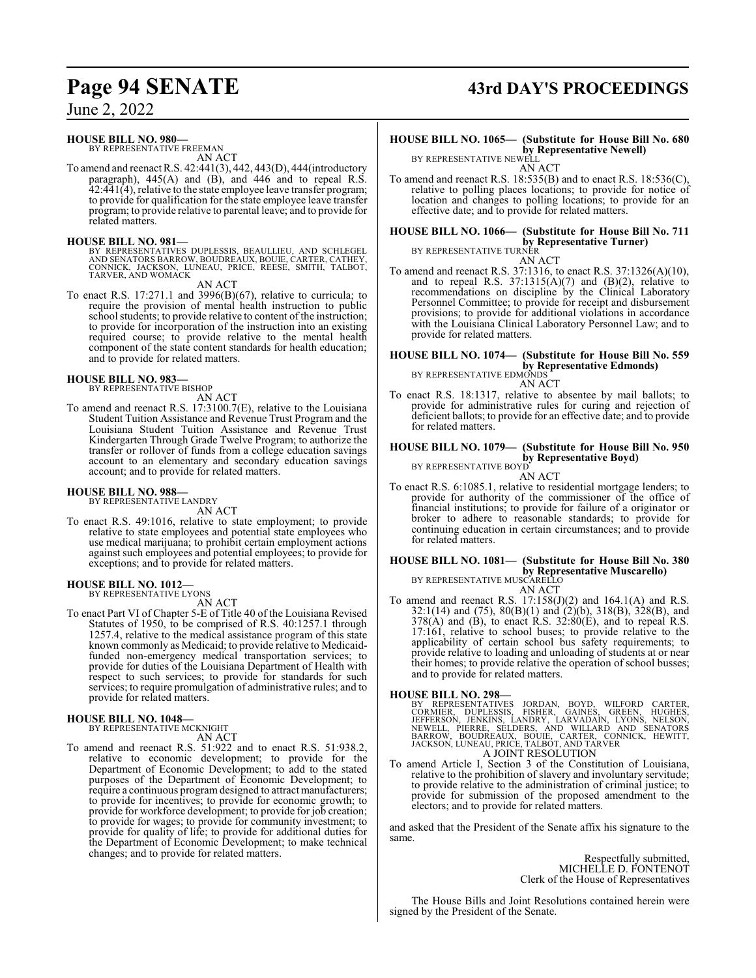### **HOUSE BILL NO. 980—**

BY REPRESENTATIVE FREEMAN AN ACT

To amend and reenact R.S. 42:441(3), 442, 443(D), 444(introductory paragraph), 445(A) and (B), and 446 and to repeal R.S. 42:441(4), relative to the state employee leave transfer program; to provide for qualification for the state employee leave transfer program; to provide relative to parental leave; and to provide for related matters.

### **HOUSE BILL NO. 981—**

BY REPRESENTATIVES DUPLESSIS, BEAULLIEU, AND SCHLEGEL<br>AND SENATORS BARROW, BOUDREAUX, BOUIE, CARTER, CATHEY,<br>CONNICK, JACKSON, LUNEAU, PRICE, REESE, SMITH, TALBOT,<br>TARVER, AND WOMACK

AN ACT

To enact R.S. 17:271.1 and 3996(B)(67), relative to curricula; to require the provision of mental health instruction to public school students; to provide relative to content of the instruction; to provide for incorporation of the instruction into an existing required course; to provide relative to the mental health component of the state content standards for health education; and to provide for related matters.

### **HOUSE BILL NO. 983—**

BY REPRESENTATIVE BISHOP AN ACT

To amend and reenact R.S. 17:3100.7(E), relative to the Louisiana Student Tuition Assistance and Revenue Trust Program and the Louisiana Student Tuition Assistance and Revenue Trust Kindergarten Through Grade Twelve Program; to authorize the transfer or rollover of funds from a college education savings account to an elementary and secondary education savings account; and to provide for related matters.

### **HOUSE BILL NO. 988—** BY REPRESENTATIVE LANDRY

AN ACT

To enact R.S. 49:1016, relative to state employment; to provide relative to state employees and potential state employees who use medical marijuana; to prohibit certain employment actions against such employees and potential employees; to provide for exceptions; and to provide for related matters.

## **HOUSE BILL NO. 1012—** BY REPRESENTATIVE LYONS

AN ACT

To enact Part VI of Chapter 5-E of Title 40 of the Louisiana Revised Statutes of 1950, to be comprised of R.S. 40:1257.1 through 1257.4, relative to the medical assistance program of this state known commonly as Medicaid; to provide relative to Medicaidfunded non-emergency medical transportation services; to provide for duties of the Louisiana Department of Health with respect to such services; to provide for standards for such services; to require promulgation of administrative rules; and to provide for related matters.

**HOUSE BILL NO. 1048—** BY REPRESENTATIVE MCKNIGHT AN ACT

To amend and reenact R.S. 51:922 and to enact R.S. 51:938.2, relative to economic development; to provide for the Department of Economic Development; to add to the stated purposes of the Department of Economic Development; to require a continuous program designed to attract manufacturers; to provide for incentives; to provide for economic growth; to provide for workforce development; to provide for job creation; to provide for wages; to provide for community investment; to provide for quality of life; to provide for additional duties for the Department of Economic Development; to make technical changes; and to provide for related matters.

## **Page 94 SENATE 43rd DAY'S PROCEEDINGS**

**HOUSE BILL NO. 1065— (Substitute for House Bill No. 680 by Representative Newell)** BY REPRESENTATIVE NEWELL

AN ACT

To amend and reenact R.S. 18:535(B) and to enact R.S. 18:536(C), relative to polling places locations; to provide for notice of location and changes to polling locations; to provide for an effective date; and to provide for related matters.

### **HOUSE BILL NO. 1066— (Substitute for House Bill No. 711 by Representative Turner)** BY REPRESENTATIVE TURNER

- AN ACT
- To amend and reenact R.S. 37:1316, to enact R.S. 37:1326(A)(10), and to repeal R.S.  $37:1315(A)(7)$  and  $(B)(2)$ , relative to recommendations on discipline by the Clinical Laboratory Personnel Committee; to provide for receipt and disbursement provisions; to provide for additional violations in accordance with the Louisiana Clinical Laboratory Personnel Law; and to provide for related matters.

**HOUSE BILL NO. 1074— (Substitute for House Bill No. 559 by Representative Edmonds)**<br>BY REPRESENTATIVE EDMONDS

AN ACT

To enact R.S. 18:1317, relative to absentee by mail ballots; to provide for administrative rules for curing and rejection of deficient ballots; to provide for an effective date; and to provide for related matters.

### **HOUSE BILL NO. 1079— (Substitute for House Bill No. 950 by Representative Boyd)** BY REPRESENTATIVE BOYD

AN ACT

To enact R.S. 6:1085.1, relative to residential mortgage lenders; to provide for authority of the commissioner of the office of financial institutions; to provide for failure of a originator or broker to adhere to reasonable standards; to provide for continuing education in certain circumstances; and to provide for related matters.

### **HOUSE BILL NO. 1081— (Substitute for House Bill No. 380 by Representative Muscarello)** BY REPRESENTATIVE MUSCARELLO

AN ACT

To amend and reenact R.S.  $17:158(J)(2)$  and  $164.1(A)$  and R.S. 32:1(14) and (75), 80(B)(1) and (2)(b), 318(B), 328(B), and  $378(A)$  and (B), to enact R.S.  $32:80(E)$ , and to repeal R.S. 17:161, relative to school buses; to provide relative to the applicability of certain school bus safety requirements; to provide relative to loading and unloading of students at or near their homes; to provide relative the operation of school busses; and to provide for related matters.

### **HOUSE BILL NO. 298—**

BY REPRESENTATIVES JORDAN, BOYD, WILFORD CARTER, CORMIER, DUPLESSIS, FISHER, GAINES, GREEN, HUGHES, JEFFERSON, JENKINS, LARVADAIN, LYONS, NELSON,<br>JEFFERSON, JENKINS, LANDRY, LARVADAIN, LYONS, NELSON,<br>NEWELL, PIERRE, SELDER

To amend Article I, Section 3 of the Constitution of Louisiana, relative to the prohibition of slavery and involuntary servitude; to provide relative to the administration of criminal justice; to provide for submission of the proposed amendment to the electors; and to provide for related matters.

and asked that the President of the Senate affix his signature to the same.

> Respectfully submitted, MICHELLE D. FONTENOT Clerk of the House of Representatives

The House Bills and Joint Resolutions contained herein were signed by the President of the Senate.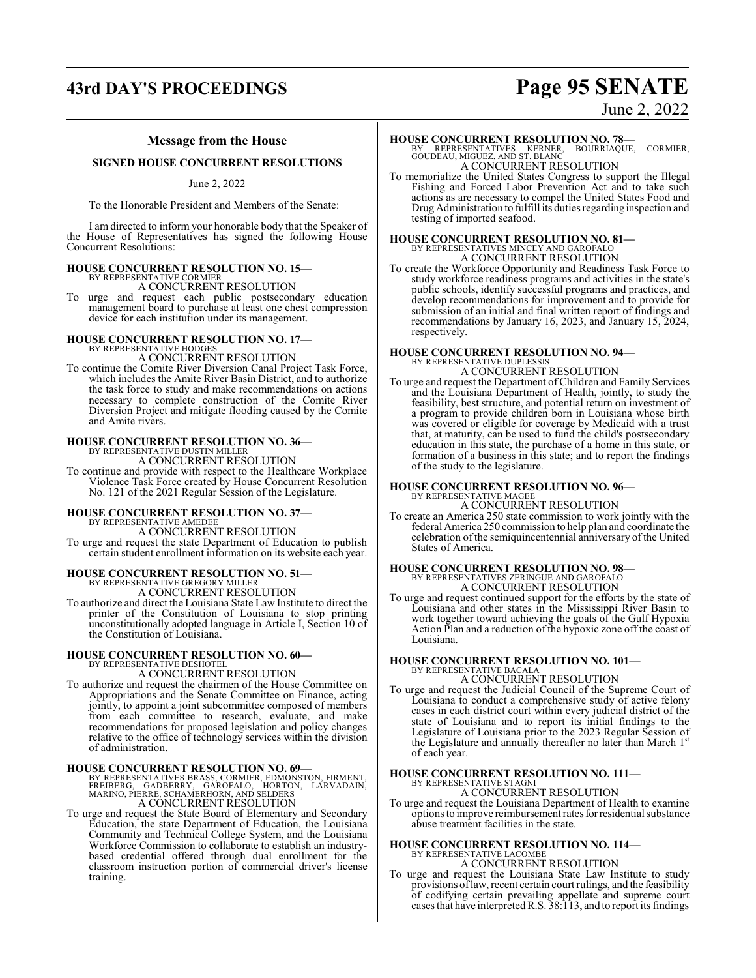## **43rd DAY'S PROCEEDINGS Page 95 SENATE**

# June 2, 2022

### **Message from the House**

### **SIGNED HOUSE CONCURRENT RESOLUTIONS**

June 2, 2022

To the Honorable President and Members of the Senate:

I am directed to inform your honorable body that the Speaker of the House of Representatives has signed the following House Concurrent Resolutions:

## **HOUSE CONCURRENT RESOLUTION NO. 15—** BY REPRESENTATIVE CORMIER

A CONCURRENT RESOLUTION

To urge and request each public postsecondary education management board to purchase at least one chest compression device for each institution under its management.

### **HOUSE CONCURRENT RESOLUTION NO. 17—**

- BY REPRESENTATIVE HODGES A CONCURRENT RESOLUTION
- To continue the Comite River Diversion Canal Project Task Force, which includes the Amite River Basin District, and to authorize the task force to study and make recommendations on actions necessary to complete construction of the Comite River Diversion Project and mitigate flooding caused by the Comite and Amite rivers.

# **HOUSE CONCURRENT RESOLUTION NO. 36—** BY REPRESENTATIVE DUSTIN MILLER A CONCURRENT RESOLUTION

To continue and provide with respect to the Healthcare Workplace Violence Task Force created by House Concurrent Resolution No. 121 of the 2021 Regular Session of the Legislature.

## **HOUSE CONCURRENT RESOLUTION NO. 37—** BY REPRESENTATIVE AMEDEE

A CONCURRENT RESOLUTION To urge and request the state Department of Education to publish certain student enrollment information on its website each year.

### **HOUSE CONCURRENT RESOLUTION NO. 51—**

BY REPRESENTATIVE GREGORY MILLER A CONCURRENT RESOLUTION

To authorize and direct the Louisiana State Law Institute to direct the printer of the Constitution of Louisiana to stop printing unconstitutionally adopted language in Article I, Section 10 of the Constitution of Louisiana.

### **HOUSE CONCURRENT RESOLUTION NO. 60—**

BY REPRESENTATIVE DESHOTEL A CONCURRENT RESOLUTION

To authorize and request the chairmen of the House Committee on Appropriations and the Senate Committee on Finance, acting jointly, to appoint a joint subcommittee composed of members from each committee to research, evaluate, and make recommendations for proposed legislation and policy changes relative to the office of technology services within the division of administration.

### **HOUSE CONCURRENT RESOLUTION NO. 69—**

BY REPRESENTATIVES BRASS, CORMIER, EDMONSTON, FIRMENT,<br>FREIBERG, GADBERRY, GAROFALO, HORTON, LARVADAIN,<br>MARINO, PIERRE, SCHAMERHORN, AND SELDERS A CONCURRENT RESOLUTION

To urge and request the State Board of Elementary and Secondary Education, the state Department of Education, the Louisiana Community and Technical College System, and the Louisiana Workforce Commission to collaborate to establish an industrybased credential offered through dual enrollment for the classroom instruction portion of commercial driver's license training.

### **HOUSE CONCURRENT RESOLUTION NO. 78—**

BY REPRESENTATIVES KERNER, BOURRIAQUE, CORMIER, GOUDEAU, MIGUEZ, AND ST. BLANC A CONCURRENT RESOLUTION

To memorialize the United States Congress to support the Illegal Fishing and Forced Labor Prevention Act and to take such actions as are necessary to compel the United States Food and DrugAdministration to fulfill its duties regarding inspection and testing of imported seafood.

### **HOUSE CONCURRENT RESOLUTION NO. 81—** BY REPRESENTATIVES MINCEY AND GAROFALO A CONCURRENT RESOLUTION

To create the Workforce Opportunity and Readiness Task Force to study workforce readiness programs and activities in the state's public schools, identify successful programs and practices, and develop recommendations for improvement and to provide for submission of an initial and final written report of findings and recommendations by January 16, 2023, and January 15, 2024, respectively.

## **HOUSE CONCURRENT RESOLUTION NO. 94—** BY REPRESENTATIVE DUPLESSIS

A CONCURRENT RESOLUTION To urge and request the Department of Children and Family Services and the Louisiana Department of Health, jointly, to study the feasibility, best structure, and potential return on investment of a program to provide children born in Louisiana whose birth was covered or eligible for coverage by Medicaid with a trust that, at maturity, can be used to fund the child's postsecondary education in this state, the purchase of a home in this state, or formation of a business in this state; and to report the findings of the study to the legislature.

## **HOUSE CONCURRENT RESOLUTION NO. 96—** BY REPRESENTATIVE MAGEE

A CONCURRENT RESOLUTION

To create an America 250 state commission to work jointly with the federal America 250 commission to help plan and coordinate the celebration of the semiquincentennial anniversary of the United States of America.

### **HOUSE CONCURRENT RESOLUTION NO. 98—** BY REPRESENTATIVES ZERINGUE AND GAROFALO A CONCURRENT RESOLUTION

To urge and request continued support for the efforts by the state of Louisiana and other states in the Mississippi River Basin to work together toward achieving the goals of the Gulf Hypoxia Action Plan and a reduction of the hypoxic zone off the coast of Louisiana.

### **HOUSE CONCURRENT RESOLUTION NO. 101—** BY REPRESENTATIVE BACALA A CONCURRENT RESOLUTION

To urge and request the Judicial Council of the Supreme Court of Louisiana to conduct a comprehensive study of active felony cases in each district court within every judicial district of the state of Louisiana and to report its initial findings to the Legislature of Louisiana prior to the 2023 Regular Session of the Legislature and annually thereafter no later than March 1st of each year.

## **HOUSE CONCURRENT RESOLUTION NO. 111—** BY REPRESENTATIVE STAGNI

A CONCURRENT RESOLUTION

To urge and request the Louisiana Department of Health to examine options to improve reimbursement rates for residential substance abuse treatment facilities in the state.

## **HOUSE CONCURRENT RESOLUTION NO. 114—**

BY REPRESENTATIVE LACOMBE A CONCURRENT RESOLUTION

To urge and request the Louisiana State Law Institute to study provisions oflaw, recent certain court rulings, and the feasibility of codifying certain prevailing appellate and supreme court cases that have interpretedR.S. 38:113, and to report its findings